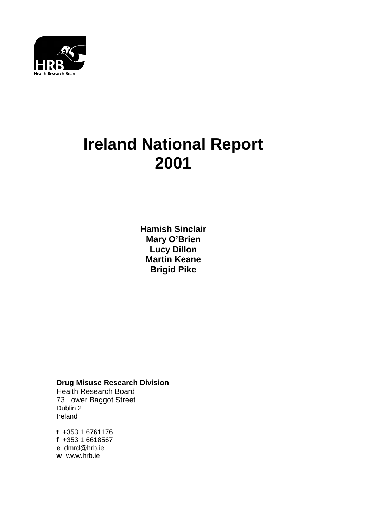

# **Ireland National Report 2001**

**Hamish Sinclair Mary O'Brien Lucy Dillon Martin Keane Brigid Pike**

**Drug Misuse Research Division** Health Research Board 73 Lower Baggot Street Dublin 2 Ireland

**t** +353 1 6761176 **f** +353 1 6618567 **e** dmrd@hrb.ie **w** www.hrb.ie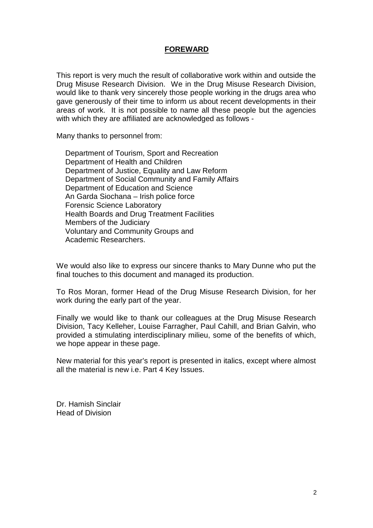## **FOREWARD**

This report is very much the result of collaborative work within and outside the Drug Misuse Research Division. We in the Drug Misuse Research Division, would like to thank very sincerely those people working in the drugs area who gave generously of their time to inform us about recent developments in their areas of work. It is not possible to name all these people but the agencies with which they are affiliated are acknowledged as follows -

Many thanks to personnel from:

Department of Tourism, Sport and Recreation Department of Health and Children Department of Justice, Equality and Law Reform Department of Social Community and Family Affairs Department of Education and Science An Garda Siochana – Irish police force Forensic Science Laboratory Health Boards and Drug Treatment Facilities Members of the Judiciary Voluntary and Community Groups and Academic Researchers.

We would also like to express our sincere thanks to Mary Dunne who put the final touches to this document and managed its production.

To Ros Moran, former Head of the Drug Misuse Research Division, for her work during the early part of the year.

Finally we would like to thank our colleagues at the Drug Misuse Research Division, Tacy Kelleher, Louise Farragher, Paul Cahill, and Brian Galvin, who provided a stimulating interdisciplinary milieu, some of the benefits of which, we hope appear in these page.

New material for this year's report is presented in italics, except where almost all the material is new i.e. Part 4 Key Issues.

Dr. Hamish Sinclair Head of Division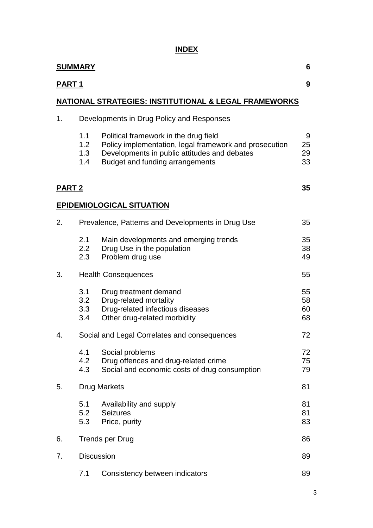# **INDEX**

|               | <b>SUMMARY</b><br>6                   |                                                                                                                                                                                    |                      |  |  |  |  |
|---------------|---------------------------------------|------------------------------------------------------------------------------------------------------------------------------------------------------------------------------------|----------------------|--|--|--|--|
| <u>PART 1</u> |                                       |                                                                                                                                                                                    | 9                    |  |  |  |  |
|               |                                       | NATIONAL STRATEGIES: INSTITUTIONAL & LEGAL FRAMEWORKS                                                                                                                              |                      |  |  |  |  |
| 1.            |                                       | Developments in Drug Policy and Responses                                                                                                                                          |                      |  |  |  |  |
|               | 1.1<br>1.2 <sub>2</sub><br>1.3<br>1.4 | Political framework in the drug field<br>Policy implementation, legal framework and prosecution<br>Developments in public attitudes and debates<br>Budget and funding arrangements | 9<br>25<br>29<br>33  |  |  |  |  |
| <b>PART 2</b> |                                       |                                                                                                                                                                                    | 35                   |  |  |  |  |
|               |                                       | <b>EPIDEMIOLOGICAL SITUATION</b>                                                                                                                                                   |                      |  |  |  |  |
| 2.            |                                       | Prevalence, Patterns and Developments in Drug Use                                                                                                                                  | 35                   |  |  |  |  |
|               | 2.1<br>2.2<br>2.3                     | Main developments and emerging trends<br>Drug Use in the population<br>Problem drug use                                                                                            | 35<br>38<br>49       |  |  |  |  |
| 3.            |                                       | <b>Health Consequences</b>                                                                                                                                                         | 55                   |  |  |  |  |
|               | 3.1<br>3.2<br>3.3<br>3.4              | Drug treatment demand<br>Drug-related mortality<br>Drug-related infectious diseases<br>Other drug-related morbidity                                                                | 55<br>58<br>60<br>68 |  |  |  |  |
| 4.            |                                       | Social and Legal Correlates and consequences                                                                                                                                       | 72                   |  |  |  |  |
|               | 4.1<br>4.2<br>4.3                     | Social problems<br>Drug offences and drug-related crime<br>Social and economic costs of drug consumption                                                                           | 72<br>75<br>79       |  |  |  |  |
| 5.            |                                       | <b>Drug Markets</b>                                                                                                                                                                | 81                   |  |  |  |  |
|               | 5.1<br>5.2<br>5.3                     | Availability and supply<br><b>Seizures</b><br>Price, purity                                                                                                                        | 81<br>81<br>83       |  |  |  |  |
| 6.            | <b>Trends per Drug</b><br>86          |                                                                                                                                                                                    |                      |  |  |  |  |
| 7.            | <b>Discussion</b>                     |                                                                                                                                                                                    | 89                   |  |  |  |  |
|               | 7.1                                   | Consistency between indicators                                                                                                                                                     | 89                   |  |  |  |  |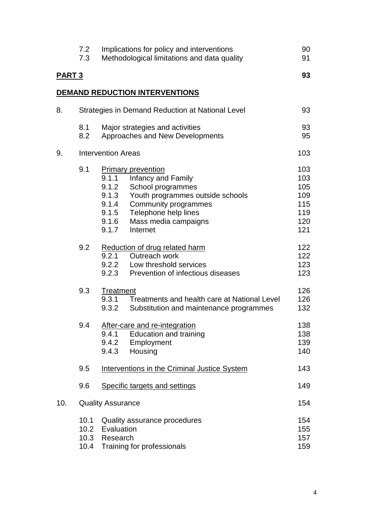|               | 7.2<br>7.3   | Implications for policy and interventions<br>Methodological limitations and data quality                                                                                                                                                                           | 90<br>91                                             |
|---------------|--------------|--------------------------------------------------------------------------------------------------------------------------------------------------------------------------------------------------------------------------------------------------------------------|------------------------------------------------------|
| <b>PART 3</b> |              |                                                                                                                                                                                                                                                                    | 93                                                   |
|               |              | DEMAND REDUCTION INTERVENTIONS                                                                                                                                                                                                                                     |                                                      |
| 8.            |              | Strategies in Demand Reduction at National Level                                                                                                                                                                                                                   | 93                                                   |
|               | 8.1<br>8.2   | Major strategies and activities<br>Approaches and New Developments                                                                                                                                                                                                 | 93<br>95                                             |
| 9.            |              | <b>Intervention Areas</b>                                                                                                                                                                                                                                          | 103                                                  |
|               | 9.1          | <b>Primary prevention</b><br>9.1.1<br><b>Infancy and Family</b><br>9.1.2<br>School programmes<br>9.1.3<br>Youth programmes outside schools<br>9.1.4<br>Community programmes<br>9.1.5<br>Telephone help lines<br>9.1.6<br>Mass media campaigns<br>9.1.7<br>Internet | 103<br>103<br>105<br>109<br>115<br>119<br>120<br>121 |
|               | 9.2          | Reduction of drug related harm<br>9.2.1<br>Outreach work<br>9.2.2<br>Low threshold services<br>9.2.3<br>Prevention of infectious diseases                                                                                                                          | 122<br>122<br>123<br>123                             |
|               | 9.3          | Treatment<br>9.3.1<br>Treatments and health care at National Level<br>9.3.2<br>Substitution and maintenance programmes                                                                                                                                             | 126<br>126<br>132                                    |
|               | 9.4          | After-care and re-integration<br>Education and training<br>9.4.1<br>9.4.2<br>Employment<br>9.4.3<br>Housing                                                                                                                                                        | 138<br>138<br>139<br>140                             |
|               | 9.5          | Interventions in the Criminal Justice System                                                                                                                                                                                                                       | 143                                                  |
|               | 9.6          | Specific targets and settings                                                                                                                                                                                                                                      | 149                                                  |
| 10.           |              | <b>Quality Assurance</b>                                                                                                                                                                                                                                           | 154                                                  |
|               | 10.1<br>10.3 | Quality assurance procedures<br>10.2 Evaluation<br>Research<br>10.4 Training for professionals                                                                                                                                                                     | 154<br>155<br>157<br>159                             |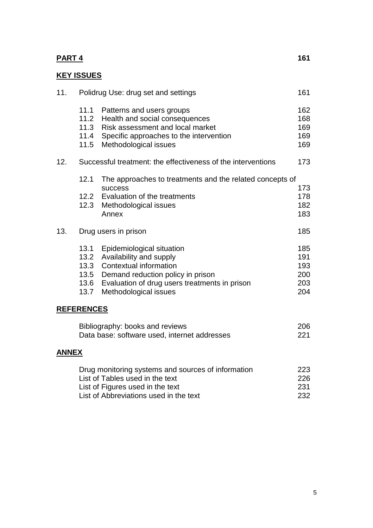# **PART 4** 161

# **KEY ISSUES**

| 11.          | Polidrug Use: drug set and settings  |                                                                                                                                                                                                         |                                        |  |
|--------------|--------------------------------------|---------------------------------------------------------------------------------------------------------------------------------------------------------------------------------------------------------|----------------------------------------|--|
|              | 11.1<br>11.2<br>11.3<br>11.4<br>11.5 | Patterns and users groups<br>Health and social consequences<br>Risk assessment and local market<br>Specific approaches to the intervention<br>Methodological issues                                     | 162<br>168<br>169<br>169<br>169        |  |
| 12.          |                                      | Successful treatment: the effectiveness of the interventions                                                                                                                                            | 173                                    |  |
|              | 12.1                                 | The approaches to treatments and the related concepts of<br>success<br>12.2 Evaluation of the treatments<br>12.3 Methodological issues<br>Annex                                                         | 173<br>178<br>182<br>183               |  |
| 13.          |                                      | Drug users in prison                                                                                                                                                                                    | 185                                    |  |
|              | 13.1<br>13.3<br>13.6<br>13.7         | Epidemiological situation<br>13.2 Availability and supply<br>Contextual information<br>13.5 Demand reduction policy in prison<br>Evaluation of drug users treatments in prison<br>Methodological issues | 185<br>191<br>193<br>200<br>203<br>204 |  |
|              | <b>REFERENCES</b>                    |                                                                                                                                                                                                         |                                        |  |
|              |                                      | Bibliography: books and reviews<br>Data base: software used, internet addresses                                                                                                                         | 206<br>221                             |  |
| <b>ANNEX</b> |                                      |                                                                                                                                                                                                         |                                        |  |
|              |                                      | Drug monitoring systems and sources of information<br>List of Tables used in the text<br>List of Figures used in the text                                                                               | 223<br>226<br>231                      |  |

List of Abbreviations used in the text 232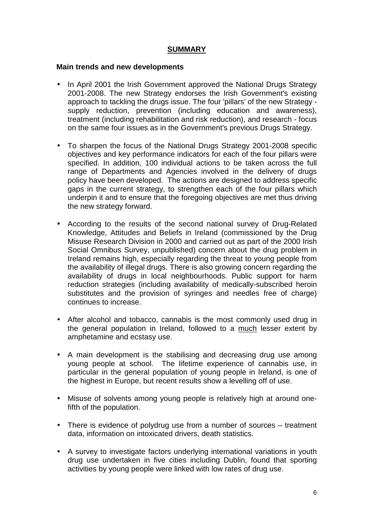## **SUMMARY**

#### **Main trends and new developments**

- In April 2001 the Irish Government approved the National Drugs Strategy 2001-2008. The new Strategy endorses the Irish Government's existing approach to tackling the drugs issue. The four 'pillars' of the new Strategy supply reduction, prevention (including education and awareness), treatment (including rehabilitation and risk reduction), and research - focus on the same four issues as in the Government's previous Drugs Strategy.
- To sharpen the focus of the National Drugs Strategy 2001-2008 specific objectives and key performance indicators for each of the four pillars were specified. In addition, 100 individual actions to be taken across the full range of Departments and Agencies involved in the delivery of drugs policy have been developed. The actions are designed to address specific gaps in the current strategy, to strengthen each of the four pillars which underpin it and to ensure that the foregoing objectives are met thus driving the new strategy forward.
- According to the results of the second national survey of Drug-Related Knowledge, Attitudes and Beliefs in Ireland (commissioned by the Drug Misuse Research Division in 2000 and carried out as part of the 2000 Irish Social Omnibus Survey, unpublished) concern about the drug problem in Ireland remains high, especially regarding the threat to young people from the availability of illegal drugs. There is also growing concern regarding the availability of drugs in local neighbourhoods. Public support for harm reduction strategies (including availability of medically-subscribed heroin substitutes and the provision of syringes and needles free of charge) continues to increase.
- After alcohol and tobacco, cannabis is the most commonly used drug in the general population in Ireland, followed to a much lesser extent by amphetamine and ecstasy use.
- A main development is the stabilising and decreasing drug use among young people at school. The lifetime experience of cannabis use, in particular in the general population of young people in Ireland, is one of the highest in Europe, but recent results show a levelling off of use.
- Misuse of solvents among young people is relatively high at around onefifth of the population.
- There is evidence of polydrug use from a number of sources treatment data, information on intoxicated drivers, death statistics.
- A survey to investigate factors underlying international variations in youth drug use undertaken in five cities including Dublin, found that sporting activities by young people were linked with low rates of drug use.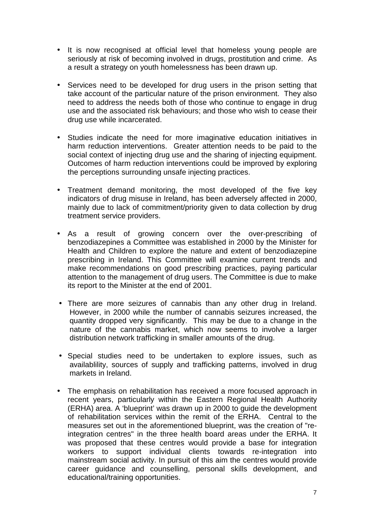- It is now recognised at official level that homeless young people are seriously at risk of becoming involved in drugs, prostitution and crime. As a result a strategy on youth homelessness has been drawn up.
- Services need to be developed for drug users in the prison setting that take account of the particular nature of the prison environment. They also need to address the needs both of those who continue to engage in drug use and the associated risk behaviours; and those who wish to cease their drug use while incarcerated.
- Studies indicate the need for more imaginative education initiatives in harm reduction interventions. Greater attention needs to be paid to the social context of injecting drug use and the sharing of injecting equipment. Outcomes of harm reduction interventions could be improved by exploring the perceptions surrounding unsafe injecting practices.
- Treatment demand monitoring, the most developed of the five key indicators of drug misuse in Ireland, has been adversely affected in 2000, mainly due to lack of commitment/priority given to data collection by drug treatment service providers.
- As a result of growing concern over the over-prescribing of benzodiazepines a Committee was established in 2000 by the Minister for Health and Children to explore the nature and extent of benzodiazepine prescribing in Ireland. This Committee will examine current trends and make recommendations on good prescribing practices, paying particular attention to the management of drug users. The Committee is due to make its report to the Minister at the end of 2001.
- There are more seizures of cannabis than any other drug in Ireland. However, in 2000 while the number of cannabis seizures increased, the quantity dropped very significantly. This may be due to a change in the nature of the cannabis market, which now seems to involve a larger distribution network trafficking in smaller amounts of the drug.
- Special studies need to be undertaken to explore issues, such as availablility, sources of supply and trafficking patterns, involved in drug markets in Ireland.
- The emphasis on rehabilitation has received a more focused approach in recent years, particularly within the Eastern Regional Health Authority (ERHA) area. A 'blueprint' was drawn up in 2000 to guide the development of rehabilitation services within the remit of the ERHA. Central to the measures set out in the aforementioned blueprint, was the creation of "reintegration centres" in the three health board areas under the ERHA. It was proposed that these centres would provide a base for integration workers to support individual clients towards re-integration into mainstream social activity. In pursuit of this aim the centres would provide career guidance and counselling, personal skills development, and educational/training opportunities.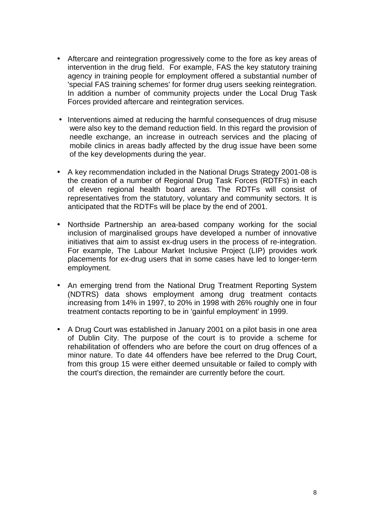- Aftercare and reintegration progressively come to the fore as key areas of intervention in the drug field. For example, FAS the key statutory training agency in training people for employment offered a substantial number of 'special FAS training schemes' for former drug users seeking reintegration. In addition a number of community projects under the Local Drug Task Forces provided aftercare and reintegration services.
- Interventions aimed at reducing the harmful consequences of drug misuse were also key to the demand reduction field. In this regard the provision of needle exchange, an increase in outreach services and the placing of mobile clinics in areas badly affected by the drug issue have been some of the key developments during the year.
- A key recommendation included in the National Drugs Strategy 2001-08 is the creation of a number of Regional Drug Task Forces (RDTFs) in each of eleven regional health board areas. The RDTFs will consist of representatives from the statutory, voluntary and community sectors. It is anticipated that the RDTFs will be place by the end of 2001.
- Northside Partnership an area-based company working for the social inclusion of marginalised groups have developed a number of innovative initiatives that aim to assist ex-drug users in the process of re-integration. For example, The Labour Market Inclusive Project (LIP) provides work placements for ex-drug users that in some cases have led to longer-term employment.
- An emerging trend from the National Drug Treatment Reporting System (NDTRS) data shows employment among drug treatment contacts increasing from 14% in 1997, to 20% in 1998 with 26% roughly one in four treatment contacts reporting to be in 'gainful employment' in 1999.
- A Drug Court was established in January 2001 on a pilot basis in one area of Dublin City. The purpose of the court is to provide a scheme for rehabilitation of offenders who are before the court on drug offences of a minor nature. To date 44 offenders have bee referred to the Drug Court, from this group 15 were either deemed unsuitable or failed to comply with the court's direction, the remainder are currently before the court.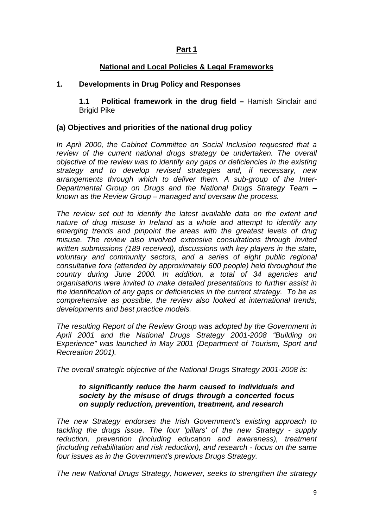## **Part 1**

#### **National and Local Policies & Legal Frameworks**

#### **1. Developments in Drug Policy and Responses**

**1.1 Political framework in the drug field –** Hamish Sinclair and Brigid Pike

#### **(a) Objectives and priorities of the national drug policy**

In April 2000, the Cabinet Committee on Social Inclusion requested that a review of the current national drugs strategy be undertaken. The overall *objective of the review was to identify any gaps or deficiencies in the existing strategy and to develop revised strategies and, if necessary, new arrangements through which to deliver them. A sub-group of the Inter-Departmental Group on Drugs and the National Drugs Strategy Team – known as the Review Group – managed and oversaw the process.* 

*The review set out to identify the latest available data on the extent and nature of drug misuse in Ireland as a whole and attempt to identify any emerging trends and pinpoint the areas with the greatest levels of drug misuse. The review also involved extensive consultations through invited written submissions (189 received), discussions with key players in the state, voluntary and community sectors, and a series of eight public regional consultative fora (attended by approximately 600 people) held throughout the country during June 2000. In addition, a total of 34 agencies and organisations were invited to make detailed presentations to further assist in the identification of any gaps or deficiencies in the current strategy. To be as comprehensive as possible, the review also looked at international trends, developments and best practice models.* 

*The resulting Report of the Review Group was adopted by the Government in April 2001 and the National Drugs Strategy 2001-2008 "Building on Experience" was launched in May 2001 (Department of Tourism, Sport and Recreation 2001).* 

*The overall strategic objective of the National Drugs Strategy 2001-2008 is:* 

#### *to significantly reduce the harm caused to individuals and society by the misuse of drugs through a concerted focus on supply reduction, prevention, treatment, and research*

*The new Strategy endorses the Irish Government's existing approach to tackling the drugs issue. The four 'pillars' of the new Strategy - supply reduction, prevention (including education and awareness), treatment (including rehabilitation and risk reduction), and research - focus on the same four issues as in the Government's previous Drugs Strategy.* 

*The new National Drugs Strategy, however, seeks to strengthen the strategy*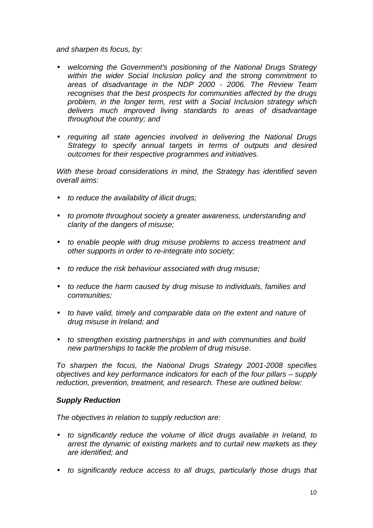*and sharpen its focus, by:* 

- *welcoming the Government's positioning of the National Drugs Strategy within the wider Social Inclusion policy and the strong commitment to areas of disadvantage in the NDP 2000 - 2006. The Review Team recognises that the best prospects for communities affected by the drugs problem, in the longer term, rest with a Social Inclusion strategy which delivers much improved living standards to areas of disadvantage throughout the country; and*
- *requiring all state agencies involved in delivering the National Drugs Strategy to specify annual targets in terms of outputs and desired outcomes for their respective programmes and initiatives.*

*With these broad considerations in mind, the Strategy has identified seven overall aims:* 

- *to reduce the availability of illicit drugs;*
- *to promote throughout society a greater awareness, understanding and clarity of the dangers of misuse;*
- *to enable people with drug misuse problems to access treatment and other supports in order to re-integrate into society;*
- *to reduce the risk behaviour associated with drug misuse;*
- *to reduce the harm caused by drug misuse to individuals, families and communities;*
- *to have valid, timely and comparable data on the extent and nature of drug misuse in Ireland; and*
- *to strengthen existing partnerships in and with communities and build new partnerships to tackle the problem of drug misuse.*

*To sharpen the focus, the National Drugs Strategy 2001-2008 specifies objectives and key performance indicators for each of the four pillars – supply reduction, prevention, treatment, and research. These are outlined below:* 

#### *Supply Reduction*

*The objectives in relation to supply reduction are:* 

- *to significantly reduce the volume of illicit drugs available in Ireland, to arrest the dynamic of existing markets and to curtail new markets as they are identified; and*
- *to significantly reduce access to all drugs, particularly those drugs that*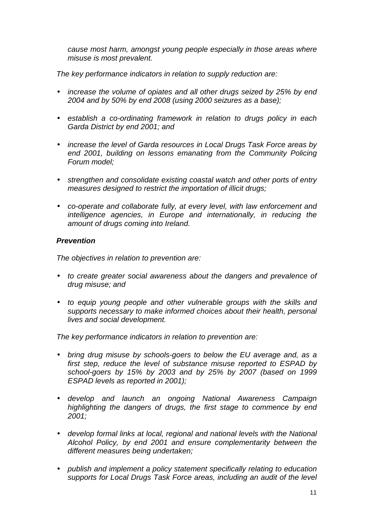*cause most harm, amongst young people especially in those areas where misuse is most prevalent.* 

*The key performance indicators in relation to supply reduction are:* 

- *increase the volume of opiates and all other drugs seized by 25% by end 2004 and by 50% by end 2008 (using 2000 seizures as a base);*
- *establish a co-ordinating framework in relation to drugs policy in each Garda District by end 2001; and*
- *increase the level of Garda resources in Local Drugs Task Force areas by end 2001, building on lessons emanating from the Community Policing Forum model;*
- *strengthen and consolidate existing coastal watch and other ports of entry measures designed to restrict the importation of illicit drugs;*
- *co-operate and collaborate fully, at every level, with law enforcement and intelligence agencies, in Europe and internationally, in reducing the amount of drugs coming into Ireland.*

#### *Prevention*

*The objectives in relation to prevention are:* 

- *to create greater social awareness about the dangers and prevalence of drug misuse; and*
- *to equip young people and other vulnerable groups with the skills and supports necessary to make informed choices about their health, personal lives and social development.*

*The key performance indicators in relation to prevention are:* 

- *bring drug misuse by schools-goers to below the EU average and, as a first step, reduce the level of substance misuse reported to ESPAD by school-goers by 15% by 2003 and by 25% by 2007 (based on 1999 ESPAD levels as reported in 2001);*
- *develop and launch an ongoing National Awareness Campaign highlighting the dangers of drugs, the first stage to commence by end 2001;*
- *develop formal links at local, regional and national levels with the National Alcohol Policy, by end 2001 and ensure complementarity between the different measures being undertaken;*
- *publish and implement a policy statement specifically relating to education supports for Local Drugs Task Force areas, including an audit of the level*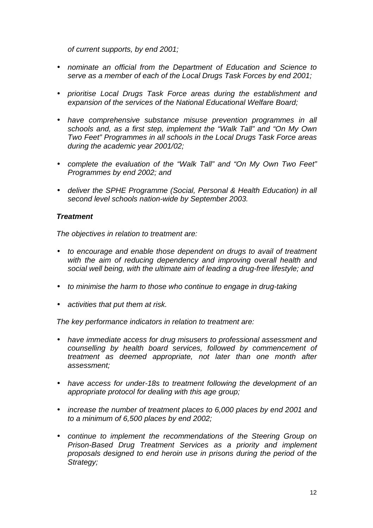*of current supports, by end 2001;* 

- *nominate an official from the Department of Education and Science to serve as a member of each of the Local Drugs Task Forces by end 2001;*
- *prioritise Local Drugs Task Force areas during the establishment and expansion of the services of the National Educational Welfare Board;*
- *have comprehensive substance misuse prevention programmes in all schools and, as a first step, implement the "Walk Tall" and "On My Own Two Feet" Programmes in all schools in the Local Drugs Task Force areas during the academic year 2001/02;*
- *complete the evaluation of the "Walk Tall" and "On My Own Two Feet" Programmes by end 2002; and*
- *deliver the SPHE Programme (Social, Personal & Health Education) in all second level schools nation-wide by September 2003.*

## *Treatment*

*The objectives in relation to treatment are:* 

- *to encourage and enable those dependent on drugs to avail of treatment with the aim of reducing dependency and improving overall health and social well being, with the ultimate aim of leading a drug-free lifestyle; and*
- *to minimise the harm to those who continue to engage in drug-taking*
- *activities that put them at risk.*

*The key performance indicators in relation to treatment are:* 

- *have immediate access for drug misusers to professional assessment and counselling by health board services, followed by commencement of treatment as deemed appropriate, not later than one month after assessment;*
- *have access for under-18s to treatment following the development of an appropriate protocol for dealing with this age group;*
- *increase the number of treatment places to 6,000 places by end 2001 and to a minimum of 6,500 places by end 2002;*
- *continue to implement the recommendations of the Steering Group on Prison-Based Drug Treatment Services as a priority and implement proposals designed to end heroin use in prisons during the period of the Strategy;*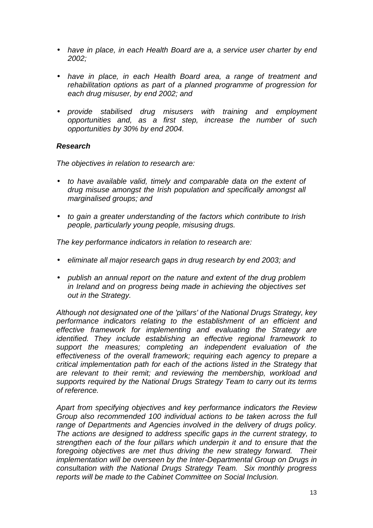- *have in place, in each Health Board are a, a service user charter by end 2002;*
- *have in place, in each Health Board area, a range of treatment and rehabilitation options as part of a planned programme of progression for each drug misuser, by end 2002; and*
- *provide stabilised drug misusers with training and employment opportunities and, as a first step, increase the number of such opportunities by 30% by end 2004.*

#### *Research*

*The objectives in relation to research are:* 

- *to have available valid, timely and comparable data on the extent of drug misuse amongst the Irish population and specifically amongst all marginalised groups; and*
- *to gain a greater understanding of the factors which contribute to Irish people, particularly young people, misusing drugs.*

*The key performance indicators in relation to research are:* 

- *eliminate all major research gaps in drug research by end 2003; and*
- *publish an annual report on the nature and extent of the drug problem in Ireland and on progress being made in achieving the objectives set out in the Strategy.*

*Although not designated one of the 'pillars' of the National Drugs Strategy, key performance indicators relating to the establishment of an efficient and effective framework for implementing and evaluating the Strategy are identified. They include establishing an effective regional framework to support the measures; completing an independent evaluation of the effectiveness of the overall framework; requiring each agency to prepare a critical implementation path for each of the actions listed in the Strategy that are relevant to their remit; and reviewing the membership, workload and supports required by the National Drugs Strategy Team to carry out its terms of reference.* 

*Apart from specifying objectives and key performance indicators the Review Group also recommended 100 individual actions to be taken across the full range of Departments and Agencies involved in the delivery of drugs policy. The actions are designed to address specific gaps in the current strategy, to strengthen each of the four pillars which underpin it and to ensure that the foregoing objectives are met thus driving the new strategy forward. Their implementation will be overseen by the Inter-Departmental Group on Drugs in consultation with the National Drugs Strategy Team. Six monthly progress reports will be made to the Cabinet Committee on Social Inclusion.*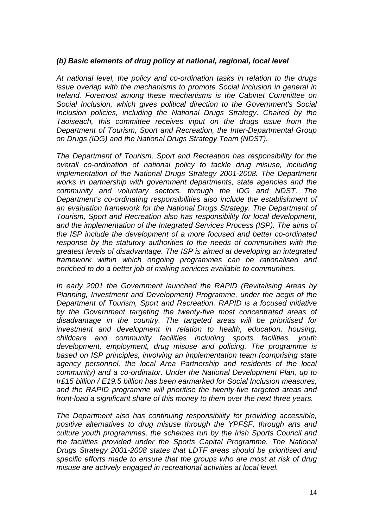## *(b) Basic elements of drug policy at national, regional, local level*

*At national level, the policy and co-ordination tasks in relation to the drugs issue overlap with the mechanisms to promote Social Inclusion in general in Ireland. Foremost among these mechanisms is the Cabinet Committee on Social Inclusion, which gives political direction to the Government's Social Inclusion policies, including the National Drugs Strategy. Chaired by the Taoiseach, this committee receives input on the drugs issue from the Department of Tourism, Sport and Recreation, the Inter-Departmental Group on Drugs (IDG) and the National Drugs Strategy Team (NDST).* 

*The Department of Tourism, Sport and Recreation has responsibility for the overall co-ordination of national policy to tackle drug misuse, including implementation of the National Drugs Strategy 2001-2008. The Department works in partnership with government departments, state agencies and the community and voluntary sectors, through the IDG and NDST. The Department's co-ordinating responsibilities also include the establishment of an evaluation framework for the National Drugs Strategy. The Department of Tourism, Sport and Recreation also has responsibility for local development, and the implementation of the Integrated Services Process (ISP). The aims of the ISP include the development of a more focused and better co-ordinated response by the statutory authorities to the needs of communities with the greatest levels of disadvantage. The ISP is aimed at developing an integrated framework within which ongoing programmes can be rationalised and enriched to do a better job of making services available to communities.* 

*In early 2001 the Government launched the RAPID (Revitalising Areas by Planning, Investment and Development) Programme, under the aegis of the Department of Tourism, Sport and Recreation. RAPID is a focused initiative by the Government targeting the twenty-five most concentrated areas of disadvantage in the country. The targeted areas will be prioritised for investment and development in relation to health, education, housing, childcare and community facilities including sports facilities, youth development, employment, drug misuse and policing. The programme is based on ISP principles, involving an implementation team (comprising state agency personnel, the local Area Partnership and residents of the local community) and a co-ordinator. Under the National Development Plan, up to Ir£15 billion / E19.5 billion has been earmarked for Social Inclusion measures, and the RAPID programme will prioritise the twenty-five targeted areas and front-load a significant share of this money to them over the next three years.* 

*The Department also has continuing responsibility for providing accessible, positive alternatives to drug misuse through the YPFSF, through arts and culture youth programmes, the schemes run by the Irish Sports Council and the facilities provided under the Sports Capital Programme. The National Drugs Strategy 2001-2008 states that LDTF areas should be prioritised and specific efforts made to ensure that the groups who are most at risk of drug misuse are actively engaged in recreational activities at local level.*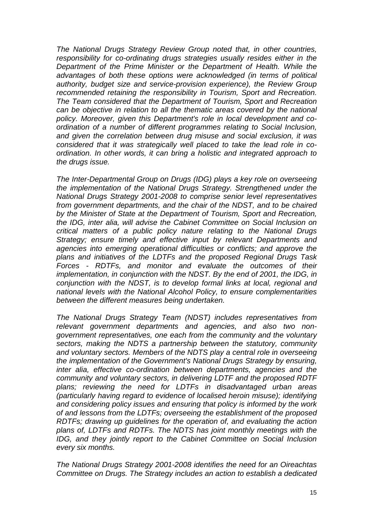*The National Drugs Strategy Review Group noted that, in other countries, responsibility for co-ordinating drugs strategies usually resides either in the Department of the Prime Minister or the Department of Health. While the advantages of both these options were acknowledged (in terms of political authority, budget size and service-provision experience), the Review Group recommended retaining the responsibility in Tourism, Sport and Recreation. The Team considered that the Department of Tourism, Sport and Recreation can be objective in relation to all the thematic areas covered by the national policy. Moreover, given this Department's role in local development and coordination of a number of different programmes relating to Social Inclusion, and given the correlation between drug misuse and social exclusion, it was considered that it was strategically well placed to take the lead role in coordination. In other words, it can bring a holistic and integrated approach to the drugs issue.* 

*The Inter-Departmental Group on Drugs (IDG) plays a key role on overseeing the implementation of the National Drugs Strategy. Strengthened under the National Drugs Strategy 2001-2008 to comprise senior level representatives from government departments, and the chair of the NDST, and to be chaired by the Minister of State at the Department of Tourism, Sport and Recreation, the IDG, inter alia, will advise the Cabinet Committee on Social Inclusion on critical matters of a public policy nature relating to the National Drugs Strategy; ensure timely and effective input by relevant Departments and agencies into emerging operational difficulties or conflicts; and approve the plans and initiatives of the LDTFs and the proposed Regional Drugs Task Forces - RDTFs, and monitor and evaluate the outcomes of their implementation, in conjunction with the NDST. By the end of 2001, the IDG, in conjunction with the NDST, is to develop formal links at local, regional and national levels with the National Alcohol Policy, to ensure complementarities between the different measures being undertaken.* 

*The National Drugs Strategy Team (NDST) includes representatives from relevant government departments and agencies, and also two nongovernment representatives, one each from the community and the voluntary sectors, making the NDTS a partnership between the statutory, community and voluntary sectors. Members of the NDTS play a central role in overseeing the implementation of the Government's National Drugs Strategy by ensuring, inter alia, effective co-ordination between departments, agencies and the community and voluntary sectors, in delivering LDTF and the proposed RDTF plans; reviewing the need for LDTFs in disadvantaged urban areas (particularly having regard to evidence of localised heroin misuse); identifying and considering policy issues and ensuring that policy is informed by the work of and lessons from the LDTFs; overseeing the establishment of the proposed RDTFs; drawing up guidelines for the operation of, and evaluating the action plans of, LDTFs and RDTFs. The NDTS has joint monthly meetings with the IDG, and they jointly report to the Cabinet Committee on Social Inclusion every six months.* 

*The National Drugs Strategy 2001-2008 identifies the need for an Oireachtas Committee on Drugs. The Strategy includes an action to establish a dedicated*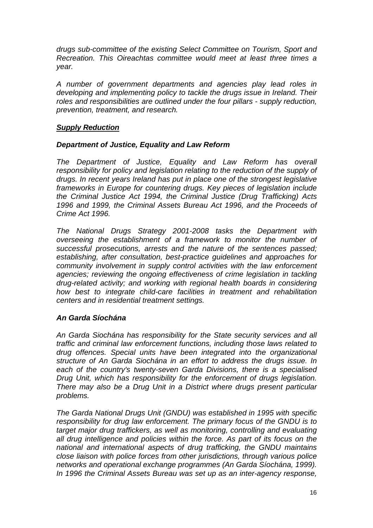*drugs sub-committee of the existing Select Committee on Tourism, Sport and Recreation. This Oireachtas committee would meet at least three times a year.* 

*A number of government departments and agencies play lead roles in developing and implementing policy to tackle the drugs issue in Ireland. Their roles and responsibilities are outlined under the four pillars - supply reduction, prevention, treatment, and research.* 

## *Supply Reduction*

#### *Department of Justice, Equality and Law Reform*

*The Department of Justice, Equality and Law Reform has overall responsibility for policy and legislation relating to the reduction of the supply of drugs. In recent years Ireland has put in place one of the strongest legislative frameworks in Europe for countering drugs. Key pieces of legislation include the Criminal Justice Act 1994, the Criminal Justice (Drug Trafficking) Acts 1996 and 1999, the Criminal Assets Bureau Act 1996, and the Proceeds of Crime Act 1996.* 

*The National Drugs Strategy 2001-2008 tasks the Department with overseeing the establishment of a framework to monitor the number of successful prosecutions, arrests and the nature of the sentences passed; establishing, after consultation, best-practice guidelines and approaches for community involvement in supply control activities with the law enforcement*  agencies; reviewing the ongoing effectiveness of crime legislation in tackling *drug-related activity; and working with regional health boards in considering how best to integrate child-care facilities in treatment and rehabilitation centers and in residential treatment settings.* 

#### *An Garda Síochána*

*An Garda Siochána has responsibility for the State security services and all traffic and criminal law enforcement functions, including those laws related to drug offences. Special units have been integrated into the organizational structure of An Garda Siochána in an effort to address the drugs issue. In each of the country's twenty-seven Garda Divisions, there is a specialised Drug Unit, which has responsibility for the enforcement of drugs legislation. There may also be a Drug Unit in a District where drugs present particular problems.* 

*The Garda National Drugs Unit (GNDU) was established in 1995 with specific responsibility for drug law enforcement. The primary focus of the GNDU is to target major drug traffickers, as well as monitoring, controlling and evaluating all drug intelligence and policies within the force. As part of its focus on the national and international aspects of drug trafficking, the GNDU maintains close liaison with police forces from other jurisdictions, through various police networks and operational exchange programmes (An Garda Síochána, 1999). In 1996 the Criminal Assets Bureau was set up as an inter-agency response,*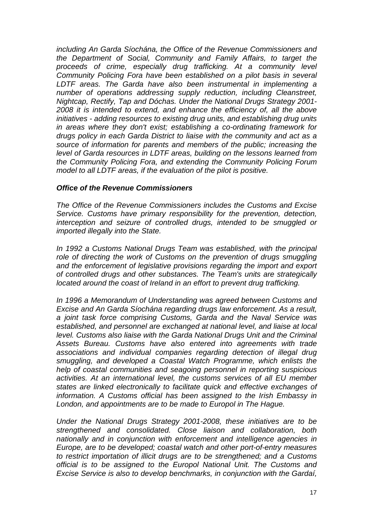*including An Garda Síochána, the Office of the Revenue Commissioners and the Department of Social, Community and Family Affairs, to target the proceeds of crime, especially drug trafficking. At a community level Community Policing Fora have been established on a pilot basis in several LDTF areas. The Garda have also been instrumental in implementing a number of operations addressing supply reduction, including Cleanstreet, Nightcap, Rectify, Tap and Dóchas. Under the National Drugs Strategy 2001- 2008 it is intended to extend, and enhance the efficiency of, all the above initiatives - adding resources to existing drug units, and establishing drug units in areas where they don't exist; establishing a co-ordinating framework for drugs policy in each Garda District to liaise with the community and act as a source of information for parents and members of the public; increasing the level of Garda resources in LDTF areas, building on the lessons learned from the Community Policing Fora, and extending the Community Policing Forum model to all LDTF areas, if the evaluation of the pilot is positive.* 

#### *Office of the Revenue Commissioners*

*The Office of the Revenue Commissioners includes the Customs and Excise Service. Customs have primary responsibility for the prevention, detection, interception and seizure of controlled drugs, intended to be smuggled or imported illegally into the State.* 

*In 1992 a Customs National Drugs Team was established, with the principal*  role of directing the work of Customs on the prevention of drugs smuggling and the enforcement of legislative provisions regarding the import and export *of controlled drugs and other substances. The Team's units are strategically located around the coast of Ireland in an effort to prevent drug trafficking.* 

*In 1996 a Memorandum of Understanding was agreed between Customs and Excise and An Garda Síochána regarding drugs law enforcement. As a result, a joint task force comprising Customs, Garda and the Naval Service was established, and personnel are exchanged at national level, and liaise at local level. Customs also liaise with the Garda National Drugs Unit and the Criminal Assets Bureau. Customs have also entered into agreements with trade associations and individual companies regarding detection of illegal drug smuggling, and developed a Coastal Watch Programme, which enlists the help of coastal communities and seagoing personnel in reporting suspicious activities. At an international level, the customs services of all EU member states are linked electronically to facilitate quick and effective exchanges of information. A Customs official has been assigned to the Irish Embassy in London, and appointments are to be made to Europol in The Hague.* 

*Under the National Drugs Strategy 2001-2008, these initiatives are to be strengthened and consolidated. Close liaison and collaboration, both nationally and in conjunction with enforcement and intelligence agencies in Europe, are to be developed; coastal watch and other port-of-entry measures to restrict importation of illicit drugs are to be strengthened; and a Customs official is to be assigned to the Europol National Unit. The Customs and Excise Service is also to develop benchmarks, in conjunction with the Gardaí,*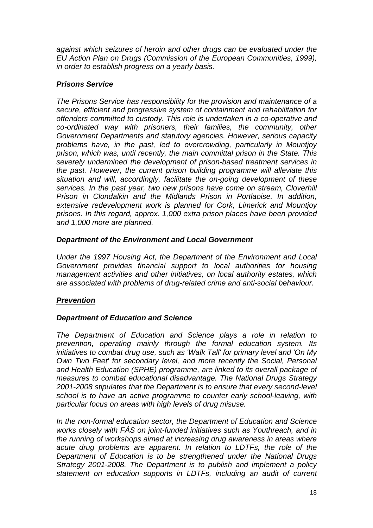*against which seizures of heroin and other drugs can be evaluated under the EU Action Plan on Drugs (Commission of the European Communities, 1999), in order to establish progress on a yearly basis.* 

## *Prisons Service*

*The Prisons Service has responsibility for the provision and maintenance of a secure, efficient and progressive system of containment and rehabilitation for offenders committed to custody. This role is undertaken in a co-operative and co-ordinated way with prisoners, their families, the community, other Government Departments and statutory agencies. However, serious capacity problems have, in the past, led to overcrowding, particularly in Mountjoy prison, which was, until recently, the main committal prison in the State. This severely undermined the development of prison-based treatment services in the past. However, the current prison building programme will alleviate this situation and will, accordingly, facilitate the on-going development of these services. In the past year, two new prisons have come on stream, Cloverhill Prison in Clondalkin and the Midlands Prison in Portlaoise. In addition, extensive redevelopment work is planned for Cork, Limerick and Mountjoy prisons. In this regard, approx. 1,000 extra prison places have been provided and 1,000 more are planned.* 

#### *Department of the Environment and Local Government*

*Under the 1997 Housing Act, the Department of the Environment and Local Government provides financial support to local authorities for housing management activities and other initiatives, on local authority estates, which are associated with problems of drug-related crime and anti-social behaviour.* 

## *Prevention*

## *Department of Education and Science*

*The Department of Education and Science plays a role in relation to prevention, operating mainly through the formal education system. Its initiatives to combat drug use, such as 'Walk Tall' for primary level and 'On My Own Two Feet' for secondary level, and more recently the Social, Personal and Health Education (SPHE) programme, are linked to its overall package of measures to combat educational disadvantage. The National Drugs Strategy 2001-2008 stipulates that the Department is to ensure that every second-level school is to have an active programme to counter early school-leaving, with particular focus on areas with high levels of drug misuse.* 

*In the non-formal education sector, the Department of Education and Science works closely with FÁS on joint-funded initiatives such as Youthreach, and in the running of workshops aimed at increasing drug awareness in areas where acute drug problems are apparent. In relation to LDTFs, the role of the Department of Education is to be strengthened under the National Drugs Strategy 2001-2008. The Department is to publish and implement a policy statement on education supports in LDTFs, including an audit of current*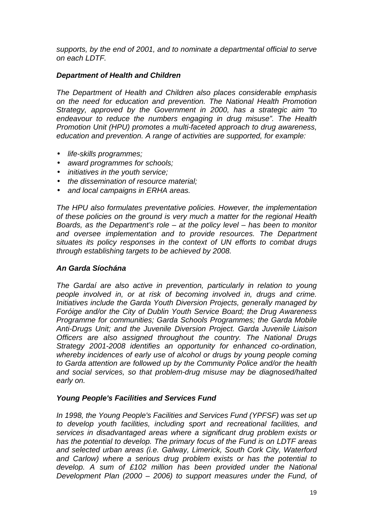*supports, by the end of 2001, and to nominate a departmental official to serve on each LDTF.* 

## *Department of Health and Children*

*The Department of Health and Children also places considerable emphasis on the need for education and prevention. The National Health Promotion Strategy, approved by the Government in 2000, has a strategic aim "to endeavour to reduce the numbers engaging in drug misuse". The Health Promotion Unit (HPU) promotes a multi-faceted approach to drug awareness, education and prevention. A range of activities are supported, for example:* 

- *life-skills programmes;*
- *award programmes for schools;*
- *initiatives in the youth service;*
- *the dissemination of resource material;*
- *and local campaigns in ERHA areas.*

*The HPU also formulates preventative policies. However, the implementation of these policies on the ground is very much a matter for the regional Health Boards, as the Department's role – at the policy level – has been to monitor and oversee implementation and to provide resources. The Department situates its policy responses in the context of UN efforts to combat drugs through establishing targets to be achieved by 2008.* 

#### *An Garda Síochána*

*The Gardaí are also active in prevention, particularly in relation to young people involved in, or at risk of becoming involved in, drugs and crime. Initiatives include the Garda Youth Diversion Projects, generally managed by Foróige and/or the City of Dublin Youth Service Board; the Drug Awareness Programme for communities; Garda Schools Programmes; the Garda Mobile Anti-Drugs Unit; and the Juvenile Diversion Project. Garda Juvenile Liaison Officers are also assigned throughout the country. The National Drugs Strategy 2001-2008 identifies an opportunity for enhanced co-ordination, whereby incidences of early use of alcohol or drugs by young people coming to Garda attention are followed up by the Community Police and/or the health and social services, so that problem-drug misuse may be diagnosed/halted early on.* 

#### *Young People's Facilities and Services Fund*

*In 1998, the Young People's Facilities and Services Fund (YPFSF) was set up to develop youth facilities, including sport and recreational facilities, and services in disadvantaged areas where a significant drug problem exists or has the potential to develop. The primary focus of the Fund is on LDTF areas and selected urban areas (i.e. Galway, Limerick, South Cork City, Waterford and Carlow) where a serious drug problem exists or has the potential to develop. A sum of £102 million has been provided under the National Development Plan (2000 – 2006) to support measures under the Fund, of*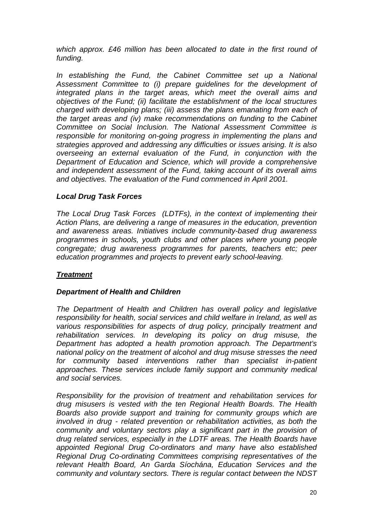*which approx. £46 million has been allocated to date in the first round of funding.* 

*In establishing the Fund, the Cabinet Committee set up a National Assessment Committee to (i) prepare guidelines for the development of integrated plans in the target areas, which meet the overall aims and objectives of the Fund; (ii) facilitate the establishment of the local structures charged with developing plans; (iii) assess the plans emanating from each of the target areas and (iv) make recommendations on funding to the Cabinet Committee on Social Inclusion. The National Assessment Committee is responsible for monitoring on-going progress in implementing the plans and strategies approved and addressing any difficulties or issues arising. It is also overseeing an external evaluation of the Fund, in conjunction with the Department of Education and Science, which will provide a comprehensive and independent assessment of the Fund, taking account of its overall aims and objectives. The evaluation of the Fund commenced in April 2001.* 

## *Local Drug Task Forces*

*The Local Drug Task Forces (LDTFs), in the context of implementing their Action Plans, are delivering a range of measures in the education, prevention and awareness areas. Initiatives include community-based drug awareness programmes in schools, youth clubs and other places where young people congregate; drug awareness programmes for parents, teachers etc; peer education programmes and projects to prevent early school-leaving.* 

## *Treatment*

## *Department of Health and Children*

*The Department of Health and Children has overall policy and legislative responsibility for health, social services and child welfare in Ireland, as well as various responsibilities for aspects of drug policy, principally treatment and rehabilitation services. In developing its policy on drug misuse, the Department has adopted a health promotion approach. The Department's national policy on the treatment of alcohol and drug misuse stresses the need for community based interventions rather than specialist in-patient approaches. These services include family support and community medical and social services.* 

*Responsibility for the provision of treatment and rehabilitation services for drug misusers is vested with the ten Regional Health Boards. The Health Boards also provide support and training for community groups which are involved in drug - related prevention or rehabilitation activities, as both the community and voluntary sectors play a significant part in the provision of drug related services, especially in the LDTF areas. The Health Boards have appointed Regional Drug Co-ordinators and many have also established Regional Drug Co-ordinating Committees comprising representatives of the relevant Health Board, An Garda Síochána, Education Services and the community and voluntary sectors. There is regular contact between the NDST*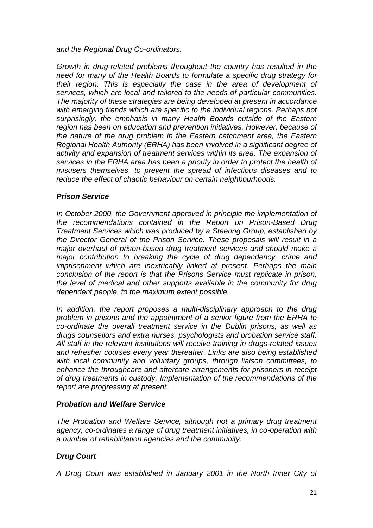*and the Regional Drug Co-ordinators.* 

*Growth in drug-related problems throughout the country has resulted in the need for many of the Health Boards to formulate a specific drug strategy for their region. This is especially the case in the area of development of services, which are local and tailored to the needs of particular communities. The majority of these strategies are being developed at present in accordance*  with emerging trends which are specific to the individual regions. Perhaps not *surprisingly, the emphasis in many Health Boards outside of the Eastern region has been on education and prevention initiatives. However, because of the nature of the drug problem in the Eastern catchment area, the Eastern Regional Health Authority (ERHA) has been involved in a significant degree of activity and expansion of treatment services within its area. The expansion of services in the ERHA area has been a priority in order to protect the health of misusers themselves, to prevent the spread of infectious diseases and to reduce the effect of chaotic behaviour on certain neighbourhoods.* 

#### *Prison Service*

*In October 2000, the Government approved in principle the implementation of the recommendations contained in the Report on Prison-Based Drug Treatment Services which was produced by a Steering Group, established by the Director General of the Prison Service. These proposals will result in a major overhaul of prison-based drug treatment services and should make a major contribution to breaking the cycle of drug dependency, crime and imprisonment which are inextricably linked at present. Perhaps the main conclusion of the report is that the Prisons Service must replicate in prison, the level of medical and other supports available in the community for drug dependent people, to the maximum extent possible.* 

*In addition, the report proposes a multi-disciplinary approach to the drug problem in prisons and the appointment of a senior figure from the ERHA to co-ordinate the overall treatment service in the Dublin prisons, as well as drugs counsellors and extra nurses, psychologists and probation service staff. All staff in the relevant institutions will receive training in drugs-related issues and refresher courses every year thereafter. Links are also being established with local community and voluntary groups, through liaison committees, to enhance the throughcare and aftercare arrangements for prisoners in receipt of drug treatments in custody. Implementation of the recommendations of the report are progressing at present.* 

#### *Probation and Welfare Service*

*The Probation and Welfare Service, although not a primary drug treatment agency, co-ordinates a range of drug treatment initiatives, in co-operation with a number of rehabilitation agencies and the community.* 

#### *Drug Court*

*A Drug Court was established in January 2001 in the North Inner City of*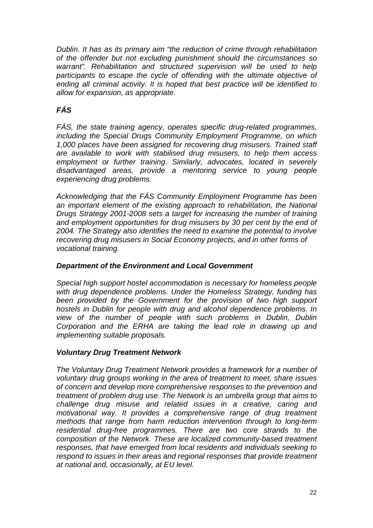*Dublin. It has as its primary aim "the reduction of crime through rehabilitation of the offender but not excluding punishment should the circumstances so warrant". Rehabilitation and structured supervision will be used to help*  participants to escape the cycle of offending with the ultimate objective of *ending all criminal activity. It is hoped that best practice will be identified to allow for expansion, as appropriate.* 

# *FÁS*

*FÁS, the state training agency, operates specific drug-related programmes, including the Special Drugs Community Employment Programme, on which 1,000 places have been assigned for recovering drug misusers. Trained staff are available to work with stabilised drug misusers, to help them access employment or further training. Similarly, advocates, located in severely disadvantaged areas, provide a mentoring service to young people experiencing drug problems.* 

*Acknowledging that the FÁS Community Employment Programme has been an important element of the existing approach to rehabilitation, the National Drugs Strategy 2001-2008 sets a target for increasing the number of training and employment opportunities for drug misusers by 30 per cent by the end of 2004. The Strategy also identifies the need to examine the potential to involve recovering drug misusers in Social Economy projects, and in other forms of vocational training.* 

## *Department of the Environment and Local Government*

*Special high support hostel accommodation is necessary for homeless people with drug dependence problems. Under the Homeless Strategy, funding has been provided by the Government for the provision of two high support hostels in Dublin for people with drug and alcohol dependence problems. In view of the number of people with such problems in Dublin, Dublin Corporation and the ERHA are taking the lead role in drawing up and implementing suitable proposals.* 

## *Voluntary Drug Treatment Network*

*The Voluntary Drug Treatment Network provides a framework for a number of voluntary drug groups working in the area of treatment to meet, share issues of concern and develop more comprehensive responses to the prevention and treatment of problem drug use. The Network is an umbrella group that aims to challenge drug misuse and related issues in a creative, caring and motivational way. It provides a comprehensive range of drug treatment methods that range from harm reduction intervention through to long-term residential drug-free programmes. There are two core strands to the composition of the Network. These are localized community-based treatment responses, that have emerged from local residents and individuals seeking to respond to issues in their areas and regional responses that provide treatment at national and, occasionally, at EU level.*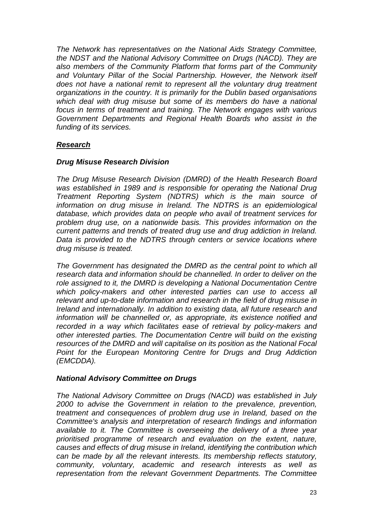*The Network has representatives on the National Aids Strategy Committee, the NDST and the National Advisory Committee on Drugs (NACD). They are also members of the Community Platform that forms part of the Community and Voluntary Pillar of the Social Partnership. However, the Network itself does not have a national remit to represent all the voluntary drug treatment organizations in the country. It is primarily for the Dublin based organisations which deal with drug misuse but some of its members do have a national focus in terms of treatment and training. The Network engages with various Government Departments and Regional Health Boards who assist in the funding of its services.* 

## *Research*

#### *Drug Misuse Research Division*

*The Drug Misuse Research Division (DMRD) of the Health Research Board was established in 1989 and is responsible for operating the National Drug Treatment Reporting System (NDTRS) which is the main source of information on drug misuse in Ireland. The NDTRS is an epidemiological database, which provides data on people who avail of treatment services for problem drug use, on a nationwide basis. This provides information on the current patterns and trends of treated drug use and drug addiction in Ireland. Data is provided to the NDTRS through centers or service locations where drug misuse is treated.* 

*The Government has designated the DMRD as the central point to which all research data and information should be channelled. In order to deliver on the role assigned to it, the DMRD is developing a National Documentation Centre which policy-makers and other interested parties can use to access all relevant and up-to-date information and research in the field of drug misuse in Ireland and internationally. In addition to existing data, all future research and information will be channelled or, as appropriate, its existence notified and recorded in a way which facilitates ease of retrieval by policy-makers and other interested parties. The Documentation Centre will build on the existing resources of the DMRD and will capitalise on its position as the National Focal Point for the European Monitoring Centre for Drugs and Drug Addiction (EMCDDA).* 

#### *National Advisory Committee on Drugs*

*The National Advisory Committee on Drugs (NACD) was established in July 2000 to advise the Government in relation to the prevalence, prevention, treatment and consequences of problem drug use in Ireland, based on the Committee's analysis and interpretation of research findings and information available to it. The Committee is overseeing the delivery of a three year prioritised programme of research and evaluation on the extent, nature, causes and effects of drug misuse in Ireland, identifying the contribution which can be made by all the relevant interests. Its membership reflects statutory, community, voluntary, academic and research interests as well as representation from the relevant Government Departments. The Committee*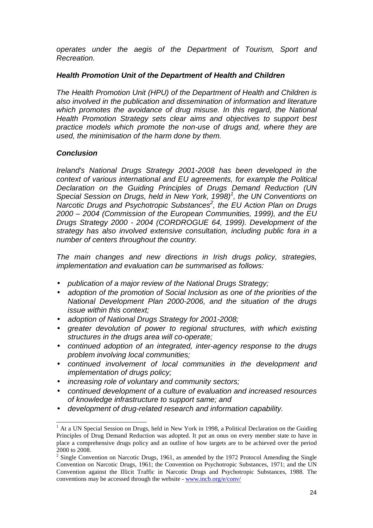*operates under the aegis of the Department of Tourism, Sport and Recreation.* 

## *Health Promotion Unit of the Department of Health and Children*

*The Health Promotion Unit (HPU) of the Department of Health and Children is also involved in the publication and dissemination of information and literature*  which promotes the avoidance of drug misuse. In this regard, the National *Health Promotion Strategy sets clear aims and objectives to support best practice models which promote the non-use of drugs and, where they are used, the minimisation of the harm done by them.* 

## *Conclusion*

*Ireland's National Drugs Strategy 2001-2008 has been developed in the context of various international and EU agreements, for example the Political Declaration on the Guiding Principles of Drugs Demand Reduction (UN*  Special Session on Drugs, held in New York, 1998)<sup>1</sup>, the UN Conventions on Narcotic Drugs and Psychotropic Substances<sup>2</sup>, the EU Action Plan on Drugs *2000 – 2004 (Commission of the European Communities, 1999), and the EU Drugs Strategy 2000 - 2004 (CORDROGUE 64, 1999). Development of the strategy has also involved extensive consultation, including public fora in a number of centers throughout the country.* 

*The main changes and new directions in Irish drugs policy, strategies, implementation and evaluation can be summarised as follows:* 

- *publication of a major review of the National Drugs Strategy;*
- *adoption of the promotion of Social Inclusion as one of the priorities of the National Development Plan 2000-2006, and the situation of the drugs issue within this context;*
- *adoption of National Drugs Strategy for 2001-2008;*
- *greater devolution of power to regional structures, with which existing structures in the drugs area will co-operate;*
- *continued adoption of an integrated, inter-agency response to the drugs problem involving local communities;*
- *continued involvement of local communities in the development and implementation of drugs policy;*
- *increasing role of voluntary and community sectors;*
- *continued development of a culture of evaluation and increased resources of knowledge infrastructure to support same; and*
- *development of drug-related research and information capability.*

l <sup>1</sup> At a UN Special Session on Drugs, held in New York in 1998, a Political Declaration on the Guiding Principles of Drug Demand Reduction was adopted. It put an onus on every member state to have in place a comprehensive drugs policy and an outline of how targets are to be achieved over the period 2000 to 2008.

<sup>&</sup>lt;sup>2</sup> Single Convention on Narcotic Drugs, 1961, as amended by the 1972 Protocol Amending the Single Convention on Narcotic Drugs, 1961; the Convention on Psychotropic Substances, 1971; and the UN Convention against the Illicit Traffic in Narcotic Drugs and Psychotropic Substances, 1988. The conventions may be accessed through the website - www.incb.org/e/conv/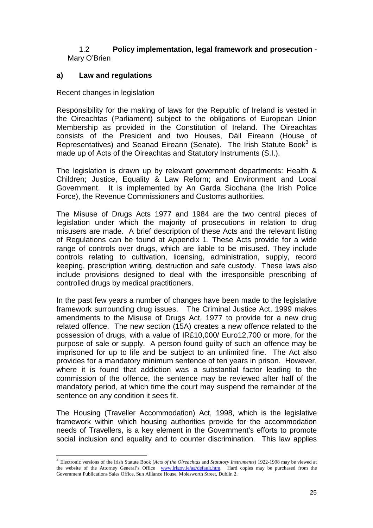## 1.2 **Policy implementation, legal framework and prosecution** - Mary O'Brien

## **a) Law and regulations**

Recent changes in legislation

l

Responsibility for the making of laws for the Republic of Ireland is vested in the Oireachtas (Parliament) subject to the obligations of European Union Membership as provided in the Constitution of Ireland. The Oireachtas consists of the President and two Houses, Dáil Eireann (House of Representatives) and Seanad Eireann (Senate). The Irish Statute Book $3$  is made up of Acts of the Oireachtas and Statutory Instruments (S.I.).

The legislation is drawn up by relevant government departments: Health & Children; Justice, Equality & Law Reform; and Environment and Local Government. It is implemented by An Garda Siochana (the Irish Police Force), the Revenue Commissioners and Customs authorities.

 The Misuse of Drugs Acts 1977 and 1984 are the two central pieces of legislation under which the majority of prosecutions in relation to drug misusers are made. A brief description of these Acts and the relevant listing of Regulations can be found at Appendix 1. These Acts provide for a wide range of controls over drugs, which are liable to be misused. They include controls relating to cultivation, licensing, administration, supply, record keeping, prescription writing*,* destruction and safe custody. These laws also include provisions designed to deal with the irresponsible prescribing of controlled drugs by medical practitioners.

 In the past few years a number of changes have been made to the legislative framework surrounding drug issues. The Criminal Justice Act, 1999 makes amendments to the Misuse of Drugs Act, 1977 to provide for a new drug related offence. The new section (15A) creates a new offence related to the possession of drugs, with a value of IR£10,000/ Euro12,700 or more, for the purpose of sale or supply. A person found guilty of such an offence may be imprisoned for up to life and be subject to an unlimited fine. The Act also provides for a mandatory minimum sentence of ten years in prison. However, where it is found that addiction was a substantial factor leading to the commission of the offence, the sentence may be reviewed after half of the mandatory period, at which time the court may suspend the remainder of the sentence on any condition it sees fit.

 The Housing (Traveller Accommodation) Act, 1998, which is the legislative framework within which housing authorities provide for the accommodation needs of Travellers, is a key element in the Government's efforts to promote social inclusion and equality and to counter discrimination. This law applies

<sup>3</sup> Electronic versions of the Irish Statute Book (*Acts of the Oireachtas* and *Statutory Instruments*) 1922-1998 may be viewed at the website of the Attorney General's Office www.irlgov.ie/ag/default.htm. Hard copies may be purchased from the Government Publications Sales Office, Sun Alliance House, Molesworth Street, Dublin 2.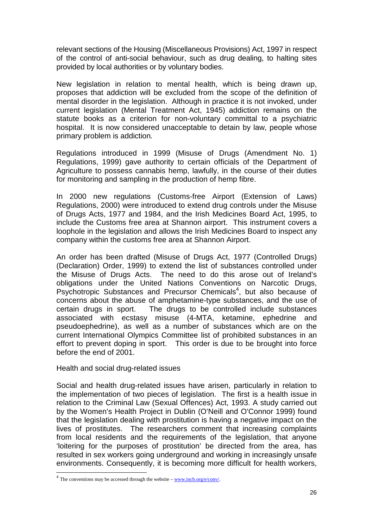relevant sections of the Housing (Miscellaneous Provisions) Act, 1997 in respect of the control of anti-social behaviour, such as drug dealing, to halting sites provided by local authorities or by voluntary bodies.

 New legislation in relation to mental health, which is being drawn up, proposes that addiction will be excluded from the scope of the definition of mental disorder in the legislation. Although in practice it is not invoked, under current legislation (Mental Treatment Act, 1945) addiction remains on the statute books as a criterion for non-voluntary committal to a psychiatric hospital. It is now considered unacceptable to detain by law, people whose primary problem is addiction*.* 

 Regulations introduced in 1999 (Misuse of Drugs (Amendment No. 1) Regulations, 1999) gave authority to certain officials of the Department of Agriculture to possess cannabis hemp, lawfully, in the course of their duties for monitoring and sampling in the production of hemp fibre.

 In 2000 new regulations (Customs-free Airport (Extension of Laws) Regulations, 2000) were introduced to extend drug controls under the Misuse of Drugs Acts, 1977 and 1984, and the Irish Medicines Board Act, 1995, to include the Customs free area at Shannon airport. This instrument covers a loophole in the legislation and allows the Irish Medicines Board to inspect any company within the customs free area at Shannon Airport.

An order has been drafted (Misuse of Drugs Act, 1977 (Controlled Drugs) (Declaration) Order, 1999) to extend the list of substances controlled under the Misuse of Drugs Acts. The need to do this arose out of Ireland's obligations under the United Nations Conventions on Narcotic Drugs, Psychotropic Substances and Precursor Chemicals<sup>4</sup>, but also because of concerns about the abuse of amphetamine-type substances, and the use of certain drugs in sport. The drugs to be controlled include substances associated with ecstasy misuse (4-MTA, ketamine, ephedrine and pseudoephedrine), as well as a number of substances which are on the current International Olympics Committee list of prohibited substances in an effort to prevent doping in sport. This order is due to be brought into force before the end of 2001.

Health and social drug-related issues

l

Social and health drug-related issues have arisen, particularly in relation to the implementation of two pieces of legislation. The first is a health issue in relation to the Criminal Law (Sexual Offences) Act, 1993. A study carried out by the Women's Health Project in Dublin (O'Neill and O'Connor 1999) found that the legislation dealing with prostitution is having a negative impact on the lives of prostitutes. The researchers comment that increasing complaints from local residents and the requirements of the legislation, that anyone 'loitering for the purposes of prostitution' be directed from the area, has resulted in sex workers going underground and working in increasingly unsafe environments. Consequently, it is becoming more difficult for health workers,

 $4$  The conventions may be accessed through the website – www.incb.org/e/conv/.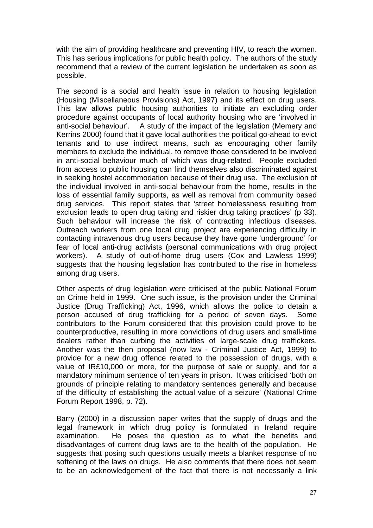with the aim of providing healthcare and preventing HIV, to reach the women. This has serious implications for public health policy. The authors of the study recommend that a review of the current legislation be undertaken as soon as possible.

The second is a social and health issue in relation to housing legislation (Housing (Miscellaneous Provisions) Act, 1997) and its effect on drug users. This law allows public housing authorities to initiate an excluding order procedure against occupants of local authority housing who are 'involved in anti-social behaviour'. A study of the impact of the legislation (Memery and Kerrins 2000) found that it gave local authorities the political go-ahead to evict tenants and to use indirect means, such as encouraging other family members to exclude the individual, to remove those considered to be involved in anti-social behaviour much of which was drug-related. People excluded from access to public housing can find themselves also discriminated against in seeking hostel accommodation because of their drug use. The exclusion of the individual involved in anti-social behaviour from the home, results in the loss of essential family supports, as well as removal from community based drug services. This report states that 'street homelessness resulting from exclusion leads to open drug taking and riskier drug taking practices' (p 33). Such behaviour will increase the risk of contracting infectious diseases. Outreach workers from one local drug project are experiencing difficulty in contacting intravenous drug users because they have gone 'underground' for fear of local anti-drug activists (personal communications with drug project workers). A study of out-of-home drug users (Cox and Lawless 1999) suggests that the housing legislation has contributed to the rise in homeless among drug users.

Other aspects of drug legislation were criticised at the public National Forum on Crime held in 1999. One such issue, is the provision under the Criminal Justice (Drug Trafficking) Act, 1996, which allows the police to detain a person accused of drug trafficking for a period of seven days. Some contributors to the Forum considered that this provision could prove to be counterproductive, resulting in more convictions of drug users and small-time dealers rather than curbing the activities of large-scale drug traffickers. Another was the then proposal (now law - Criminal Justice Act, 1999) to provide for a new drug offence related to the possession of drugs, with a value of IR£10,000 or more, for the purpose of sale or supply, and for a mandatory minimum sentence of ten years in prison. It was criticised 'both on grounds of principle relating to mandatory sentences generally and because of the difficulty of establishing the actual value of a seizure' (National Crime Forum Report 1998, p. 72).

Barry (2000) in a discussion paper writes that the supply of drugs and the legal framework in which drug policy is formulated in Ireland require examination. He poses the question as to what the benefits and disadvantages of current drug laws are to the health of the population. He suggests that posing such questions usually meets a blanket response of no softening of the laws on drugs. He also comments that there does not seem to be an acknowledgement of the fact that there is not necessarily a link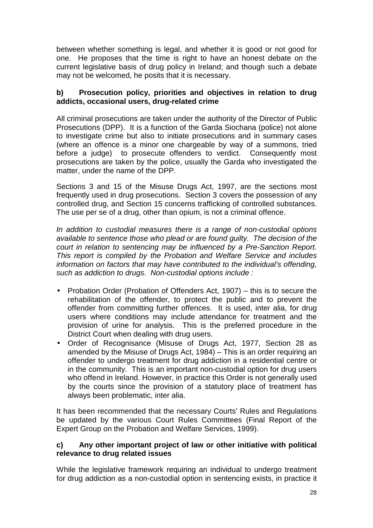between whether something is legal, and whether it is good or not good for one. He proposes that the time is right to have an honest debate on the current legislative basis of drug policy in Ireland; and though such a debate may not be welcomed, he posits that it is necessary.

## **b) Prosecution policy, priorities and objectives in relation to drug addicts, occasional users, drug-related crime**

All criminal prosecutions are taken under the authority of the Director of Public Prosecutions (DPP). It is a function of the Garda Siochana (police) not alone to investigate crime but also to initiate prosecutions and in summary cases (where an offence is a minor one chargeable by way of a summons, tried before a judge) to prosecute offenders to verdict. Consequently most prosecutions are taken by the police, usually the Garda who investigated the matter, under the name of the DPP.

Sections 3 and 15 of the Misuse Drugs Act, 1997, are the sections most frequently used in drug prosecutions. Section 3 covers the possession of any controlled drug, and Section 15 concerns trafficking of controlled substances. The use per se of a drug, other than opium, is not a criminal offence.

*In addition to custodial measures there is a range of non-custodial options available to sentence those who plead or are found guilty. The decision of the court in relation to sentencing may be influenced by a Pre-Sanction Report. This report is compiled by the Probation and Welfare Service and includes information on factors that may have contributed to the individual's offending, such as addiction to drugs. Non-custodial options include :* 

- Probation Order (Probation of Offenders Act, 1907) this is to secure the rehabilitation of the offender, to protect the public and to prevent the offender from committing further offences. It is used, inter alia, for drug users where conditions may include attendance for treatment and the provision of urine for analysis. This is the preferred procedure in the District Court when dealing with drug users.
- Order of Recognisance (Misuse of Drugs Act, 1977, Section 28 as amended by the Misuse of Drugs Act, 1984) – This is an order requiring an offender to undergo treatment for drug addiction in a residential centre or in the community. This is an important non-custodial option for drug users who offend in Ireland. However, in practice this Order is not generally used by the courts since the provision of a statutory place of treatment has always been problematic, inter alia.

It has been recommended that the necessary Courts' Rules and Regulations be updated by the various Court Rules Committees (Final Report of the Expert Group on the Probation and Welfare Services, 1999).

## **c) Any other important project of law or other initiative with political relevance to drug related issues**

While the legislative framework requiring an individual to undergo treatment for drug addiction as a non-custodial option in sentencing exists, in practice it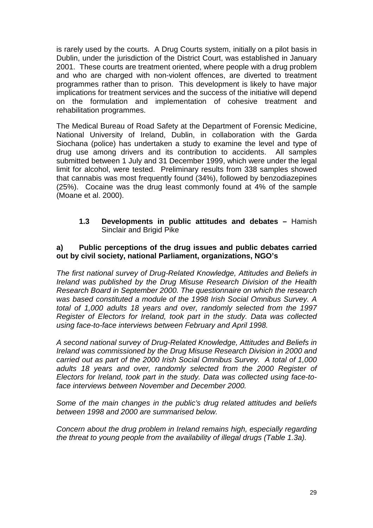is rarely used by the courts. A Drug Courts system, initially on a pilot basis in Dublin, under the jurisdiction of the District Court, was established in January 2001. These courts are treatment oriented, where people with a drug problem and who are charged with non-violent offences, are diverted to treatment programmes rather than to prison. This development is likely to have major implications for treatment services and the success of the initiative will depend on the formulation and implementation of cohesive treatment and rehabilitation programmes.

The Medical Bureau of Road Safety at the Department of Forensic Medicine, National University of Ireland, Dublin, in collaboration with the Garda Siochana (police) has undertaken a study to examine the level and type of drug use among drivers and its contribution to accidents. All samples submitted between 1 July and 31 December 1999, which were under the legal limit for alcohol, were tested. Preliminary results from 338 samples showed that cannabis was most frequently found (34%), followed by benzodiazepines (25%). Cocaine was the drug least commonly found at 4% of the sample (Moane et al. 2000).

**1.3 Developments in public attitudes and debates –** Hamish Sinclair and Brigid Pike

#### **a) Public perceptions of the drug issues and public debates carried out by civil society, national Parliament, organizations, NGO's**

*The first national survey of Drug-Related Knowledge, Attitudes and Beliefs in Ireland was published by the Drug Misuse Research Division of the Health Research Board in September 2000. The questionnaire on which the research was based constituted a module of the 1998 Irish Social Omnibus Survey. A total of 1,000 adults 18 years and over, randomly selected from the 1997 Register of Electors for Ireland, took part in the study. Data was collected using face-to-face interviews between February and April 1998.* 

*A second national survey of Drug-Related Knowledge, Attitudes and Beliefs in Ireland was commissioned by the Drug Misuse Research Division in 2000 and carried out as part of the 2000 Irish Social Omnibus Survey. A total of 1,000 adults 18 years and over, randomly selected from the 2000 Register of Electors for Ireland, took part in the study. Data was collected using face-toface interviews between November and December 2000.* 

*Some of the main changes in the public's drug related attitudes and beliefs between 1998 and 2000 are summarised below.* 

*Concern about the drug problem in Ireland remains high, especially regarding the threat to young people from the availability of illegal drugs (Table 1.3a).*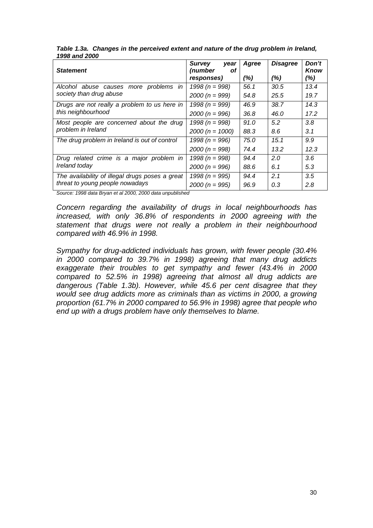| <b>Statement</b>                                | <b>Survey</b><br>year<br>(number<br>Οt | Agree | <b>Disagree</b> | Don't<br>Know |
|-------------------------------------------------|----------------------------------------|-------|-----------------|---------------|
|                                                 | responses)                             | (%)   | (%)             | (%)           |
| Alcohol abuse causes more<br>problems in        | 1998 ( $n = 998$ )                     | 56.1  | 30.5            | 13.4          |
| society than drug abuse                         | $2000 (n = 999)$                       | 54.8  | 25.5            | 19.7          |
| Drugs are not really a problem to us here in    | 1998 ( $n = 999$ )                     | 46.9  | 38.7            | 14.3          |
| this neighbourhood                              | $2000 (n = 996)$                       | 36.8  | 46.0            | 17.2          |
| Most people are concerned about the drug        | 1998 ( $n = 998$ )                     | 91.0  | 5.2             | 3.8           |
| problem in Ireland                              | $2000 (n = 1000)$                      | 88.3  | 8.6             | 3.1           |
| The drug problem in Ireland is out of control   | 1998 ( $n = 996$ )                     | 75.0  | 15.1            | 9.9           |
|                                                 | $2000 (n = 998)$                       | 74.4  | 13.2            | 12.3          |
| Drug related crime is a major problem in        | 1998 ( $n = 998$ )                     | 94.4  | 2.0             | 3.6           |
| Ireland today                                   | $2000 (n = 996)$                       | 88.6  | 6.1             | 5.3           |
| The availability of illegal drugs poses a great | 1998 ( $n = 995$ )                     | 94.4  | 2.1             | 3.5           |
| threat to young people nowadays                 | $2000 (n = 995)$                       | 96.9  | 0.3             | 2.8           |

*Table 1.3a. Changes in the perceived extent and nature of the drug problem in Ireland, 1998 and 2000* 

*Source: 1998 data Bryan et al 2000, 2000 data unpublished* 

*Concern regarding the availability of drugs in local neighbourhoods has increased, with only 36.8% of respondents in 2000 agreeing with the statement that drugs were not really a problem in their neighbourhood compared with 46.9% in 1998.* 

*Sympathy for drug-addicted individuals has grown, with fewer people (30.4% in 2000 compared to 39.7% in 1998) agreeing that many drug addicts exaggerate their troubles to get sympathy and fewer (43.4% in 2000 compared to 52.5% in 1998) agreeing that almost all drug addicts are dangerous (Table 1.3b). However, while 45.6 per cent disagree that they would see drug addicts more as criminals than as victims in 2000, a growing proportion (61.7% in 2000 compared to 56.9% in 1998) agree that people who end up with a drugs problem have only themselves to blame.*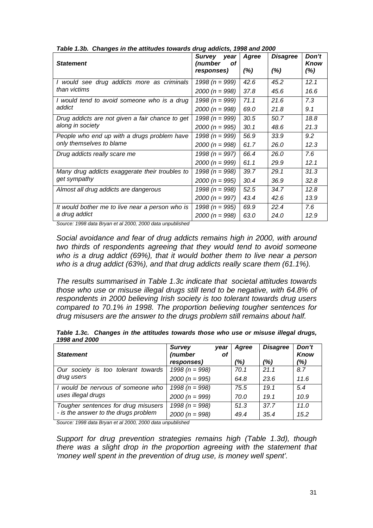| rable 1.5b. Changes in the attitudes towards unug addicts, 1990 and 2000 |                                 |        |                 |               |
|--------------------------------------------------------------------------|---------------------------------|--------|-----------------|---------------|
| <b>Statement</b>                                                         | Survey<br>year<br>(number<br>οt | Agree  | <b>Disagree</b> | Don't<br>Know |
|                                                                          | responses)                      | $(\%)$ | $(\%)$          | (%)           |
| I would see drug addicts more as criminals                               | 1998 ( $n = 999$ )              | 42.6   | 45.2            | 12.1          |
| than victims                                                             | $2000 (n = 998)$                | 37.8   | 45.6            | 16.6          |
| I would tend to avoid someone who is a drug                              | 1998 ( $n = 999$ )              | 71.1   | 21.6            | 7.3           |
| addict                                                                   | $2000 (n = 998)$                | 69.0   | 21.8            | 9.1           |
| Drug addicts are not given a fair chance to get                          | 1998 ( $n = 999$ )              | 30.5   | 50.7            | 18.8          |
| along in society                                                         | $2000 (n = 995)$                | 30.1   | 48.6            | 21.3          |
| People who end up with a drugs problem have                              | 1998 ( $n = 999$ )              | 56.9   | 33.9            | 9.2           |
| only themselves to blame                                                 | $2000 (n = 998)$                | 61.7   | 26.0            | 12.3          |
| Drug addicts really scare me                                             | 1998 ( $n = 997$ )              | 66.4   | 26.0            | 7.6           |
|                                                                          | $2000 (n = 999)$                | 61.1   | 29.9            | 12.1          |
| Many drug addicts exaggerate their troubles to                           | 1998 ( $n = 998$ )              | 39.7   | 29.1            | 31.3          |
| get sympathy                                                             | $2000 (n = 995)$                | 30.4   | 36.9            | 32.8          |
| Almost all drug addicts are dangerous                                    | 1998 ( $n = 998$ )              | 52.5   | 34.7            | 12.8          |
|                                                                          | $2000 (n = 997)$                | 43.4   | 42.6            | 13.9          |
| It would bother me to live near a person who is                          | 1998 (n = 995)                  | 69.9   | 22.4            | 7.6           |
| a drug addict                                                            | $2000(n = 998)$                 | 63.0   | 24.0            | 12.9          |

*Table 1.3b. Changes in the attitudes towards drug addicts, 1998 and 2000* 

*Source: 1998 data Bryan et al 2000, 2000 data unpublished* 

*Social avoidance and fear of drug addicts remains high in 2000, with around two thirds of respondents agreeing that they would tend to avoid someone who is a drug addict (69%), that it would bother them to live near a person who is a drug addict (63%), and that drug addicts really scare them (61.1%).* 

*The results summarised in Table 1.3c indicate that societal attitudes towards those who use or misuse illegal drugs still tend to be negative, with 64.8% of respondents in 2000 believing Irish society is too tolerant towards drug users compared to 70.1% in 1998. The proportion believing tougher sentences for drug misusers are the answer to the drugs problem still remains about half.* 

| <b>Statement</b>                     | <b>Survey</b><br>(number | year<br>0f | Agree | <b>Disagree</b> | Don't<br>Know |
|--------------------------------------|--------------------------|------------|-------|-----------------|---------------|
|                                      | responses)               |            | (%)   | (%)             | (%)           |
| Our society is too tolerant towards  | 1998 ( $n = 998$ )       |            | 70.1  | 21.1            | 8.7           |
| drug users                           | $2000 (n = 995)$         |            | 64.8  | 23.6            | 11.6          |
| I would be nervous of someone who    | 1998 ( $n = 998$ )       |            | 75.5  | 19.1            | 5.4           |
| uses illegal drugs                   | $2000 (n = 999)$         |            | 70.0  | 19.1            | 10.9          |
| Tougher sentences for drug misusers  | 1998 ( $n = 998$ )       |            | 51.3  | 37.7            | 11.0          |
| - is the answer to the drugs problem | $2000 (n = 998)$         |            | 49.4  | 35.4            | 15.2          |

*Table 1.3c. Changes in the attitudes towards those who use or misuse illegal drugs, 1998 and 2000* 

*Source: 1998 data Bryan et al 2000, 2000 data unpublished* 

*Support for drug prevention strategies remains high (Table 1.3d), though there was a slight drop in the proportion agreeing with the statement that 'money well spent in the prevention of drug use, is money well spent'.*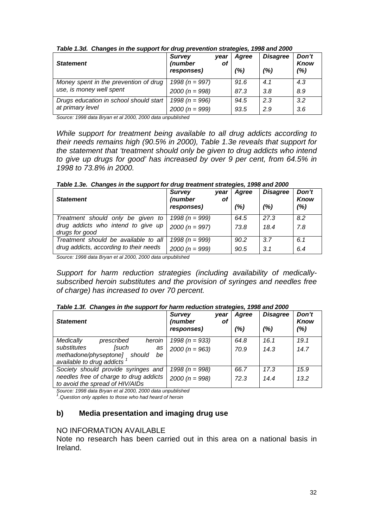| <b>Statement</b>                       | -- - -<br><b>Survey</b><br>(number<br>responses) | vear<br>of | Agree<br>(%) | <b>Disagree</b><br>(%) | Don't<br><b>Know</b><br>(%) |
|----------------------------------------|--------------------------------------------------|------------|--------------|------------------------|-----------------------------|
| Money spent in the prevention of drug  | 1998 ( $n = 997$ )                               |            | 91.6         | 4.1                    | 4.3                         |
| use, is money well spent               | $2000 (n = 998)$                                 |            | 87.3         | 3.8                    | 8.9                         |
| Drugs education in school should start | 1998 ( $n = 996$ )                               |            | 94.5         | 2.3                    | 3.2                         |
| at primary level                       | $2000 (n = 999)$                                 |            | 93.5         | 2.9                    | 3.6                         |

#### *Table 1.3d. Changes in the support for drug prevention strategies, 1998 and 2000*

*Source: 1998 data Bryan et al 2000, 2000 data unpublished* 

*While support for treatment being available to all drug addicts according to their needs remains high (90.5% in 2000), Table 1.3e reveals that support for the statement that 'treatment should only be given to drug addicts who intend to give up drugs for good' has increased by over 9 per cent, from 64.5% in 1998 to 73.8% in 2000.* 

|  |  | Table 1.3e. Changes in the support for drug treatment strategies, 1998 and 2000 |
|--|--|---------------------------------------------------------------------------------|
|  |  |                                                                                 |

| <b>Statement</b>                                                                          | <b>Survey</b><br>(number<br>responses) | year<br>of | Agree<br>(%) | <b>Disagree</b><br>(%) | Don't<br><b>Know</b><br>(%) |
|-------------------------------------------------------------------------------------------|----------------------------------------|------------|--------------|------------------------|-----------------------------|
| Treatment should only be given to<br>drug addicts who intend to give up<br>drugs for good | 1998 ( $n = 999$ )<br>$2000 (n = 997)$ |            | 64.5<br>73.8 | 27.3<br>18.4           | 8.2<br>7.8                  |
| Treatment should be available to all<br>drug addicts, according to their needs            | 1998 ( $n = 999$ )<br>$2000 (n = 999)$ |            | 90.2<br>90.5 | 3.7<br>3.1             | 6.1<br>6.4                  |

*Source: 1998 data Bryan et al 2000, 2000 data unpublished* 

*Support for harm reduction strategies (including availability of medicallysubscribed heroin substitutes and the provision of syringes and needles free of charge) has increased to over 70 percent.* 

#### *Table 1.3f. Changes in the support for harm reduction strategies, 1998 and 2000*

| <b>Statement</b>                                                                                       | <b>Survey</b><br>vear<br>(number<br>οf<br>responses) | Agree<br>(%) | <b>Disagree</b><br>(%) | Don't<br>Know<br>(%) |
|--------------------------------------------------------------------------------------------------------|------------------------------------------------------|--------------|------------------------|----------------------|
| heroin<br>Medically<br>prescribed                                                                      | 1998 ( $n = 933$ )                                   | 64.8         | 16.1                   | 19.1                 |
| <b>Such</b><br>substitutes<br>as<br>methadone/physeptone]<br>should<br>be<br>available to drug addicts | $2000 (n = 963)$                                     | 70.9         | 14.3                   | 14.7                 |
| Society should provide syringes and                                                                    | 1998 ( $n = 998$ )                                   | 66.7         | 17.3                   | 15.9                 |
| needles free of charge to drug addicts<br>to avoid the spread of HIV/AIDs                              | $2000 (n = 998)$                                     | 72.3         | 14.4                   | 13.2                 |

*Source: 1998 data Bryan et al 2000, 2000 data unpublished 1*

*.Question only applies to those who had heard of heroin* 

#### **b) Media presentation and imaging drug use**

#### NO INFORMATION AVAILABLE

Note no research has been carried out in this area on a national basis in Ireland.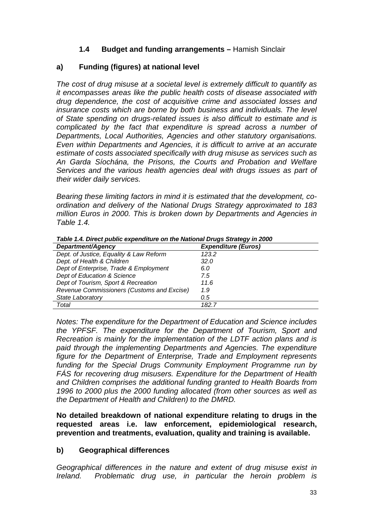## **1.4 Budget and funding arrangements –** Hamish Sinclair

## **a) Funding (figures) at national level**

*The cost of drug misuse at a societal level is extremely difficult to quantify as it encompasses areas like the public health costs of disease associated with drug dependence, the cost of acquisitive crime and associated losses and insurance costs which are borne by both business and individuals. The level of State spending on drugs-related issues is also difficult to estimate and is complicated by the fact that expenditure is spread across a number of Departments, Local Authorities, Agencies and other statutory organisations. Even within Departments and Agencies, it is difficult to arrive at an accurate estimate of costs associated specifically with drug misuse as services such as An Garda Síochána, the Prisons, the Courts and Probation and Welfare Services and the various health agencies deal with drugs issues as part of their wider daily services.* 

*Bearing these limiting factors in mind it is estimated that the development, coordination and delivery of the National Drugs Strategy approximated to 183 million Euros in 2000. This is broken down by Departments and Agencies in Table 1.4.* 

| Table 1.4. Direct public expenditure on the National Drugs Strategy in 2000 |                            |  |  |  |
|-----------------------------------------------------------------------------|----------------------------|--|--|--|
| Department/Agency                                                           | <b>Expenditure (Euros)</b> |  |  |  |
| Dept. of Justice, Equality & Law Reform                                     | 123.2                      |  |  |  |
| Dept. of Health & Children                                                  | 32.0                       |  |  |  |
| Dept of Enterprise, Trade & Employment                                      | 6.0                        |  |  |  |
| Dept of Education & Science                                                 | 7.5                        |  |  |  |
| Dept of Tourism, Sport & Recreation                                         | 11.6                       |  |  |  |
| Revenue Commissioners (Customs and Excise)                                  | 1.9                        |  |  |  |
| State Laboratory                                                            | 0.5                        |  |  |  |
| Total                                                                       | 182.7                      |  |  |  |

*Table 1.4. Direct public expenditure on the National Drugs Strategy in 2000* 

*Notes: The expenditure for the Department of Education and Science includes the YPFSF. The expenditure for the Department of Tourism, Sport and Recreation is mainly for the implementation of the LDTF action plans and is paid through the implementing Departments and Agencies. The expenditure figure for the Department of Enterprise, Trade and Employment represents funding for the Special Drugs Community Employment Programme run by FÁS for recovering drug misusers. Expenditure for the Department of Health and Children comprises the additional funding granted to Health Boards from 1996 to 2000 plus the 2000 funding allocated (from other sources as well as the Department of Health and Children) to the DMRD.* 

**No detailed breakdown of national expenditure relating to drugs in the requested areas i.e. law enforcement, epidemiological research, prevention and treatments, evaluation, quality and training is available.** 

## **b) Geographical differences**

*Geographical differences in the nature and extent of drug misuse exist in Ireland. Problematic drug use, in particular the heroin problem is*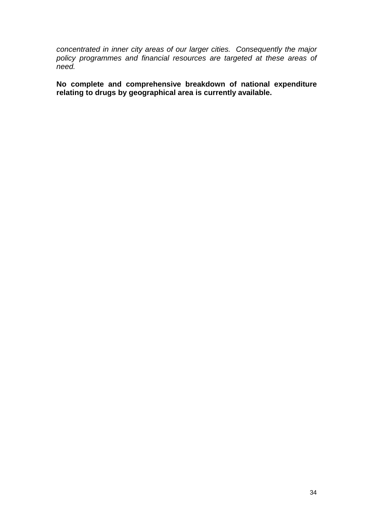*concentrated in inner city areas of our larger cities. Consequently the major policy programmes and financial resources are targeted at these areas of need.* 

**No complete and comprehensive breakdown of national expenditure relating to drugs by geographical area is currently available.**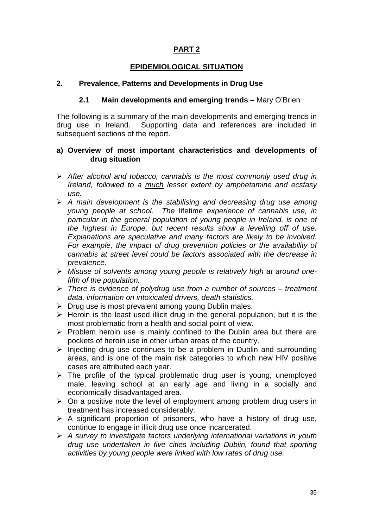## **PART 2**

## **EPIDEMIOLOGICAL SITUATION**

## **2. Prevalence, Patterns and Developments in Drug Use**

## **2.1 Main developments and emerging trends –** Mary O'Brien

The following is a summary of the main developments and emerging trends in drug use in Ireland. Supporting data and references are included in subsequent sections of the report.

#### **a) Overview of most important characteristics and developments of drug situation**

- -*After alcohol and tobacco, cannabis is the most commonly used drug in Ireland, followed to a much lesser extent by amphetamine and ecstasy use.*
- -*A main development is the stabilising and decreasing drug use among young people at school. The* lifetime *experience of cannabis use, in particular in the general population of young people in Ireland, is one of the highest in Europe, but recent results show a levelling off of use. Explanations are speculative and many factors are likely to be involved. For example, the impact of drug prevention policies or the availability of cannabis at street level could be factors associated with the decrease in prevalence.*
- -*Misuse of solvents among young people is relatively high at around onefifth of the population.*
- -*There is evidence of polydrug use from a number of sources treatment data, information on intoxicated drivers, death statistics.*
- > Drug use is most prevalent among young Dublin males.
- $\triangleright$  Heroin is the least used illicit drug in the general population, but it is the most problematic from a health and social point of view.
- > Problem heroin use is mainly confined to the Dublin area but there are pockets of heroin use in other urban areas of the country.
- > Injecting drug use continues to be a problem in Dublin and surrounding areas, and is one of the main risk categories to which new HIV positive cases are attributed each year.
- > The profile of the typical problematic drug user is young, unemployed male, leaving school at an early age and living in a socially and economically disadvantaged area.
- > On a positive note the level of employment among problem drug users in treatment has increased considerably.
- $\triangleright$  A significant proportion of prisoners, who have a history of drug use, continue to engage in illicit drug use once incarcerated.
- -*A survey to investigate factors underlying international variations in youth drug use undertaken in five cities including Dublin, found that sporting activities by young people were linked with low rates of drug use.*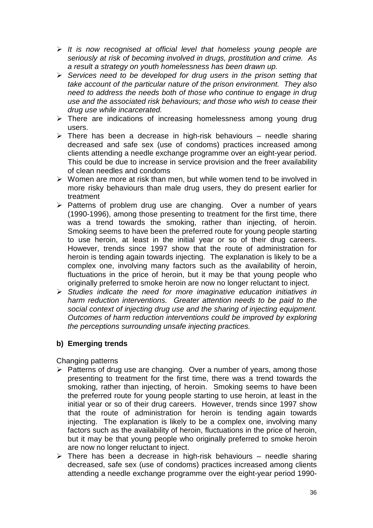- -*It is now recognised at official level that homeless young people are seriously at risk of becoming involved in drugs, prostitution and crime. As a result a strategy on youth homelessness has been drawn up.*
- -*Services need to be developed for drug users in the prison setting that take account of the particular nature of the prison environment. They also need to address the needs both of those who continue to engage in drug use and the associated risk behaviours; and those who wish to cease their drug use while incarcerated.*
- > There are indications of increasing homelessness among young drug users.
- > There has been a decrease in high-risk behaviours needle sharing decreased and safe sex (use of condoms) practices increased among clients attending a needle exchange programme over an eight-year period. This could be due to increase in service provision and the freer availability of clean needles and condoms
- > Women are more at risk than men, but while women tend to be involved in more risky behaviours than male drug users, they do present earlier for treatment
- > Patterns of problem drug use are changing. Over a number of years (1990-1996), among those presenting to treatment for the first time, there was a trend towards the smoking, rather than injecting, of heroin. Smoking seems to have been the preferred route for young people starting to use heroin, at least in the initial year or so of their drug careers. However, trends since 1997 show that the route of administration for heroin is tending again towards injecting. The explanation is likely to be a complex one, involving many factors such as the availability of heroin, fluctuations in the price of heroin, but it may be that young people who originally preferred to smoke heroin are now no longer reluctant to inject.
- -*Studies indicate the need for more imaginative education initiatives in harm reduction interventions. Greater attention needs to be paid to the social context of injecting drug use and the sharing of injecting equipment. Outcomes of harm reduction interventions could be improved by exploring the perceptions surrounding unsafe injecting practices.*

## **b) Emerging trends**

Changing patterns

- > Patterns of drug use are changing. Over a number of years, among those presenting to treatment for the first time, there was a trend towards the smoking, rather than injecting, of heroin. Smoking seems to have been the preferred route for young people starting to use heroin, at least in the initial year or so of their drug careers. However, trends since 1997 show that the route of administration for heroin is tending again towards injecting. The explanation is likely to be a complex one, involving many factors such as the availability of heroin, fluctuations in the price of heroin, but it may be that young people who originally preferred to smoke heroin are now no longer reluctant to inject.
- $\triangleright$  There has been a decrease in high-risk behaviours needle sharing decreased, safe sex (use of condoms) practices increased among clients attending a needle exchange programme over the eight-year period 1990-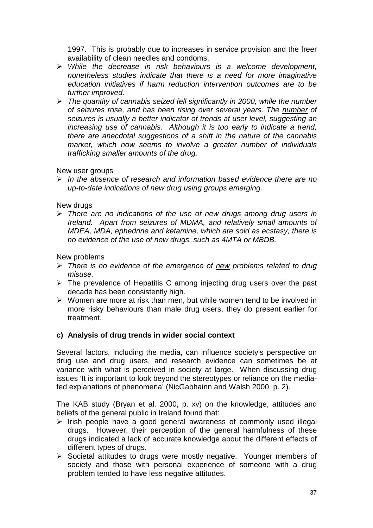1997. This is probably due to increases in service provision and the freer availability of clean needles and condoms.

- -*While the decrease in risk behaviours is a welcome development, nonetheless studies indicate that there is a need for more imaginative education initiatives if harm reduction intervention outcomes are to be further improved.*
- > The quantity of cannabis seized fell significantly in 2000, while the *number of seizures rose, and has been rising over several years. The number of seizures is usually a better indicator of trends at user level, suggesting an increasing use of cannabis. Although it is too early to indicate a trend, there are anecdotal suggestions of a shift in the nature of the cannabis market, which now seems to involve a greater number of individuals trafficking smaller amounts of the drug.*

## New user groups

-*In the absence of research and information based evidence there are no up-to-date indications of new drug using groups emerging.* 

## New drugs

> There are no indications of the use of new drugs among drug users in *Ireland. Apart from seizures of MDMA, and relatively small amounts of MDEA, MDA, ephedrine and ketamine, which are sold as ecstasy, there is no evidence of the use of new drugs, such as 4MTA or MBDB.* 

New problems

- > There is no evidence of the emergence of new problems related to drug *misuse.*
- > The prevalence of Hepatitis C among injecting drug users over the past decade has been consistently high.
- > Women are more at risk than men, but while women tend to be involved in more risky behaviours than male drug users, they do present earlier for treatment.

## **c) Analysis of drug trends in wider social context**

Several factors, including the media, can influence society's perspective on drug use and drug users, and research evidence can sometimes be at variance with what is perceived in society at large. When discussing drug issues 'It is important to look beyond the stereotypes or reliance on the mediafed explanations of phenomena' (NicGabhainn and Walsh 2000, p. 2).

The KAB study (Bryan et al. 2000, p. xv) on the knowledge, attitudes and beliefs of the general public in Ireland found that:

- > Irish people have a good general awareness of commonly used illegal drugs. However, their perception of the general harmfulness of these drugs indicated a lack of accurate knowledge about the different effects of different types of drugs.
- > Societal attitudes to drugs were mostly negative. Younger members of society and those with personal experience of someone with a drug problem tended to have less negative attitudes.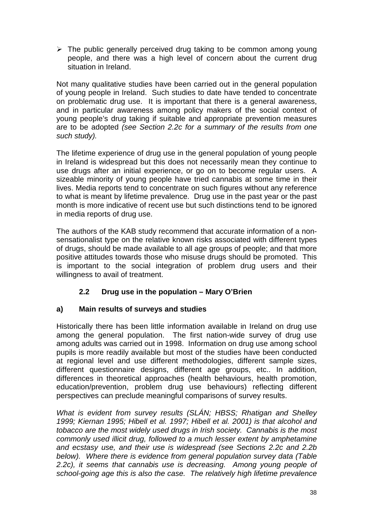> The public generally perceived drug taking to be common among young people, and there was a high level of concern about the current drug situation in Ireland.

Not many qualitative studies have been carried out in the general population of young people in Ireland. Such studies to date have tended to concentrate on problematic drug use. It is important that there is a general awareness, and in particular awareness among policy makers of the social context of young people's drug taking if suitable and appropriate prevention measures are to be adopted *(see Section 2.2c for a summary of the results from one such study).*

The lifetime experience of drug use in the general population of young people in Ireland is widespread but this does not necessarily mean they continue to use drugs after an initial experience, or go on to become regular users. A sizeable minority of young people have tried cannabis at some time in their lives. Media reports tend to concentrate on such figures without any reference to what is meant by lifetime prevalence. Drug use in the past year or the past month is more indicative of recent use but such distinctions tend to be ignored in media reports of drug use.

The authors of the KAB study recommend that accurate information of a nonsensationalist type on the relative known risks associated with different types of drugs, should be made available to all age groups of people; and that more positive attitudes towards those who misuse drugs should be promoted. This is important to the social integration of problem drug users and their willingness to avail of treatment.

# **2.2 Drug use in the population – Mary O'Brien**

## **a) Main results of surveys and studies**

Historically there has been little information available in Ireland on drug use among the general population. The first nation-wide survey of drug use among adults was carried out in 1998. Information on drug use among school pupils is more readily available but most of the studies have been conducted at regional level and use different methodologies, different sample sizes, different questionnaire designs, different age groups, etc.. In addition, differences in theoretical approaches (health behaviours, health promotion, education/prevention, problem drug use behaviours) reflecting different perspectives can preclude meaningful comparisons of survey results.

*What is evident from survey results (SLÁN; HBSS; Rhatigan and Shelley 1999; Kiernan 1995; Hibell et al. 1997; Hibell et al. 2001) is that alcohol and tobacco are the most widely used drugs in Irish society. Cannabis is the most commonly used illicit drug, followed to a much lesser extent by amphetamine and ecstasy use, and their use is widespread (see Sections 2.2c and 2.2b below). Where there is evidence from general population survey data (Table 2.2c), it seems that cannabis use is decreasing. Among young people of school-going age this is also the case. The relatively high lifetime prevalence*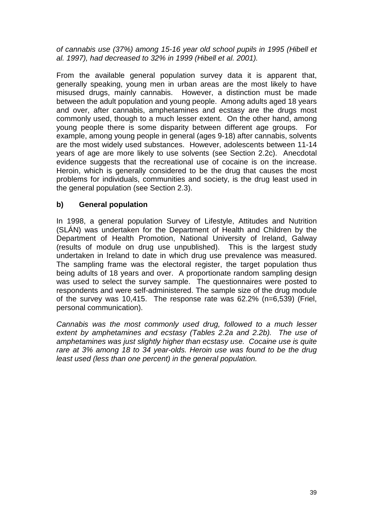*of cannabis use (37%) among 15-16 year old school pupils in 1995 (Hibell et al. 1997), had decreased to 32% in 1999 (Hibell et al. 2001).* 

From the available general population survey data it is apparent that, generally speaking, young men in urban areas are the most likely to have misused drugs, mainly cannabis. However, a distinction must be made between the adult population and young people. Among adults aged 18 years and over, after cannabis, amphetamines and ecstasy are the drugs most commonly used, though to a much lesser extent. On the other hand, among young people there is some disparity between different age groups. For example, among young people in general (ages 9-18) after cannabis, solvents are the most widely used substances. However, adolescents between 11-14 years of age are more likely to use solvents (see Section 2.2c). Anecdotal evidence suggests that the recreational use of cocaine is on the increase. Heroin, which is generally considered to be the drug that causes the most problems for individuals, communities and society, is the drug least used in the general population (see Section 2.3).

## **b) General population**

In 1998, a general population Survey of Lifestyle, Attitudes and Nutrition (SLÁN) was undertaken for the Department of Health and Children by the Department of Health Promotion, National University of Ireland, Galway (results of module on drug use unpublished). This is the largest study undertaken in Ireland to date in which drug use prevalence was measured. The sampling frame was the electoral register, the target population thus being adults of 18 years and over. A proportionate random sampling design was used to select the survey sample. The questionnaires were posted to respondents and were self-administered. The sample size of the drug module of the survey was 10,415. The response rate was 62.2% (n=6,539) (Friel, personal communication).

*Cannabis was the most commonly used drug, followed to a much lesser extent by amphetamines and ecstasy (Tables 2.2a and 2.2b). The use of amphetamines was just slightly higher than ecstasy use. Cocaine use is quite rare at 3% among 18 to 34 year-olds. Heroin use was found to be the drug least used (less than one percent) in the general population.*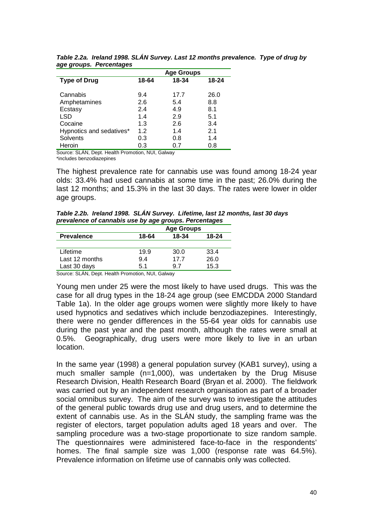|                          |       | <b>Age Groups</b> |       |
|--------------------------|-------|-------------------|-------|
| <b>Type of Drug</b>      | 18-64 | 18-34             | 18-24 |
| Cannabis                 | 9.4   | 17.7              | 26.0  |
| Amphetamines             | 2.6   | 5.4               | 8.8   |
| Ecstasy                  | 2.4   | 4.9               | 8.1   |
| LSD                      | 1.4   | 2.9               | 5.1   |
| Cocaine                  | 1.3   | 2.6               | 3.4   |
| Hypnotics and sedatives* | 1.2   | 1.4               | 2.1   |
| Solvents                 | 0.3   | 0.8               | 1.4   |
| Heroin                   | 0.3   | 0.7               | 0.8   |

*Table 2.2a. Ireland 1998. SLÁN Survey. Last 12 months prevalence. Type of drug by age groups. Percentages* 

Source: SLÁN, Dept. Health Promotion, NUI, Galway \*includes benzodiazepines

The highest prevalence rate for cannabis use was found among 18-24 year olds: 33.4% had used cannabis at some time in the past; 26.0% during the last 12 months; and 15.3% in the last 30 days. The rates were lower in older age groups.

*Table 2.2b. Ireland 1998. SLÁN Survey. Lifetime, last 12 months, last 30 days prevalence of cannabis use by age groups. Percentages*

|       | <b>Age Groups</b> |                                                   |
|-------|-------------------|---------------------------------------------------|
| 18-64 | 18-34             | $18-24$                                           |
|       |                   |                                                   |
| 19.9  | 30.0              | 33.4                                              |
| 9.4   | 177               | 26.0                                              |
| 5.1   | 97                | 15.3                                              |
|       |                   | Course Of AN Deat Health Desmatics, MIII Ochineir |

Source: SLÁN, Dept. Health Promotion, NUI, Galway

Young men under 25 were the most likely to have used drugs. This was the case for all drug types in the 18-24 age group (see EMCDDA 2000 Standard Table 1a). In the older age groups women were slightly more likely to have used hypnotics and sedatives which include benzodiazepines. Interestingly, there were no gender differences in the 55-64 year olds for cannabis use during the past year and the past month, although the rates were small at 0.5%. Geographically, drug users were more likely to live in an urban location.

In the same year (1998) a general population survey (KAB1 survey), using a much smaller sample (n=1,000), was undertaken by the Drug Misuse Research Division, Health Research Board (Bryan et al. 2000). The fieldwork was carried out by an independent research organisation as part of a broader social omnibus survey. The aim of the survey was to investigate the attitudes of the general public towards drug use and drug users, and to determine the extent of cannabis use. As in the SLÁN study, the sampling frame was the register of electors, target population adults aged 18 years and over. The sampling procedure was a two-stage proportionate to size random sample. The questionnaires were administered face-to-face in the respondents' homes. The final sample size was 1,000 (response rate was 64.5%). Prevalence information on lifetime use of cannabis only was collected.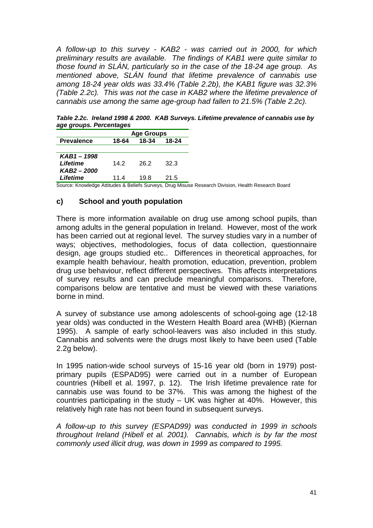*A follow-up to this survey - KAB2 - was carried out in 2000, for which preliminary results are available. The findings of KAB1 were quite similar to those found in SLÁN, particularly so in the case of the 18-24 age group. As mentioned above, SLÁN found that lifetime prevalence of cannabis use among 18-24 year olds was 33.4% (Table 2.2b), the KAB1 figure was 32.3% (Table 2.2c). This was not the case in KAB2 where the lifetime prevalence of cannabis use among the same age-group had fallen to 21.5% (Table 2.2c).*

*Table 2.2c. Ireland 1998 & 2000. KAB Surveys. Lifetime prevalence of cannabis use by age groups. Percentages* 

|                   |       | <b>Age Groups</b> |           |  |
|-------------------|-------|-------------------|-----------|--|
| <b>Prevalence</b> | 18-64 | 18-34             | $18 - 24$ |  |
|                   |       |                   |           |  |
| KAB1-1998         |       |                   |           |  |
| Lifetime          | 14.2  | 26.2              | 32.3      |  |
| KAB2 - 2000       |       |                   |           |  |
| Lifetime          | 11.4  | 19.8              | 21.5      |  |

Source: Knowledge Attitudes & Beliefs Surveys, Drug Misuse Research Division, Health Research Board

## **c) School and youth population**

There is more information available on drug use among school pupils, than among adults in the general population in Ireland. However, most of the work has been carried out at regional level. The survey studies vary in a number of ways; objectives, methodologies, focus of data collection, questionnaire design, age groups studied etc.. Differences in theoretical approaches, for example health behaviour, health promotion, education, prevention, problem drug use behaviour, reflect different perspectives. This affects interpretations of survey results and can preclude meaningful comparisons. Therefore, comparisons below are tentative and must be viewed with these variations borne in mind.

A survey of substance use among adolescents of school-going age (12-18 year olds) was conducted in the Western Health Board area (WHB) (Kiernan 1995). A sample of early school-leavers was also included in this study. Cannabis and solvents were the drugs most likely to have been used (Table 2.2g below).

In 1995 nation-wide school surveys of 15-16 year old (born in 1979) postprimary pupils (ESPAD95) were carried out in a number of European countries (Hibell et al. 1997, p. 12). The Irish lifetime prevalence rate for cannabis use was found to be 37%. This was among the highest of the countries participating in the study – UK was higher at 40%. However, this relatively high rate has not been found in subsequent surveys.

*A follow-up to this survey (ESPAD99) was conducted in 1999 in schools throughout Ireland (Hibell et al. 2001). Cannabis, which is by far the most commonly used illicit drug, was down in 1999 as compared to 1995.*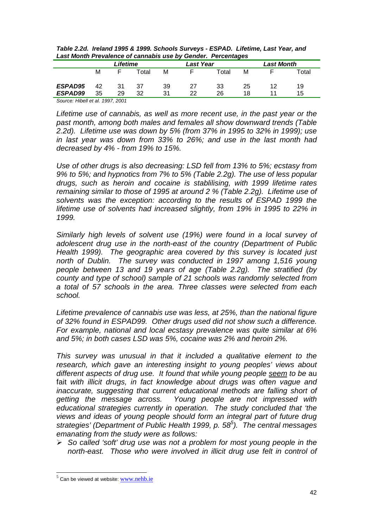| -000 - 000 - 000 - 000 - 000 - 000 - 000 - 000 - 000 - 000 - 000 - 000 - 000 - 000 - 000 - 000 - 000 - 000 - 0 |    |          |       |    |                  |       |    |                   |       |
|----------------------------------------------------------------------------------------------------------------|----|----------|-------|----|------------------|-------|----|-------------------|-------|
|                                                                                                                |    | Lifetime |       |    | <b>Last Year</b> |       |    | <b>Last Month</b> |       |
|                                                                                                                | м  |          | -otal | М  |                  | Total | м  |                   | Total |
| ESPAD95                                                                                                        | 42 | 31       | 37    | 39 | 27               | 33    | 25 | 12                | 19    |
| ESPAD99                                                                                                        | 35 | 29       | 32    | 31 | つつ               | 26    | 18 |                   | 15    |

*Table 2.2d. Ireland 1995 & 1999. Schools Surveys - ESPAD. Lifetime, Last Year, and Last Month Prevalence of cannabis use by Gender. Percentages* 

*Source: Hibell et al. 1997, 2001* 

*Lifetime use of cannabis, as well as more recent use, in the past year or the past month, among both males and females all show downward trends (Table 2.2d). Lifetime use was down by 5% (from 37% in 1995 to 32% in 1999); use in last year was down from 33% to 26%; and use in the last month had decreased by 4% - from 19% to 15%.* 

*Use of other drugs is also decreasing: LSD fell from 13% to 5%; ecstasy from 9% to 5%; and hypnotics from 7% to 5% (Table 2.2g). The use of less popular drugs, such as heroin and cocaine is stablilising, with 1999 lifetime rates remaining similar to those of 1995 at around 2 % (Table 2.2g). Lifetime use of solvents was the exception: according to the results of ESPAD 1999 the lifetime use of solvents had increased slightly, from 19% in 1995 to 22% in 1999.* 

*Similarly high levels of solvent use (19%) were found in a local survey of adolescent drug use in the north-east of the country (Department of Public Health 1999). The geographic area covered by this survey is located just north of Dublin. The survey was conducted in 1997 among 1,516 young people between 13 and 19 years of age (Table 2.2g). The stratified (by county and type of school) sample of 21 schools was randomly selected from a total of 57 schools in the area. Three classes were selected from each school.* 

*Lifetime prevalence of cannabis use was less, at 25%, than the national figure of 32% found in ESPAD99. Other drugs used did not show such a difference. For example, national and local ecstasy prevalence was quite similar at 6% and 5%; in both cases LSD was 5%, cocaine was 2% and heroin 2%.* 

*This survey was unusual in that it included a qualitative element to the research, which gave an interesting insight to young peoples' views about different aspects of drug use. It found that while young people seem to be* au fait *with illicit drugs, in fact knowledge about drugs was often vague and inaccurate, suggesting that current educational methods are falling short of getting the message across. Young people are not impressed with educational strategies currently in operation. The study concluded that 'the views and ideas of young people should form an integral part of future drug strategies' (Department of Public Health 1999, p. 58<sup>5</sup> ). The central messages emanating from the study were as follows:* 

-*So called 'soft' drug use was not a problem for most young people in the north-east. Those who were involved in illicit drug use felt in control of* 

l

 $5$  Can be viewed at website: www.nehb.ie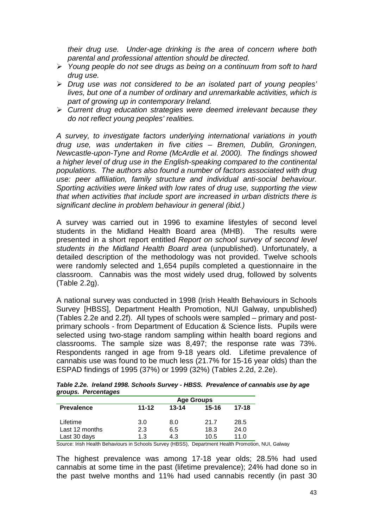*their drug use. Under-age drinking is the area of concern where both parental and professional attention should be directed.* 

- -*Young people do not see drugs as being on a continuum from soft to hard drug use.*
- -*Drug use was not considered to be an isolated part of young peoples' lives, but one of a number of ordinary and unremarkable activities, which is part of growing up in contemporary Ireland.*
- -*Current drug education strategies were deemed irrelevant because they do not reflect young peoples' realities.*

*A survey, to investigate factors underlying international variations in youth drug use, was undertaken in five cities – Bremen, Dublin, Groningen, Newcastle-upon-Tyne and Rome (McArdle et al. 2000). The findings showed a higher level of drug use in the English-speaking compared to the continental populations. The authors also found a number of factors associated with drug use: peer affiliation, family structure and individual anti-social behaviour. Sporting activities were linked with low rates of drug use, supporting the view that when activities that include sport are increased in urban districts there is significant decline in problem behaviour in general (ibid.)* 

A survey was carried out in 1996 to examine lifestyles of second level students in the Midland Health Board area (MHB). The results were presented in a short report entitled *Report on school survey of second level students in the Midland Health Board area* (unpublished). Unfortunately, a detailed description of the methodology was not provided. Twelve schools were randomly selected and 1,654 pupils completed a questionnaire in the classroom. Cannabis was the most widely used drug, followed by solvents (Table 2.2g).

A national survey was conducted in 1998 (Irish Health Behaviours in Schools Survey [HBSS], Department Health Promotion, NUI Galway, unpublished) (Tables 2.2e and 2.2f). All types of schools were sampled – primary and postprimary schools - from Department of Education & Science lists. Pupils were selected using two-stage random sampling within health board regions and classrooms. The sample size was 8,497; the response rate was 73%. Respondents ranged in age from 9-18 years old. Lifetime prevalence of cannabis use was found to be much less (21.7% for 15-16 year olds) than the ESPAD findings of 1995 (37%) or 1999 (32%) (Tables 2.2d, 2.2e).

|                     |  |  | Table 2.2e. Ireland 1998. Schools Survey - HBSS. Prevalence of cannabis use by age |
|---------------------|--|--|------------------------------------------------------------------------------------|
| groups. Percentages |  |  |                                                                                    |

|                   |           |           | <b>Age Groups</b> |           |
|-------------------|-----------|-----------|-------------------|-----------|
| <b>Prevalence</b> | $11 - 12$ | $13 - 14$ | $15 - 16$         | $17 - 18$ |
| Lifetime          | 3.0       | 8.0       | 21.7              | 28.5      |
| Last 12 months    | 2.3       | 6.5       | 18.3              | 24.0      |
|                   |           |           |                   |           |
| Last 30 days      | 1.3       | 4.3       | 10.5              | 11.0      |

Source: Irish Health Behaviours in Schools Survey (HBSS), Department Health Promotion, NUI, Galway

The highest prevalence was among 17-18 year olds; 28.5% had used cannabis at some time in the past (lifetime prevalence); 24% had done so in the past twelve months and 11% had used cannabis recently (in past 30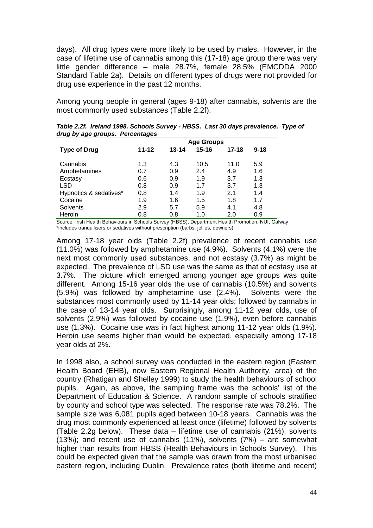days). All drug types were more likely to be used by males. However, in the case of lifetime use of cannabis among this (17-18) age group there was very little gender difference – male 28.7%, female 28.5% (EMCDDA 2000 Standard Table 2a). Details on different types of drugs were not provided for drug use experience in the past 12 months.

Among young people in general (ages 9-18) after cannabis, solvents are the most commonly used substances (Table 2.2f).

|                        |           |           | <b>Age Groups</b> |           |          |
|------------------------|-----------|-----------|-------------------|-----------|----------|
| <b>Type of Drug</b>    | $11 - 12$ | $13 - 14$ | $15 - 16$         | $17 - 18$ | $9 - 18$ |
| Cannabis               | 1.3       | 4.3       | 10.5              | 11.0      | 5.9      |
| Amphetamines           | 0.7       | 0.9       | 2.4               | 4.9       | 1.6      |
| Ecstasy                | 0.6       | 0.9       | 1.9               | 3.7       | 1.3      |
| <b>LSD</b>             | 0.8       | 0.9       | 1.7               | 3.7       | 1.3      |
| Hypnotics & sedatives* | 0.8       | 1.4       | 1.9               | 2.1       | 1.4      |
| Cocaine                | 1.9       | 1.6       | 1.5               | 1.8       | 1.7      |
| <b>Solvents</b>        | 2.9       | 5.7       | 5.9               | 4.1       | 4.8      |
| Heroin                 | 0.8       | 0.8       | 1.0               | 2.0       | 0.9      |

*Table 2.2f. Ireland 1998. Schools Survey - HBSS. Last 30 days prevalence. Type of drug by age groups. Percentages* 

Source: Irish Health Behaviours in Schools Survey (HBSS), Department Health Promotion, NUI, Galway \*includes tranquilisers or sedatives without prescription (barbs, jellies, downers)

Among 17-18 year olds (Table 2.2f) prevalence of recent cannabis use (11.0%) was followed by amphetamine use (4.9%). Solvents (4.1%) were the next most commonly used substances, and not ecstasy (3.7%) as might be expected. The prevalence of LSD use was the same as that of ecstasy use at 3.7%. The picture which emerged among younger age groups was quite different. Among 15-16 year olds the use of cannabis (10.5%) and solvents (5.9%) was followed by amphetamine use (2.4%). Solvents were the substances most commonly used by 11-14 year olds; followed by cannabis in the case of 13-14 year olds. Surprisingly, among 11-12 year olds, use of solvents (2.9%) was followed by cocaine use (1.9%), even before cannabis use (1.3%). Cocaine use was in fact highest among 11-12 year olds (1.9%). Heroin use seems higher than would be expected, especially among 17-18 year olds at 2%.

In 1998 also, a school survey was conducted in the eastern region (Eastern Health Board (EHB), now Eastern Regional Health Authority, area) of the country (Rhatigan and Shelley 1999) to study the health behaviours of school pupils. Again, as above, the sampling frame was the schools' list of the Department of Education & Science. A random sample of schools stratified by county and school type was selected. The response rate was 78.2%. The sample size was 6,081 pupils aged between 10-18 years. Cannabis was the drug most commonly experienced at least once (lifetime) followed by solvents (Table 2.2g below). These data – lifetime use of cannabis (21%), solvents (13%); and recent use of cannabis (11%), solvents  $(7%)$  – are somewhat higher than results from HBSS (Health Behaviours in Schools Survey). This could be expected given that the sample was drawn from the most urbanised eastern region, including Dublin. Prevalence rates (both lifetime and recent)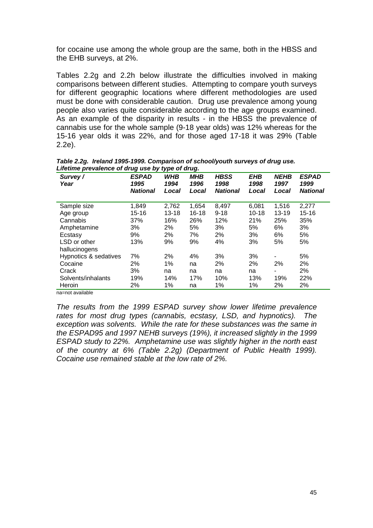for cocaine use among the whole group are the same, both in the HBSS and the EHB surveys, at 2%.

Tables 2.2g and 2.2h below illustrate the difficulties involved in making comparisons between different studies. Attempting to compare youth surveys for different geographic locations where different methodologies are used must be done with considerable caution. Drug use prevalence among young people also varies quite considerable according to the age groups examined. As an example of the disparity in results - in the HBSS the prevalence of cannabis use for the whole sample (9-18 year olds) was 12% whereas for the 15-16 year olds it was 22%, and for those aged 17-18 it was 29% (Table 2.2e).

| Survey/<br>Year               | <b>ESPAD</b><br>1995<br><b>National</b> | <b>WHB</b><br>1994<br>Local | <b>MHB</b><br>1996<br>Local | <b>HBSS</b><br>1998<br><b>National</b> | EHB<br>1998<br>Local | <b>NEHB</b><br>1997<br>Local | <b>ESPAD</b><br>1999<br><b>National</b> |
|-------------------------------|-----------------------------------------|-----------------------------|-----------------------------|----------------------------------------|----------------------|------------------------------|-----------------------------------------|
| Sample size                   | 1,849                                   | 2,762                       | 1,654                       | 8,497                                  | 6,081                | 1,516                        | 2,277                                   |
| Age group                     | $15 - 16$                               | $13 - 18$                   | 16-18                       | $9 - 18$                               | $10 - 18$            | $13 - 19$                    | $15 - 16$                               |
| Cannabis                      | 37%                                     | 16%                         | 26%                         | 12%                                    | 21%                  | 25%                          | 35%                                     |
| Amphetamine                   | 3%                                      | 2%                          | 5%                          | 3%                                     | 5%                   | 6%                           | 3%                                      |
| Ecstasy                       | 9%                                      | 2%                          | 7%                          | 2%                                     | 3%                   | 6%                           | 5%                                      |
| LSD or other<br>hallucinogens | 13%                                     | 9%                          | 9%                          | 4%                                     | 3%                   | 5%                           | 5%                                      |
| Hypnotics & sedatives         | 7%                                      | 2%                          | 4%                          | 3%                                     | 3%                   |                              | 5%                                      |
| Cocaine                       | 2%                                      | 1%                          | na                          | 2%                                     | 2%                   | 2%                           | 2%                                      |
| Crack                         | 3%                                      | na                          | na                          | na                                     | na                   |                              | 2%                                      |
| Solvents/inhalants            | 19%                                     | 14%                         | 17%                         | 10%                                    | 13%                  | 19%                          | 22%                                     |
| Heroin                        | 2%                                      | 1%                          | na                          | 1%                                     | 1%                   | 2%                           | 2%                                      |

*Table 2.2g. Ireland 1995-1999. Comparison of school/youth surveys of drug use. Lifetime prevalence of drug use by type of drug.* 

na=not available

*The results from the 1999 ESPAD survey show lower lifetime prevalence rates for most drug types (cannabis, ecstasy, LSD, and hypnotics). The exception was solvents. While the rate for these substances was the same in the ESPAD95 and 1997 NEHB surveys (19%), it increased slightly in the 1999 ESPAD study to 22%. Amphetamine use was slightly higher in the north east of the country at 6% (Table 2.2g) (Department of Public Health 1999). Cocaine use remained stable at the low rate of 2%.*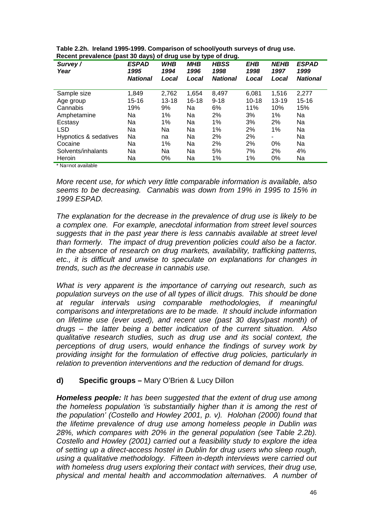| Survey/<br>Year       | <b>ESPAD</b><br>1995<br><b>National</b> | <b>WHB</b><br>1994<br>Local | <b>MHB</b><br>1996<br>Local | <b>HBSS</b><br>1998<br><b>National</b> | <b>EHB</b><br>1998<br>Local | <b>NEHB</b><br>1997<br>Local | <b>ESPAD</b><br>1999<br><b>National</b> |
|-----------------------|-----------------------------------------|-----------------------------|-----------------------------|----------------------------------------|-----------------------------|------------------------------|-----------------------------------------|
| Sample size           | 1,849                                   | 2,762                       | 1,654                       | 8,497                                  | 6,081                       | 1,516                        | 2,277                                   |
| Age group             | 15-16                                   | $13 - 18$                   | 16-18                       | $9 - 18$                               | $10 - 18$                   | $13 - 19$                    | $15 - 16$                               |
| Cannabis              | 19%                                     | 9%                          | Na                          | 6%                                     | 11%                         | 10%                          | 15%                                     |
| Amphetamine           | Na                                      | 1%                          | Na                          | 2%                                     | 3%                          | 1%                           | Na                                      |
| Ecstasy               | Na                                      | 1%                          | Na                          | 1%                                     | 3%                          | 2%                           | Na                                      |
| <b>LSD</b>            | Na                                      | Na                          | Na                          | 1%                                     | 2%                          | 1%                           | Na                                      |
| Hypnotics & sedatives | Na                                      | na                          | Na                          | 2%                                     | 2%                          | -                            | Na                                      |
| Cocaine               | Na                                      | 1%                          | Na                          | 2%                                     | 2%                          | 0%                           | Na                                      |
| Solvents/inhalants    | Na                                      | Na                          | Na                          | 5%                                     | 7%                          | 2%                           | 4%                                      |
| Heroin                | Na                                      | 0%                          | Na                          | 1%                                     | 1%                          | 0%                           | Na                                      |

|  |  |                                                               | Table 2.2h. Ireland 1995-1999. Comparison of school/youth surveys of drug use. |  |
|--|--|---------------------------------------------------------------|--------------------------------------------------------------------------------|--|
|  |  | Recent prevalence (past 30 days) of drug use by type of drug. |                                                                                |  |

\* Na=not available

*More recent use, for which very little comparable information is available, also seems to be decreasing. Cannabis was down from 19% in 1995 to 15% in 1999 ESPAD.* 

*The explanation for the decrease in the prevalence of drug use is likely to be a complex one. For example, anecdotal information from street level sources suggests that in the past year there is less cannabis available at street level than formerly. The impact of drug prevention policies could also be a factor. In the absence of research on drug markets, availability, trafficking patterns, etc., it is difficult and unwise to speculate on explanations for changes in trends, such as the decrease in cannabis use.* 

*What is very apparent is the importance of carrying out research, such as population surveys on the use of all types of illicit drugs. This should be done at regular intervals using comparable methodologies, if meaningful comparisons and interpretations are to be made. It should include information on lifetime use (ever used), and recent use (past 30 days/past month) of drugs – the latter being a better indication of the current situation. Also qualitative research studies, such as drug use and its social context, the perceptions of drug users, would enhance the findings of survey work by providing insight for the formulation of effective drug policies, particularly in relation to prevention interventions and the reduction of demand for drugs.* 

#### **d) Specific groups –** Mary O'Brien & Lucy Dillon

*Homeless people: It has been suggested that the extent of drug use among the homeless population 'is substantially higher than it is among the rest of the population' (Costello and Howley 2001, p. v). Holohan (2000) found that the lifetime prevalence of drug use among homeless people in Dublin was 28%, which compares with 20% in the general population (see Table 2.2b). Costello and Howley (2001) carried out a feasibility study to explore the idea of setting up a direct-access hostel in Dublin for drug users who sleep rough, using a qualitative methodology. Fifteen in-depth interviews were carried out with homeless drug users exploring their contact with services, their drug use, physical and mental health and accommodation alternatives. A number of*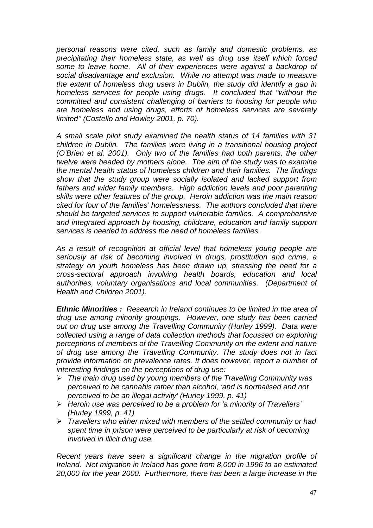*personal reasons were cited, such as family and domestic problems, as precipitating their homeless state, as well as drug use itself which forced some to leave home. All of their experiences were against a backdrop of social disadvantage and exclusion. While no attempt was made to measure the extent of homeless drug users in Dublin, the study did identify a gap in homeless services for people using drugs. It concluded that ''without the committed and consistent challenging of barriers to housing for people who are homeless and using drugs, efforts of homeless services are severely limited'' (Costello and Howley 2001, p. 70).* 

*A small scale pilot study examined the health status of 14 families with 31 children in Dublin. The families were living in a transitional housing project (O'Brien et al. 2001). Only two of the families had both parents, the other twelve were headed by mothers alone. The aim of the study was to examine the mental health status of homeless children and their families. The findings show that the study group were socially isolated and lacked support from*  fathers and wider family members. High addiction levels and poor parenting *skills were other features of the group. Heroin addiction was the main reason cited for four of the families' homelessness. The authors concluded that there should be targeted services to support vulnerable families. A comprehensive and integrated approach by housing, childcare, education and family support services is needed to address the need of homeless families.* 

*As a result of recognition at official level that homeless young people are seriously at risk of becoming involved in drugs, prostitution and crime, a strategy on youth homeless has been drawn up, stressing the need for a cross-sectoral approach involving health boards, education and local authorities, voluntary organisations and local communities. (Department of Health and Children 2001).* 

*Ethnic Minorities :**Research in Ireland continues to be limited in the area of drug use among minority groupings. However, one study has been carried out on drug use among the Travelling Community (Hurley 1999). Data were collected using a range of data collection methods that focussed on exploring perceptions of members of the Travelling Community on the extent and nature of drug use among the Travelling Community. The study does not in fact provide information on prevalence rates. It does however, report a number of interesting findings on the perceptions of drug use:* 

- -*The main drug used by young members of the Travelling Community was perceived to be cannabis rather than alcohol, 'and is normalised and not perceived to be an illegal activity' (Hurley 1999, p. 41)*
- -*Heroin use was perceived to be a problem for 'a minority of Travellers' (Hurley 1999, p. 41)*
- -*Travellers who either mixed with members of the settled community or had spent time in prison were perceived to be particularly at risk of becoming involved in illicit drug use.*

*Recent years have seen a significant change in the migration profile of Ireland. Net migration in Ireland has gone from 8,000 in 1996 to an estimated 20,000 for the year 2000. Furthermore, there has been a large increase in the*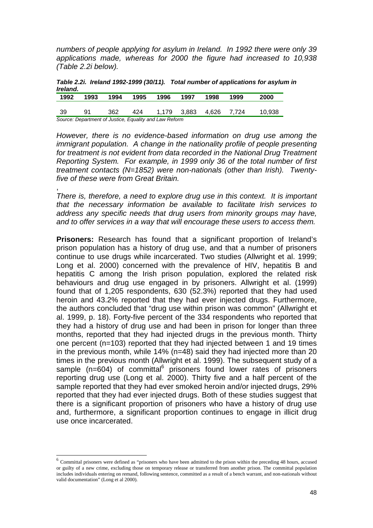*numbers of people applying for asylum in Ireland. In 1992 there were only 39 applications made, whereas for 2000 the figure had increased to 10,938 (Table 2.2i below).* 

*Table 2.2i. Ireland 1992-1999 (30/11). Total number of applications for asylum in Ireland.* 

| 1992 | 1993 | 1994 | 1995 | 1996                                                   | 1997    | 1998  | 1999  | 2000   |
|------|------|------|------|--------------------------------------------------------|---------|-------|-------|--------|
| -39  | 91   | 362  | 424  | 1.179                                                  | - 3.883 | 4.626 | 7.724 | 10.938 |
|      |      |      |      | Source: Department of Justice, Equality and Law Reform |         |       |       |        |

*However, there is no evidence-based information on drug use among the immigrant population.* A change in the nationality profile of people presenting for treatment is not evident from data recorded in the National Drug Treatment *Reporting System. For example, in 1999 only 36 of the total number of first treatment contacts (N=1852) were non-nationals (other than Irish). Twentyfive of these were from Great Britain.* 

, *There is, therefore, a need to explore drug use in this context. It is important that the necessary information be available to facilitate Irish services to address any specific needs that drug users from minority groups may have, and to offer services in a way that will encourage these users to access them.* 

**Prisoners:** Research has found that a significant proportion of Ireland's prison population has a history of drug use, and that a number of prisoners continue to use drugs while incarcerated. Two studies (Allwright et al. 1999; Long et al. 2000) concerned with the prevalence of HIV, hepatitis B and hepatitis C among the Irish prison population, explored the related risk behaviours and drug use engaged in by prisoners. Allwright et al. (1999) found that of 1,205 respondents, 630 (52.3%) reported that they had used heroin and 43.2% reported that they had ever injected drugs. Furthermore, the authors concluded that "drug use within prison was common" (Allwright et al. 1999, p. 18). Forty-five percent of the 334 respondents who reported that they had a history of drug use and had been in prison for longer than three months, reported that they had injected drugs in the previous month. Thirty one percent (n=103) reported that they had injected between 1 and 19 times in the previous month, while 14% (n=48) said they had injected more than 20 times in the previous month (Allwright et al. 1999). The subsequent study of a sample (n=604) of committal<sup>6</sup> prisoners found lower rates of prisoners reporting drug use (Long et al. 2000). Thirty five and a half percent of the sample reported that they had ever smoked heroin and/or injected drugs, 29% reported that they had ever injected drugs. Both of these studies suggest that there is a significant proportion of prisoners who have a history of drug use and, furthermore, a significant proportion continues to engage in illicit drug use once incarcerated.

l

 $6$  Committal prisoners were defined as "prisoners who have been admitted to the prison within the preceding 48 hours, accused or guilty of a new crime, excluding those on temporary release or transferred from another prison. The committal population includes individuals entering on remand, following sentence, committed as a result of a bench warrant, and non-nationals without valid documentation" (Long et al 2000).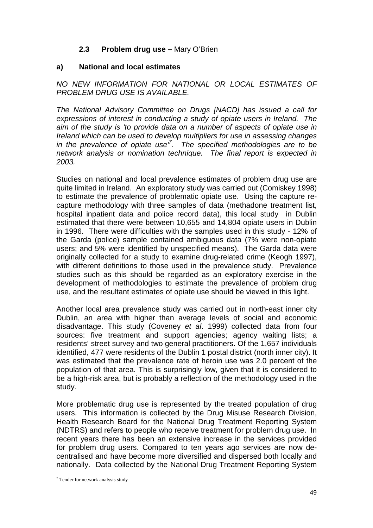## **2.3 Problem drug use –** Mary O'Brien

## **a) National and local estimates**

## *NO NEW INFORMATION FOR NATIONAL OR LOCAL ESTIMATES OF PROBLEM DRUG USE IS AVAILABLE.*

*The National Advisory Committee on Drugs [NACD] has issued a call for expressions of interest in conducting a study of opiate users in Ireland. The aim of the study is 'to provide data on a number of aspects of opiate use in Ireland which can be used to develop multipliers for use in assessing changes in the prevalence of opiate use'7 . The specified methodologies are to be network analysis or nomination technique. The final report is expected in 2003.* 

Studies on national and local prevalence estimates of problem drug use are quite limited in Ireland. An exploratory study was carried out (Comiskey 1998) to estimate the prevalence of problematic opiate use. Using the capture recapture methodology with three samples of data (methadone treatment list, hospital inpatient data and police record data), this local study in Dublin estimated that there were between 10,655 and 14,804 opiate users in Dublin in 1996. There were difficulties with the samples used in this study - 12% of the Garda (police) sample contained ambiguous data (7% were non-opiate users; and 5% were identified by unspecified means). The Garda data were originally collected for a study to examine drug-related crime (Keogh 1997), with different definitions to those used in the prevalence study. Prevalence studies such as this should be regarded as an exploratory exercise in the development of methodologies to estimate the prevalence of problem drug use, and the resultant estimates of opiate use should be viewed in this light.

Another local area prevalence study was carried out in north-east inner city Dublin, an area with higher than average levels of social and economic disadvantage. This study (Coveney *et al*. 1999) collected data from four sources: five treatment and support agencies; agency waiting lists; a residents' street survey and two general practitioners. Of the 1,657 individuals identified, 477 were residents of the Dublin 1 postal district (north inner city). It was estimated that the prevalence rate of heroin use was 2.0 percent of the population of that area. This is surprisingly low, given that it is considered to be a high-risk area, but is probably a reflection of the methodology used in the study.

More problematic drug use is represented by the treated population of drug users. This information is collected by the Drug Misuse Research Division, Health Research Board for the National Drug Treatment Reporting System (NDTRS) and refers to people who receive treatment for problem drug use. In recent years there has been an extensive increase in the services provided for problem drug users. Compared to ten years ago services are now decentralised and have become more diversified and dispersed both locally and nationally. Data collected by the National Drug Treatment Reporting System

<sup>&</sup>lt;sup>7</sup> Tender for network analysis study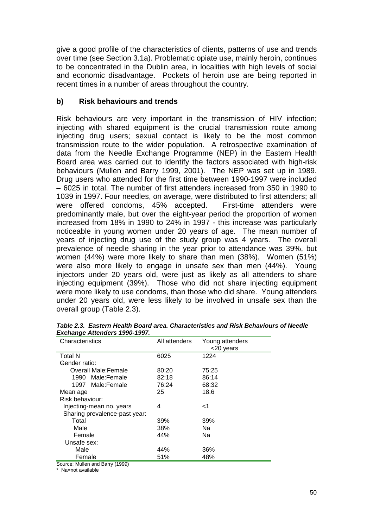give a good profile of the characteristics of clients, patterns of use and trends over time (see Section 3.1a). Problematic opiate use, mainly heroin, continues to be concentrated in the Dublin area, in localities with high levels of social and economic disadvantage. Pockets of heroin use are being reported in recent times in a number of areas throughout the country.

## **b) Risk behaviours and trends**

Risk behaviours are very important in the transmission of HIV infection; injecting with shared equipment is the crucial transmission route among injecting drug users; sexual contact is likely to be the most common transmission route to the wider population. A retrospective examination of data from the Needle Exchange Programme (NEP) in the Eastern Health Board area was carried out to identify the factors associated with high-risk behaviours (Mullen and Barry 1999, 2001). The NEP was set up in 1989. Drug users who attended for the first time between 1990-1997 were included – 6025 in total. The number of first attenders increased from 350 in 1990 to 1039 in 1997. Four needles, on average, were distributed to first attenders; all were offered condoms, 45% accepted. First-time attenders were predominantly male, but over the eight-year period the proportion of women increased from 18% in 1990 to 24% in 1997 - this increase was particularly noticeable in young women under 20 years of age. The mean number of years of injecting drug use of the study group was 4 years. The overall prevalence of needle sharing in the year prior to attendance was 39%, but women (44%) were more likely to share than men (38%). Women (51%) were also more likely to engage in unsafe sex than men (44%). Young injectors under 20 years old, were just as likely as all attenders to share injecting equipment (39%). Those who did not share injecting equipment were more likely to use condoms, than those who did share. Young attenders under 20 years old, were less likely to be involved in unsafe sex than the overall group (Table 2.3).

| ≖                             |               |                 |
|-------------------------------|---------------|-----------------|
| Characteristics               | All attenders | Young attenders |
|                               |               | <20 years       |
|                               |               |                 |
| <b>Total N</b>                | 6025          | 1224            |
| Gender ratio:                 |               |                 |
| <b>Overall Male:Female</b>    | 80:20         | 75:25           |
| 1990 Male:Female              | 82:18         | 86:14           |
| 1997 Male:Female              | 76:24         | 68:32           |
| Mean age                      | 25            | 18.6            |
| Risk behaviour:               |               |                 |
| Injecting-mean no. years      | 4             | ا>              |
| Sharing prevalence-past year: |               |                 |
| Total                         | 39%           | 39%             |
| Male                          | 38%           | Nа              |
| Female                        | 44%           | Na              |
| Unsafe sex:                   |               |                 |
| Male                          | 44%           | 36%             |
| Female                        | 51%           | 48%             |

*Table 2.3. Eastern Health Board area. Characteristics and Risk Behaviours of Needle Exchange Attenders 1990-1997.* 

Source: Mullen and Barry (1999)

\* Na=not available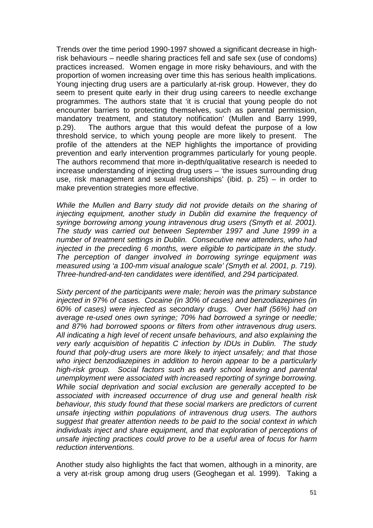Trends over the time period 1990-1997 showed a significant decrease in highrisk behaviours – needle sharing practices fell and safe sex (use of condoms) practices increased. Women engage in more risky behaviours, and with the proportion of women increasing over time this has serious health implications. Young injecting drug users are a particularly at-risk group. However, they do seem to present quite early in their drug using careers to needle exchange programmes. The authors state that 'it is crucial that young people do not encounter barriers to protecting themselves, such as parental permission, mandatory treatment, and statutory notification' (Mullen and Barry 1999, p.29). The authors argue that this would defeat the purpose of a low threshold service, to which young people are more likely to present. The profile of the attenders at the NEP highlights the importance of providing prevention and early intervention programmes particularly for young people. The authors recommend that more in-depth/qualitative research is needed to increase understanding of injecting drug users – 'the issues surrounding drug use, risk management and sexual relationships' (ibid. p. 25) – in order to make prevention strategies more effective.

*While the Mullen and Barry study did not provide details on the sharing of injecting equipment, another study in Dublin did examine the frequency of syringe borrowing among young intravenous drug users (Smyth et al. 2001). The study was carried out between September 1997 and June 1999 in a number of treatment settings in Dublin. Consecutive new attenders, who had injected in the preceding 6 months, were eligible to participate in the study. The perception of danger involved in borrowing syringe equipment was measured using 'a 100-mm visual analogue scale' (Smyth et al. 2001, p. 719). Three-hundred-and-ten candidates were identified, and 294 participated.* 

*Sixty percent of the participants were male; heroin was the primary substance injected in 97% of cases. Cocaine (in 30% of cases) and benzodiazepines (in 60% of cases) were injected as secondary drugs. Over half (56%) had on average re-used ones own syringe; 70% had borrowed a syringe or needle; and 87% had borrowed spoons or filters from other intravenous drug users. All indicating a high level of recent unsafe behaviours, and also explaining the very early acquisition of hepatitis C infection by IDUs in Dublin. The study found that poly-drug users are more likely to inject unsafely; and that those who inject benzodiazepines in addition to heroin appear to be a particularly high-risk group. Social factors such as early school leaving and parental unemployment were associated with increased reporting of syringe borrowing. While social deprivation and social exclusion are generally accepted to be associated with increased occurrence of drug use and general health risk behaviour, this study found that these social markers are predictors of current unsafe injecting within populations of intravenous drug users. The authors suggest that greater attention needs to be paid to the social context in which individuals inject and share equipment, and that exploration of perceptions of unsafe injecting practices could prove to be a useful area of focus for harm reduction interventions.* 

Another study also highlights the fact that women, although in a minority, are a very at-risk group among drug users (Geoghegan et al. 1999). Taking a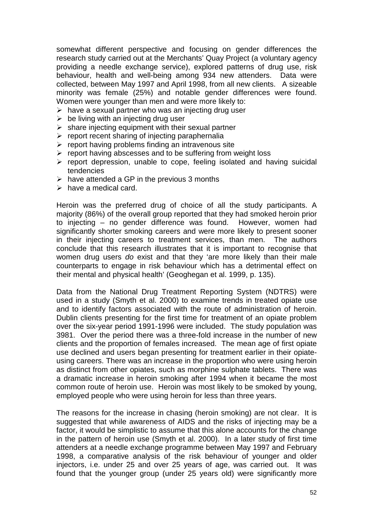somewhat different perspective and focusing on gender differences the research study carried out at the Merchants' Quay Project (a voluntary agency providing a needle exchange service), explored patterns of drug use, risk behaviour, health and well-being among 934 new attenders. Data were collected, between May 1997 and April 1998, from all new clients. A sizeable minority was female (25%) and notable gender differences were found. Women were younger than men and were more likely to:

- > have a sexual partner who was an injecting drug user
- $\triangleright$  be living with an injecting drug user
- $\triangleright$  share injecting equipment with their sexual partner
- $\triangleright$  report recent sharing of injecting paraphernalia
- > report having problems finding an intravenous site
- > report having abscesses and to be suffering from weight loss
- > report depression, unable to cope, feeling isolated and having suicidal tendencies
- $\triangleright$  have attended a GP in the previous 3 months
- $\triangleright$  have a medical card.

Heroin was the preferred drug of choice of all the study participants. A majority (86%) of the overall group reported that they had smoked heroin prior to injecting – no gender difference was found. However, women had significantly shorter smoking careers and were more likely to present sooner in their injecting careers to treatment services, than men. The authors conclude that this research illustrates that it is important to recognise that women drug users *do* exist and that they 'are more likely than their male counterparts to engage in risk behaviour which has a detrimental effect on their mental and physical health' (Geoghegan et al. 1999, p. 135).

Data from the National Drug Treatment Reporting System (NDTRS) were used in a study (Smyth et al. 2000) to examine trends in treated opiate use and to identify factors associated with the route of administration of heroin. Dublin clients presenting for the first time for treatment of an opiate problem over the six-year period 1991-1996 were included. The study population was 3981. Over the period there was a three-fold increase in the number of new clients and the proportion of females increased. The mean age of first opiate use declined and users began presenting for treatment earlier in their opiateusing careers. There was an increase in the proportion who were using heroin as distinct from other opiates, such as morphine sulphate tablets. There was a dramatic increase in heroin smoking after 1994 when it became the most common route of heroin use. Heroin was most likely to be smoked by young, employed people who were using heroin for less than three years.

The reasons for the increase in chasing (heroin smoking) are not clear. It is suggested that while awareness of AIDS and the risks of injecting may be a factor, it would be simplistic to assume that this alone accounts for the change in the pattern of heroin use (Smyth et al. 2000). In a later study of first time attenders at a needle exchange programme between May 1997 and February 1998, a comparative analysis of the risk behaviour of younger and older injectors, i.e. under 25 and over 25 years of age, was carried out. It was found that the younger group (under 25 years old) were significantly more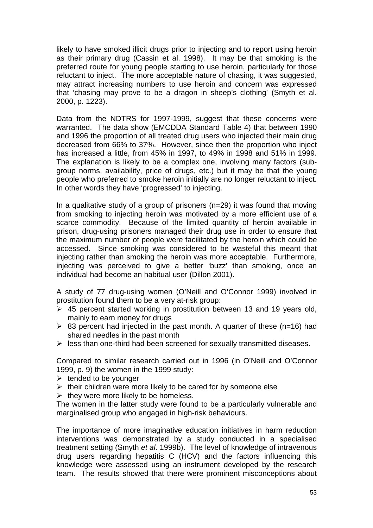likely to have smoked illicit drugs prior to injecting and to report using heroin as their primary drug (Cassin et al. 1998). It may be that smoking is the preferred route for young people starting to use heroin, particularly for those reluctant to inject. The more acceptable nature of chasing, it was suggested, may attract increasing numbers to use heroin and concern was expressed that 'chasing may prove to be a dragon in sheep's clothing' (Smyth et al. 2000, p. 1223).

Data from the NDTRS for 1997-1999, suggest that these concerns were warranted. The data show (EMCDDA Standard Table 4) that between 1990 and 1996 the proportion of all treated drug users who injected their main drug decreased from 66% to 37%. However, since then the proportion who inject has increased a little, from 45% in 1997, to 49% in 1998 and 51% in 1999. The explanation is likely to be a complex one, involving many factors (subgroup norms, availability, price of drugs, etc.) but it may be that the young people who preferred to smoke heroin initially are no longer reluctant to inject. In other words they have 'progressed' to injecting.

In a qualitative study of a group of prisoners (n=29) it was found that moving from smoking to injecting heroin was motivated by a more efficient use of a scarce commodity. Because of the limited quantity of heroin available in prison, drug-using prisoners managed their drug use in order to ensure that the maximum number of people were facilitated by the heroin which could be accessed. Since smoking was considered to be wasteful this meant that injecting rather than smoking the heroin was more acceptable. Furthermore, injecting was perceived to give a better 'buzz' than smoking, once an individual had become an habitual user (Dillon 2001).

A study of 77 drug-using women (O'Neill and O'Connor 1999) involved in prostitution found them to be a very at-risk group:

- $\geq$  45 percent started working in prostitution between 13 and 19 years old, mainly to earn money for drugs
- ▶ 83 percent had injected in the past month. A quarter of these (n=16) had shared needles in the past month
- > less than one-third had been screened for sexually transmitted diseases.

Compared to similar research carried out in 1996 (in O'Neill and O'Connor 1999, p. 9) the women in the 1999 study:

- $\triangleright$  tended to be younger
- $\triangleright$  their children were more likely to be cared for by someone else
- $\triangleright$  they were more likely to be homeless.

The women in the latter study were found to be a particularly vulnerable and marginalised group who engaged in high-risk behaviours.

The importance of more imaginative education initiatives in harm reduction interventions was demonstrated by a study conducted in a specialised treatment setting (Smyth *et al*. 1999b). The level of knowledge of intravenous drug users regarding hepatitis C (HCV) and the factors influencing this knowledge were assessed using an instrument developed by the research team. The results showed that there were prominent misconceptions about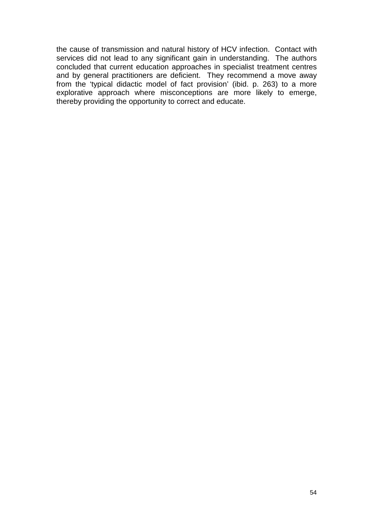the cause of transmission and natural history of HCV infection. Contact with services did not lead to any significant gain in understanding. The authors concluded that current education approaches in specialist treatment centres and by general practitioners are deficient. They recommend a move away from the 'typical didactic model of fact provision' (ibid. p. 263) to a more explorative approach where misconceptions are more likely to emerge, thereby providing the opportunity to correct and educate.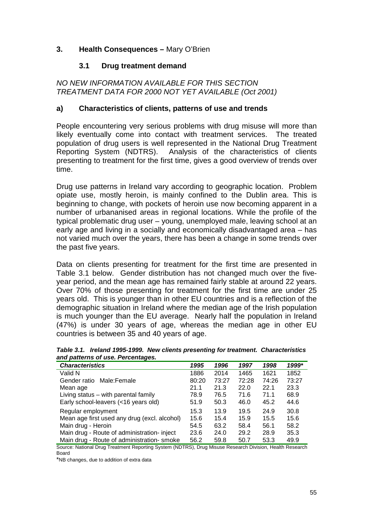## **3. Health Consequences –** Mary O'Brien

### **3.1 Drug treatment demand**

*NO NEW INFORMATION AVAILABLE FOR THIS SECTION TREATMENT DATA FOR 2000 NOT YET AVAILABLE (Oct 2001)* 

#### **a) Characteristics of clients, patterns of use and trends**

People encountering very serious problems with drug misuse will more than likely eventually come into contact with treatment services. The treated population of drug users is well represented in the National Drug Treatment Reporting System (NDTRS). Analysis of the characteristics of clients presenting to treatment for the first time, gives a good overview of trends over time.

Drug use patterns in Ireland vary according to geographic location. Problem opiate use, mostly heroin, is mainly confined to the Dublin area. This is beginning to change, with pockets of heroin use now becoming apparent in a number of urbananised areas in regional locations. While the profile of the typical problematic drug user – young, unemployed male, leaving school at an early age and living in a socially and economically disadvantaged area – has not varied much over the years, there has been a change in some trends over the past five years.

Data on clients presenting for treatment for the first time are presented in Table 3.1 below. Gender distribution has not changed much over the fiveyear period, and the mean age has remained fairly stable at around 22 years. Over 70% of those presenting for treatment for the first time are under 25 years old. This is younger than in other EU countries and is a reflection of the demographic situation in Ireland where the median age of the Irish population is much younger than the EU average. Nearly half the population in Ireland (47%) is under 30 years of age, whereas the median age in other EU countries is between 35 and 40 years of age.

*Table 3.1. Ireland 1995-1999. New clients presenting for treatment. Characteristics and patterns of use. Percentages.* 

| <b>Characteristics</b>                       | 1995  | 1996  | 1997  | 1998  | 1999* |
|----------------------------------------------|-------|-------|-------|-------|-------|
| Valid N                                      | 1886  | 2014  | 1465  | 1621  | 1852  |
| Gender ratio Male: Female                    | 80:20 | 73:27 | 72:28 | 74:26 | 73:27 |
| Mean age                                     | 21.1  | 21.3  | 22.0  | 22.1  | 23.3  |
| Living status – with parental family         | 78.9  | 76.5  | 71.6  | 71.1  | 68.9  |
| Early school-leavers (<16 years old)         | 51.9  | 50.3  | 46.0  | 45.2  | 44.6  |
| Regular employment                           | 15.3  | 13.9  | 19.5  | 24.9  | 30.8  |
| Mean age first used any drug (excl. alcohol) | 15.6  | 15.4  | 15.9  | 15.5  | 15.6  |
| Main drug - Heroin                           | 54.5  | 63.2  | 58.4  | 56.1  | 58.2  |
| Main drug - Route of administration- inject  | 23.6  | 24.0  | 29.2  | 28.9  | 35.3  |
| Main drug - Route of administration-smoke    | 56.2  | 59.8  | 50.7  | 53.3  | 49.9  |

Source: National Drug Treatment Reporting System (NDTRS), Drug Misuse Research Division, Health Research Board

\*NB changes, due to addition of extra data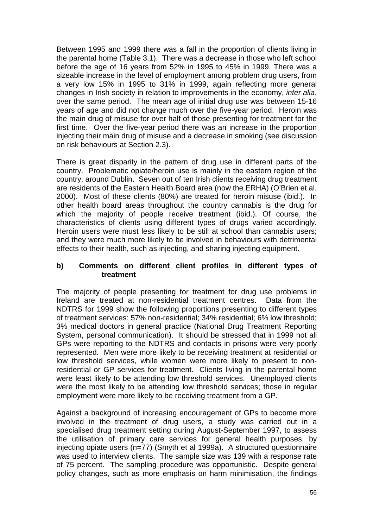Between 1995 and 1999 there was a fall in the proportion of clients living in the parental home (Table 3.1). There was a decrease in those who left school before the age of 16 years from 52% in 1995 to 45% in 1999. There was a sizeable increase in the level of employment among problem drug users, from a very low 15% in 1995 to 31% in 1999, again reflecting more general changes in Irish society in relation to improvements in the economy, *inter alia*, over the same period. The mean age of initial drug use was between 15-16 years of age and did not change much over the five-year period. Heroin was the main drug of misuse for over half of those presenting for treatment for the first time. Over the five-year period there was an increase in the proportion injecting their main drug of misuse and a decrease in smoking (see discussion on risk behaviours at Section 2.3).

There is great disparity in the pattern of drug use in different parts of the country. Problematic opiate/heroin use is mainly in the eastern region of the country, around Dublin. Seven out of ten Irish clients receiving drug treatment are residents of the Eastern Health Board area (now the ERHA) (O'Brien et al. 2000). Most of these clients (80%) are treated for heroin misuse (ibid.). In other health board areas throughout the country cannabis is the drug for which the majority of people receive treatment (ibid.). Of course, the characteristics of clients using different types of drugs varied accordingly. Heroin users were must less likely to be still at school than cannabis users; and they were much more likely to be involved in behaviours with detrimental effects to their health, such as injecting, and sharing injecting equipment.

#### **b) Comments on different client profiles in different types of treatment**

The majority of people presenting for treatment for drug use problems in Ireland are treated at non-residential treatment centres. Data from the NDTRS for 1999 show the following proportions presenting to different types of treatment services: 57% non-residential; 34% residential; 6% low threshold; 3% medical doctors in general practice (National Drug Treatment Reporting System, personal communication). It should be stressed that in 1999 not all GPs were reporting to the NDTRS and contacts in prisons were very poorly represented. Men were more likely to be receiving treatment at residential or low threshold services, while women were more likely to present to nonresidential or GP services for treatment. Clients living in the parental home were least likely to be attending low threshold services. Unemployed clients were the most likely to be attending low threshold services; those in regular employment were more likely to be receiving treatment from a GP.

Against a background of increasing encouragement of GPs to become more involved in the treatment of drug users, a study was carried out in a specialised drug treatment setting during August-September 1997, to assess the utilisation of primary care services for general health purposes, by injecting opiate users (n=77) (Smyth et al 1999a). A structured questionnaire was used to interview clients. The sample size was 139 with a response rate of 75 percent. The sampling procedure was opportunistic. Despite general policy changes, such as more emphasis on harm minimisation, the findings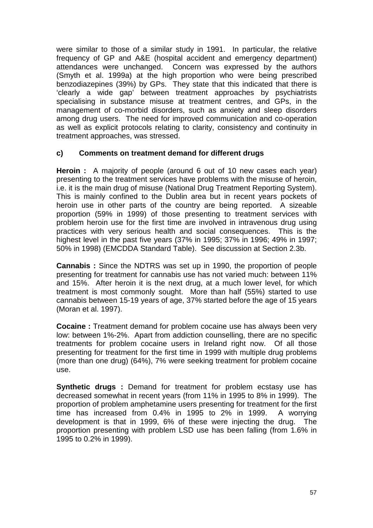were similar to those of a similar study in 1991. In particular, the relative frequency of GP and A&E (hospital accident and emergency department) attendances were unchanged. Concern was expressed by the authors (Smyth et al. 1999a) at the high proportion who were being prescribed benzodiazepines (39%) by GPs. They state that this indicated that there is 'clearly a wide gap' between treatment approaches by psychiatrists specialising in substance misuse at treatment centres, and GPs, in the management of co-morbid disorders, such as anxiety and sleep disorders among drug users. The need for improved communication and co-operation as well as explicit protocols relating to clarity, consistency and continuity in treatment approaches, was stressed.

## **c) Comments on treatment demand for different drugs**

**Heroin :** A majority of people (around 6 out of 10 new cases each year) presenting to the treatment services have problems with the misuse of heroin, i.e. it is the main drug of misuse (National Drug Treatment Reporting System). This is mainly confined to the Dublin area but in recent years pockets of heroin use in other parts of the country are being reported. A sizeable proportion (59% in 1999) of those presenting to treatment services with problem heroin use for the first time are involved in intravenous drug using practices with very serious health and social consequences. This is the highest level in the past five years (37% in 1995; 37% in 1996; 49% in 1997; 50% in 1998) (EMCDDA Standard Table). See discussion at Section 2.3b.

**Cannabis :** Since the NDTRS was set up in 1990, the proportion of people presenting for treatment for cannabis use has not varied much: between 11% and 15%. After heroin it is the next drug, at a much lower level, for which treatment is most commonly sought. More than half (55%) started to use cannabis between 15-19 years of age, 37% started before the age of 15 years (Moran et al. 1997).

**Cocaine :** Treatment demand for problem cocaine use has always been very low: between 1%-2%. Apart from addiction counselling, there are no specific treatments for problem cocaine users in Ireland right now. Of all those presenting for treatment for the first time in 1999 with multiple drug problems (more than one drug) (64%), 7% were seeking treatment for problem cocaine use.

**Synthetic drugs :** Demand for treatment for problem ecstasy use has decreased somewhat in recent years (from 11% in 1995 to 8% in 1999). The proportion of problem amphetamine users presenting for treatment for the first time has increased from 0.4% in 1995 to 2% in 1999. A worrying development is that in 1999, 6% of these were injecting the drug. The proportion presenting with problem LSD use has been falling (from 1.6% in 1995 to 0.2% in 1999).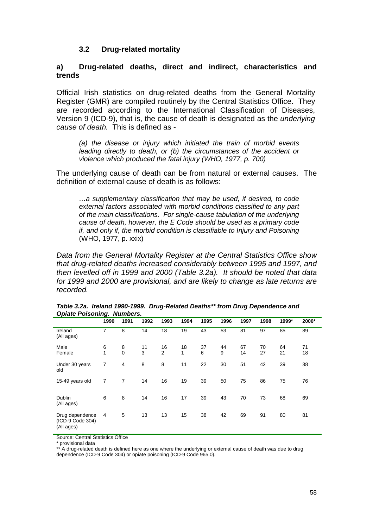#### **3.2 Drug-related mortality**

#### **a) Drug-related deaths, direct and indirect, characteristics and trends**

Official Irish statistics on drug-related deaths from the General Mortality Register (GMR) are compiled routinely by the Central Statistics Office. They are recorded according to the International Classification of Diseases, Version 9 (ICD-9), that is, the cause of death is designated as the *underlying cause of death.* This is defined as -

*(a) the disease or injury which initiated the train of morbid events leading directly to death, or (b) the circumstances of the accident or violence which produced the fatal injury (WHO, 1977, p. 700)* 

The underlying cause of death can be from natural or external causes. The definition of external cause of death is as follows:

*…a supplementary classification that may be used, if desired, to code external factors associated with morbid conditions classified to any part of the main classifications. For single-cause tabulation of the underlying cause of death, however, the E Code should be used as a primary code if, and only if, the morbid condition is classifiable to Injury and Poisoning*  (WHO, 1977, p. xxix)

*Data from the General Mortality Register at the Central Statistics Office show that drug-related deaths increased considerably between 1995 and 1997, and then levelled off in 1999 and 2000 (Table 3.2a). It should be noted that data for 1999 and 2000 are provisional, and are likely to change as late returns are recorded.* 

| - 1- - -                                          | $\cdot$ |                  |         |                      |         |         |         |          |          |          |          |
|---------------------------------------------------|---------|------------------|---------|----------------------|---------|---------|---------|----------|----------|----------|----------|
|                                                   | 1990    | 1991             | 1992    | 1993                 | 1994    | 1995    | 1996    | 1997     | 1998     | 1999*    | 2000*    |
| Ireland<br>(All ages)                             | 7       | 8                | 14      | 18                   | 19      | 43      | 53      | 81       | 97       | 85       | 89       |
| Male<br>Female                                    | 6<br>1  | 8<br>$\mathbf 0$ | 11<br>3 | 16<br>$\overline{2}$ | 18<br>1 | 37<br>6 | 44<br>9 | 67<br>14 | 70<br>27 | 64<br>21 | 71<br>18 |
| Under 30 years<br>old                             | 7       | $\overline{4}$   | 8       | 8                    | 11      | 22      | 30      | 51       | 42       | 39       | 38       |
| 15-49 years old                                   | 7       | 7                | 14      | 16                   | 19      | 39      | 50      | 75       | 86       | 75       | 76       |
| <b>Dublin</b><br>(All ages)                       | 6       | 8                | 14      | 16                   | 17      | 39      | 43      | 70       | 73       | 68       | 69       |
| Drug dependence<br>(ICD-9 Code 304)<br>(All ages) | 4       | 5                | 13      | 13                   | 15      | 38      | 42      | 69       | 91       | 80       | 81       |

|                                   | Table 3.2a. Ireland 1990-1999. Drug-Related Deaths** from Drug Dependence and |
|-----------------------------------|-------------------------------------------------------------------------------|
| <b>Opiate Poisoning. Numbers.</b> |                                                                               |

Source: Central Statistics Office

\* provisional data

\*\* A drug-related death is defined here as one where the underlying or external cause of death was due to drug dependence (ICD-9 Code 304) or opiate poisoning (ICD-9 Code 965.0).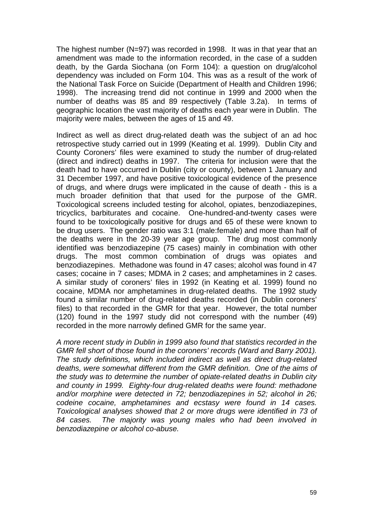The highest number (N=97) was recorded in 1998. It was in that year that an amendment was made to the information recorded, in the case of a sudden death, by the Garda Siochana (on Form 104): a question on drug/alcohol dependency was included on Form 104. This was as a result of the work of the National Task Force on Suicide (Department of Health and Children 1996; 1998). The increasing trend did not continue in 1999 and 2000 when the number of deaths was 85 and 89 respectively (Table 3.2a). In terms of geographic location the vast majority of deaths each year were in Dublin. The majority were males, between the ages of 15 and 49.

Indirect as well as direct drug-related death was the subject of an ad hoc retrospective study carried out in 1999 (Keating et al. 1999). Dublin City and County Coroners' files were examined to study the number of drug-related (direct and indirect) deaths in 1997. The criteria for inclusion were that the death had to have occurred in Dublin (city or county), between 1 January and 31 December 1997, and have positive toxicological evidence of the presence of drugs, and where drugs were implicated in the cause of death - this is a much broader definition that that used for the purpose of the GMR. Toxicological screens included testing for alcohol, opiates, benzodiazepines, tricyclics, barbiturates and cocaine. One-hundred-and-twenty cases were found to be toxicologically positive for drugs and 65 of these were known to be drug users. The gender ratio was 3:1 (male:female) and more than half of the deaths were in the 20-39 year age group. The drug most commonly identified was benzodiazepine (75 cases) mainly in combination with other drugs. The most common combination of drugs was opiates and benzodiazepines. Methadone was found in 47 cases; alcohol was found in 47 cases; cocaine in 7 cases; MDMA in 2 cases; and amphetamines in 2 cases. A similar study of coroners' files in 1992 (in Keating et al. 1999) found no cocaine, MDMA nor amphetamines in drug-related deaths. The 1992 study found a similar number of drug-related deaths recorded (in Dublin coroners' files) to that recorded in the GMR for that year. However, the total number (120) found in the 1997 study did not correspond with the number (49) recorded in the more narrowly defined GMR for the same year.

*A more recent study in Dublin in 1999 also found that statistics recorded in the GMR fell short of those found in the coroners' records (Ward and Barry 2001). The study definitions, which included indirect as well as direct drug-related deaths, were somewhat different from the GMR definition. One of the aims of the study was to determine the number of opiate-related deaths in Dublin city and county in 1999. Eighty-four drug-related deaths were found: methadone and/or morphine were detected in 72; benzodiazepines in 52; alcohol in 26; codeine cocaine, amphetamines and ecstasy were found in 14 cases. Toxicological analyses showed that 2 or more drugs were identified in 73 of 84 cases. The majority was young males who had been involved in benzodiazepine or alcohol co-abuse.*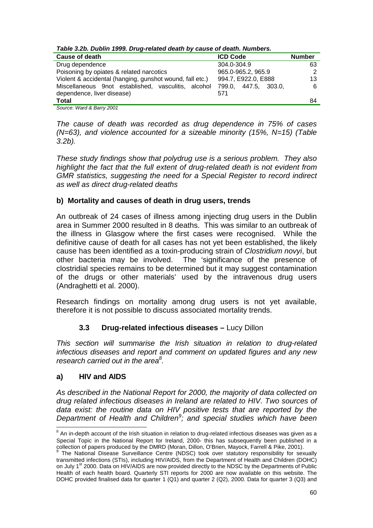| rable J.Z.D. Dublin 1999. Drug-related death by cause or death. Numbers. |                      |               |  |  |  |  |
|--------------------------------------------------------------------------|----------------------|---------------|--|--|--|--|
| Cause of death                                                           | <b>ICD Code</b>      | <b>Number</b> |  |  |  |  |
| Drug dependence                                                          | 304.0-304.9          | 63            |  |  |  |  |
| Poisoning by opiates & related narcotics                                 | 965.0-965.2, 965.9   | 2             |  |  |  |  |
| Violent & accidental (hanging, gunshot wound, fall etc.)                 | 994.7, E922.0, E888  | 13            |  |  |  |  |
| Miscellaneous 9not established, vasculitis, alcohol                      | 799.0. 447.5. 303.0. | 6             |  |  |  |  |
| dependence, liver disease)                                               | 571                  |               |  |  |  |  |
| <b>Total</b>                                                             |                      | 84            |  |  |  |  |

*Table 3.2b. Dublin 1999. Drug-related death by cause of death. Numbers.* 

*Source: Ward & Barry 2001* 

*The cause of death was recorded as drug dependence in 75% of cases (N=63), and violence accounted for a sizeable minority (15%, N=15) (Table 3.2b).* 

*These study findings show that polydrug use is a serious problem. They also highlight the fact that the full extent of drug-related death is not evident from GMR statistics, suggesting the need for a Special Register to record indirect as well as direct drug-related deaths* 

## **b) Mortality and causes of death in drug users, trends**

An outbreak of 24 cases of illness among injecting drug users in the Dublin area in Summer 2000 resulted in 8 deaths. This was similar to an outbreak of the illness in Glasgow where the first cases were recognised. While the definitive cause of death for all cases has not yet been established, the likely cause has been identified as a toxin-producing strain of *Clostridium novyi*, but other bacteria may be involved. The 'significance of the presence of clostridial species remains to be determined but it may suggest contamination of the drugs or other materials' used by the intravenous drug users (Andraghetti et al. 2000).

Research findings on mortality among drug users is not yet available, therefore it is not possible to discuss associated mortality trends.

## **3.3 Drug-related infectious diseases –** Lucy Dillon

*This section will summarise the Irish situation in relation to drug-related infectious diseases and report and comment on updated figures and any new research carried out in the area8 .* 

## **a) HIV and AIDS**

l

*As described in the National Report for 2000, the majority of data collected on drug related infectious diseases in Ireland are related to HIV. Two sources of data exist: the routine data on HIV positive tests that are reported by the Department of Health and Children<sup>9</sup> ; and special studies which have been* 

 $8$  An in-depth account of the Irish situation in relation to drug-related infectious diseases was given as a Special Topic in the National Report for Ireland, 2000- this has subsequently been published in a

collection of papers produced by the DMRD (Moran, Dillon, O'Brien, Mayock, Farrell & Pike, 2001).<br><sup>9</sup> The National Disease Surveillance Centre (NDSC) took over statutory responsibility for sexually transmitted infections (STIs), including HIV/AIDS, from the Department of Health and Children (DOHC) on July 1<sup>st</sup> 2000. Data on HIV/AIDS are now provided directly to the NDSC by the Departments of Public Health of each health board. Quarterly STI reports for 2000 are now available on this website. The DOHC provided finalised data for quarter 1 (Q1) and quarter 2 (Q2), 2000. Data for quarter 3 (Q3) and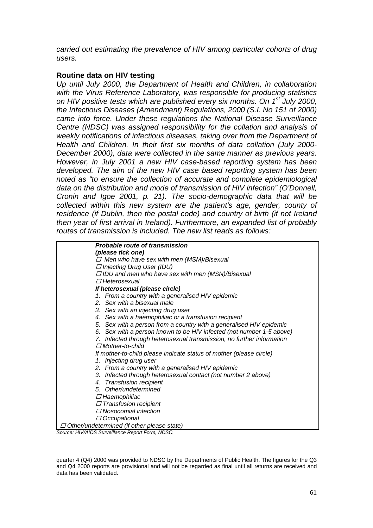*carried out estimating the prevalence of HIV among particular cohorts of drug users.* 

#### **Routine data on HIV testing**

*Up until July 2000, the Department of Health and Children, in collaboration with the Virus Reference Laboratory, was responsible for producing statistics on HIV positive tests which are published every six months. On 1st July 2000, the Infectious Diseases (Amendment) Regulations, 2000 (S.I. No 151 of 2000) came into force. Under these regulations the National Disease Surveillance Centre (NDSC) was assigned responsibility for the collation and analysis of weekly notifications of infectious diseases, taking over from the Department of Health and Children. In their first six months of data collation (July 2000- December 2000), data were collected in the same manner as previous years. However, in July 2001 a new HIV case-based reporting system has been developed. The aim of the new HIV case based reporting system has been noted as "to ensure the collection of accurate and complete epidemiological data on the distribution and mode of transmission of HIV infection" (O'Donnell, Cronin and Igoe 2001, p. 21). The socio-demographic data that will be collected within this new system are the patient's age, gender, county of residence (if Dublin, then the postal code) and country of birth (if not Ireland then year of first arrival in Ireland). Furthermore, an expanded list of probably routes of transmission is included. The new list reads as follows:* 

| <b>Probable route of transmission</b>                                 |
|-----------------------------------------------------------------------|
| (please tick one)                                                     |
| $\Box$ Men who have sex with men (MSM)/Bisexual                       |
| $\Box$ Injecting Drug User (IDU)                                      |
| $\Box$ IDU and men who have sex with men (MSN)/Bisexual               |
| $\Box$ Heterosexual                                                   |
| If heterosexual (please circle)                                       |
| 1. From a country with a generalised HIV epidemic                     |
| 2. Sex with a bisexual male                                           |
| 3. Sex with an injecting drug user                                    |
| 4. Sex with a haemophiliac or a transfusion recipient                 |
| 5. Sex with a person from a country with a generalised HIV epidemic   |
| 6. Sex with a person known to be HIV infected (not number 1-5 above)  |
| 7. Infected through heterosexual transmission, no further information |
| $\Box$ Mother-to-child                                                |
| If mother-to-child please indicate status of mother (please circle)   |
| 1. Injecting drug user                                                |
| 2. From a country with a generalised HIV epidemic                     |
| 3. Infected through heterosexual contact (not number 2 above)         |
| 4. Transfusion recipient                                              |
| 5. Other/undetermined                                                 |
| $\Box$ Haemophiliac                                                   |
| $\Box$ Transfusion recipient                                          |
| $\varPi$ Nosocomial infection                                         |
| $\Box$ Occupational                                                   |
| $\Box$ Other/undetermined (if other please otate)                     |

 *Other/undetermined (if other please state)* 

*Source: HIV/AIDS Surveillance Report Form, NDSC.* 

l

quarter 4 (Q4) 2000 was provided to NDSC by the Departments of Public Health. The figures for the Q3 and Q4 2000 reports are provisional and will not be regarded as final until all returns are received and data has been validated.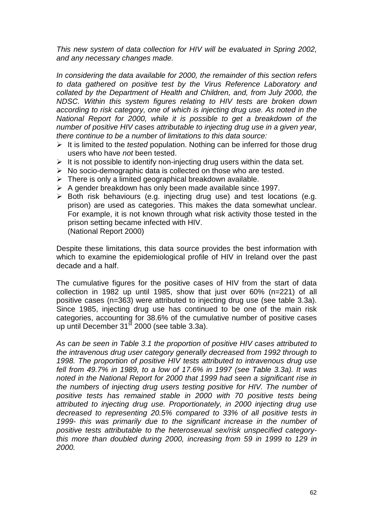*This new system of data collection for HIV will be evaluated in Spring 2002, and any necessary changes made.* 

*In considering the data available for 2000, the remainder of this section refers to data gathered on positive test by the Virus Reference Laboratory and collated by the Department of Health and Children, and, from July 2000, the NDSC. Within this system figures relating to HIV tests are broken down according to risk category, one of which is injecting drug use. As noted in the National Report for 2000, while it is possible to get a breakdown of the number of positive HIV cases attributable to injecting drug use in a given year, there continue to be a number of limitations to this data source:* 

- > It is limited to the *tested* population. Nothing can be inferred for those drug users who have *not* been tested.
- > It is not possible to identify non-injecting drug users within the data set.
- > No socio-demographic data is collected on those who are tested.
- $\triangleright$  There is only a limited geographical breakdown available.
- > A gender breakdown has only been made available since 1997.
- > Both risk behaviours (e.g. injecting drug use) and test locations (e.g. prison) are used as categories. This makes the data somewhat unclear. For example, it is not known through what risk activity those tested in the prison setting became infected with HIV. (National Report 2000)

Despite these limitations, this data source provides the best information with which to examine the epidemiological profile of HIV in Ireland over the past decade and a half.

The cumulative figures for the positive cases of HIV from the start of data collection in 1982 up until 1985, show that just over 60% (n=221) of all positive cases (n=363) were attributed to injecting drug use (see table 3.3a). Since 1985, injecting drug use has continued to be one of the main risk categories, accounting for 38.6% of the cumulative number of positive cases up until December  $31<sup>st</sup>$  2000 (see table 3.3a).

*As can be seen in Table 3.1 the proportion of positive HIV cases attributed to the intravenous drug user category generally decreased from 1992 through to 1998. The proportion of positive HIV tests attributed to intravenous drug use fell from 49.7% in 1989, to a low of 17.6% in 1997 (see Table 3.3a). It was noted in the National Report for 2000 that 1999 had seen a significant rise in the numbers of injecting drug users testing positive for HIV. The number of positive tests has remained stable in 2000 with 70 positive tests being attributed to injecting drug use. Proportionately, in 2000 injecting drug use decreased to representing 20.5% compared to 33% of all positive tests in 1999- this was primarily due to the significant increase in the number of positive tests attributable to the heterosexual sex/risk unspecified categorythis more than doubled during 2000, increasing from 59 in 1999 to 129 in 2000.*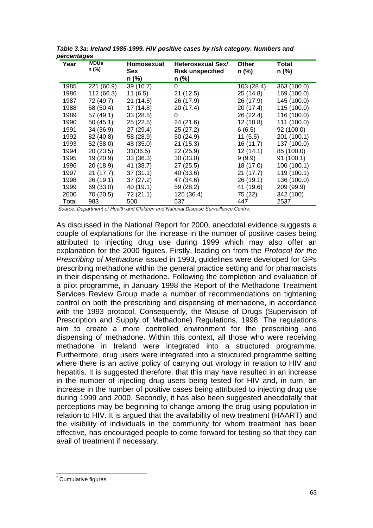| Year  | ັ<br><b>IVDUs</b><br>n (%) | Homosexual<br>Sex | Heterosexual Sex/<br><b>Risk unspecified</b> | Other<br>n (%) | <b>Total</b><br>n (%) |
|-------|----------------------------|-------------------|----------------------------------------------|----------------|-----------------------|
|       |                            | n (%)             | n (%)                                        |                |                       |
| 1985  | 221 (60.9)                 | 39 (10.7)         | 0                                            | 103 (28.4)     | 363 (100.0)           |
| 1986  | 112 (66.3)                 | 11(6.5)           | 21 (12.5)                                    | 25(14.8)       | 169 (100.0)           |
| 1987  | 72 (49.7)                  | 21(14.5)          | 26 (17.9)                                    | 26 (17.9)      | 145 (100.0)           |
| 1988  | 58 (50.4)                  | 17(14.8)          | 20(17.4)                                     | 20 (17.4)      | 115 (100.0)           |
| 1989  | 57 (49.1)                  | 33(28.5)          | 0                                            | 26 (22.4)      | 116 (100.0)           |
| 1990  | 50(45.1)                   | 25(22.5)          | 24 (21.6)                                    | 12(10.8)       | 111 (100.0)           |
| 1991  | 34 (36.9)                  | 27 (29.4)         | 25 (27.2)                                    | 6(6.5)         | 92 (100.0)            |
| 1992  | 82 (40.8)                  | 58 (28.9)         | 50 (24.9)                                    | 11(5.5)        | 201 (100.1)           |
| 1993  | 52 (38.0)                  | 48 (35.0)         | 21(15.3)                                     | 16(11.7)       | 137 (100.0)           |
| 1994  | 20(23.5)                   | 31(36.5)          | 22 (25.9)                                    | 12(14.1)       | 85 (100.0)            |
| 1995  | 19 (20.9)                  | 33(36.3)          | 30(33.0)                                     | 9(9.9)         | 91 (100.1)            |
| 1996  | 20 (18.9)                  | 41 (38.7)         | 27 (25.5)                                    | 18 (17.0)      | 106 (100.1)           |
| 1997  | 21(17.7)                   | 37(31.1)          | 40 (33.6)                                    | 21(17.7)       | 119 (100.1)           |
| 1998  | 26 (19.1)                  | 37(27.2)          | 47 (34.6)                                    | 26(19.1)       | 136 (100.0)           |
| 1999  | 69 (33.0)                  | 40 (19.1)         | 59 (28.2)                                    | 41 (19.6)      | 209 (99.9)            |
| 2000  | 70 (20.5)                  | 72 (21.1)         | 125 (36.4)                                   | 75 (22)        | 342 (100)             |
| Total | 983                        | 500               | 537                                          | 447            | 2537                  |

*Table 3.3a: Ireland 1985-1999. HIV positive cases by risk category. Numbers and percentages* 

*Source: Department of Health and Children and National Disease Surveillance Centre.* 

As discussed in the National Report for 2000, anecdotal evidence suggests a couple of explanations for the increase in the number of positive cases being attributed to injecting drug use during 1999 which may also offer an explanation for the 2000 figures. Firstly, leading on from the *Protocol for the Prescribing of Methadone* issued in 1993, guidelines were developed for GPs prescribing methadone within the general practice setting and for pharmacists in their dispensing of methadone. Following the completion and evaluation of a pilot programme, in January 1998 the Report of the Methadone Treatment Services Review Group made a number of recommendations on tightening control on both the prescribing and dispensing of methadone, in accordance with the 1993 protocol. Consequently, the Misuse of Drugs (Supervision of Prescription and Supply of Methadone) Regulations, 1998. The regulations aim to create a more controlled environment for the prescribing and dispensing of methadone. Within this context, all those who were receiving methadone in Ireland were integrated into a structured programme. Furthermore, drug users were integrated into a structured programme setting where there is an active policy of carrying out virology in relation to HIV and hepatitis. It is suggested therefore, that this may have resulted in an increase in the number of injecting drug users being tested for HIV and, in turn, an increase in the number of positive cases being attributed to injecting drug use during 1999 and 2000. Secondly, it has also been suggested anecdotally that perceptions may be beginning to change among the drug using population in relation to HIV. It is argued that the availability of new treatment (HAART) and the visibility of individuals in the community for whom treatment has been effective, has encouraged people to come forward for testing so that they can avail of treatment if necessary.

l

<sup>\*</sup> Cumulative figures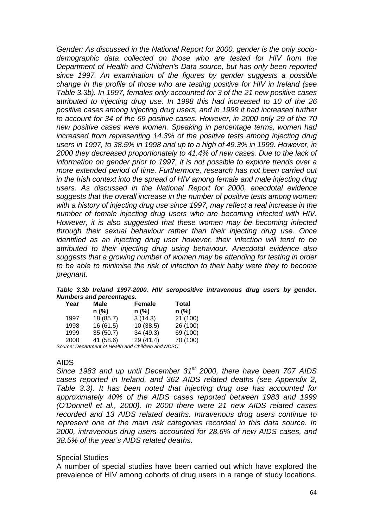*Gender: As discussed in the National Report for 2000, gender is the only sociodemographic data collected on those who are tested for HIV from the Department of Health and Children's Data source, but has only been reported since 1997. An examination of the figures by gender suggests a possible change in the profile of those who are testing positive for HIV in Ireland (see Table 3.3b). In 1997, females only accounted for 3 of the 21 new positive cases attributed to injecting drug use. In 1998 this had increased to 10 of the 26 positive cases among injecting drug users, and in 1999 it had increased further to account for 34 of the 69 positive cases. However, in 2000 only 29 of the 70 new positive cases were women. Speaking in percentage terms, women had increased from representing 14.3% of the positive tests among injecting drug users in 1997, to 38.5% in 1998 and up to a high of 49.3% in 1999. However, in 2000 they decreased proportionately to 41.4% of new cases. Due to the lack of information on gender prior to 1997, it is not possible to explore trends over a more extended period of time. Furthermore, research has not been carried out in the Irish context into the spread of HIV among female and male injecting drug users. As discussed in the National Report for 2000, anecdotal evidence suggests that the overall increase in the number of positive tests among women with a history of injecting drug use since 1997, may reflect a real increase in the number of female injecting drug users who are becoming infected with HIV. However, it is also suggested that these women may be becoming infected through their sexual behaviour rather than their injecting drug use. Once identified as an injecting drug user however, their infection will tend to be attributed to their injecting drug using behaviour. Anecdotal evidence also suggests that a growing number of women may be attending for testing in order to be able to minimise the risk of infection to their baby were they to become pregnant.* 

*Table 3.3b Ireland 1997-2000. HIV seropositive intravenous drug users by gender. Numbers and percentages.* 

| Year                                               | <b>Male</b> | Female    | <b>Total</b> |  |  |
|----------------------------------------------------|-------------|-----------|--------------|--|--|
|                                                    | $n$ (%)     | $n$ (%)   | $n$ (%)      |  |  |
| 1997                                               | 18 (85.7)   | 3(14.3)   | 21 (100)     |  |  |
| 1998                                               | 16(61.5)    | 10(38.5)  | 26 (100)     |  |  |
| 1999                                               | 35(50.7)    | 34 (49.3) | 69 (100)     |  |  |
| 2000                                               | 41 (58.6)   | 29 (41.4) | 70 (100)     |  |  |
| Source: Department of Health and Children and NDSC |             |           |              |  |  |

#### AIDS

*Since 1983 and up until December 31st 2000, there have been 707 AIDS cases reported in Ireland, and 362 AIDS related deaths (see Appendix 2, Table 3.3). It has been noted that injecting drug use has accounted for approximately 40% of the AIDS cases reported between 1983 and 1999 (O'Donnell et al., 2000). In 2000 there were 21 new AIDS related cases recorded and 13 AIDS related deaths. Intravenous drug users continue to represent one of the main risk categories recorded in this data source. In 2000, intravenous drug users accounted for 28.6% of new AIDS cases, and 38.5% of the year's AIDS related deaths.* 

#### Special Studies

A number of special studies have been carried out which have explored the prevalence of HIV among cohorts of drug users in a range of study locations.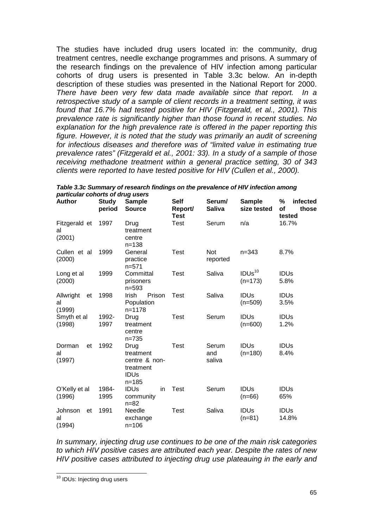The studies have included drug users located in: the community, drug treatment centres, needle exchange programmes and prisons. A summary of the research findings on the prevalence of HIV infection among particular cohorts of drug users is presented in Table 3.3c below. An in-depth description of these studies was presented in the National Report for 2000. *There have been very few data made available since that report. In a retrospective study of a sample of client records in a treatment setting, it was found that 16.7% had tested positive for HIV (Fitzgerald, et al., 2001). This prevalence rate is significantly higher than those found in recent studies. No explanation for the high prevalence rate is offered in the paper reporting this figure. However, it is noted that the study was primarily an audit of screening for infectious diseases and therefore was of "limited value in estimating true prevalence rates" (Fitzgerald et al., 2001: 33). In a study of a sample of those receiving methadone treatment within a general practice setting, 30 of 343 clients were reported to have tested positive for HIV (Cullen et al., 2000).*

| <b>Author</b>                   | <b>Study</b><br>period | <b>Sample</b><br><b>Source</b>                                              | <b>Self</b><br>Report/<br><b>Test</b> | Serum/<br><b>Saliva</b> | <b>Sample</b><br>size tested    | %<br>infected<br>those<br>οf<br>tested |
|---------------------------------|------------------------|-----------------------------------------------------------------------------|---------------------------------------|-------------------------|---------------------------------|----------------------------------------|
| Fitzgerald et<br>al<br>(2001)   | 1997                   | Drug<br>treatment<br>centre<br>$n = 138$                                    | Test                                  | Serum                   | n/a                             | 16.7%                                  |
| Cullen et al<br>(2000)          | 1999                   | General<br>practice<br>$n = 571$                                            | <b>Test</b>                           | Not<br>reported         | $n = 343$                       | 8.7%                                   |
| Long et al<br>(2000)            | 1999                   | Committal<br>prisoners<br>$n = 593$                                         | <b>Test</b>                           | Saliva                  | IDUs <sup>10</sup><br>$(n=173)$ | <b>IDUs</b><br>5.8%                    |
| Allwright<br>et<br>al<br>(1999) | 1998                   | Irish<br>Prison<br>Population<br>$n = 1178$                                 | Test                                  | Saliva                  | <b>IDUs</b><br>$(n=509)$        | <b>IDUs</b><br>3.5%                    |
| Smyth et al<br>(1998)           | 1992-<br>1997          | Drug<br>treatment<br>centre<br>$n = 735$                                    | Test                                  | Serum                   | <b>IDUs</b><br>$(n=600)$        | <b>IDUs</b><br>1.2%                    |
| Dorman<br>et<br>al<br>(1997)    | 1992                   | Drug<br>treatment<br>centre & non-<br>treatment<br><b>IDUs</b><br>$n = 185$ | Test                                  | Serum<br>and<br>saliva  | <b>IDUS</b><br>$(n=180)$        | <b>IDUs</b><br>8.4%                    |
| O'Kelly et al<br>(1996)         | 1984-<br>1995          | <b>IDUs</b><br>in<br>community<br>$n = 82$                                  | <b>Test</b>                           | Serum                   | <b>IDUs</b><br>$(n=66)$         | <b>IDUs</b><br>65%                     |
| Johnson<br>et<br>al<br>(1994)   | 1991                   | Needle<br>exchange<br>$n = 106$                                             | <b>Test</b>                           | Saliva                  | <b>IDUS</b><br>$(n=81)$         | <b>IDUs</b><br>14.8%                   |

*Table 3.3c Summary of research findings on the prevalence of HIV infection among particular cohorts of drug users*  **Self Serum/ Sample % infected** 

*In summary, injecting drug use continues to be one of the main risk categories to which HIV positive cases are attributed each year. Despite the rates of new HIV positive cases attributed to injecting drug use plateauing in the early and* 

l

<sup>&</sup>lt;sup>10</sup> IDUs: Injecting drug users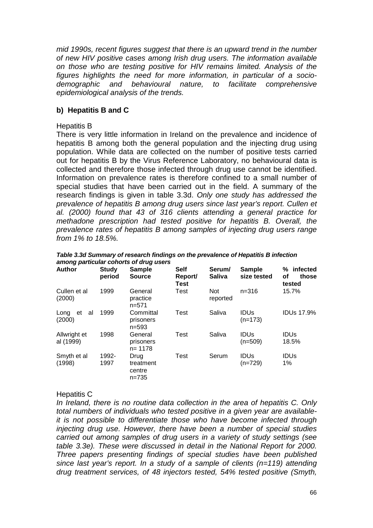*mid 1990s, recent figures suggest that there is an upward trend in the number of new HIV positive cases among Irish drug users. The information available on those who are testing positive for HIV remains limited. Analysis of the figures highlights the need for more information, in particular of a sociodemographic and behavioural nature, to facilitate comprehensive epidemiological analysis of the trends.* 

#### **b) Hepatitis B and C**

#### Hepatitis B

There is very little information in Ireland on the prevalence and incidence of hepatitis B among both the general population and the injecting drug using population. While data are collected on the number of positive tests carried out for hepatitis B by the Virus Reference Laboratory, no behavioural data is collected and therefore those infected through drug use cannot be identified. Information on prevalence rates is therefore confined to a small number of special studies that have been carried out in the field. A summary of the research findings is given in table 3.3d. *Only one study has addressed the prevalence of hepatitis B among drug users since last year's report. Cullen et al. (2000) found that 43 of 316 clients attending a general practice for methadone prescription had tested positive for hepatitis B. Overall, the prevalence rates of hepatitis B among samples of injecting drug users range from 1% to 18.5%.* 

| <b>Author</b>              | <b>Study</b><br>period | <b>Sample</b><br><b>Source</b>           | <b>Self</b><br>Report/<br><b>Test</b> | Serum/<br><b>Saliva</b> | <b>Sample</b><br>size tested | % infected<br>those<br>οf<br>tested |
|----------------------------|------------------------|------------------------------------------|---------------------------------------|-------------------------|------------------------------|-------------------------------------|
| Cullen et al<br>(2000)     | 1999                   | General<br>practice<br>$n = 571$         | Test                                  | Not<br>reported         | $n = 316$                    | 15.7%                               |
| al<br>et<br>Long<br>(2000) | 1999                   | Committal<br>prisoners<br>$n = 593$      | Test                                  | Saliva                  | <b>IDUS</b><br>$(n=173)$     | <b>IDUs 17.9%</b>                   |
| Allwright et<br>al (1999)  | 1998                   | General<br>prisoners<br>$n = 1178$       | Test                                  | Saliva                  | <b>IDUS</b><br>$(n=509)$     | <b>IDUS</b><br>18.5%                |
| Smyth et al<br>(1998)      | 1992-<br>1997          | Drug<br>treatment<br>centre<br>$n = 735$ | <b>Test</b>                           | Serum                   | <b>IDUS</b><br>$(n=729)$     | <b>IDUs</b><br>1%                   |

*Table 3.3d Summary of research findings on the prevalence of Hepatitis B infection among particular cohorts of drug users* 

#### Hepatitis C

*In Ireland, there is no routine data collection in the area of hepatitis C. Only total numbers of individuals who tested positive in a given year are availableit is not possible to differentiate those who have become infected through injecting drug use. However, there have been a number of special studies carried out among samples of drug users in a variety of study settings (see table 3.3e). These were discussed in detail in the National Report for 2000. Three papers presenting findings of special studies have been published since last year's report. In a study of a sample of clients (n=119) attending drug treatment services, of 48 injectors tested, 54% tested positive (Smyth,*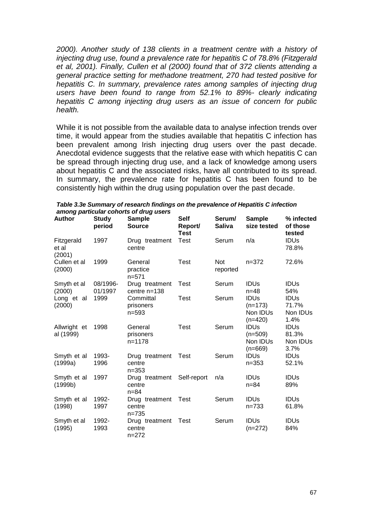*2000). Another study of 138 clients in a treatment centre with a history of injecting drug use, found a prevalence rate for hepatitis C of 78.8% (Fitzgerald et al, 2001). Finally, Cullen et al (2000) found that of 372 clients attending a general practice setting for methadone treatment, 270 had tested positive for hepatitis C. In summary, prevalence rates among samples of injecting drug users have been found to range from 52.1% to 89%- clearly indicating hepatitis C among injecting drug users as an issue of concern for public health.* 

While it is not possible from the available data to analyse infection trends over time, it would appear from the studies available that hepatitis C infection has been prevalent among Irish injecting drug users over the past decade. Anecdotal evidence suggests that the relative ease with which hepatitis C can be spread through injecting drug use, and a lack of knowledge among users about hepatitis C and the associated risks, have all contributed to its spread. In summary, the prevalence rate for hepatitis C has been found to be consistently high within the drug using population over the past decade.

|                               | among particular conorts of drug users |                                       |                                       |                         |                                                               |                                          |  |
|-------------------------------|----------------------------------------|---------------------------------------|---------------------------------------|-------------------------|---------------------------------------------------------------|------------------------------------------|--|
| <b>Author</b>                 | <b>Study</b><br>period                 | <b>Sample</b><br><b>Source</b>        | <b>Self</b><br>Report/<br><b>Test</b> | Serum/<br><b>Saliva</b> | <b>Sample</b><br>size tested                                  | % infected<br>of those<br>tested         |  |
| Fitzgerald<br>et al<br>(2001) | 1997                                   | Drug treatment<br>centre              | Test                                  | Serum                   | n/a                                                           | <b>IDUS</b><br>78.8%                     |  |
| Cullen et al<br>(2000)        | 1999                                   | General<br>practice<br>$n = 571$      | <b>Test</b>                           | <b>Not</b><br>reported  | $n = 372$                                                     | 72.6%                                    |  |
| Smyth et al<br>(2000)         | 08/1996-<br>01/1997                    | Drug treatment<br>centre $n=138$      | Test                                  | Serum                   | <b>IDUS</b><br>$n = 48$                                       | <b>IDUS</b><br>54%                       |  |
| Long et al<br>(2000)          | 1999                                   | Committal<br>prisoners<br>$n = 593$   | <b>Test</b>                           | Serum                   | <b>IDUs</b><br>$(n=173)$<br>Non IDU <sub>s</sub><br>$(n=420)$ | <b>IDUs</b><br>71.7%<br>Non IDUs<br>1.4% |  |
| Allwright et<br>al (1999)     | 1998                                   | General<br>prisoners<br>$n = 1178$    | Test                                  | Serum                   | <b>IDUs</b><br>$(n=509)$<br>Non IDU <sub>s</sub><br>$(n=669)$ | <b>IDUs</b><br>81.3%<br>Non IDUs<br>3.7% |  |
| Smyth et al<br>(1999a)        | 1993-<br>1996                          | Drug treatment<br>centre<br>$n = 353$ | Test                                  | Serum                   | <b>IDUs</b><br>$n = 353$                                      | <b>IDUS</b><br>52.1%                     |  |
| Smyth et al<br>(1999b)        | 1997                                   | Drug treatment<br>centre<br>$n = 84$  | Self-report                           | n/a                     | <b>IDUs</b><br>$n = 84$                                       | <b>IDUs</b><br>89%                       |  |
| Smyth et al<br>(1998)         | 1992-<br>1997                          | Drug treatment<br>centre<br>$n = 735$ | Test                                  | Serum                   | <b>IDUs</b><br>$n = 733$                                      | <b>IDUS</b><br>61.8%                     |  |
| Smyth et al<br>(1995)         | 1992-<br>1993                          | Drug treatment<br>centre<br>$n = 272$ | Test                                  | Serum                   | <b>IDUs</b><br>$(n=272)$                                      | <b>IDUS</b><br>84%                       |  |

*Table 3.3e Summary of research findings on the prevalence of Hepatitis C infection among particular cohorts of drug users*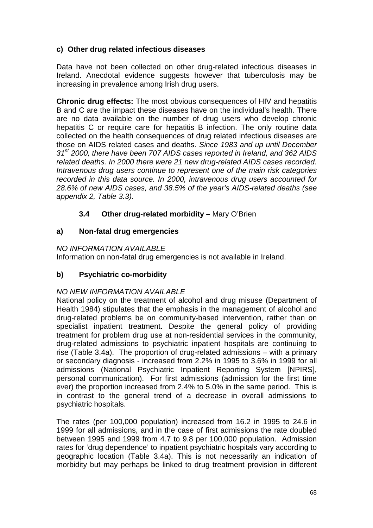# **c) Other drug related infectious diseases**

Data have not been collected on other drug-related infectious diseases in Ireland. Anecdotal evidence suggests however that tuberculosis may be increasing in prevalence among Irish drug users.

**Chronic drug effects:** The most obvious consequences of HIV and hepatitis B and C are the impact these diseases have on the individual's health. There are no data available on the number of drug users who develop chronic hepatitis C or require care for hepatitis B infection. The only routine data collected on the health consequences of drug related infectious diseases are those on AIDS related cases and deaths. *Since 1983 and up until December 31st 2000, there have been 707 AIDS cases reported in Ireland, and 362 AIDS related deaths. In 2000 there were 21 new drug-related AIDS cases recorded. Intravenous drug users continue to represent one of the main risk categories recorded in this data source. In 2000, intravenous drug users accounted for 28.6% of new AIDS cases, and 38.5% of the year's AIDS-related deaths (see appendix 2, Table 3.3).*

# **3.4 Other drug-related morbidity –** Mary O'Brien

## **a) Non-fatal drug emergencies**

## *NO INFORMATION AVAILABLE*

Information on non-fatal drug emergencies is not available in Ireland.

# **b) Psychiatric co-morbidity**

## *NO NEW INFORMATION AVAILABLE*

National policy on the treatment of alcohol and drug misuse (Department of Health 1984) stipulates that the emphasis in the management of alcohol and drug-related problems be on community-based intervention, rather than on specialist inpatient treatment. Despite the general policy of providing treatment for problem drug use at non-residential services in the community, drug-related admissions to psychiatric inpatient hospitals are continuing to rise (Table 3.4a). The proportion of drug-related admissions – with a primary or secondary diagnosis - increased from 2.2% in 1995 to 3.6% in 1999 for all admissions (National Psychiatric Inpatient Reporting System [NPIRS], personal communication). For first admissions (admission for the first time ever) the proportion increased from 2.4% to 5.0% in the same period. This is in contrast to the general trend of a decrease in overall admissions to psychiatric hospitals.

The rates (per 100,000 population) increased from 16.2 in 1995 to 24.6 in 1999 for all admissions, and in the case of first admissions the rate doubled between 1995 and 1999 from 4.7 to 9.8 per 100,000 population. Admission rates for 'drug dependence' to inpatient psychiatric hospitals vary according to geographic location (Table 3.4a). This is not necessarily an indication of morbidity but may perhaps be linked to drug treatment provision in different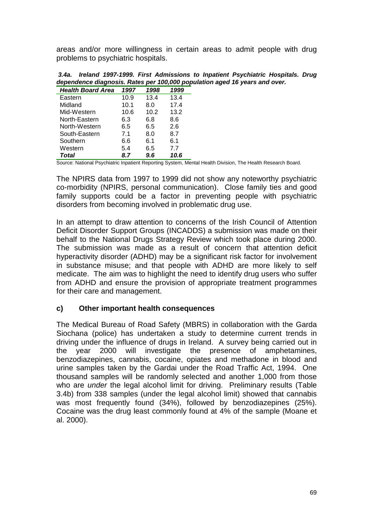areas and/or more willingness in certain areas to admit people with drug problems to psychiatric hospitals.

| <b>Health Board Area</b> | 1997 | 1998 | 1999 |
|--------------------------|------|------|------|
| Eastern                  | 10.9 | 13.4 | 13.4 |
| Midland                  | 10.1 | 8.0  | 17.4 |
| Mid-Western              | 10.6 | 10.2 | 13.2 |
| North-Eastern            | 6.3  | 6.8  | 8.6  |
| North-Western            | 6.5  | 6.5  | 2.6  |
| South-Eastern            | 7.1  | 8.0  | 8.7  |
| Southern                 | 6.6  | 6.1  | 6.1  |
| Western                  | 5.4  | 6.5  | 7.7  |
| Total                    | 8.7  | 9.6  | 10.6 |

 *3.4a. Ireland 1997-1999. First Admissions to Inpatient Psychiatric Hospitals. Drug dependence diagnosis. Rates per 100,000 population aged 16 years and over.* 

Source: National Psychiatric Inpatient Reporting System, Mental Health Division, The Health Research Board.

The NPIRS data from 1997 to 1999 did not show any noteworthy psychiatric co-morbidity (NPIRS, personal communication). Close family ties and good family supports could be a factor in preventing people with psychiatric disorders from becoming involved in problematic drug use.

In an attempt to draw attention to concerns of the Irish Council of Attention Deficit Disorder Support Groups (INCADDS) a submission was made on their behalf to the National Drugs Strategy Review which took place during 2000. The submission was made as a result of concern that attention deficit hyperactivity disorder (ADHD) may be a significant risk factor for involvement in substance misuse; and that people with ADHD are more likely to self medicate. The aim was to highlight the need to identify drug users who suffer from ADHD and ensure the provision of appropriate treatment programmes for their care and management.

#### **c) Other important health consequences**

The Medical Bureau of Road Safety (MBRS) in collaboration with the Garda Siochana (police) has undertaken a study to determine current trends in driving under the influence of drugs in Ireland. A survey being carried out in the year 2000 will investigate the presence of amphetamines, benzodiazepines, cannabis, cocaine, opiates and methadone in blood and urine samples taken by the Gardai under the Road Traffic Act, 1994. One thousand samples will be randomly selected and another 1,000 from those who are *under* the legal alcohol limit for driving. Preliminary results (Table 3.4b) from 338 samples (under the legal alcohol limit) showed that cannabis was most frequently found (34%), followed by benzodiazepines (25%). Cocaine was the drug least commonly found at 4% of the sample (Moane et al. 2000).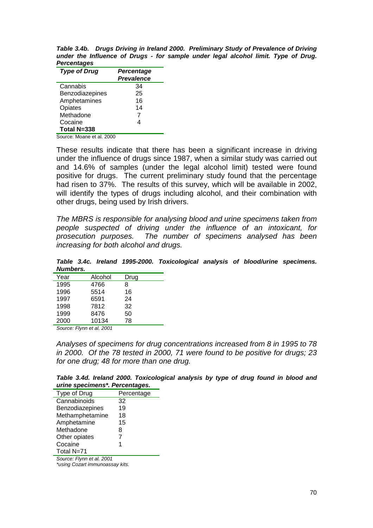*Table 3.4b. Drugs Driving in Ireland 2000. Preliminary Study of Prevalence of Driving under the Influence of Drugs - for sample under legal alcohol limit. Type of Drug. Percentages* 

| <b>Type of Drug</b> | Percentage<br><b>Prevalence</b> |
|---------------------|---------------------------------|
| Cannabis            | 34                              |
| Benzodiazepines     | 25                              |
| Amphetamines        | 16                              |
| Opiates             | 14                              |
| Methadone           | 7                               |
| Cocaine             | 4                               |
| Total N=338         |                                 |
|                     |                                 |

Source: Moane et al. 2000

These results indicate that there has been a significant increase in driving under the influence of drugs since 1987, when a similar study was carried out and 14.6% of samples (under the legal alcohol limit) tested were found positive for drugs. The current preliminary study found that the percentage had risen to 37%. The results of this survey, which will be available in 2002, will identify the types of drugs including alcohol, and their combination with other drugs, being used by Irish drivers.

*The MBRS is responsible for analysing blood and urine specimens taken from people suspected of driving under the influence of an intoxicant, for prosecution purposes. The number of specimens analysed has been increasing for both alcohol and drugs.* 

*Table 3.4c. Ireland 1995-2000. Toxicological analysis of blood/urine specimens. Numbers.* 

| Year                     | Alcohol                                         | Drug |  |
|--------------------------|-------------------------------------------------|------|--|
| 1995                     | 4766                                            | 8    |  |
| 1996                     | 5514                                            | 16   |  |
| 1997                     | 6591                                            | 24   |  |
| 1998                     | 7812                                            | 32   |  |
| 1999                     | 8476                                            | 50   |  |
| 2000                     | 10134                                           | 78   |  |
| $\overline{\phantom{a}}$ | $\cdot$ $\cdot$ $\cdot$ $\cdot$ $\cdot$ $\cdot$ |      |  |

*Source: Flynn et al. 2001* 

*Analyses of specimens for drug concentrations increased from 8 in 1995 to 78 in 2000. Of the 78 tested in 2000, 71 were found to be positive for drugs; 23 for one drug; 48 for more than one drug.* 

*Table 3.4d. Ireland 2000. Toxicological analysis by type of drug found in blood and urine specimens\*. Percentages.* 

| Type of Drug    | Percentage |
|-----------------|------------|
| Cannabinoids    | 32         |
| Benzodiazepines | 19         |
| Methamphetamine | 18         |
| Amphetamine     | 15         |
| Methadone       | 8          |
| Other opiates   | 7          |
| Cocaine         | 1          |
| Total N=71      |            |

*Source: Flynn et al. 2001* 

*\*using Cozart immunoassay kits.*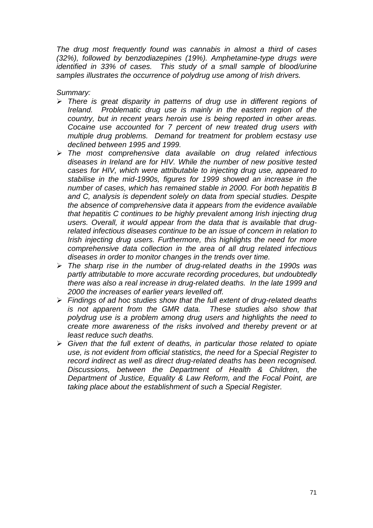*The drug most frequently found was cannabis in almost a third of cases (32%), followed by benzodiazepines (19%). Amphetamine-type drugs were identified in 33% of cases. This study of a small sample of blood/urine samples illustrates the occurrence of polydrug use among of Irish drivers.* 

*Summary:* 

- > There is great disparity in patterns of drug use in different regions of *Ireland. Problematic drug use is mainly in the eastern region of the country, but in recent years heroin use is being reported in other areas. Cocaine use accounted for 7 percent of new treated drug users with multiple drug problems. Demand for treatment for problem ecstasy use declined between 1995 and 1999.*
- -*The most comprehensive data available on drug related infectious diseases in Ireland are for HIV. While the number of new positive tested cases for HIV, which were attributable to injecting drug use, appeared to stabilise in the mid-1990s, figures for 1999 showed an increase in the number of cases, which has remained stable in 2000. For both hepatitis B and C, analysis is dependent solely on data from special studies. Despite the absence of comprehensive data it appears from the evidence available that hepatitis C continues to be highly prevalent among Irish injecting drug users. Overall, it would appear from the data that is available that drugrelated infectious diseases continue to be an issue of concern in relation to Irish injecting drug users. Furthermore, this highlights the need for more comprehensive data collection in the area of all drug related infectious diseases in order to monitor changes in the trends over time.*
- -*The sharp rise in the number of drug-related deaths in the 1990s was partly attributable to more accurate recording procedures, but undoubtedly there was also a real increase in drug-related deaths. In the late 1999 and 2000 the increases of earlier years levelled off.*
- -*Findings of ad hoc studies show that the full extent of drug-related deaths is not apparent from the GMR data. These studies also show that polydrug use is a problem among drug users and highlights the need to create more awareness of the risks involved and thereby prevent or at least reduce such deaths.*
- -*Given that the full extent of deaths, in particular those related to opiate use, is not evident from official statistics, the need for a Special Register to record indirect as well as direct drug-related deaths has been recognised. Discussions, between the Department of Health & Children, the Department of Justice, Equality & Law Reform, and the Focal Point, are taking place about the establishment of such a Special Register.*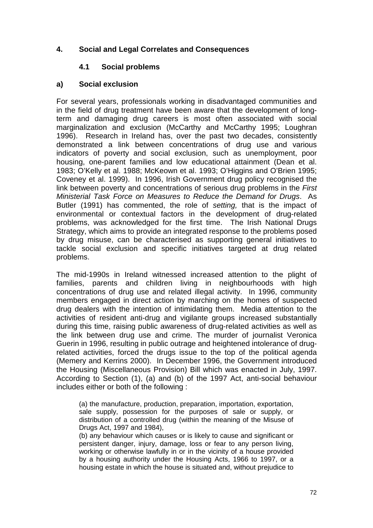## **4. Social and Legal Correlates and Consequences**

#### **4.1 Social problems**

#### **a) Social exclusion**

For several years, professionals working in disadvantaged communities and in the field of drug treatment have been aware that the development of longterm and damaging drug careers is most often associated with social marginalization and exclusion (McCarthy and McCarthy 1995; Loughran 1996). Research in Ireland has, over the past two decades, consistently demonstrated a link between concentrations of drug use and various indicators of poverty and social exclusion, such as unemployment, poor housing, one-parent families and low educational attainment (Dean et al. 1983; O'Kelly et al. 1988; McKeown et al. 1993; O'Higgins and O'Brien 1995; Coveney et al. 1999). In 1996, Irish Government drug policy recognised the link between poverty and concentrations of serious drug problems in the *First Ministerial Task Force on Measures to Reduce the Demand for Drugs*. As Butler (1991) has commented, the role of *setting,* that is the impact of environmental or contextual factors in the development of drug-related problems, was acknowledged for the first time. The Irish National Drugs Strategy, which aims to provide an integrated response to the problems posed by drug misuse, can be characterised as supporting general initiatives to tackle social exclusion and specific initiatives targeted at drug related problems.

The mid-1990s in Ireland witnessed increased attention to the plight of families, parents and children living in neighbourhoods with high concentrations of drug use and related illegal activity. In 1996, community members engaged in direct action by marching on the homes of suspected drug dealers with the intention of intimidating them. Media attention to the activities of resident anti-drug and vigilante groups increased substantially during this time, raising public awareness of drug-related activities as well as the link between drug use and crime. The murder of journalist Veronica Guerin in 1996, resulting in public outrage and heightened intolerance of drugrelated activities, forced the drugs issue to the top of the political agenda (Memery and Kerrins 2000). In December 1996, the Government introduced the Housing (Miscellaneous Provision) Bill which was enacted in July, 1997. According to Section (1), (a) and (b) of the 1997 Act, anti-social behaviour includes either or both of the following :

(a) the manufacture, production, preparation, importation, exportation, sale supply, possession for the purposes of sale or supply, or distribution of a controlled drug (within the meaning of the Misuse of Drugs Act, 1997 and 1984),

(b) any behaviour which causes or is likely to cause and significant or persistent danger, injury, damage, loss or fear to any person living, working or otherwise lawfully in or in the vicinity of a house provided by a housing authority under the Housing Acts, 1966 to 1997, or a housing estate in which the house is situated and, without prejudice to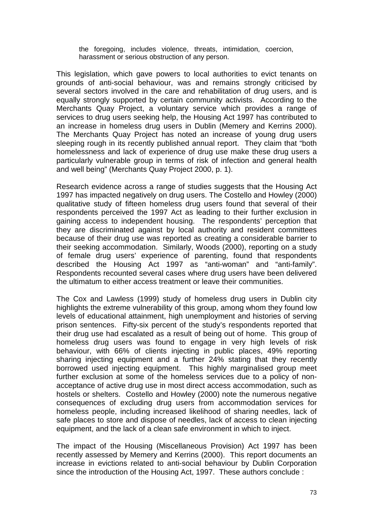the foregoing, includes violence, threats, intimidation, coercion, harassment or serious obstruction of any person.

This legislation, which gave powers to local authorities to evict tenants on grounds of anti-social behaviour, was and remains strongly criticised by several sectors involved in the care and rehabilitation of drug users, and is equally strongly supported by certain community activists. According to the Merchants Quay Project, a voluntary service which provides a range of services to drug users seeking help, the Housing Act 1997 has contributed to an increase in homeless drug users in Dublin (Memery and Kerrins 2000). The Merchants Quay Project has noted an increase of young drug users sleeping rough in its recently published annual report. They claim that "both homelessness and lack of experience of drug use make these drug users a particularly vulnerable group in terms of risk of infection and general health and well being" (Merchants Quay Project 2000, p. 1).

Research evidence across a range of studies suggests that the Housing Act 1997 has impacted negatively on drug users. The Costello and Howley (2000) qualitative study of fifteen homeless drug users found that several of their respondents perceived the 1997 Act as leading to their further exclusion in gaining access to independent housing. The respondents' perception that they are discriminated against by local authority and resident committees because of their drug use was reported as creating a considerable barrier to their seeking accommodation. Similarly, Woods (2000), reporting on a study of female drug users' experience of parenting, found that respondents described the Housing Act 1997 as "anti-woman" and "anti-family". Respondents recounted several cases where drug users have been delivered the ultimatum to either access treatment or leave their communities.

The Cox and Lawless (1999) study of homeless drug users in Dublin city highlights the extreme vulnerability of this group, among whom they found low levels of educational attainment, high unemployment and histories of serving prison sentences. Fifty-six percent of the study's respondents reported that their drug use had escalated as a result of being out of home. This group of homeless drug users was found to engage in very high levels of risk behaviour, with 66% of clients injecting in public places, 49% reporting sharing injecting equipment and a further 24% stating that they recently borrowed used injecting equipment. This highly marginalised group meet further exclusion at some of the homeless services due to a policy of nonacceptance of active drug use in most direct access accommodation, such as hostels or shelters. Costello and Howley (2000) note the numerous negative consequences of excluding drug users from accommodation services for homeless people, including increased likelihood of sharing needles, lack of safe places to store and dispose of needles, lack of access to clean injecting equipment, and the lack of a clean safe environment in which to inject.

The impact of the Housing (Miscellaneous Provision) Act 1997 has been recently assessed by Memery and Kerrins (2000). This report documents an increase in evictions related to anti-social behaviour by Dublin Corporation since the introduction of the Housing Act, 1997. These authors conclude :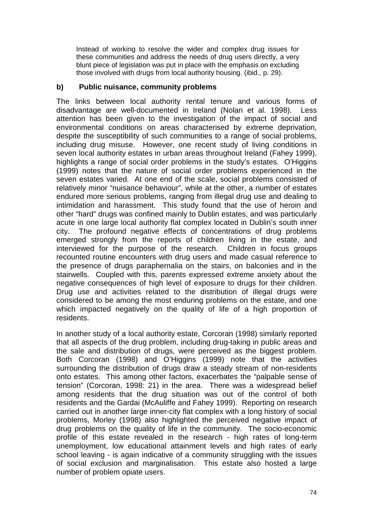Instead of working to resolve the wider and complex drug issues for these communities and address the needs of drug users directly, a very blunt piece of legislation was put in place with the emphasis on excluding those involved with drugs from local authority housing. (ibid., p. 29).

### **b) Public nuisance, community problems**

The links between local authority rental tenure and various forms of disadvantage are well-documented in Ireland (Nolan et al. 1998). Less attention has been given to the investigation of the impact of social and environmental conditions on areas characterised by extreme deprivation, despite the susceptibility of such communities to a range of social problems, including drug misuse. However, one recent study of living conditions in seven local authority estates in urban areas throughout Ireland (Fahey 1999), highlights a range of social order problems in the study's estates. O'Higgins (1999) notes that the nature of social order problems experienced in the seven estates varied. At one end of the scale, social problems consisted of relatively minor "nuisance behaviour", while at the other, a number of estates endured more serious problems, ranging from illegal drug use and dealing to intimidation and harassment. This study found that the use of heroin and other "hard" drugs was confined mainly to Dublin estates, and was particularly acute in one large local authority flat complex located in Dublin's south inner city. The profound negative effects of concentrations of drug problems emerged strongly from the reports of children living in the estate, and interviewed for the purpose of the research. Children in focus groups recounted routine encounters with drug users and made casual reference to the presence of drugs paraphernalia on the stairs, on balconies and in the stairwells. Coupled with this, parents expressed extreme anxiety about the negative consequences of high level of exposure to drugs for their children. Drug use and activities related to the distribution of illegal drugs were considered to be among the most enduring problems on the estate, and one which impacted negatively on the quality of life of a high proportion of residents.

In another study of a local authority estate, Corcoran (1998) similarly reported that all aspects of the drug problem, including drug-taking in public areas and the sale and distribution of drugs, were perceived as the biggest problem. Both Corcoran (1998) and O'Higgins (1999) note that the activities surrounding the distribution of drugs draw a steady stream of non-residents onto estates. This among other factors, exacerbates the "palpable sense of tension" (Corcoran, 1998: 21) in the area. There was a widespread belief among residents that the drug situation was out of the control of both residents and the Gardai (McAuliffe and Fahey 1999). Reporting on research carried out in another large inner-city flat complex with a long history of social problems, Morley (1998) also highlighted the perceived negative impact of drug problems on the quality of life in the community. The socio-economic profile of this estate revealed in the research - high rates of long-term unemployment, low educational attainment levels and high rates of early school leaving - is again indicative of a community struggling with the issues of social exclusion and marginalisation. This estate also hosted a large number of problem opiate users.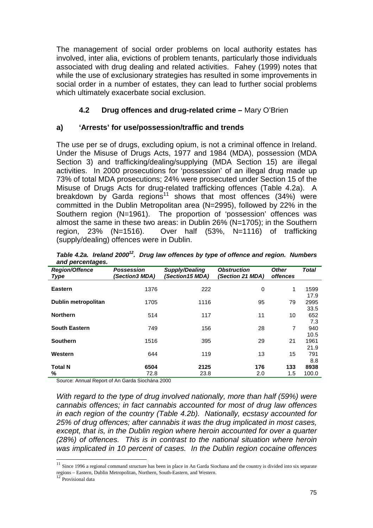The management of social order problems on local authority estates has involved, inter alia, evictions of problem tenants, particularly those individuals associated with drug dealing and related activities. Fahey (1999) notes that while the use of exclusionary strategies has resulted in some improvements in social order in a number of estates, they can lead to further social problems which ultimately exacerbate social exclusion.

# **4.2 Drug offences and drug-related crime –** Mary O'Brien

# **a) 'Arrests' for use/possession/traffic and trends**

The use per se of drugs, excluding opium, is not a criminal offence in Ireland. Under the Misuse of Drugs Acts, 1977 and 1984 (MDA), possession (MDA Section 3) and trafficking/dealing/supplying (MDA Section 15) are illegal activities. In 2000 prosecutions for 'possession' of an illegal drug made up 73% of total MDA prosecutions; 24% were prosecuted under Section 15 of the Misuse of Drugs Acts for drug-related trafficking offences (Table 4.2a). A breakdown by Garda regions<sup>11</sup> shows that most offences  $(34%)$  were committed in the Dublin Metropolitan area (N=2995), followed by 22% in the Southern region (N=1961). The proportion of 'possession' offences was almost the same in these two areas: in Dublin 26% (N=1705); in the Southern region, 23% (N=1516). Over half (53%, N=1116) of trafficking (supply/dealing) offences were in Dublin.

| $\frac{1}{2}$<br><b>Region/Offence</b><br><b>Type</b> | <b>Possession</b><br><i>(Section3 MDA)</i> | Supply/Dealing<br>(Section15 MDA) | <b>Obstruction</b><br>(Section 21 MDA) | <b>Other</b><br><i>offences</i> | <b>Total</b> |
|-------------------------------------------------------|--------------------------------------------|-----------------------------------|----------------------------------------|---------------------------------|--------------|
| <b>Eastern</b>                                        | 1376                                       | 222                               | 0                                      | 1                               | 1599<br>17.9 |
| Dublin metropolitan                                   | 1705                                       | 1116                              | 95                                     | 79                              | 2995<br>33.5 |
| <b>Northern</b>                                       | 514                                        | 117                               | 11                                     | 10                              | 652<br>7.3   |
| <b>South Eastern</b>                                  | 749                                        | 156                               | 28                                     | $\overline{7}$                  | 940<br>10.5  |
| <b>Southern</b>                                       | 1516                                       | 395                               | 29                                     | 21                              | 1961<br>21.9 |
| Western                                               | 644                                        | 119                               | 13                                     | 15                              | 791<br>8.8   |
| <b>Total N</b>                                        | 6504                                       | 2125                              | 176                                    | 133                             | 8938         |
| %                                                     | 72.8                                       | 23.8                              | 2.0                                    | 1.5                             | 100.0        |

*Table 4.2a. Ireland 2000<sup>12</sup>. Drug law offences by type of offence and region. Numbers and percentages.* 

Source: Annual Report of An Garda Siochána 2000

*With regard to the type of drug involved nationally, more than half (59%) were cannabis offences; in fact cannabis accounted for most of drug law offences in each region of the country (Table 4.2b). Nationally, ecstasy accounted for 25% of drug offences; after cannabis it was the drug implicated in most cases, except, that is, in the Dublin region where heroin accounted for over a quarter (28%) of offences. This is in contrast to the national situation where heroin was implicated in 10 percent of cases. In the Dublin region cocaine offences* 

l

 $11$  Since 1996 a regional command structure has been in place in An Garda Siochana and the country is divided into six separate regions – Eastern, Dublin Metropolitan, Northern, South-Eastern, and Western.

Provisional data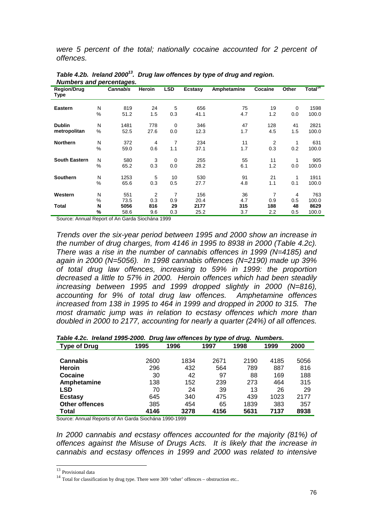*were 5 percent of the total; nationally cocaine accounted for 2 percent of offences.* 

| <u>NUMBER'S AND DETCHILIQUES.</u> |      |                 |               |            |                |             |                |       |                                |
|-----------------------------------|------|-----------------|---------------|------------|----------------|-------------|----------------|-------|--------------------------------|
| <b>Region/Drug</b><br>Type        |      | <b>Cannabis</b> | <b>Heroin</b> | <b>LSD</b> | <b>Ecstasy</b> | Amphetamine | Cocaine        | Other | $\overline{\text{Total}^{14}}$ |
| <b>Eastern</b>                    | N    | 819             | 24            | 5          | 656            | 75          | 19             | 0     | 1598                           |
|                                   | %    | 51.2            | 1.5           | 0.3        | 41.1           | 4.7         | 1.2            | 0.0   | 100.0                          |
| <b>Dublin</b>                     | N    | 1481            | 778           | 0          | 346            | 47          | 128            | 41    | 2821                           |
| metropolitan                      | %    | 52.5            | 27.6          | 0.0        | 12.3           | 1.7         | 4.5            | 1.5   | 100.0                          |
| <b>Northern</b>                   | N    | 372             | 4             | 7          | 234            | 11          | $\overline{2}$ | 1     | 631                            |
|                                   | %    | 59.0            | 0.6           | 1.1        | 37.1           | 1.7         | 0.3            | 0.2   | 100.0                          |
| <b>South Eastern</b>              | N    | 580             | 3             | 0          | 255            | 55          | 11             | 1     | 905                            |
|                                   | %    | 65.2            | 0.3           | 0.0        | 28.2           | 6.1         | 1.2            | 0.0   | 100.0                          |
| <b>Southern</b>                   | N    | 1253            | 5             | 10         | 530            | 91          | 21             | 1     | 1911                           |
|                                   | $\%$ | 65.6            | 0.3           | 0.5        | 27.7           | 4.8         | 1.1            | 0.1   | 100.0                          |
| Western                           | N    | 551             | 2             | 7          | 156            | 36          | 7              | 4     | 763                            |
|                                   | %    | 73.5            | 0.3           | 0.9        | 20.4           | 4.7         | 0.9            | 0.5   | 100.0                          |
| <b>Total</b>                      | N    | 5056            | 816           | 29         | 2177           | 315         | 188            | 48    | 8629                           |
|                                   | %    | 58.6            | 9.6           | 0.3        | 25.2           | 3.7         | 2.2            | 0.5   | 100.0                          |

Table 4.2b. Ireland 2000<sup>13</sup>. Drug law offences by type of drug and region. *Numbers and percentages.* 

Source: Annual Report of An Garda Siochána 1999

*Trends over the six-year period between 1995 and 2000 show an increase in the number of drug charges, from 4146 in 1995 to 8938 in 2000 (Table 4.2c). There was a rise in the number of cannabis offences in 1999 (N=4185) and again in 2000 (N=5056). In 1998 cannabis offences (N=2190) made up 39% of total drug law offences, increasing to 59% in 1999: the proportion decreased a little to 57% in 2000. Heroin offences which had been steadily increasing between 1995 and 1999 dropped slightly in 2000 (N=816), accounting for 9% of total drug law offences. Amphetamine offences increased from 138 in 1995 to 464 in 1999 and dropped in 2000 to 315. The most dramatic jump was in relation to ecstasy offences which more than doubled in 2000 to 2177, accounting for nearly a quarter (24%) of all offences.* 

|  | Table 4.2c. Ireland 1995-2000. Drug law offences by type of drug. Numbers. |  |
|--|----------------------------------------------------------------------------|--|
|--|----------------------------------------------------------------------------|--|

|                       |      |      | .    | -    |      |      |
|-----------------------|------|------|------|------|------|------|
| <b>Type of Drug</b>   | 1995 | 1996 | 1997 | 1998 | 1999 | 2000 |
|                       |      |      |      |      |      |      |
| <b>Cannabis</b>       | 2600 | 1834 | 2671 | 2190 | 4185 | 5056 |
| <b>Heroin</b>         | 296  | 432  | 564  | 789  | 887  | 816  |
| Cocaine               | 30   | 42   | 97   | 88   | 169  | 188  |
| Amphetamine           | 138  | 152  | 239  | 273  | 464  | 315  |
| LSD                   | 70   | 24   | 39   | 13   | 26   | 29   |
| <b>Ecstasy</b>        | 645  | 340  | 475  | 439  | 1023 | 2177 |
| <b>Other offences</b> | 385  | 454  | 65   | 1839 | 383  | 357  |
| Total                 | 4146 | 3278 | 4156 | 5631 | 7137 | 8938 |

Source: Annual Reports of An Garda Siochána 1990-1999

*In 2000 cannabis and ecstasy offences accounted for the majority (81%) of offences against the Misuse of Drugs Acts. It is likely that the increase in cannabis and ecstasy offences in 1999 and 2000 was related to intensive* 

<sup>&</sup>lt;sup>13</sup> Provisional data

 $14$  Total for classification by drug type. There were 309 'other' offences – obstruction etc..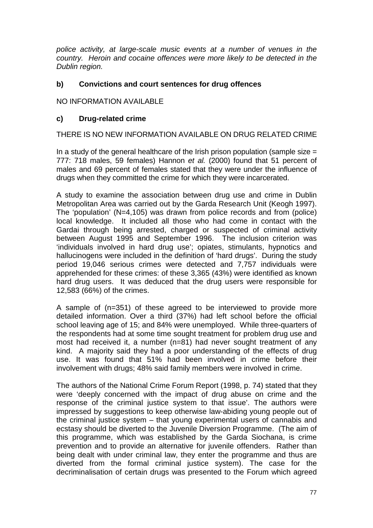*police activity, at large-scale music events at a number of venues in the country. Heroin and cocaine offences were more likely to be detected in the Dublin region.* 

# **b) Convictions and court sentences for drug offences**

NO INFORMATION AVAILABLE

### **c) Drug-related crime**

THERE IS NO NEW INFORMATION AVAILABLE ON DRUG RELATED CRIME

In a study of the general healthcare of the Irish prison population (sample size  $=$ 777: 718 males, 59 females) Hannon *et al.* (2000) found that 51 percent of males and 69 percent of females stated that they were under the influence of drugs when they committed the crime for which they were incarcerated.

A study to examine the association between drug use and crime in Dublin Metropolitan Area was carried out by the Garda Research Unit (Keogh 1997). The 'population' (N=4,105) was drawn from police records and from (police) local knowledge. It included all those who had come in contact with the Gardai through being arrested, charged or suspected of criminal activity between August 1995 and September 1996. The inclusion criterion was 'individuals involved in hard drug use'; opiates, stimulants, hypnotics and hallucinogens were included in the definition of 'hard drugs'. During the study period 19,046 serious crimes were detected and 7,757 individuals were apprehended for these crimes: of these 3,365 (43%) were identified as known hard drug users. It was deduced that the drug users were responsible for 12,583 (66%) of the crimes.

A sample of (n=351) of these agreed to be interviewed to provide more detailed information. Over a third (37%) had left school before the official school leaving age of 15; and 84% were unemployed. While three-quarters of the respondents had at some time sought treatment for problem drug use and most had received it, a number (n=81) had never sought treatment of any kind. A majority said they had a poor understanding of the effects of drug use. It was found that 51% had been involved in crime before their involvement with drugs; 48% said family members were involved in crime.

The authors of the National Crime Forum Report (1998, p. 74) stated that they were 'deeply concerned with the impact of drug abuse on crime and the response of the criminal justice system to that issue'. The authors were impressed by suggestions to keep otherwise law-abiding young people out of the criminal justice system – that young experimental users of cannabis and ecstasy should be diverted to the Juvenile Diversion Programme. (The aim of this programme, which was established by the Garda Siochana, is crime prevention and to provide an alternative for juvenile offenders. Rather than being dealt with under criminal law, they enter the programme and thus are diverted from the formal criminal justice system). The case for the decriminalisation of certain drugs was presented to the Forum which agreed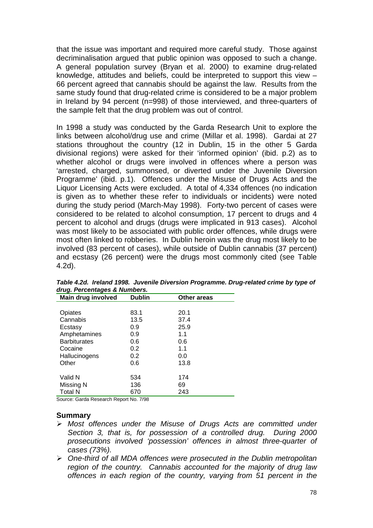that the issue was important and required more careful study. Those against decriminalisation argued that public opinion was opposed to such a change. A general population survey (Bryan et al. 2000) to examine drug-related knowledge, attitudes and beliefs, could be interpreted to support this view – 66 percent agreed that cannabis should be against the law. Results from the same study found that drug-related crime is considered to be a major problem in Ireland by 94 percent (n=998) of those interviewed, and three-quarters of the sample felt that the drug problem was out of control.

In 1998 a study was conducted by the Garda Research Unit to explore the links between alcohol/drug use and crime (Millar et al. 1998). Gardai at 27 stations throughout the country (12 in Dublin, 15 in the other 5 Garda divisional regions) were asked for their 'informed opinion' (ibid. p.2) as to whether alcohol or drugs were involved in offences where a person was 'arrested, charged, summonsed, or diverted under the Juvenile Diversion Programme' (ibid. p.1). Offences under the Misuse of Drugs Acts and the Liquor Licensing Acts were excluded. A total of 4,334 offences (no indication is given as to whether these refer to individuals or incidents) were noted during the study period (March-May 1998). Forty-two percent of cases were considered to be related to alcohol consumption, 17 percent to drugs and 4 percent to alcohol and drugs (drugs were implicated in 913 cases). Alcohol was most likely to be associated with public order offences, while drugs were most often linked to robberies. In Dublin heroin was the drug most likely to be involved (83 percent of cases), while outside of Dublin cannabis (37 percent) and ecstasy (26 percent) were the drugs most commonly cited (see Table 4.2d).

| Other areas                                                                 |
|-----------------------------------------------------------------------------|
|                                                                             |
| 20.1                                                                        |
| 37.4                                                                        |
| 25.9                                                                        |
| 1.1                                                                         |
| 0.6                                                                         |
| 1.1                                                                         |
| 0.0                                                                         |
| 13.8                                                                        |
|                                                                             |
| 174                                                                         |
| 69                                                                          |
| 243                                                                         |
| 83.1<br>13.5<br>0.9<br>0.9<br>0.6<br>0.2<br>0.2<br>0.6<br>534<br>136<br>670 |

*Table 4.2d. Ireland 1998. Juvenile Diversion Programme. Drug-related crime by type of drug. Percentages & Numbers.* 

Source: Garda Research Report No. 7/98

#### **Summary**

- > Most offences under the Misuse of Drugs Acts are committed under *Section 3, that is, for possession of a controlled drug. During 2000 prosecutions involved 'possession' offences in almost three-quarter of cases (73%).*
- -*One-third of all MDA offences were prosecuted in the Dublin metropolitan region of the country. Cannabis accounted for the majority of drug law offences in each region of the country, varying from 51 percent in the*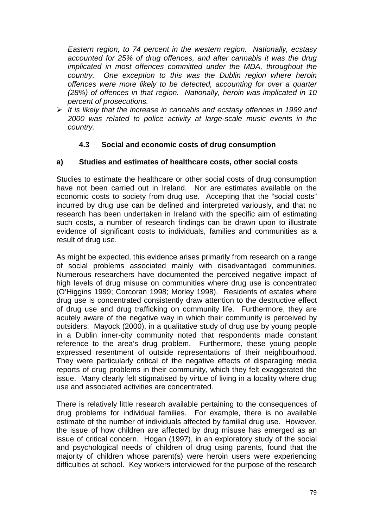*Eastern region, to 74 percent in the western region. Nationally, ecstasy accounted for 25% of drug offences, and after cannabis it was the drug implicated in most offences committed under the MDA, throughout the country. One exception to this was the Dublin region where heroin offences were more likely to be detected, accounting for over a quarter (28%) of offences in that region. Nationally, heroin was implicated in 10 percent of prosecutions.* 

> It is likely that the increase in cannabis and ecstasy offences in 1999 and *2000 was related to police activity at large-scale music events in the country.* 

# **4.3 Social and economic costs of drug consumption**

# **a) Studies and estimates of healthcare costs, other social costs**

Studies to estimate the healthcare or other social costs of drug consumption have not been carried out in Ireland. Nor are estimates available on the economic costs to society from drug use. Accepting that the "social costs" incurred by drug use can be defined and interpreted variously, and that no research has been undertaken in Ireland with the specific aim of estimating such costs, a number of research findings can be drawn upon to illustrate evidence of significant costs to individuals, families and communities as a result of drug use.

As might be expected, this evidence arises primarily from research on a range of social problems associated mainly with disadvantaged communities. Numerous researchers have documented the perceived negative impact of high levels of drug misuse on communities where drug use is concentrated (O'Higgins 1999; Corcoran 1998; Morley 1998). Residents of estates where drug use is concentrated consistently draw attention to the destructive effect of drug use and drug trafficking on community life. Furthermore, they are acutely aware of the negative way in which their community is perceived by outsiders. Mayock (2000), in a qualitative study of drug use by young people in a Dublin inner-city community noted that respondents made constant reference to the area's drug problem. Furthermore, these young people expressed resentment of outside representations of their neighbourhood. They were particularly critical of the negative effects of disparaging media reports of drug problems in their community, which they felt exaggerated the issue. Many clearly felt stigmatised by virtue of living in a locality where drug use and associated activities are concentrated.

There is relatively little research available pertaining to the consequences of drug problems for individual families. For example, there is no available estimate of the number of individuals affected by familial drug use. However, the issue of how children are affected by drug misuse has emerged as an issue of critical concern. Hogan (1997), in an exploratory study of the social and psychological needs of children of drug using parents, found that the majority of children whose parent(s) were heroin users were experiencing difficulties at school. Key workers interviewed for the purpose of the research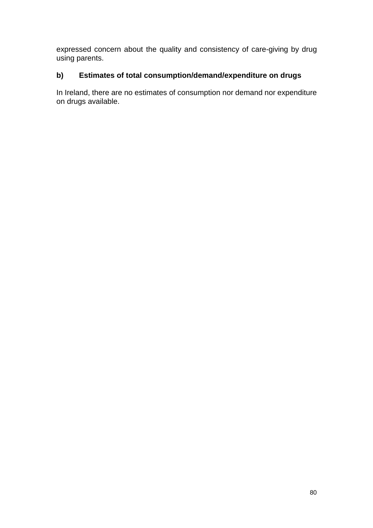expressed concern about the quality and consistency of care-giving by drug using parents.

# **b) Estimates of total consumption/demand/expenditure on drugs**

In Ireland, there are no estimates of consumption nor demand nor expenditure on drugs available.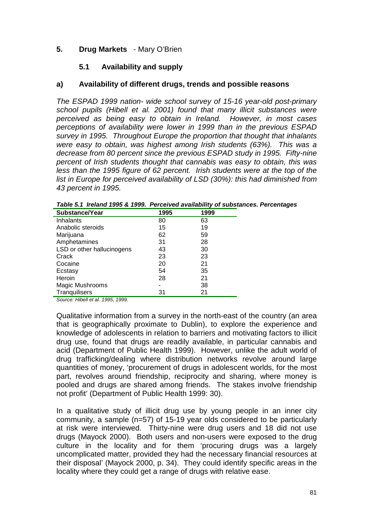# **5. Drug Markets** - Mary O'Brien

### **5.1 Availability and supply**

# **a) Availability of different drugs, trends and possible reasons**

*The ESPAD 1999 nation- wide school survey of 15-16 year-old post-primary school pupils (Hibell et al. 2001) found that many illicit substances were perceived as being easy to obtain in Ireland. However, in most cases perceptions of availability were lower in 1999 than in the previous ESPAD survey in 1995. Throughout Europe the proportion that thought that inhalants were easy to obtain, was highest among Irish students (63%). This was a decrease from 80 percent since the previous ESPAD study in 1995. Fifty-nine percent of Irish students thought that cannabis was easy to obtain, this was less than the 1995 figure of 62 percent. Irish students were at the top of the list in Europe for perceived availability of LSD (30%): this had diminished from 43 percent in 1995.* 

| Substance/Year             | 1995 | 1999 |  |
|----------------------------|------|------|--|
| Inhalants                  | 80   | 63   |  |
| Anabolic steroids          | 15   | 19   |  |
| Marijuana                  | 62   | 59   |  |
| Amphetamines               | 31   | 28   |  |
| LSD or other hallucinogens | 43   | 30   |  |
| Crack                      | 23   | 23   |  |
| Cocaine                    | 20   | 21   |  |
| Ecstasy                    | 54   | 35   |  |
| <b>Heroin</b>              | 28   | 21   |  |
| Magic Mushrooms            |      | 38   |  |
| Tranquilisers              | 31   | 21   |  |

*Table 5.1 Ireland 1995 & 1999. Perceived availability of substances. Percentages* 

*Source: Hibell et al. 1995, 1999.* 

Qualitative information from a survey in the north-east of the country (an area that is geographically proximate to Dublin), to explore the experience and knowledge of adolescents in relation to barriers and motivating factors to illicit drug use, found that drugs are readily available, in particular cannabis and acid (Department of Public Health 1999). However, unlike the adult world of drug trafficking/dealing where distribution networks revolve around large quantities of money, 'procurement of drugs in adolescent worlds, for the most part, revolves around friendship, reciprocity and sharing, where money is pooled and drugs are shared among friends. The stakes involve friendship not profit' (Department of Public Health 1999: 30).

In a qualitative study of illicit drug use by young people in an inner city community, a sample (n=57) of 15-19 year olds considered to be particularly at risk were interviewed. Thirty-nine were drug users and 18 did not use drugs (Mayock 2000). Both users and non-users were exposed to the drug culture in the locality and for them 'procuring drugs was a largely uncomplicated matter, provided they had the necessary financial resources at their disposal' (Mayock 2000, p. 34). They could identify specific areas in the locality where they could get a range of drugs with relative ease.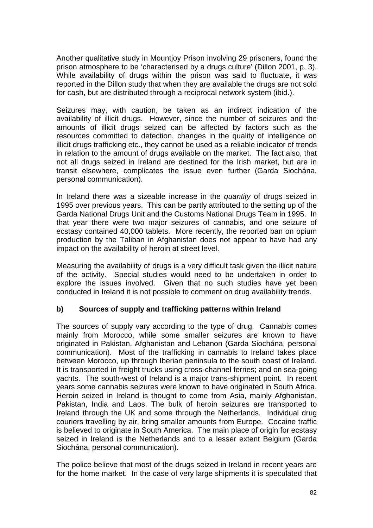Another qualitative study in Mountjoy Prison involving 29 prisoners, found the prison atmosphere to be 'characterised by a drugs culture' (Dillon 2001, p. 3). While availability of drugs within the prison was said to fluctuate, it was reported in the Dillon study that when they are available the drugs are not sold for cash, but are distributed through a reciprocal network system (ibid.).

Seizures may, with caution, be taken as an indirect indication of the availability of illicit drugs. However, since the number of seizures and the amounts of illicit drugs seized can be affected by factors such as the resources committed to detection, changes in the quality of intelligence on illicit drugs trafficking etc., they cannot be used as a reliable indicator of trends in relation to the amount of drugs available on the market. The fact also, that not all drugs seized in Ireland are destined for the Irish market, but are in transit elsewhere, complicates the issue even further (Garda Siochána, personal communication).

In Ireland there was a sizeable increase in the *quantity* of drugs seized in 1995 over previous years. This can be partly attributed to the setting up of the Garda National Drugs Unit and the Customs National Drugs Team in 1995. In that year there were two major seizures of cannabis, and one seizure of ecstasy contained 40,000 tablets. More recently, the reported ban on opium production by the Taliban in Afghanistan does not appear to have had any impact on the availability of heroin at street level.

Measuring the availability of drugs is a very difficult task given the illicit nature of the activity. Special studies would need to be undertaken in order to explore the issues involved. Given that no such studies have yet been conducted in Ireland it is not possible to comment on drug availability trends.

# **b) Sources of supply and trafficking patterns within Ireland**

The sources of supply vary according to the type of drug. Cannabis comes mainly from Morocco, while some smaller seizures are known to have originated in Pakistan, Afghanistan and Lebanon (Garda Siochána, personal communication). Most of the trafficking in cannabis to Ireland takes place between Morocco, up through Iberian peninsula to the south coast of Ireland. It is transported in freight trucks using cross-channel ferries; and on sea-going yachts. The south-west of Ireland is a major trans-shipment point. In recent years some cannabis seizures were known to have originated in South Africa. Heroin seized in Ireland is thought to come from Asia, mainly Afghanistan, Pakistan, India and Laos. The bulk of heroin seizures are transported to Ireland through the UK and some through the Netherlands. Individual drug couriers travelling by air, bring smaller amounts from Europe. Cocaine traffic is believed to originate in South America. The main place of origin for ecstasy seized in Ireland is the Netherlands and to a lesser extent Belgium (Garda Siochána, personal communication).

The police believe that most of the drugs seized in Ireland in recent years are for the home market. In the case of very large shipments it is speculated that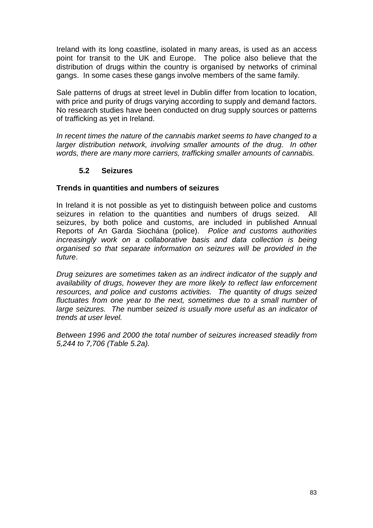Ireland with its long coastline, isolated in many areas, is used as an access point for transit to the UK and Europe. The police also believe that the distribution of drugs within the country is organised by networks of criminal gangs. In some cases these gangs involve members of the same family.

Sale patterns of drugs at street level in Dublin differ from location to location, with price and purity of drugs varying according to supply and demand factors. No research studies have been conducted on drug supply sources or patterns of trafficking as yet in Ireland.

*In recent times the nature of the cannabis market seems to have changed to a larger distribution network, involving smaller amounts of the drug. In other words, there are many more carriers, trafficking smaller amounts of cannabis.* 

# **5.2 Seizures**

### **Trends in quantities and numbers of seizures**

In Ireland it is not possible as yet to distinguish between police and customs seizures in relation to the quantities and numbers of drugs seized. All seizures, by both police and customs, are included in published Annual Reports of An Garda Siochána (police). *Police and customs authorities increasingly work on a collaborative basis and data collection is being organised so that separate information on seizures will be provided in the future*.

*Drug seizures are sometimes taken as an indirect indicator of the supply and availability of drugs, however they are more likely to reflect law enforcement resources, and police and customs activities. The* quantity *of drugs seized*  fluctuates from one year to the next, sometimes due to a small number of *large seizures. The* number *seized is usually more useful as an indicator of trends at user level.* 

*Between 1996 and 2000 the total number of seizures increased steadily from 5,244 to 7,706 (Table 5.2a).*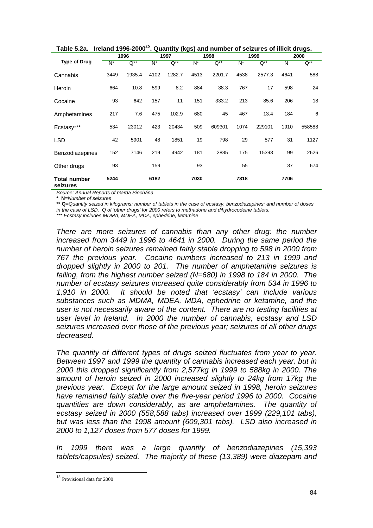|                                 |       |        |       | י-ت י    |       |          |       |          |      |          |
|---------------------------------|-------|--------|-------|----------|-------|----------|-------|----------|------|----------|
|                                 |       | 1996   |       | 1997     |       | 1998     |       | 1999     |      | 2000     |
| <b>Type of Drug</b>             | $N^*$ | Q**    | $N^*$ | $Q^{**}$ | $N^*$ | $Q^{**}$ | $N^*$ | $Q^{**}$ | N    | $Q^{**}$ |
| Cannabis                        | 3449  | 1935.4 | 4102  | 1282.7   | 4513  | 2201.7   | 4538  | 2577.3   | 4641 | 588      |
| Heroin                          | 664   | 10.8   | 599   | 8.2      | 884   | 38.3     | 767   | 17       | 598  | 24       |
| Cocaine                         | 93    | 642    | 157   | 11       | 151   | 333.2    | 213   | 85.6     | 206  | 18       |
| Amphetamines                    | 217   | 7.6    | 475   | 102.9    | 680   | 45       | 467   | 13.4     | 184  | 6        |
| Ecstasy***                      | 534   | 23012  | 423   | 20434    | 509   | 609301   | 1074  | 229101   | 1910 | 558588   |
| <b>LSD</b>                      | 42    | 5901   | 48    | 1851     | 19    | 798      | 29    | 577      | 31   | 1127     |
| Benzodiazepines                 | 152   | 7146   | 219   | 4942     | 181   | 2885     | 175   | 15393    | 99   | 2626     |
| Other drugs                     | 93    |        | 159   |          | 93    |          | 55    |          | 37   | 674      |
| <b>Total number</b><br>seizures | 5244  |        | 6182  |          | 7030  |          | 7318  |          | 7706 |          |

|  |  |  |  | Table 5.2a. Ireland 1996-2000 <sup>15</sup> . Quantity (kgs) and number of seizures of illicit drugs. |
|--|--|--|--|-------------------------------------------------------------------------------------------------------|
|--|--|--|--|-------------------------------------------------------------------------------------------------------|

*Source: Annual Reports of Garda Siochána* 

**\* N***=Number of seizures* 

**\*\* Q***=Quantity seized in kilograms; number of tablets in the case of ecstasy, benzodiazepines; and number of doses* 

*in the case of LSD. Q of 'other drugs' for 2000 refers to methadone and dihydrocodeine tablets.* 

*\*\*\* Ecstasy includes MDMA, MDEA, MDA, ephedrine, ketamine* 

*There are more seizures of cannabis than any other drug: the number increased from 3449 in 1996 to 4641 in 2000. During the same period the number of heroin seizures remained fairly stable dropping to 598 in 2000 from 767 the previous year. Cocaine numbers increased to 213 in 1999 and dropped slightly in 2000 to 201. The number of amphetamine seizures is falling, from the highest number seized (N=680) in 1998 to 184 in 2000. The number of ecstasy seizures increased quite considerably from 534 in 1996 to 1,910 in 2000. It should be noted that 'ecstasy' can include various substances such as MDMA, MDEA, MDA, ephedrine or ketamine, and the user is not necessarily aware of the content. There are no testing facilities at user level in Ireland. In 2000 the number of cannabis, ecstasy and LSD seizures increased over those of the previous year; seizures of all other drugs decreased.* 

*The quantity of different types of drugs seized fluctuates from year to year. Between 1997 and 1999 the quantity of cannabis increased each year, but in 2000 this dropped significantly from 2,577kg in 1999 to 588kg in 2000. The amount of heroin seized in 2000 increased slightly to 24kg from 17kg the previous year. Except for the large amount seized in 1998, heroin seizures have remained fairly stable over the five-year period 1996 to 2000. Cocaine quantities are down considerably, as are amphetamines. The quantity of ecstasy seized in 2000 (558,588 tabs) increased over 1999 (229,101 tabs), but was less than the 1998 amount (609,301 tabs). LSD also increased in 2000 to 1,127 doses from 577 doses for 1999.* 

*In 1999 there was a large quantity of benzodiazepines (15,393 tablets/capsules) seized. The majority of these (13,389) were diazepam and* 

l

<sup>15</sup> Provisional data for 2000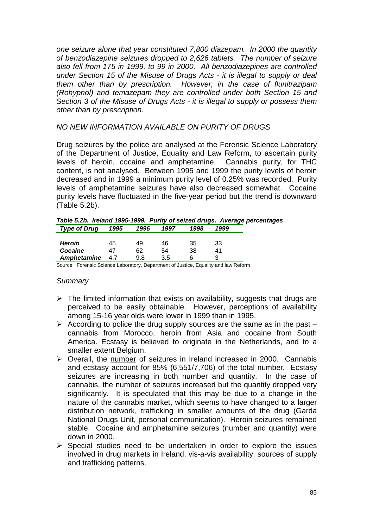*one seizure alone that year constituted 7,800 diazepam. In 2000 the quantity of benzodiazepine seizures dropped to 2,626 tablets. The number of seizure also fell from 175 in 1999, to 99 in 2000. All benzodiazepines are controlled under Section 15 of the Misuse of Drugs Acts - it is illegal to supply or deal them other than by prescription. However, in the case of flunitrazipam (Rohypnol) and temazepam they are controlled under both Section 15 and Section 3 of the Misuse of Drugs Acts - it is illegal to supply or possess them other than by prescription.* 

# *NO NEW INFORMATION AVAILABLE ON PURITY OF DRUGS*

Drug seizures by the police are analysed at the Forensic Science Laboratory of the Department of Justice, Equality and Law Reform, to ascertain purity levels of heroin, cocaine and amphetamine. Cannabis purity, for THC content, is not analysed. Between 1995 and 1999 the purity levels of heroin decreased and in 1999 a minimum purity level of 0.25% was recorded. Purity levels of amphetamine seizures have also decreased somewhat. Cocaine purity levels have fluctuated in the five-year period but the trend is downward (Table 5.2b).

|                   |  |        |      |      |      | Table 5.2b. Ireland 1995-1999. Purity of seized drugs. Average percentages |
|-------------------|--|--------|------|------|------|----------------------------------------------------------------------------|
| Type of Drug 1995 |  | , 1996 | 1997 | 1998 | 1999 |                                                                            |

|               | .   | .   | .   | .  | .  |
|---------------|-----|-----|-----|----|----|
|               |     |     |     |    |    |
| <b>Heroin</b> | 45  | 49  | 46  | 35 | 33 |
| Cocaine       |     | 62  | 54  | 38 |    |
| Amphetamine   | 4.7 | 9.8 | 3.5 |    |    |
|               |     |     |     |    |    |

Source: Forensic Science Laboratory, Department of Justice, Equality and law Reform

### *Summary*

- > The limited information that exists on availability, suggests that drugs are perceived to be easily obtainable. However, perceptions of availability among 15-16 year olds were lower in 1999 than in 1995.
- $\triangleright$  According to police the drug supply sources are the same as in the past  $$ cannabis from Morocco, heroin from Asia and cocaine from South America. Ecstasy is believed to originate in the Netherlands, and to a smaller extent Belgium.
- ▶ Overall, the number of seizures in Ireland increased in 2000. Cannabis and ecstasy account for 85% (6,551/7,706) of the total number*.* Ecstasy seizures are increasing in both number and quantity. In the case of cannabis, the number of seizures increased but the quantity dropped very significantly. It is speculated that this may be due to a change in the nature of the cannabis market, which seems to have changed to a larger distribution network, trafficking in smaller amounts of the drug (Garda National Drugs Unit, personal communication). Heroin seizures remained stable. Cocaine and amphetamine seizures (number and quantity) were down in 2000.
- > Special studies need to be undertaken in order to explore the issues involved in drug markets in Ireland, vis-a-vis availability, sources of supply and trafficking patterns.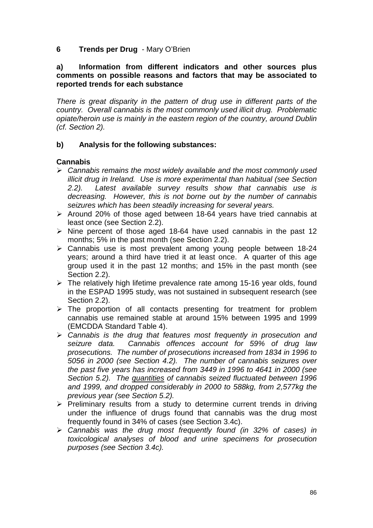# **6 Trends per Drug** - Mary O'Brien

### **a) Information from different indicators and other sources plus comments on possible reasons and factors that may be associated to reported trends for each substance**

*There is great disparity in the pattern of drug use in different parts of the country. Overall cannabis is the most commonly used illicit drug. Problematic opiate/heroin use is mainly in the eastern region of the country, around Dublin (cf. Section 2).* 

# **b) Analysis for the following substances:**

# **Cannabis**

- -*Cannabis remains the most widely available and the most commonly used illicit drug in Ireland. Use is more experimental than habitual (see Section 2.2). Latest available survey results show that cannabis use is decreasing. However, this is not borne out by the number of cannabis seizures which has been steadily increasing for several years.*
- > Around 20% of those aged between 18-64 years have tried cannabis at least once (see Section 2.2).
- > Nine percent of those aged 18-64 have used cannabis in the past 12 months; 5% in the past month (see Section 2.2).
- > Cannabis use is most prevalent among young people between 18-24 years; around a third have tried it at least once. A quarter of this age group used it in the past 12 months; and 15% in the past month (see Section 2.2).
- > The relatively high lifetime prevalence rate among 15-16 year olds, found in the ESPAD 1995 study, was not sustained in subsequent research (see Section 2.2).
- > The proportion of all contacts presenting for treatment for problem cannabis use remained stable at around 15% between 1995 and 1999 (EMCDDA Standard Table 4).
- -*Cannabis is the drug that features most frequently in prosecution and seizure data. Cannabis offences account for 59% of drug law prosecutions. The number of prosecutions increased from 1834 in 1996 to 5056 in 2000 (see Section 4.2). The number of cannabis seizures over the past five years has increased from 3449 in 1996 to 4641 in 2000 (see Section 5.2). The quantities of cannabis seized fluctuated between 1996 and 1999, and dropped considerably in 2000 to 588kg, from 2,577kg the previous year (see Section 5.2).*
- > Preliminary results from a study to determine current trends in driving under the influence of drugs found that cannabis was the drug most frequently found in 34% of cases (see Section 3.4c).
- -*Cannabis was the drug most frequently found (in 32% of cases) in toxicological analyses of blood and urine specimens for prosecution purposes (see Section 3.4c).*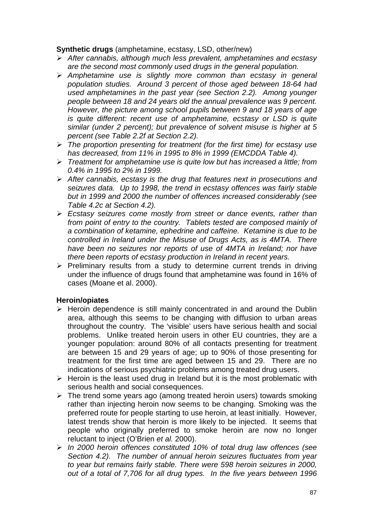### **Synthetic drugs** (amphetamine, ecstasy, LSD, other/new)

- -*After cannabis, although much less prevalent, amphetamines and ecstasy are the second most commonly used drugs in the general population.*
- -*Amphetamine use is slightly more common than ecstasy in general population studies. Around 3 percent of those aged between 18-64 had used amphetamines in the past year (see Section 2.2). Among younger people between 18 and 24 years old the annual prevalence was 9 percent. However, the picture among school pupils between 9 and 18 years of age is quite different: recent use of amphetamine, ecstasy or LSD is quite similar (under 2 percent); but prevalence of solvent misuse is higher at 5 percent (see Table 2.2f at Section 2.2).*
- -*The proportion presenting for treatment (for the first time) for ecstasy use has decreased, from 11% in 1995 to 8% in 1999 (EMCDDA Table 4).*
- -*Treatment for amphetamine use is quite low but has increased a little; from 0.4% in 1995 to 2% in 1999.*
- -*After cannabis, ecstasy is the drug that features next in prosecutions and seizures data. Up to 1998, the trend in ecstasy offences was fairly stable but in 1999 and 2000 the number of offences increased considerably (see Table 4.2c at Section 4.2).*
- > Ecstasy seizures come mostly from street or dance events, rather than *from point of entry to the country. Tablets tested are composed mainly of a combination of ketamine, ephedrine and caffeine. Ketamine is due to be controlled in Ireland under the Misuse of Drugs Acts, as is 4MTA. There have been no seizures nor reports of use of 4MTA in Ireland; nor have there been reports of ecstasy production in Ireland in recent years.*
- > Preliminary results from a study to determine current trends in driving under the influence of drugs found that amphetamine was found in 16% of cases (Moane et al. 2000).

### **Heroin/opiates**

- > Heroin dependence is still mainly concentrated in and around the Dublin area, although this seems to be changing with diffusion to urban areas throughout the country. The 'visible' users have serious health and social problems. Unlike treated heroin users in other EU countries, they are a younger population: around 80% of all contacts presenting for treatment are between 15 and 29 years of age; up to 90% of those presenting for treatment for the first time are aged between 15 and 29. There are no indications of serious psychiatric problems among treated drug users.
- $\triangleright$  Heroin is the least used drug in Ireland but it is the most problematic with serious health and social consequences.
- > The trend some years ago (among treated heroin users) towards smoking rather than injecting heroin now seems to be changing. Smoking was the preferred route for people starting to use heroin, at least initially. However, latest trends show that heroin is more likely to be injected. It seems that people who originally preferred to smoke heroin are now no longer reluctant to inject (O'Brien *et al.* 2000).
- -*In 2000 heroin offences constituted 10% of total drug law offences (see Section 4.2). The number of annual heroin seizures fluctuates from year to year but remains fairly stable. There were 598 heroin seizures in 2000, out of a total of 7,706 for all drug types. In the five years between 1996*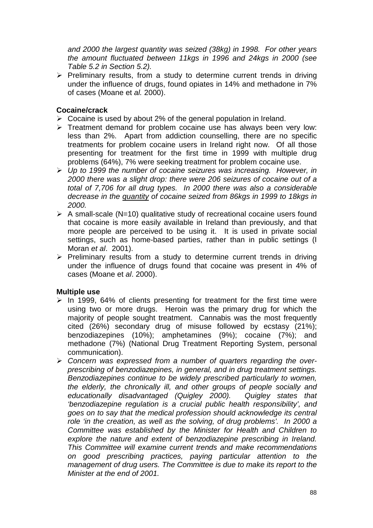*and 2000 the largest quantity was seized (38kg) in 1998. For other years the amount fluctuated between 11kgs in 1996 and 24kgs in 2000 (see Table 5.2 in Section 5.2).* 

> Preliminary results, from a study to determine current trends in driving under the influence of drugs, found opiates in 14% and methadone in 7% of cases (Moane et *al.* 2000).

# **Cocaine/crack**

- ▶ Cocaine is used by about 2% of the general population in Ireland.
- > Treatment demand for problem cocaine use has always been very low: less than 2%. Apart from addiction counselling, there are no specific treatments for problem cocaine users in Ireland right now. Of all those presenting for treatment for the first time in 1999 with multiple drug problems (64%), 7% were seeking treatment for problem cocaine use.
- -*Up to 1999 the number of cocaine seizures was increasing. However, in 2000 there was a slight drop: there were 206 seizures of cocaine out of a total of 7,706 for all drug types. In 2000 there was also a considerable decrease in the quantity of cocaine seized from 86kgs in 1999 to 18kgs in 2000.*
- > A small-scale (N=10) qualitative study of recreational cocaine users found that cocaine is more easily available in Ireland than previously, and that more people are perceived to be using it. It is used in private social settings, such as home-based parties, rather than in public settings (I Moran *et al*. 2001).
- > Preliminary results from a study to determine current trends in driving under the influence of drugs found that cocaine was present in 4% of cases (Moane et *al*. 2000).

# **Multiple use**

- > In 1999, 64% of clients presenting for treatment for the first time were using two or more drugs. Heroin was the primary drug for which the majority of people sought treatment. Cannabis was the most frequently cited (26%) secondary drug of misuse followed by ecstasy (21%); benzodiazepines (10%); amphetamines (9%); cocaine (7%); and methadone (7%) (National Drug Treatment Reporting System, personal communication).
- -*Concern was expressed from a number of quarters regarding the overprescribing of benzodiazepines, in general, and in drug treatment settings. Benzodiazepines continue to be widely prescribed particularly to women, the elderly, the chronically ill, and other groups of people socially and educationally disadvantaged (Quigley 2000). Quigley states that 'benzodiazepine regulation is a crucial public health responsibility', and goes on to say that the medical profession should acknowledge its central role 'in the creation, as well as the solving, of drug problems'. In 2000 a Committee was established by the Minister for Health and Children to explore the nature and extent of benzodiazepine prescribing in Ireland. This Committee will examine current trends and make recommendations on good prescribing practices, paying particular attention to the management of drug users. The Committee is due to make its report to the Minister at the end of 2001.*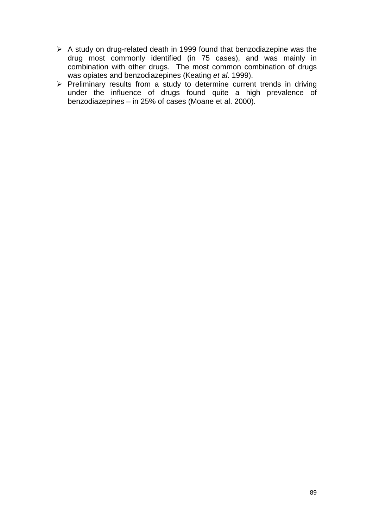- A study on drug-related death in 1999 found that benzodiazepine was the drug most commonly identified (in 75 cases), and was mainly in combination with other drugs. The most common combination of drugs was opiates and benzodiazepines (Keating *et al*. 1999).
- > Preliminary results from a study to determine current trends in driving under the influence of drugs found quite a high prevalence of benzodiazepines – in 25% of cases (Moane et al. 2000).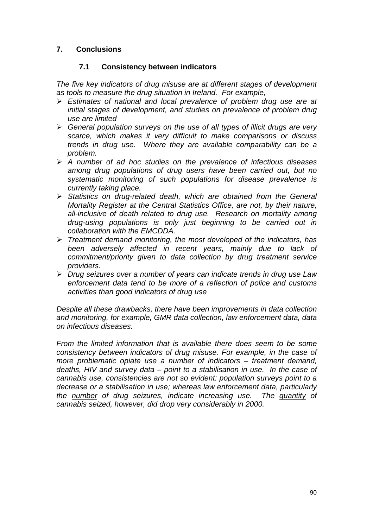# **7. Conclusions**

# **7.1 Consistency between indicators**

*The five key indicators of drug misuse are at different stages of development as tools to measure the drug situation in Ireland. For example,* 

- -*Estimates of national and local prevalence of problem drug use are at initial stages of development, and studies on prevalence of problem drug use are limited*
- -*General population surveys on the use of all types of illicit drugs are very scarce, which makes it very difficult to make comparisons or discuss trends in drug use. Where they are available comparability can be a problem.*
- -*A number of ad hoc studies on the prevalence of infectious diseases among drug populations of drug users have been carried out, but no systematic monitoring of such populations for disease prevalence is currently taking place.*
- > Statistics on drug-related death, which are obtained from the General *Mortality Register at the Central Statistics Office, are not, by their nature, all-inclusive of death related to drug use. Research on mortality among drug-using populations is only just beginning to be carried out in collaboration with the EMCDDA.*
- -*Treatment demand monitoring, the most developed of the indicators, has been adversely affected in recent years, mainly due to lack of commitment/priority given to data collection by drug treatment service providers.*
- -*Drug seizures over a number of years can indicate trends in drug use Law enforcement data tend to be more of a reflection of police and customs activities than good indicators of drug use*

*Despite all these drawbacks, there have been improvements in data collection and monitoring, for example, GMR data collection, law enforcement data, data on infectious diseases.* 

*From the limited information that is available there does seem to be some consistency between indicators of drug misuse. For example, in the case of more problematic opiate use a number of indicators – treatment demand, deaths, HIV and survey data – point to a stabilisation in use. In the case of cannabis use, consistencies are not so evident: population surveys point to a decrease or a stabilisation in use; whereas law enforcement data, particularly the number of drug seizures, indicate increasing use. The quantity of cannabis seized, however, did drop very considerably in 2000.*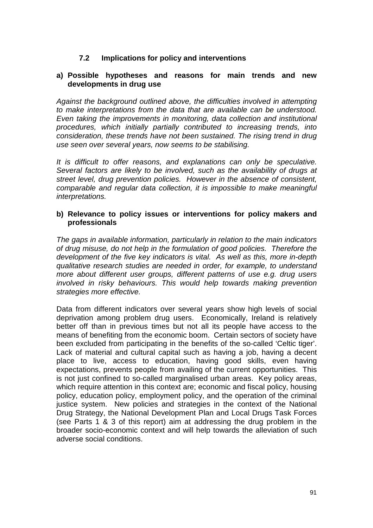# **7.2 Implications for policy and interventions**

#### **a) Possible hypotheses and reasons for main trends and new developments in drug use**

*Against the background outlined above, the difficulties involved in attempting to make interpretations from the data that are available can be understood. Even taking the improvements in monitoring, data collection and institutional procedures, which initially partially contributed to increasing trends, into consideration, these trends have not been sustained. The rising trend in drug use seen over several years, now seems to be stabilising.* 

*It is difficult to offer reasons, and explanations can only be speculative. Several factors are likely to be involved, such as the availability of drugs at street level, drug prevention policies. However in the absence of consistent, comparable and regular data collection, it is impossible to make meaningful interpretations.* 

### **b) Relevance to policy issues or interventions for policy makers and professionals**

*The gaps in available information, particularly in relation to the main indicators of drug misuse, do not help in the formulation of good policies. Therefore the development of the five key indicators is vital. As well as this, more in-depth qualitative research studies are needed in order, for example, to understand more about different user groups, different patterns of use e.g. drug users involved in risky behaviours. This would help towards making prevention strategies more effective.* 

Data from different indicators over several years show high levels of social deprivation among problem drug users. Economically, Ireland is relatively better off than in previous times but not all its people have access to the means of benefiting from the economic boom. Certain sectors of society have been excluded from participating in the benefits of the so-called 'Celtic tiger'. Lack of material and cultural capital such as having a job, having a decent place to live, access to education, having good skills, even having expectations, prevents people from availing of the current opportunities. This is not just confined to so-called marginalised urban areas. Key policy areas, which require attention in this context are; economic and fiscal policy, housing policy, education policy, employment policy, and the operation of the criminal justice system. New policies and strategies in the context of the National Drug Strategy, the National Development Plan and Local Drugs Task Forces (see Parts 1 & 3 of this report) aim at addressing the drug problem in the broader socio-economic context and will help towards the alleviation of such adverse social conditions.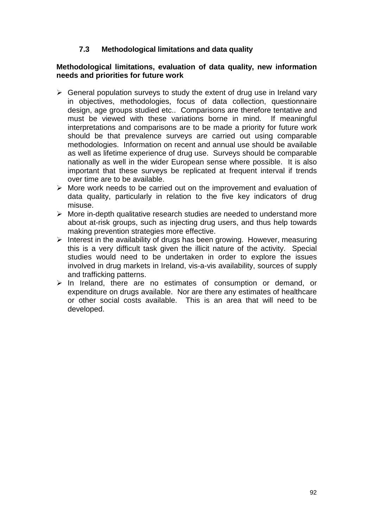# **7.3 Methodological limitations and data quality**

### **Methodological limitations, evaluation of data quality, new information needs and priorities for future work**

- > General population surveys to study the extent of drug use in Ireland vary in objectives, methodologies, focus of data collection, questionnaire design, age groups studied etc.. Comparisons are therefore tentative and must be viewed with these variations borne in mind. If meaningful interpretations and comparisons are to be made a priority for future work should be that prevalence surveys are carried out using comparable methodologies. Information on recent and annual use should be available as well as lifetime experience of drug use. Surveys should be comparable nationally as well in the wider European sense where possible. It is also important that these surveys be replicated at frequent interval if trends over time are to be available.
- > More work needs to be carried out on the improvement and evaluation of data quality, particularly in relation to the five key indicators of drug misuse.
- > More in-depth qualitative research studies are needed to understand more about at-risk groups, such as injecting drug users, and thus help towards making prevention strategies more effective.
- > Interest in the availability of drugs has been growing. However, measuring this is a very difficult task given the illicit nature of the activity. Special studies would need to be undertaken in order to explore the issues involved in drug markets in Ireland, vis-a-vis availability, sources of supply and trafficking patterns.
- > In Ireland, there are no estimates of consumption or demand, or expenditure on drugs available. Nor are there any estimates of healthcare or other social costs available. This is an area that will need to be developed.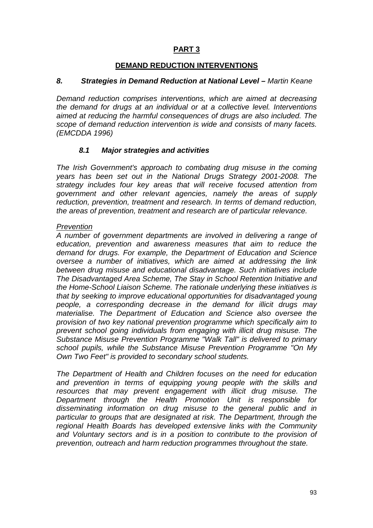# **PART 3**

### **DEMAND REDUCTION INTERVENTIONS**

### *8. Strategies in Demand Reduction at National Level – Martin Keane*

*Demand reduction comprises interventions, which are aimed at decreasing the demand for drugs at an individual or at a collective level. Interventions aimed at reducing the harmful consequences of drugs are also included. The scope of demand reduction intervention is wide and consists of many facets. (EMCDDA 1996)* 

### *8.1 Major strategies and activities*

*The Irish Government's approach to combating drug misuse in the coming years has been set out in the National Drugs Strategy 2001-2008. The strategy includes four key areas that will receive focused attention from government and other relevant agencies, namely the areas of supply reduction, prevention, treatment and research. In terms of demand reduction, the areas of prevention, treatment and research are of particular relevance.* 

### *Prevention*

*A number of government departments are involved in delivering a range of education, prevention and awareness measures that aim to reduce the demand for drugs. For example, the Department of Education and Science oversee a number of initiatives, which are aimed at addressing the link between drug misuse and educational disadvantage. Such initiatives include The Disadvantaged Area Scheme, The Stay in School Retention Initiative and the Home-School Liaison Scheme. The rationale underlying these initiatives is that by seeking to improve educational opportunities for disadvantaged young people, a corresponding decrease in the demand for illicit drugs may materialise. The Department of Education and Science also oversee the provision of two key national prevention programme which specifically aim to prevent school going individuals from engaging with illicit drug misuse. The Substance Misuse Prevention Programme "Walk Tall" is delivered to primary school pupils, while the Substance Misuse Prevention Programme "On My Own Two Feet" is provided to secondary school students.* 

*The Department of Health and Children focuses on the need for education and prevention in terms of equipping young people with the skills and resources that may prevent engagement with illicit drug misuse. The Department through the Health Promotion Unit is responsible for disseminating information on drug misuse to the general public and in particular to groups that are designated at risk. The Department, through the regional Health Boards has developed extensive links with the Community and Voluntary sectors and is in a position to contribute to the provision of prevention, outreach and harm reduction programmes throughout the state.*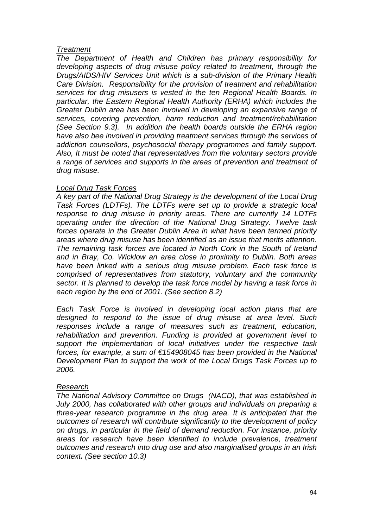### *Treatment*

*The Department of Health and Children has primary responsibility for developing aspects of drug misuse policy related to treatment, through the Drugs/AIDS/HIV Services Unit which is a sub-division of the Primary Health Care Division. Responsibility for the provision of treatment and rehabilitation services for drug misusers is vested in the ten Regional Health Boards. In particular, the Eastern Regional Health Authority (ERHA) which includes the Greater Dublin area has been involved in developing an expansive range of services, covering prevention, harm reduction and treatment/rehabilitation (See Section 9.3). In addition the health boards outside the ERHA region have also bee involved in providing treatment services through the services of addiction counsellors, psychosocial therapy programmes and family support. Also, It must be noted that representatives from the voluntary sectors provide a range of services and supports in the areas of prevention and treatment of drug misuse.* 

#### *Local Drug Task Forces*

*A key part of the National Drug Strategy is the development of the Local Drug Task Forces (LDTFs). The LDTFs were set up to provide a strategic local response to drug misuse in priority areas. There are currently 14 LDTFs operating under the direction of the National Drug Strategy. Twelve task forces operate in the Greater Dublin Area in what have been termed priority areas where drug misuse has been identified as an issue that merits attention. The remaining task forces are located in North Cork in the South of Ireland and in Bray, Co. Wicklow an area close in proximity to Dublin. Both areas have been linked with a serious drug misuse problem. Each task force is comprised of representatives from statutory, voluntary and the community sector. It is planned to develop the task force model by having a task force in each region by the end of 2001. (See section 8.2)* 

*Each Task Force is involved in developing local action plans that are designed to respond to the issue of drug misuse at area level. Such responses include a range of measures such as treatment, education, rehabilitation and prevention. Funding is provided at government level to support the implementation of local initiatives under the respective task forces, for example, a sum of €154908045 has been provided in the National Development Plan to support the work of the Local Drugs Task Forces up to 2006.* 

### *Research*

*The National Advisory Committee on Drugs (NACD), that was established in July 2000, has collaborated with other groups and individuals on preparing a three-year research programme in the drug area. It is anticipated that the outcomes of research will contribute significantly to the development of policy on drugs, in particular in the field of demand reduction. For instance, priority areas for research have been identified to include prevalence, treatment outcomes and research into drug use and also marginalised groups in an Irish context. (See section 10.3)*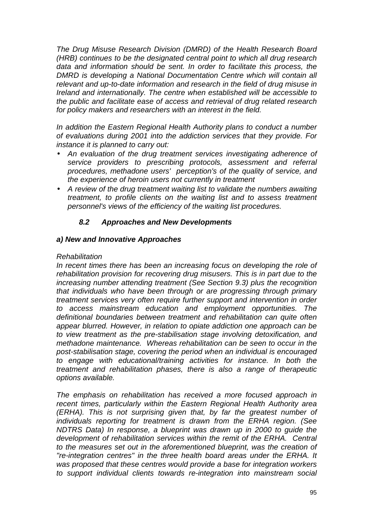*The Drug Misuse Research Division (DMRD) of the Health Research Board (HRB) continues to be the designated central point to which all drug research data and information should be sent. In order to facilitate this process, the*  **DMRD** is developing a National Documentation Centre which will contain all *relevant and up-to-date information and research in the field of drug misuse in Ireland and internationally. The centre when established will be accessible to the public and facilitate ease of access and retrieval of drug related research for policy makers and researchers with an interest in the field.* 

*In addition the Eastern Regional Health Authority plans to conduct a number of evaluations during 2001 into the addiction services that they provide. For instance it is planned to carry out:* 

- *An evaluation of the drug treatment services investigating adherence of service providers to prescribing protocols, assessment and referral procedures, methadone users' perception's of the quality of service, and the experience of heroin users not currently in treatment*
- *A review of the drug treatment waiting list to validate the numbers awaiting treatment, to profile clients on the waiting list and to assess treatment personnel's views of the efficiency of the waiting list procedures.*

# *8.2 Approaches and New Developments*

### *a) New and Innovative Approaches*

#### *Rehabilitation*

*In recent times there has been an increasing focus on developing the role of rehabilitation provision for recovering drug misusers. This is in part due to the increasing number attending treatment (See Section 9.3) plus the recognition that individuals who have been through or are progressing through primary treatment services very often require further support and intervention in order to access mainstream education and employment opportunities. The definitional boundaries between treatment and rehabilitation can quite often appear blurred. However, in relation to opiate addiction one approach can be to view treatment as the pre-stabilisation stage involving detoxification, and methadone maintenance. Whereas rehabilitation can be seen to occur in the post-stabilisation stage, covering the period when an individual is encouraged to engage with educational/training activities for instance. In both the treatment and rehabilitation phases, there is also a range of therapeutic options available.* 

*The emphasis on rehabilitation has received a more focused approach in recent times, particularly within the Eastern Regional Health Authority area (ERHA). This is not surprising given that, by far the greatest number of individuals reporting for treatment is drawn from the ERHA region. (See NDTRS Data) In response, a blueprint was drawn up in 2000 to guide the development of rehabilitation services within the remit of the ERHA. Central to the measures set out in the aforementioned blueprint, was the creation of "re-integration centres" in the three health board areas under the ERHA. It was proposed that these centres would provide a base for integration workers to support individual clients towards re-integration into mainstream social*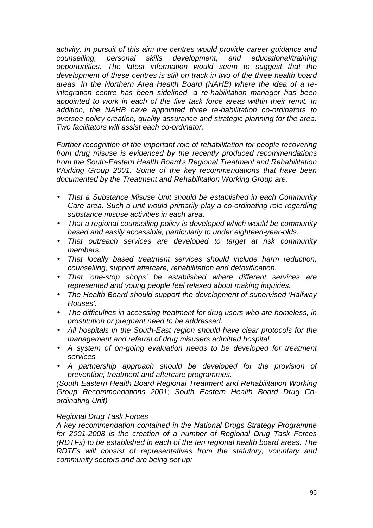*activity. In pursuit of this aim the centres would provide career guidance and counselling, personal skills development, and educational/training opportunities. The latest information would seem to suggest that the development of these centres is still on track in two of the three health board areas. In the Northern Area Health Board (NAHB) where the idea of a reintegration centre has been sidelined, a re-habilitation manager has been appointed to work in each of the five task force areas within their remit. In addition, the NAHB have appointed three re-habilitation co-ordinators to oversee policy creation, quality assurance and strategic planning for the area. Two facilitators will assist each co-ordinator.* 

*Further recognition of the important role of rehabilitation for people recovering from drug misuse is evidenced by the recently produced recommendations from the South-Eastern Health Board's Regional Treatment and Rehabilitation Working Group 2001. Some of the key recommendations that have been documented by the Treatment and Rehabilitation Working Group are:* 

- *That a Substance Misuse Unit should be established in each Community Care area. Such a unit would primarily play a co-ordinating role regarding substance misuse activities in each area.*
- *That a regional counselling policy is developed which would be community based and easily accessible, particularly to under eighteen-year-olds.*
- *That outreach services are developed to target at risk community members.*
- *That locally based treatment services should include harm reduction, counselling, support aftercare, rehabilitation and detoxification.*
- *That 'one-stop shops' be established where different services are represented and young people feel relaxed about making inquiries.*
- *The Health Board should support the development of supervised 'Halfway Houses'.*
- *The difficulties in accessing treatment for drug users who are homeless, in prostitution or pregnant need to be addressed.*
- *All hospitals in the South-East region should have clear protocols for the management and referral of drug misusers admitted hospital.*
- *A system of on-going evaluation needs to be developed for treatment services.*
- *A partnership approach should be developed for the provision of prevention, treatment and aftercare programmes.*

*(South Eastern Health Board Regional Treatment and Rehabilitation Working Group Recommendations 2001; South Eastern Health Board Drug Coordinating Unit)* 

### *Regional Drug Task Forces*

*A key recommendation contained in the National Drugs Strategy Programme for 2001-2008 is the creation of a number of Regional Drug Task Forces (RDTFs) to be established in each of the ten regional health board areas. The RDTFs will consist of representatives from the statutory, voluntary and community sectors and are being set up:*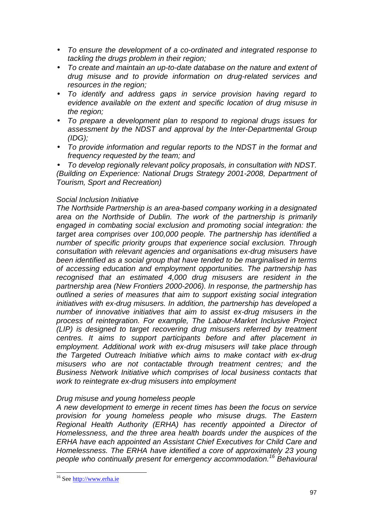- *To ensure the development of a co-ordinated and integrated response to tackling the drugs problem in their region;*
- *To create and maintain an up-to-date database on the nature and extent of drug misuse and to provide information on drug-related services and resources in the region;*
- *To identify and address gaps in service provision having regard to evidence available on the extent and specific location of drug misuse in the region;*
- *To prepare a development plan to respond to regional drugs issues for assessment by the NDST and approval by the Inter-Departmental Group (IDG);*
- *To provide information and regular reports to the NDST in the format and frequency requested by the team; and*

• *To develop regionally relevant policy proposals, in consultation with NDST. (Building on Experience: National Drugs Strategy 2001-2008, Department of Tourism, Sport and Recreation)* 

### *Social Inclusion Initiative*

*The Northside Partnership is an area-based company working in a designated area on the Northside of Dublin. The work of the partnership is primarily engaged in combating social exclusion and promoting social integration: the target area comprises over 100,000 people. The partnership has identified a number of specific priority groups that experience social exclusion. Through consultation with relevant agencies and organisations ex-drug misusers have been identified as a social group that have tended to be marginalised in terms of accessing education and employment opportunities. The partnership has recognised that an estimated 4,000 drug misusers are resident in the partnership area (New Frontiers 2000-2006). In response, the partnership has outlined a series of measures that aim to support existing social integration initiatives with ex-drug misusers. In addition, the partnership has developed a number of innovative initiatives that aim to assist ex-drug misusers in the process of reintegration. For example, The Labour-Market Inclusive Project (LIP) is designed to target recovering drug misusers referred by treatment centres. It aims to support participants before and after placement in employment. Additional work with ex-drug misusers will take place through the Targeted Outreach Initiative which aims to make contact with ex-drug misusers who are not contactable through treatment centres; and the Business Network Initiative which comprises of local business contacts that work to reintegrate ex-drug misusers into employment* 

### *Drug misuse and young homeless people*

*A new development to emerge in recent times has been the focus on service provision for young homeless people who misuse drugs. The Eastern Regional Health Authority (ERHA) has recently appointed a Director of Homelessness, and the three area health boards under the auspices of the ERHA have each appointed an Assistant Chief Executives for Child Care and Homelessness. The ERHA have identified a core of approximately 23 young people who continually present for emergency accommodation.16 Behavioural* 

l

<sup>&</sup>lt;sup>16</sup> See http://www.erha.ie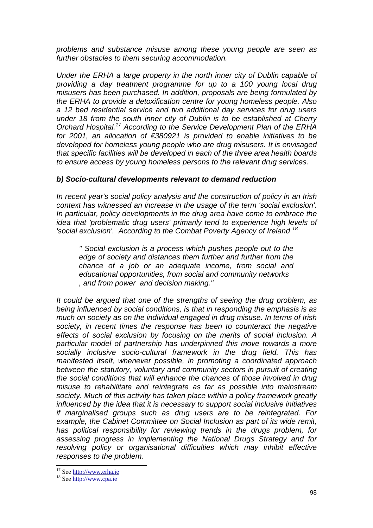*problems and substance misuse among these young people are seen as further obstacles to them securing accommodation.* 

*Under the ERHA a large property in the north inner city of Dublin capable of providing a day treatment programme for up to a 100 young local drug misusers has been purchased. In addition, proposals are being formulated by the ERHA to provide a detoxification centre for young homeless people. Also a 12 bed residential service and two additional day services for drug users under 18 from the south inner city of Dublin is to be established at Cherry Orchard Hospital.17 According to the Service Development Plan of the ERHA for 2001, an allocation of €380921 is provided to enable initiatives to be developed for homeless young people who are drug misusers. It is envisaged that specific facilities will be developed in each of the three area health boards to ensure access by young homeless persons to the relevant drug services.* 

### *b) Socio-cultural developments relevant to demand reduction*

*In recent year's social policy analysis and the construction of policy in an Irish context has witnessed an increase in the usage of the term 'social exclusion'. In particular, policy developments in the drug area have come to embrace the idea that 'problematic drug users' primarily tend to experience high levels of 'social exclusion'.* According to the Combat Poverty Agency of Ireland <sup>18</sup>

*" Social exclusion is a process which pushes people out to the edge of society and distances them further and further from the chance of a job or an adequate income, from social and educational opportunities, from social and community networks , and from power and decision making."* 

*It could be argued that one of the strengths of seeing the drug problem, as being influenced by social conditions, is that in responding the emphasis is as much on society as on the individual engaged in drug misuse. In terms of Irish society, in recent times the response has been to counteract the negative effects of social exclusion by focusing on the merits of social inclusion. A particular model of partnership has underpinned this move towards a more socially inclusive socio-cultural framework in the drug field. This has manifested itself, whenever possible, in promoting a coordinated approach between the statutory, voluntary and community sectors in pursuit of creating the social conditions that will enhance the chances of those involved in drug misuse to rehabilitate and reintegrate as far as possible into mainstream society. Much of this activity has taken place within a policy framework greatly influenced by the idea that it is necessary to support social inclusive initiatives if marginalised groups such as drug users are to be reintegrated. For example, the Cabinet Committee on Social Inclusion as part of its wide remit, has political responsibility for reviewing trends in the drugs problem, for assessing progress in implementing the National Drugs Strategy and for resolving policy or organisational difficulties which may inhibit effective responses to the problem.* 

l

<sup>&</sup>lt;sup>17</sup> See  $\frac{http://www.erha.ie}{http://www.cpa.ie}$ <sup>18</sup> See  $\frac{http://www.cpa.ie}{http://www.cpa.ie}$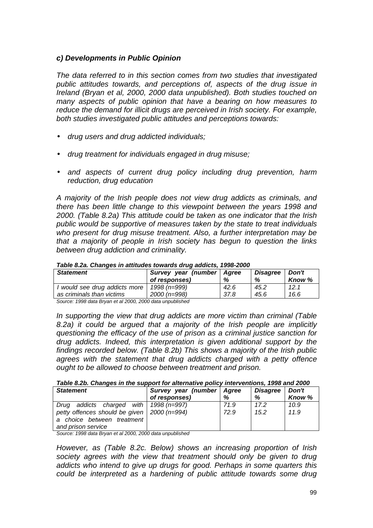### *c) Developments in Public Opinion*

*The data referred to in this section comes from two studies that investigated public attitudes towards, and perceptions of, aspects of the drug issue in Ireland (Bryan et al, 2000, 2000 data unpublished). Both studies touched on many aspects of public opinion that have a bearing on how measures to reduce the demand for illicit drugs are perceived in Irish society. For example, both studies investigated public attitudes and perceptions towards:* 

- *drug users and drug addicted individuals;*
- *drug treatment for individuals engaged in drug misuse;*
- *and aspects of current drug policy including drug prevention, harm reduction, drug education*

*A majority of the Irish people does not view drug addicts as criminals, and there has been little change to this viewpoint between the years 1998 and 2000. (Table 8.2a) This attitude could be taken as one indicator that the Irish public would be supportive of measures taken by the state to treat individuals who present for drug misuse treatment. Also, a further interpretation may be that a majority of people in Irish society has begun to question the links between drug addiction and criminality.* 

| rapic o.za. Onanges in aunuacs towards arag agaicts, 1990-2000 |                     |       |          |        |  |  |  |  |  |
|----------------------------------------------------------------|---------------------|-------|----------|--------|--|--|--|--|--|
| <b>Statement</b>                                               | Survey year (number | Aaree | Disagree | Don't  |  |  |  |  |  |
|                                                                | of responses)       | %     | %        | Know % |  |  |  |  |  |
| I would see drug addicts more   1998 (n=999)                   |                     | 42.6  | 45.2     | 12.1   |  |  |  |  |  |
| as criminals than victims                                      | 2000 (n=998)        | 37.8  | 45.6     | 16.6   |  |  |  |  |  |

*Table 8.2a. Changes in attitudes towards drug addicts, 1998-2000* 

*Source: 1998 data Bryan et al 2000, 2000 data unpublished* 

*In supporting the view that drug addicts are more victim than criminal (Table 8.2a) it could be argued that a majority of the Irish people are implicitly questioning the efficacy of the use of prison as a criminal justice sanction for drug addicts. Indeed, this interpretation is given additional support by the findings recorded below. (Table 8.2b) This shows a majority of the Irish public agrees with the statement that drug addicts charged with a petty offence ought to be allowed to choose between treatment and prison.* 

*Table 8.2b. Changes in the support for alternative policy interventions, 1998 and 2000* 

| <b>Statement</b>                                | Survey year (number   Agree |      | <b>Disagree</b> | Don't  |
|-------------------------------------------------|-----------------------------|------|-----------------|--------|
|                                                 | of responses)               | %    | %               | Know % |
| addicts charged with   1998 (n=997)<br>Drua     |                             | 71.9 | 17.2            | 10.9   |
| petty offences should be given   $2000$ (n=994) |                             | 72.9 | 15.2            | 11.9   |
| a choice between treatment                      |                             |      |                 |        |
| and prison service                              |                             |      |                 |        |

*Source: 1998 data Bryan et al 2000, 2000 data unpublished* 

*However, as (Table 8.2c. Below) shows an increasing proportion of Irish society agrees with the view that treatment should only be given to drug addicts who intend to give up drugs for good. Perhaps in some quarters this could be interpreted as a hardening of public attitude towards some drug*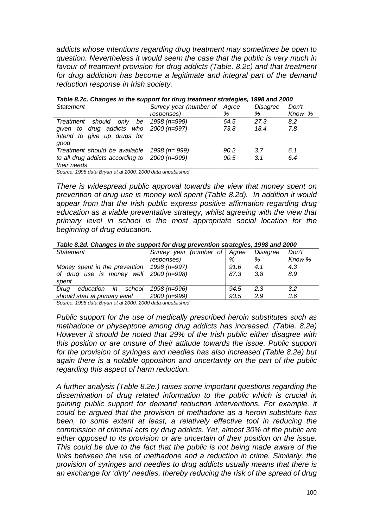*addicts whose intentions regarding drug treatment may sometimes be open to question. Nevertheless it would seem the case that the public is very much in favour of treatment provision for drug addicts (Table. 8.2c) and that treatment for drug addiction has become a legitimate and integral part of the demand reduction response in Irish society.* 

| <b>Statement</b>                               | Survey year (number of Agree |      | Disagree | Don't  |
|------------------------------------------------|------------------------------|------|----------|--------|
|                                                | responses)                   | %    | %        | Know % |
| Treatment should only<br>be l                  | 1998 (n=999)                 | 64.5 | 27.3     | 8.2    |
| given to drug addicts who $\vert$ 2000 (n=997) |                              | 73.8 | 18.4     | 7.8    |
| intend to give up drugs for                    |                              |      |          |        |
| good                                           |                              |      |          |        |
| Treatment should be available                  | 1998 ( $n = 999$ )           | 90.2 | 3.7      | 6.1    |
| to all drug addicts according to               | 2000 (n=999)                 | 90.5 | 3.1      | 6.4    |
| their needs                                    |                              |      |          |        |

*Table 8.2c. Changes in the support for drug treatment strategies, 1998 and 2000* 

*Source: 1998 data Bryan et al 2000, 2000 data unpublished* 

*There is widespread public approval towards the view that money spent on prevention of drug use is money well spent (Table 8.2d). In addition it would appear from that the Irish public express positive affirmation regarding drug education as a viable preventative strategy, whilst agreeing with the view that primary level in school is the most appropriate social location for the beginning of drug education.* 

*Table 8.2d. Changes in the support for drug prevention strategies, 1998 and 2000* 

| Statement                                      | Survey year (number of Agree |      | Disagree | Don't  |
|------------------------------------------------|------------------------------|------|----------|--------|
|                                                | responses)                   | %    | %        | Know % |
| Money spent in the prevention   $1998 (n=997)$ |                              | 91.6 | 4.1      | 4.3    |
| of drug use is money well $\vert$ 2000 (n=998) |                              | 87.3 | 3.8      | 8.9    |
| spent                                          |                              |      |          |        |
| education in school<br>Drug                    | 1998 (n=996)                 | 94.5 | 2.3      | 3.2    |
| should start at primary level                  | 2000 (n=999)                 | 93.5 | 2.9      | 3.6    |

*Source: 1998 data Bryan et al 2000, 2000 data unpublished* 

*Public support for the use of medically prescribed heroin substitutes such as methadone or physeptone among drug addicts has increased. (Table. 8.2e) However it should be noted that 29% of the Irish public either disagree with this position or are unsure of their attitude towards the issue. Public support for the provision of syringes and needles has also increased (Table 8.2e) but again there is a notable opposition and uncertainty on the part of the public regarding this aspect of harm reduction.* 

*A further analysis (Table 8.2e.) raises some important questions regarding the dissemination of drug related information to the public which is crucial in gaining public support for demand reduction interventions. For example, it could be argued that the provision of methadone as a heroin substitute has been, to some extent at least, a relatively effective tool in reducing the commission of criminal acts by drug addicts. Yet, almost 30% of the public are either opposed to its provision or are uncertain of their position on the issue. This could be due to the fact that the public is not being made aware of the links between the use of methadone and a reduction in crime. Similarly, the provision of syringes and needles to drug addicts usually means that there is an exchange for 'dirty' needles, thereby reducing the risk of the spread of drug*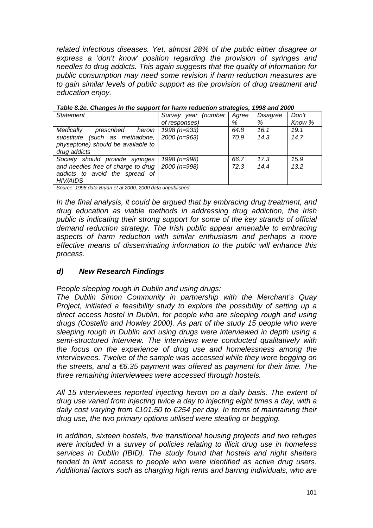*related infectious diseases. Yet, almost 28% of the public either disagree or express a 'don't know' position regarding the provision of syringes and needles to drug addicts. This again suggests that the quality of information for public consumption may need some revision if harm reduction measures are to gain similar levels of public support as the provision of drug treatment and education enjoy.* 

| rapic o.zu. Onangus in the support for namn requetion strutugics, 1990 and 2000 |                           |      |          |        |
|---------------------------------------------------------------------------------|---------------------------|------|----------|--------|
| <b>Statement</b>                                                                | Survey year (number Agree |      | Disagree | Don't  |
|                                                                                 | of responses)             | %    | %        | Know % |
| heroin<br>prescribed<br>Medically                                               | 1998 (n=933)              | 64.8 | 16.1     | 19.1   |
| substitute (such as methadone,                                                  | 2000 (n=963)              | 70.9 | 14.3     | 14.7   |
| physeptone) should be available to                                              |                           |      |          |        |
| drug addicts                                                                    |                           |      |          |        |
| Society should provide syringes                                                 | 1998 (n=998)              | 66.7 | 17.3     | 15.9   |
| and needles free of charge to drug                                              | $2000(n=998)$             | 72.3 | 14.4     | 13.2   |
| addicts to avoid the spread of                                                  |                           |      |          |        |
| <b>HIV/AIDS</b>                                                                 |                           |      |          |        |

*Table 8.2e. Changes in the support for harm reduction strategies, 1998 and 2000* 

*Source: 1998 data Bryan et al 2000, 2000 data unpublished* 

*In the final analysis, it could be argued that by embracing drug treatment, and drug education as viable methods in addressing drug addiction, the Irish public is indicating their strong support for some of the key strands of official demand reduction strategy. The Irish public appear amenable to embracing aspects of harm reduction with similar enthusiasm and perhaps a more effective means of disseminating information to the public will enhance this process.* 

# *d) New Research Findings*

*People sleeping rough in Dublin and using drugs:* 

*The Dublin Simon Community in partnership with the Merchant's Quay Project, initiated a feasibility study to explore the possibility of setting up a direct access hostel in Dublin, for people who are sleeping rough and using drugs (Costello and Howley 2000). As part of the study 15 people who were sleeping rough in Dublin and using drugs were interviewed in depth using a semi-structured interview. The interviews were conducted qualitatively with the focus on the experience of drug use and homelessness among the interviewees. Twelve of the sample was accessed while they were begging on the streets, and a €6.35 payment was offered as payment for their time. The three remaining interviewees were accessed through hostels.* 

*All 15 interviewees reported injecting heroin on a daily basis. The extent of drug use varied from injecting twice a day to injecting eight times a day, with a daily cost varying from €101.50 to €254 per day. In terms of maintaining their drug use, the two primary options utilised were stealing or begging.* 

*In addition, sixteen hostels, five transitional housing projects and two refuges were included in a survey of policies relating to illicit drug use in homeless services in Dublin (IBID). The study found that hostels and night shelters tended to limit access to people who were identified as active drug users. Additional factors such as charging high rents and barring individuals, who are*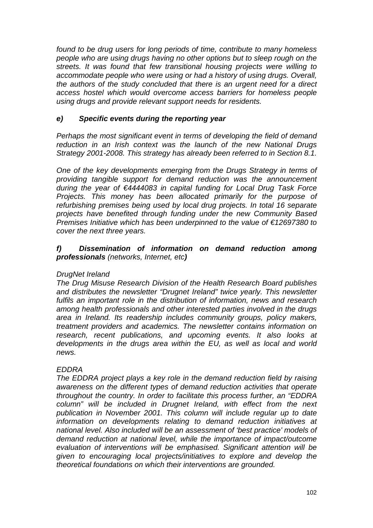*found to be drug users for long periods of time, contribute to many homeless people who are using drugs having no other options but to sleep rough on the streets. It was found that few transitional housing projects were willing to accommodate people who were using or had a history of using drugs. Overall, the authors of the study concluded that there is an urgent need for a direct access hostel which would overcome access barriers for homeless people using drugs and provide relevant support needs for residents.* 

# *e) Specific events during the reporting year*

*Perhaps the most significant event in terms of developing the field of demand reduction in an Irish context was the launch of the new National Drugs Strategy 2001-2008. This strategy has already been referred to in Section 8.1.* 

*One of the key developments emerging from the Drugs Strategy in terms of providing tangible support for demand reduction was the announcement during the year of €4444083 in capital funding for Local Drug Task Force Projects. This money has been allocated primarily for the purpose of refurbishing premises being used by local drug projects. In total 16 separate projects have benefited through funding under the new Community Based Premises Initiative which has been underpinned to the value of €12697380 to cover the next three years.* 

### *f) Dissemination of information on demand reduction among professionals (networks, Internet, etc)*

# *DrugNet Ireland*

*The Drug Misuse Research Division of the Health Research Board publishes and distributes the newsletter "Drugnet Ireland" twice yearly. This newsletter fulfils an important role in the distribution of information, news and research among health professionals and other interested parties involved in the drugs area in Ireland. Its readership includes community groups, policy makers, treatment providers and academics. The newsletter contains information on research, recent publications, and upcoming events. It also looks at developments in the drugs area within the EU, as well as local and world news.* 

# *EDDRA*

*The EDDRA project plays a key role in the demand reduction field by raising awareness on the different types of demand reduction activities that operate throughout the country. In order to facilitate this process further, an "EDDRA column" will be included in Drugnet Ireland, with effect from the next publication in November 2001. This column will include regular up to date information on developments relating to demand reduction initiatives at national level. Also included will be an assessment of 'best practice' models of demand reduction at national level, while the importance of impact/outcome evaluation of interventions will be emphasised. Significant attention will be given to encouraging local projects/initiatives to explore and develop the theoretical foundations on which their interventions are grounded.*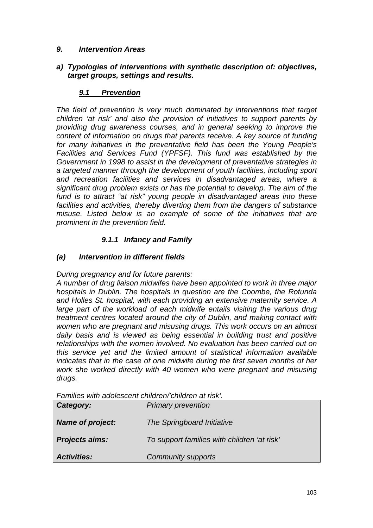# *9. Intervention Areas*

### *a) Typologies of interventions with synthetic description of: objectives, target groups, settings and results.*

# *9.1 Prevention*

*The field of prevention is very much dominated by interventions that target children 'at risk' and also the provision of initiatives to support parents by providing drug awareness courses, and in general seeking to improve the content of information on drugs that parents receive. A key source of funding for many initiatives in the preventative field has been the Young People's Facilities and Services Fund (YPFSF). This fund was established by the Government in 1998 to assist in the development of preventative strategies in a targeted manner through the development of youth facilities, including sport and recreation facilities and services in disadvantaged areas, where a significant drug problem exists or has the potential to develop. The aim of the fund is to attract "at risk" young people in disadvantaged areas into these facilities and activities, thereby diverting them from the dangers of substance misuse. Listed below is an example of some of the initiatives that are prominent in the prevention field.* 

# *9.1.1 Infancy and Family*

# *(a) Intervention in different fields*

*During pregnancy and for future parents:* 

*A number of drug liaison midwifes have been appointed to work in three major hospitals in Dublin. The hospitals in question are the Coombe, the Rotunda and Holles St. hospital, with each providing an extensive maternity service. A*  large part of the workload of each midwife entails visiting the various drug *treatment centres located around the city of Dublin, and making contact with women who are pregnant and misusing drugs. This work occurs on an almost daily basis and is viewed as being essential in building trust and positive relationships with the women involved. No evaluation has been carried out on this service yet and the limited amount of statistical information available indicates that in the case of one midwife during the first seven months of her work she worked directly with 40 women who were pregnant and misusing drugs.* 

*Families with adolescent children/'children at risk'.* 

| <b>Activities:</b>      | <b>Community supports</b>                   |
|-------------------------|---------------------------------------------|
| <b>Projects aims:</b>   | To support families with children 'at risk' |
| <b>Name of project:</b> | The Springboard Initiative                  |
| Category:               | <b>Primary prevention</b>                   |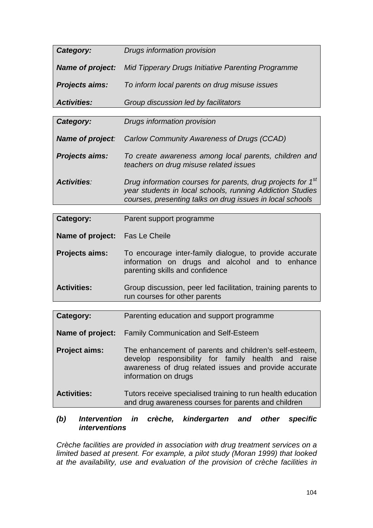| Category:               | Drugs information provision                                                                                                                                                                       |
|-------------------------|---------------------------------------------------------------------------------------------------------------------------------------------------------------------------------------------------|
| <b>Name of project:</b> | Mid Tipperary Drugs Initiative Parenting Programme                                                                                                                                                |
| <b>Projects aims:</b>   | To inform local parents on drug misuse issues                                                                                                                                                     |
| <b>Activities:</b>      | Group discussion led by facilitators                                                                                                                                                              |
|                         |                                                                                                                                                                                                   |
| Category:               | Drugs information provision                                                                                                                                                                       |
| <b>Name of project:</b> | Carlow Community Awareness of Drugs (CCAD)                                                                                                                                                        |
| <b>Projects aims:</b>   | To create awareness among local parents, children and<br>teachers on drug misuse related issues                                                                                                   |
| <b>Activities:</b>      | Drug information courses for parents, drug projects for 1 <sup>st</sup><br>year students in local schools, running Addiction Studies<br>courses, presenting talks on drug issues in local schools |
|                         |                                                                                                                                                                                                   |
| Category:               | Parent support programme                                                                                                                                                                          |

| Category:                             | Parent support programme                                                                                                                      |
|---------------------------------------|-----------------------------------------------------------------------------------------------------------------------------------------------|
| <b>Name of project:</b> Fas Le Cheile |                                                                                                                                               |
| <b>Projects aims:</b>                 | To encourage inter-family dialogue, to provide accurate<br>information on drugs and alcohol and to enhance<br>parenting skills and confidence |
| <b>Activities:</b>                    | Group discussion, peer led facilitation, training parents to<br>run courses for other parents                                                 |

| Category:            | Parenting education and support programme                                                                                                                                                     |
|----------------------|-----------------------------------------------------------------------------------------------------------------------------------------------------------------------------------------------|
| Name of project:     | <b>Family Communication and Self-Esteem</b>                                                                                                                                                   |
| <b>Project aims:</b> | The enhancement of parents and children's self-esteem,<br>develop responsibility for family health and raise<br>awareness of drug related issues and provide accurate<br>information on drugs |
| <b>Activities:</b>   | Tutors receive specialised training to run health education                                                                                                                                   |

# and drug awareness courses for parents and children

# *(b) Intervention in crèche, kindergarten and other specific interventions*

*Crèche facilities are provided in association with drug treatment services on a limited based at present. For example, a pilot study (Moran 1999) that looked at the availability, use and evaluation of the provision of crèche facilities in*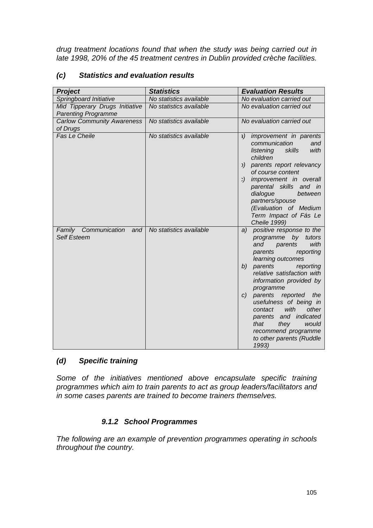*drug treatment locations found that when the study was being carried out in late 1998, 20% of the 45 treatment centres in Dublin provided crèche facilities.* 

| <b>Project</b>                                               | <b>Statistics</b>       | <b>Evaluation Results</b>                                                                                                                                                                                                                                                                                                                                                                                                          |
|--------------------------------------------------------------|-------------------------|------------------------------------------------------------------------------------------------------------------------------------------------------------------------------------------------------------------------------------------------------------------------------------------------------------------------------------------------------------------------------------------------------------------------------------|
| Springboard Initiative                                       | No statistics available | No evaluation carried out                                                                                                                                                                                                                                                                                                                                                                                                          |
| Mid Tipperary Drugs Initiative<br><b>Parenting Programme</b> | No statistics available | No evaluation carried out                                                                                                                                                                                                                                                                                                                                                                                                          |
| <b>Carlow Community Awareness</b><br>of Drugs                | No statistics available | No evaluation carried out                                                                                                                                                                                                                                                                                                                                                                                                          |
| Fas Le Cheile                                                | No statistics available | a) improvement in parents<br>communication<br>and<br>listening<br>skills<br>with<br>children<br>b) parents report relevancy<br>of course content<br>c) improvement in overall<br>parental skills and in<br>dialogue<br>between<br>partners/spouse<br>(Evaluation of Medium<br>Term Impact of Fás Le<br>Cheile 1999)                                                                                                                |
| Family Communication<br>and<br><b>Self Esteem</b>            | No statistics available | positive response to the<br>a)<br>programme by tutors<br>with<br>and<br>parents<br>parents<br>reporting<br>learning outcomes<br>b)<br>parents<br>reporting<br>relative satisfaction with<br>information provided by<br>programme<br>parents reported the<br>C)<br>usefulness of being in<br>with<br>other<br>contact<br>parents and indicated<br>that<br>they<br>would<br>recommend programme<br>to other parents (Ruddle<br>1993) |

# *(c) Statistics and evaluation results*

# *(d) Specific training*

*Some of the initiatives mentioned above encapsulate specific training programmes which aim to train parents to act as group leaders/facilitators and in some cases parents are trained to become trainers themselves.* 

# *9.1.2 School Programmes*

*The following are an example of prevention programmes operating in schools throughout the country.*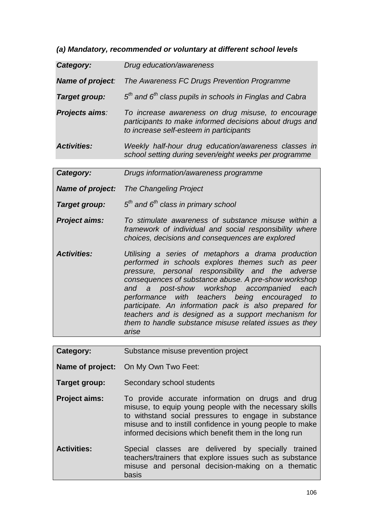*(a) Mandatory, recommended or voluntary at different school levels* 

|                         | <u>UMMIUMUU UI TUMMUU J</u>                                                                                                                                                                                                                                                                                                                                                                                                                                                                              |
|-------------------------|----------------------------------------------------------------------------------------------------------------------------------------------------------------------------------------------------------------------------------------------------------------------------------------------------------------------------------------------------------------------------------------------------------------------------------------------------------------------------------------------------------|
| Category:               | Drug education/awareness                                                                                                                                                                                                                                                                                                                                                                                                                                                                                 |
| Name of project:        | The Awareness FC Drugs Prevention Programme                                                                                                                                                                                                                                                                                                                                                                                                                                                              |
| Target group:           | $5th$ and $6th$ class pupils in schools in Finglas and Cabra                                                                                                                                                                                                                                                                                                                                                                                                                                             |
| Projects aims:          | To increase awareness on drug misuse, to encourage<br>participants to make informed decisions about drugs and<br>to increase self-esteem in participants                                                                                                                                                                                                                                                                                                                                                 |
| <b>Activities:</b>      | Weekly half-hour drug education/awareness classes in<br>school setting during seven/eight weeks per programme                                                                                                                                                                                                                                                                                                                                                                                            |
| Category:               | Drugs information/awareness programme                                                                                                                                                                                                                                                                                                                                                                                                                                                                    |
| <b>Name of project:</b> | <b>The Changeling Project</b>                                                                                                                                                                                                                                                                                                                                                                                                                                                                            |
| Target group:           | $5th$ and $6th$ class in primary school                                                                                                                                                                                                                                                                                                                                                                                                                                                                  |
| <b>Project aims:</b>    | To stimulate awareness of substance misuse within a<br>framework of individual and social responsibility where<br>choices, decisions and consequences are explored                                                                                                                                                                                                                                                                                                                                       |
| <b>Activities:</b>      | Utilising a series of metaphors a drama production<br>performed in schools explores themes such as peer<br>pressure, personal responsibility and the adverse<br>consequences of substance abuse. A pre-show workshop<br>and a post-show workshop accompanied each<br>performance with teachers being encouraged<br>to<br>participate. An information pack is also prepared for<br>teachers and is designed as a support mechanism for<br>them to handle substance misuse related issues as they<br>arise |
| Category:               | Substance misuse prevention project                                                                                                                                                                                                                                                                                                                                                                                                                                                                      |
|                         |                                                                                                                                                                                                                                                                                                                                                                                                                                                                                                          |
| Name of project:        | On My Own Two Feet:                                                                                                                                                                                                                                                                                                                                                                                                                                                                                      |
| Target group:           | Secondary school students                                                                                                                                                                                                                                                                                                                                                                                                                                                                                |
| <b>Project aims:</b>    | To provide accurate information on drugs and drug<br>misuse, to equip young people with the necessary skills                                                                                                                                                                                                                                                                                                                                                                                             |

- misuse, to equip young people with the necessary skills to withstand social pressures to engage in substance misuse and to instill confidence in young people to make informed decisions which benefit them in the long run
- **Activities:** Special classes are delivered by specially trained teachers/trainers that explore issues such as substance misuse and personal decision-making on a thematic basis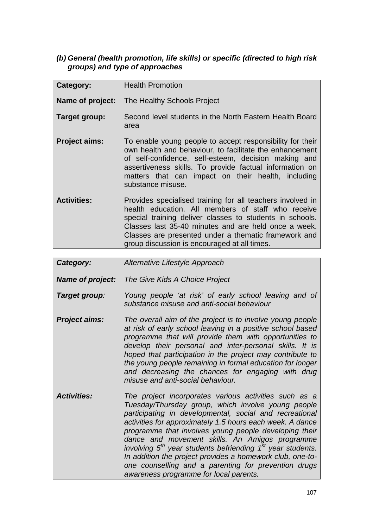# *(b) General (health promotion, life skills) or specific (directed to high risk groups) and type of approaches*

| Category:            | <b>Health Promotion</b>                                                                                                                                                                                                                                                                                                                      |
|----------------------|----------------------------------------------------------------------------------------------------------------------------------------------------------------------------------------------------------------------------------------------------------------------------------------------------------------------------------------------|
| Name of project:     | The Healthy Schools Project                                                                                                                                                                                                                                                                                                                  |
| Target group:        | Second level students in the North Eastern Health Board<br>area                                                                                                                                                                                                                                                                              |
| <b>Project aims:</b> | To enable young people to accept responsibility for their<br>own health and behaviour, to facilitate the enhancement<br>of self-confidence, self-esteem, decision making and<br>assertiveness skills. To provide factual information on<br>matters that can impact on their health, including<br>substance misuse.                           |
| <b>Activities:</b>   | Provides specialised training for all teachers involved in<br>health education. All members of staff who receive<br>special training deliver classes to students in schools.<br>Classes last 35-40 minutes and are held once a week.<br>Classes are presented under a thematic framework and<br>group discussion is encouraged at all times. |

### *Category: Alternative Lifestyle Approach*

*Name of project: The Give Kids A Choice Project* 

- *Target group: Young people 'at risk' of early school leaving and of substance misuse and anti-social behaviour*
- *Project aims: The overall aim of the project is to involve young people at risk of early school leaving in a positive school based programme that will provide them with opportunities to develop their personal and inter-personal skills. It is hoped that participation in the project may contribute to the young people remaining in formal education for longer and decreasing the chances for engaging with drug misuse and anti-social behaviour.*
- *Activities: The project incorporates various activities such as a Tuesday/Thursday group, which involve young people participating in developmental, social and recreational activities for approximately 1.5 hours each week. A dance programme that involves young people developing their dance and movement skills. An Amigos programme involving 5th year students befriending 1st year students. In addition the project provides a homework club, one-toone counselling and a parenting for prevention drugs awareness programme for local parents.*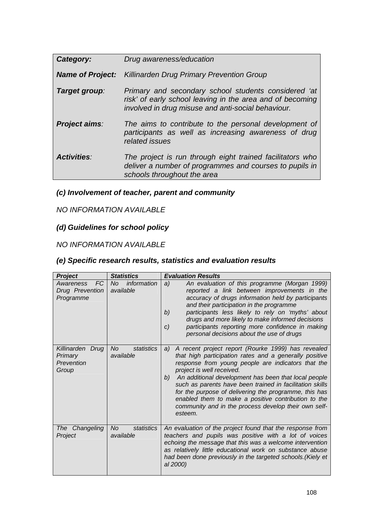| Category:          | Drug awareness/education                                                                                                                                                |
|--------------------|-------------------------------------------------------------------------------------------------------------------------------------------------------------------------|
|                    | <b>Name of Project:</b> Killinarden Drug Primary Prevention Group                                                                                                       |
| Target group:      | Primary and secondary school students considered 'at<br>risk' of early school leaving in the area and of becoming<br>involved in drug misuse and anti-social behaviour. |
| Project aims:      | The aims to contribute to the personal development of<br>participants as well as increasing awareness of drug<br>related issues                                         |
| <b>Activities:</b> | The project is run through eight trained facilitators who<br>deliver a number of programmes and courses to pupils in<br>schools throughout the area                     |

# *(c) Involvement of teacher, parent and community*

# *NO INFORMATION AVAILABLE*

# *(d) Guidelines for school policy*

# *NO INFORMATION AVAILABLE*

# *(e) Specific research results, statistics and evaluation results*

| <b>Project</b>                                         | <b>Statistics</b>                    | <b>Evaluation Results</b>                                                                                                                                                                                                                                                                                                                                                                                                                                                                                          |
|--------------------------------------------------------|--------------------------------------|--------------------------------------------------------------------------------------------------------------------------------------------------------------------------------------------------------------------------------------------------------------------------------------------------------------------------------------------------------------------------------------------------------------------------------------------------------------------------------------------------------------------|
| <b>FC</b><br>Awareness<br>Drug Prevention<br>Programme | information<br>No.<br>available      | An evaluation of this programme (Morgan 1999)<br>a)<br>reported a link between improvements in the<br>accuracy of drugs information held by participants<br>and their participation in the programme<br>participants less likely to rely on 'myths' about<br>b)<br>drugs and more likely to make informed decisions<br>participants reporting more confidence in making<br>c)<br>personal decisions about the use of drugs                                                                                         |
| Killinarden Drug<br>Primary<br>Prevention<br>Group     | statistics<br>No.<br>available       | A recent project report (Rourke 1999) has revealed<br>a)<br>that high participation rates and a generally positive<br>response from young people are indicators that the<br>project is well received.<br>An additional development has been that local people<br>b)<br>such as parents have been trained in facilitation skills<br>for the purpose of delivering the programme, this has<br>enabled them to make a positive contribution to the<br>community and in the process develop their own self-<br>esteem. |
| The Changeling<br>Project                              | <b>No</b><br>statistics<br>available | An evaluation of the project found that the response from<br>teachers and pupils was positive with a lot of voices<br>echoing the message that this was a welcome intervention<br>as relatively little educational work on substance abuse<br>had been done previously in the targeted schools. (Kiely et<br>al 2000)                                                                                                                                                                                              |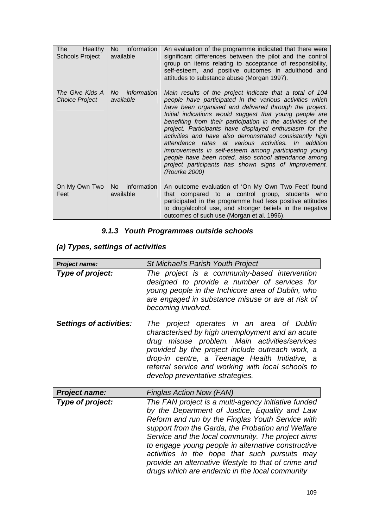| The<br><b>Healthy</b><br><b>Schools Project</b> | No l<br>information<br>available | An evaluation of the programme indicated that there were<br>significant differences between the pilot and the control<br>group on items relating to acceptance of responsibility,<br>self-esteem, and positive outcomes in adulthood and<br>attitudes to substance abuse (Morgan 1997).                                                                                                                                                                                                                                                                                                                                                                                          |
|-------------------------------------------------|----------------------------------|----------------------------------------------------------------------------------------------------------------------------------------------------------------------------------------------------------------------------------------------------------------------------------------------------------------------------------------------------------------------------------------------------------------------------------------------------------------------------------------------------------------------------------------------------------------------------------------------------------------------------------------------------------------------------------|
| The Give Kids A<br><b>Choice Project</b>        | information<br>No.<br>available  | Main results of the project indicate that a total of 104<br>people have participated in the various activities which<br>have been organised and delivered through the project.<br>Initial indications would suggest that young people are<br>benefiting from their participation in the activities of the<br>project. Participants have displayed enthusiasm for the<br>activities and have also demonstrated consistently high<br>attendance rates at various activities. In addition<br>improvements in self-esteem among participating young<br>people have been noted, also school attendance among<br>project participants has shown signs of improvement.<br>(Rourke 2000) |
| On My Own Two<br>Feet                           | No.<br>information<br>available  | An outcome evaluation of 'On My Own Two Feet' found<br>that compared to a control group, students who<br>participated in the programme had less positive attitudes<br>to drug/alcohol use, and stronger beliefs in the negative<br>outcomes of such use (Morgan et al. 1996).                                                                                                                                                                                                                                                                                                                                                                                                    |

## *9.1.3 Youth Programmes outside schools*

# *(a) Types, settings of activities*

| <b>Project name:</b>    | St Michael's Parish Youth Project                                                                                                                                                                                                                                                                                                                                                                                                                                                     |  |  |
|-------------------------|---------------------------------------------------------------------------------------------------------------------------------------------------------------------------------------------------------------------------------------------------------------------------------------------------------------------------------------------------------------------------------------------------------------------------------------------------------------------------------------|--|--|
| Type of project:        | The project is a community-based intervention<br>designed to provide a number of services for<br>young people in the Inchicore area of Dublin, who<br>are engaged in substance misuse or are at risk of<br>becoming involved.                                                                                                                                                                                                                                                         |  |  |
| Settings of activities: | The project operates in an area of Dublin<br>characterised by high unemployment and an acute<br>drug misuse problem. Main activities/services<br>provided by the project include outreach work, a<br>drop-in centre, a Teenage Health Initiative, a<br>referral service and working with local schools to<br>develop preventative strategies.                                                                                                                                         |  |  |
| <b>Project name:</b>    | Finglas Action Now (FAN)                                                                                                                                                                                                                                                                                                                                                                                                                                                              |  |  |
| Type of project:        | The FAN project is a multi-agency initiative funded<br>by the Department of Justice, Equality and Law<br>Reform and run by the Finglas Youth Service with<br>support from the Garda, the Probation and Welfare<br>Service and the local community. The project aims<br>to engage young people in alternative constructive<br>activities in the hope that such pursuits may<br>provide an alternative lifestyle to that of crime and<br>drugs which are endemic in the local community |  |  |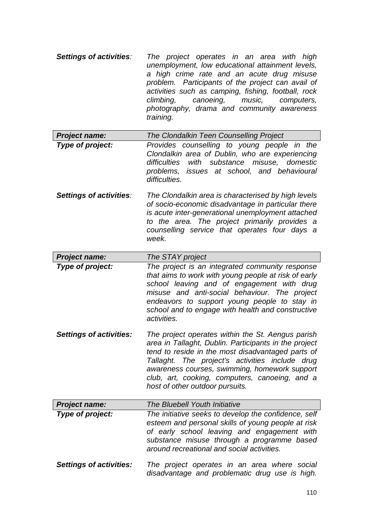- *Settings of activities: The project operates in an area with high unemployment, low educational attainment levels, a high crime rate and an acute drug misuse problem. Participants of the project can avail of activities such as camping, fishing, football, rock climbing, canoeing, music, computers, photography, drama and community awareness training.*
- *Project name: The Clondalkin Teen Counselling Project Type of project: Provides counselling to young people in the Clondalkin area of Dublin, who are experiencing difficulties with substance misuse, domestic problems, issues at school, and behavioural difficulties.*
- *Settings of activities: The Clondalkin area is characterised by high levels of socio-economic disadvantage in particular there is acute inter-generational unemployment attached to the area. The project primarily provides a counselling service that operates four days a week.*
- *Project name: The STAY project Type of project: The project is an integrated community response that aims to work with young people at risk of early school leaving and of engagement with drug misuse and anti-social behaviour. The project endeavors to support young people to stay in school and to engage with health and constructive activities.*
- *Settings of activities: The project operates within the St. Aengus parish area in Tallaght, Dublin. Participants in the project tend to reside in the most disadvantaged parts of Tallaght. The project's activities include drug awareness courses, swimming, homework support club, art, cooking, computers, canoeing, and a host of other outdoor pursuits.*
- *Project name: The Bluebell Youth Initiative Type of project: The initiative seeks to develop the confidence, self esteem and personal skills of young people at risk of early school leaving and engagement with substance misuse through a programme based around recreational and social activities.*
- *Settings of activities: The project operates in an area where social disadvantage and problematic drug use is high.*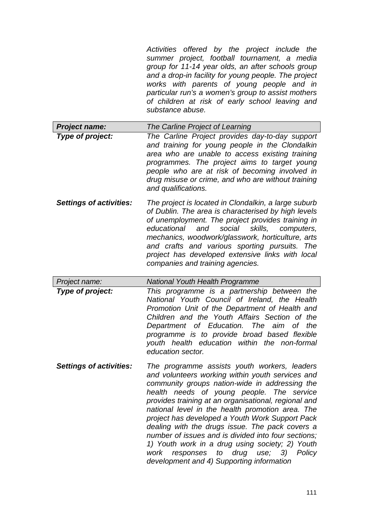*Activities offered by the project include the summer project, football tournament, a media group for 11-14 year olds, an after schools group and a drop-in facility for young people. The project works with parents of young people and in particular run's a women's group to assist mothers of children at risk of early school leaving and substance abuse.*

| <b>Project name:</b> | The Carline Project of Learning                                                                                                                                                                                                                                                                                                      |
|----------------------|--------------------------------------------------------------------------------------------------------------------------------------------------------------------------------------------------------------------------------------------------------------------------------------------------------------------------------------|
| Type of project:     | The Carline Project provides day-to-day support<br>and training for young people in the Clondalkin<br>area who are unable to access existing training<br>programmes. The project aims to target young<br>people who are at risk of becoming involved in<br>drug misuse or crime, and who are without training<br>and qualifications. |
|                      |                                                                                                                                                                                                                                                                                                                                      |

*Settings of activities: The project is located in Clondalkin, a large suburb of Dublin. The area is characterised by high levels of unemployment. The project provides training in educational and social skills, computers, mechanics, woodwork/glasswork, horticulture, arts and crafts and various sporting pursuits. The project has developed extensive links with local companies and training agencies.* 

- *Project name: National Youth Health Programme Type of project: This programme is a partnership between the National Youth Council of Ireland, the Health Promotion Unit of the Department of Health and Children and the Youth Affairs Section of the Department of Education. The aim of the programme is to provide broad based flexible youth health education within the non-formal education sector.*
- *Settings of activities: The programme assists youth workers, leaders and volunteers working within youth services and community groups nation-wide in addressing the health needs of young people. The service provides training at an organisational, regional and national level in the health promotion area. The project has developed a Youth Work Support Pack dealing with the drugs issue. The pack covers a number of issues and is divided into four sections; 1) Youth work in a drug using society; 2) Youth work responses to drug use; 3) Policy development and 4) Supporting information*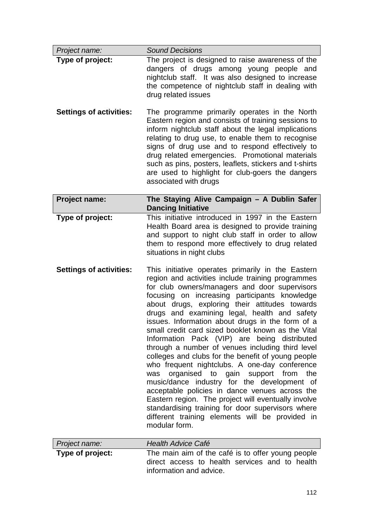| Project name:                  | <b>Sound Decisions</b>                                                                                                                                                                                                                                                                                                                                                                                                                                                                                                                                                                                                                                                                                                                                                                                                                                                                                                                                           |  |
|--------------------------------|------------------------------------------------------------------------------------------------------------------------------------------------------------------------------------------------------------------------------------------------------------------------------------------------------------------------------------------------------------------------------------------------------------------------------------------------------------------------------------------------------------------------------------------------------------------------------------------------------------------------------------------------------------------------------------------------------------------------------------------------------------------------------------------------------------------------------------------------------------------------------------------------------------------------------------------------------------------|--|
| Type of project:               | The project is designed to raise awareness of the<br>dangers of drugs among young people and<br>nightclub staff. It was also designed to increase<br>the competence of nightclub staff in dealing with<br>drug related issues                                                                                                                                                                                                                                                                                                                                                                                                                                                                                                                                                                                                                                                                                                                                    |  |
| <b>Settings of activities:</b> | The programme primarily operates in the North<br>Eastern region and consists of training sessions to<br>inform nightclub staff about the legal implications<br>relating to drug use, to enable them to recognise<br>signs of drug use and to respond effectively to<br>drug related emergencies. Promotional materials<br>such as pins, posters, leaflets, stickers and t-shirts<br>are used to highlight for club-goers the dangers<br>associated with drugs                                                                                                                                                                                                                                                                                                                                                                                                                                                                                                    |  |
| <b>Project name:</b>           | The Staying Alive Campaign - A Dublin Safer<br><b>Dancing Initiative</b>                                                                                                                                                                                                                                                                                                                                                                                                                                                                                                                                                                                                                                                                                                                                                                                                                                                                                         |  |
| Type of project:               | This initiative introduced in 1997 in the Eastern<br>Health Board area is designed to provide training<br>and support to night club staff in order to allow<br>them to respond more effectively to drug related<br>situations in night clubs                                                                                                                                                                                                                                                                                                                                                                                                                                                                                                                                                                                                                                                                                                                     |  |
| <b>Settings of activities:</b> | This initiative operates primarily in the Eastern<br>region and activities include training programmes<br>for club owners/managers and door supervisors<br>focusing on increasing participants knowledge<br>about drugs, exploring their attitudes towards<br>drugs and examining legal, health and safety<br>issues. Information about drugs in the form of a<br>small credit card sized booklet known as the Vital<br>Information Pack (VIP) are being distributed<br>through a number of venues including third level<br>colleges and clubs for the benefit of young people<br>who frequent nightclubs. A one-day conference<br>organised to gain support from<br>the<br>was<br>music/dance industry for the development of<br>acceptable policies in dance venues across the<br>Eastern region. The project will eventually involve<br>standardising training for door supervisors where<br>different training elements will be provided in<br>modular form. |  |
| Project name:                  | <b>Health Advice Café</b>                                                                                                                                                                                                                                                                                                                                                                                                                                                                                                                                                                                                                                                                                                                                                                                                                                                                                                                                        |  |
| Type of project:               | The main aim of the café is to offer young people<br>direct access to health services and to health<br>information and advice.                                                                                                                                                                                                                                                                                                                                                                                                                                                                                                                                                                                                                                                                                                                                                                                                                                   |  |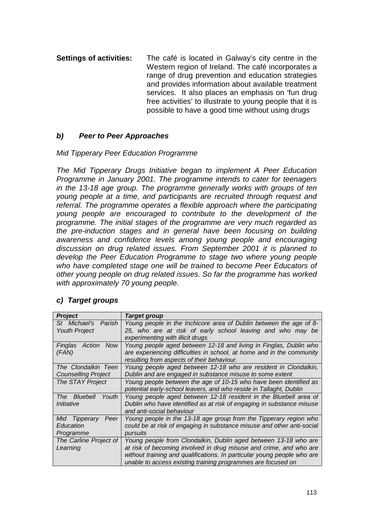**Settings of activities:** The café is located in Galway's city centre in the Western region of Ireland. The café incorporates a range of drug prevention and education strategies and provides information about available treatment services. It also places an emphasis on 'fun drug free activities' to illustrate to young people that it is possible to have a good time without using drugs

### *b) Peer to Peer Approaches*

### *Mid Tipperary Peer Education Programme*

*The Mid Tipperary Drugs Initiative began to implement A Peer Education Programme in January 2001. The programme intends to cater for teenagers in the 13-18 age group. The programme generally works with groups of ten young people at a time, and participants are recruited through request and referral. The programme operates a flexible approach where the participating young people are encouraged to contribute to the development of the programme. The initial stages of the programme are very much regarded as the pre-induction stages and in general have been focusing on building awareness and confidence levels among young people and encouraging discussion on drug related issues. From September 2001 it is planned to develop the Peer Education Programme to stage two where young people who have completed stage one will be trained to become Peer Educators of other young people on drug related issues. So far the programme has worked with approximately 70 young people.* 

### *c) Target groups*

| <b>Project</b>                                            | <b>Target group</b>                                                                                                                                                                                                                                                              |  |
|-----------------------------------------------------------|----------------------------------------------------------------------------------------------------------------------------------------------------------------------------------------------------------------------------------------------------------------------------------|--|
| Parish<br>St Michael's<br><b>Youth Project</b>            | Young people in the Inchicore area of Dublin between the age of 8-<br>25, who are at risk of early school leaving and who may be<br>experimenting with illicit drugs                                                                                                             |  |
| Action<br><b>Now</b><br>Finglas<br>(FAN)                  | Young people aged between 12-18 and living in Finglas, Dublin who<br>are experiencing difficulties in school, at home and in the community<br>resulting from aspects of their behaviour.                                                                                         |  |
| The Clondalkin Teen<br><b>Counselling Project</b>         | Young people aged between 12-18 who are resident in Clondalkin,<br>Dublin and are engaged in substance misuse to some extent                                                                                                                                                     |  |
| The STAY Project                                          | Young people between the age of 10-15 who have been identified as<br>potential early-school leavers, and who reside in Tallaght, Dublin                                                                                                                                          |  |
| The Bluebell<br>Youth<br>Initiative                       | Young people aged between 12-18 resident in the Bluebell area of<br>Dublin who have identified as at risk of engaging in substance misuse<br>and anti-social behaviour                                                                                                           |  |
| Peer<br><b>Tipperary</b><br>Mid<br>Education<br>Programme | Young people in the 13-18 age group from the Tipperary region who<br>could be at risk of engaging in substance misuse and other anti-social<br>pursuits                                                                                                                          |  |
| The Carline Project of<br>Learning                        | Young people from Clondalkin, Dublin aged between 13-18 who are<br>at risk of becoming involved in drug misuse and crime, and who are<br>without training and qualifications. In particular young people who are<br>unable to access existing training programmes are focused on |  |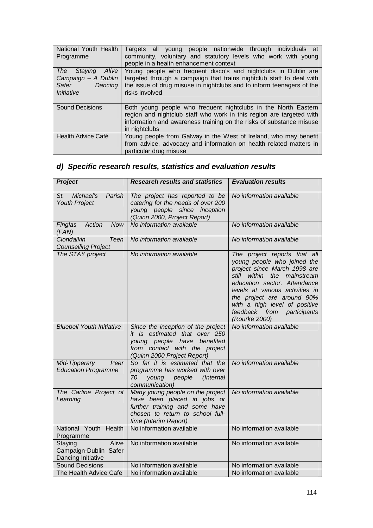| National Youth Health<br>Programme                                                      | Targets all young people nationwide through individuals at<br>community, voluntary and statutory levels who work with young<br>people in a health enhancement context                                                             |  |  |
|-----------------------------------------------------------------------------------------|-----------------------------------------------------------------------------------------------------------------------------------------------------------------------------------------------------------------------------------|--|--|
| Alive<br>Staving<br><b>The</b><br>Campaign - A Dublin<br>Safer<br>Dancing<br>Initiative | Young people who frequent disco's and nightclubs in Dublin are<br>targeted through a campaign that trains nightclub staff to deal with<br>the issue of drug misuse in nightclubs and to inform teenagers of the<br>risks involved |  |  |
| <b>Sound Decisions</b>                                                                  | Both young people who frequent nightclubs in the North Eastern<br>region and nightclub staff who work in this region are targeted with<br>information and awareness training on the risks of substance misuse<br>in nightclubs    |  |  |
| Health Advice Café                                                                      | Young people from Galway in the West of Ireland, who may benefit<br>from advice, advocacy and information on health related matters in<br>particular drug misuse                                                                  |  |  |

# *d) Specific research results, statistics and evaluation results*

| <b>Project</b>                                                  | <b>Research results and statistics</b>                                                                                                                             | <b>Evaluation results</b>                                                                                                                                                                                                                                                                                   |
|-----------------------------------------------------------------|--------------------------------------------------------------------------------------------------------------------------------------------------------------------|-------------------------------------------------------------------------------------------------------------------------------------------------------------------------------------------------------------------------------------------------------------------------------------------------------------|
| Michael's<br>Parish<br>St.<br><b>Youth Project</b>              | The project has reported to be<br>catering for the needs of over 200<br>young people since inception<br>(Quinn 2000, Project Report)                               | No information available                                                                                                                                                                                                                                                                                    |
| Finglas<br>Action<br>Now<br>(FAN)                               | No information available                                                                                                                                           | No information available                                                                                                                                                                                                                                                                                    |
| Clondalkin<br>Teen<br><b>Counselling Project</b>                | No information available                                                                                                                                           | No information available                                                                                                                                                                                                                                                                                    |
| The STAY project                                                | No information available                                                                                                                                           | The project reports that all<br>young people who joined the<br>project since March 1998 are<br>still within the mainstream<br>education sector. Attendance<br>levels at various activities in<br>the project are around 90%<br>with a high level of positive<br>feedback from participants<br>(Rourke 2000) |
| <b>Bluebell Youth Initiative</b>                                | Since the inception of the project<br>it is estimated that over 250<br>young people have benefited<br>from contact with the project<br>(Quinn 2000 Project Report) | No information available                                                                                                                                                                                                                                                                                    |
| Mid-Tipperary<br>Peer<br><b>Education Programme</b>             | So far it is estimated that the<br>programme has worked with over<br>70<br>people<br>(Internal<br>young<br>communication)                                          | No information available                                                                                                                                                                                                                                                                                    |
| The Carline Project of<br>Learning                              | Many young people on the project<br>have been placed in jobs or<br>further training and some have<br>chosen to return to school full-<br>time (Interim Report)     | No information available                                                                                                                                                                                                                                                                                    |
| National Youth Health<br>Programme                              | No information available                                                                                                                                           | No information available                                                                                                                                                                                                                                                                                    |
| Alive<br>Staying<br>Campaign-Dublin Safer<br>Dancing Initiative | No information available                                                                                                                                           | No information available                                                                                                                                                                                                                                                                                    |
| <b>Sound Decisions</b>                                          | No information available                                                                                                                                           | No information available                                                                                                                                                                                                                                                                                    |
| The Health Advice Cafe                                          | No information available                                                                                                                                           | No information available                                                                                                                                                                                                                                                                                    |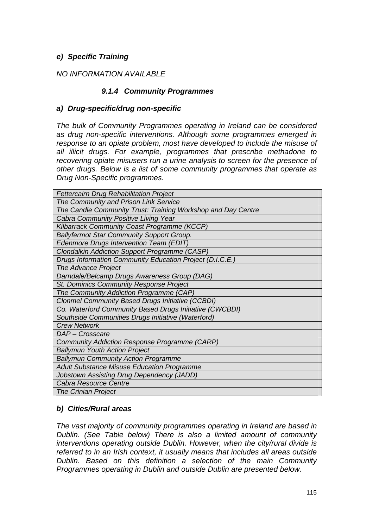### *e) Specific Training*

### *NO INFORMATION AVAILABLE*

### *9.1.4 Community Programmes*

#### *a) Drug-specific/drug non-specific*

*The bulk of Community Programmes operating in Ireland can be considered as drug non-specific interventions. Although some programmes emerged in response to an opiate problem, most have developed to include the misuse of all illicit drugs. For example, programmes that prescribe methadone to recovering opiate misusers run a urine analysis to screen for the presence of other drugs. Below is a list of some community programmes that operate as Drug Non-Specific programmes.* 

| <b>Fettercairn Drug Rehabilitation Project</b>               |
|--------------------------------------------------------------|
| The Community and Prison Link Service                        |
| The Candle Community Trust: Training Workshop and Day Centre |
| Cabra Community Positive Living Year                         |
| Kilbarrack Community Coast Programme (KCCP)                  |
| <b>Ballyfermot Star Community Support Group.</b>             |
| Edenmore Drugs Intervention Team (EDIT)                      |
| <b>Clondalkin Addiction Support Programme (CASP)</b>         |
| Drugs Information Community Education Project (D.I.C.E.)     |
| The Advance Project                                          |
| Darndale/Belcamp Drugs Awareness Group (DAG)                 |
| St. Dominics Community Response Project                      |
| The Community Addiction Programme (CAP)                      |
| <b>Clonmel Community Based Drugs Initiative (CCBDI)</b>      |
| Co. Waterford Community Based Drugs Initiative (CWCBDI)      |
| Southside Communities Drugs Initiative (Waterford)           |
| <b>Crew Network</b>                                          |
| DAP - Crosscare                                              |
| Community Addiction Response Programme (CARP)                |
| <b>Ballymun Youth Action Project</b>                         |
| <b>Ballymun Community Action Programme</b>                   |
| <b>Adult Substance Misuse Education Programme</b>            |
| Jobstown Assisting Drug Dependency (JADD)                    |
| Cabra Resource Centre                                        |
| <b>The Crinian Project</b>                                   |

### *b) Cities/Rural areas*

*The vast majority of community programmes operating in Ireland are based in Dublin. (See Table below) There is also a limited amount of community interventions operating outside Dublin. However, when the city/rural divide is referred to in an Irish context, it usually means that includes all areas outside Dublin. Based on this definition a selection of the main Community Programmes operating in Dublin and outside Dublin are presented below.*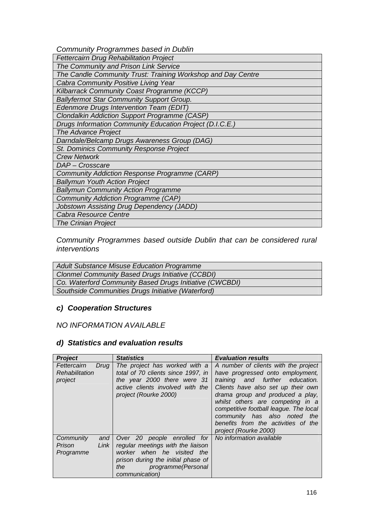*Community Programmes based in Dublin* 

| <b>Fettercairn Drug Rehabilitation Project</b>               |  |  |  |
|--------------------------------------------------------------|--|--|--|
| The Community and Prison Link Service                        |  |  |  |
| The Candle Community Trust: Training Workshop and Day Centre |  |  |  |
| Cabra Community Positive Living Year                         |  |  |  |
| Kilbarrack Community Coast Programme (KCCP)                  |  |  |  |
| <b>Ballyfermot Star Community Support Group.</b>             |  |  |  |
| Edenmore Drugs Intervention Team (EDIT)                      |  |  |  |
| <b>Clondalkin Addiction Support Programme (CASP)</b>         |  |  |  |
| Drugs Information Community Education Project (D.I.C.E.)     |  |  |  |
| The Advance Project                                          |  |  |  |
| Darndale/Belcamp Drugs Awareness Group (DAG)                 |  |  |  |
| St. Dominics Community Response Project                      |  |  |  |
| <b>Crew Network</b>                                          |  |  |  |
| DAP - Crosscare                                              |  |  |  |
| <b>Community Addiction Response Programme (CARP)</b>         |  |  |  |
| <b>Ballymun Youth Action Project</b>                         |  |  |  |
| <b>Ballymun Community Action Programme</b>                   |  |  |  |
| <b>Community Addiction Programme (CAP)</b>                   |  |  |  |
| <b>Jobstown Assisting Drug Dependency (JADD)</b>             |  |  |  |
| Cabra Resource Centre                                        |  |  |  |
| <b>The Crinian Project</b>                                   |  |  |  |

*Community Programmes based outside Dublin that can be considered rural interventions* 

*Adult Substance Misuse Education Programme Clonmel Community Based Drugs Initiative (CCBDI) Co. Waterford Community Based Drugs Initiative (CWCBDI) Southside Communities Drugs Initiative (Waterford)* 

### *c) Cooperation Structures*

### *NO INFORMATION AVAILABLE*

#### *d) Statistics and evaluation results*

| <b>Project</b>                                   | <b>Statistics</b>                                                                                                                                                                       | <b>Evaluation results</b>                                                                                                                                                                                                                                                                                                                                           |
|--------------------------------------------------|-----------------------------------------------------------------------------------------------------------------------------------------------------------------------------------------|---------------------------------------------------------------------------------------------------------------------------------------------------------------------------------------------------------------------------------------------------------------------------------------------------------------------------------------------------------------------|
| Fettercairn<br>Drug<br>Rehabilitation<br>project | The project has worked with a<br>total of 70 clients since 1997, in<br>the year 2000 there were 31<br>active clients involved with the<br>project (Rourke 2000)                         | A number of clients with the project<br>have progressed onto employment,<br>training and further education.<br>Clients have also set up their own<br>drama group and produced a play,<br>whilst others are competing in a<br>competitive football league. The local<br>community has also noted the<br>benefits from the activities of the<br>project (Rourke 2000) |
| Community<br>and<br>Link<br>Prison<br>Programme  | Over 20 people enrolled<br>for<br>regular meetings with the liaison<br>worker when he visited the<br>prison during the initial phase of<br>programme (Personal<br>the<br>communication) | No information available                                                                                                                                                                                                                                                                                                                                            |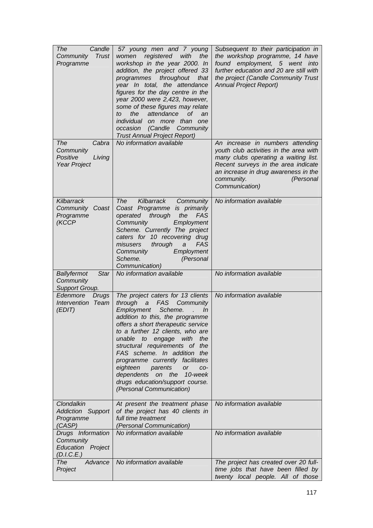| The<br>Candle<br><b>Trust</b><br>Community<br>Programme           | 57 young men and 7 young<br>with<br>women<br>registered<br>the<br>workshop in the year 2000. In<br>addition, the project offered 33<br>throughout<br>programmes<br>that<br>year In total, the attendance<br>figures for the day centre in the<br>year 2000 were 2,423, however,<br>some of these figures may relate<br>the<br>attendance<br>Οf<br>an<br>to<br>individual on more than<br>one<br>occasion<br>(Candle<br>Community<br><b>Trust Annual Project Report)</b>                                                 | Subsequent to their participation in<br>the workshop programme, 14 have<br>found employment, 5 went into<br>further education and 20 are still with<br>the project (Candle Community Trust<br><b>Annual Project Report)</b>                    |
|-------------------------------------------------------------------|-------------------------------------------------------------------------------------------------------------------------------------------------------------------------------------------------------------------------------------------------------------------------------------------------------------------------------------------------------------------------------------------------------------------------------------------------------------------------------------------------------------------------|------------------------------------------------------------------------------------------------------------------------------------------------------------------------------------------------------------------------------------------------|
| The<br>Cabra<br>Community<br>Positive<br>Living<br>Year Project   | No information available                                                                                                                                                                                                                                                                                                                                                                                                                                                                                                | An increase in numbers attending<br>youth club activities in the area with<br>many clubs operating a waiting list.<br>Recent surveys in the area indicate<br>an increase in drug awareness in the<br>(Personal<br>community.<br>Communication) |
| Kilbarrack<br>Community Coast<br>Programme<br>(KCCP               | Kilbarrack<br>Community<br>The<br>Coast Programme is primarily<br>through<br>the<br><b>FAS</b><br>operated<br>Community<br>Employment<br>Scheme. Currently The project<br>caters for 10 recovering drug<br>through<br>FAS<br>misusers<br>a<br>Community<br>Employment<br>Scheme.<br>(Personal<br>Communication)                                                                                                                                                                                                         | No information available                                                                                                                                                                                                                       |
| Ballyfermot<br><b>Star</b><br>Community<br>Support Group.         | No information available                                                                                                                                                                                                                                                                                                                                                                                                                                                                                                | No information available                                                                                                                                                                                                                       |
| Edenmore<br><b>Drugs</b><br><b>Intervention Team</b><br>(EDIT)    | The project caters for 13 clients<br><b>FAS</b><br>through<br>Community<br>a a<br>Employment<br>Scheme.<br>In<br>addition to this, the programme<br>offers a short therapeutic service<br>to a further 12 clients, who are<br>unable<br>engage<br>to<br>with<br>the<br>structural requirements of the<br>FAS scheme. In addition<br>the<br>programme currently facilitates<br>eighteen<br>parents<br><b>or</b><br>CO-<br>on the<br>dependents<br>10-week<br>drugs education/support course.<br>(Personal Communication) | No information available                                                                                                                                                                                                                       |
| Clondalkin<br><b>Addiction Support</b><br>Programme<br>(CASP)     | At present the treatment phase<br>of the project has 40 clients in<br>full time treatment<br><i>(Personal Communication)</i>                                                                                                                                                                                                                                                                                                                                                                                            | No information available                                                                                                                                                                                                                       |
| Drugs Information<br>Community<br>Education Project<br>(D.I.C.E.) | No information available                                                                                                                                                                                                                                                                                                                                                                                                                                                                                                | No information available                                                                                                                                                                                                                       |
| Advance<br>The<br>Project                                         | No information available                                                                                                                                                                                                                                                                                                                                                                                                                                                                                                | The project has created over 20 full-<br>time jobs that have been filled by<br>twenty local people. All of those                                                                                                                               |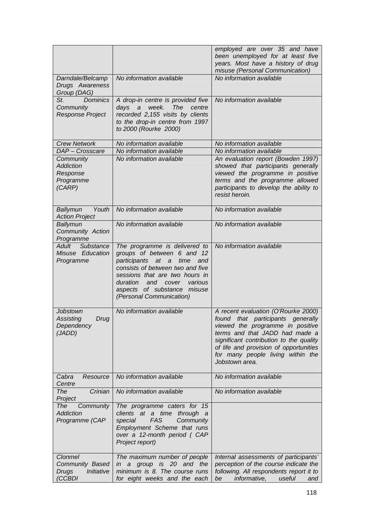|                                                                    |                                                                                                                                                                                                                                                                                         | employed are over 35 and have<br>been unemployed for at least five<br>years. Most have a history of drug<br>misuse (Personal Communication)                                                                                                                                                |
|--------------------------------------------------------------------|-----------------------------------------------------------------------------------------------------------------------------------------------------------------------------------------------------------------------------------------------------------------------------------------|--------------------------------------------------------------------------------------------------------------------------------------------------------------------------------------------------------------------------------------------------------------------------------------------|
| Darndale/Belcamp<br>Drugs Awareness<br>Group (DAG)                 | No information available                                                                                                                                                                                                                                                                | No information available                                                                                                                                                                                                                                                                   |
| <b>Dominics</b><br>St.<br>Community<br>Response Project            | A drop-in centre is provided five<br>days a<br>week.<br><b>The</b><br>centre<br>recorded 2,155 visits by clients<br>to the drop-in centre from 1997<br>to 2000 (Rourke 2000)                                                                                                            | No information available                                                                                                                                                                                                                                                                   |
| <b>Crew Network</b>                                                | No information available                                                                                                                                                                                                                                                                | No information available                                                                                                                                                                                                                                                                   |
| DAP - Crosscare                                                    | No information available                                                                                                                                                                                                                                                                | No information available                                                                                                                                                                                                                                                                   |
| Community<br><b>Addiction</b><br>Response<br>Programme<br>(CARP)   | No information available                                                                                                                                                                                                                                                                | An evaluation report (Bowden 1997)<br>showed that participants generally<br>viewed the programme in positive<br>terms and the programme allowed<br>participants to develop the ability to<br>resist heroin.                                                                                |
| Youth<br>Ballymun<br><b>Action Project</b>                         | No information available                                                                                                                                                                                                                                                                | No information available                                                                                                                                                                                                                                                                   |
| Ballymun<br>Community Action<br>Programme                          | No information available                                                                                                                                                                                                                                                                | No information available                                                                                                                                                                                                                                                                   |
| Adult<br>Substance<br>Misuse Education<br>Programme                | The programme is delivered to<br>groups of between 6 and 12<br>participants at<br>$\overline{a}$<br>time<br>and<br>consists of between two and five<br>sessions that are two hours in<br>duration<br>and<br>various<br>cover<br>aspects of substance misuse<br>(Personal Communication) | No information available                                                                                                                                                                                                                                                                   |
| Jobstown<br>Assisting<br>Drug<br>Dependency<br>(JADD)              | No information available                                                                                                                                                                                                                                                                | A recent evaluation (O'Rourke 2000)<br>found that participants generally<br>viewed the programme in positive<br>terms and that JADD had made a<br>significant contribution to the quality<br>of life and provision of opportunities<br>for many people living within the<br>Jobstown area. |
| Cabra<br>Resource<br>Centre                                        | No information available                                                                                                                                                                                                                                                                | No information available                                                                                                                                                                                                                                                                   |
| The<br>Crinian<br>Project                                          | No information available                                                                                                                                                                                                                                                                | No information available                                                                                                                                                                                                                                                                   |
| Community<br>The<br><b>Addiction</b><br>Programme (CAP             | The programme caters for 15<br>clients at a time<br>through<br>- a<br>FAS<br>special<br>Community<br>Employment Scheme that runs<br>over a 12-month period (CAP<br>Project report)                                                                                                      |                                                                                                                                                                                                                                                                                            |
| Clonmel<br>Community Based<br>Initiative<br><b>Drugs</b><br>(CCBDI | The maximum number of people<br>group is 20 and the<br>$\overline{a}$<br>in<br>minimum is 8. The course runs<br>for eight weeks and the each                                                                                                                                            | Internal assessments of participants<br>perception of the course indicate the<br>following. All respondents report it to<br>informative,<br>useful<br>be<br>and                                                                                                                            |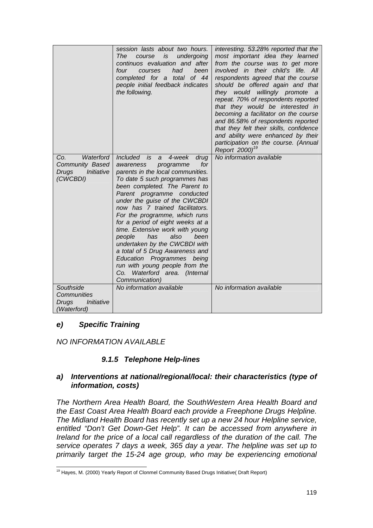|                                                                               | session lasts about two hours.<br>undergoing<br>The<br>is<br>course<br>continuos evaluation and after<br>four<br>had<br>been<br>courses<br>completed for a total of 44<br>people initial feedback indicates<br>the following.                                                                                                                                                                                                                                                                                                                                                                                | interesting. 53.28% reported that the<br>most important idea they learned<br>from the course was to get more<br>involved in their child's life. All<br>respondents agreed that the course<br>should be offered again and that<br>they would<br>willingly promote a<br>repeat. 70% of respondents reported<br>that they would be interested in<br>becoming a facilitator on the course<br>and 86.58% of respondents reported<br>that they felt their skills, confidence<br>and ability were enhanced by their<br>participation on the course. (Annual<br>Report 2000) <sup>19</sup> |
|-------------------------------------------------------------------------------|--------------------------------------------------------------------------------------------------------------------------------------------------------------------------------------------------------------------------------------------------------------------------------------------------------------------------------------------------------------------------------------------------------------------------------------------------------------------------------------------------------------------------------------------------------------------------------------------------------------|------------------------------------------------------------------------------------------------------------------------------------------------------------------------------------------------------------------------------------------------------------------------------------------------------------------------------------------------------------------------------------------------------------------------------------------------------------------------------------------------------------------------------------------------------------------------------------|
| Waterford<br>Co.<br>Community Based<br>Initiative<br><b>Drugs</b><br>(CWCBDI) | Included is<br>4-week<br>drug<br>a<br>for<br>programme<br>awareness<br>parents in the local communities.<br>To date 5 such programmes has<br>been completed. The Parent to<br>Parent programme conducted<br>under the guise of the CWCBDI<br>now has 7 trained facilitators.<br>For the programme, which runs<br>for a period of eight weeks at a<br>time. Extensive work with young<br>has<br>also<br>people<br>been<br>undertaken by the CWCBDI with<br>a total of 5 Drug Awareness and<br>Education Programmes being<br>run with young people from the<br>Co. Waterford area. (Internal<br>Communication) | No information available                                                                                                                                                                                                                                                                                                                                                                                                                                                                                                                                                           |
| Southside<br>Communities                                                      | No information available                                                                                                                                                                                                                                                                                                                                                                                                                                                                                                                                                                                     | No information available                                                                                                                                                                                                                                                                                                                                                                                                                                                                                                                                                           |
| Initiative<br><b>Drugs</b><br>(Waterford)                                     |                                                                                                                                                                                                                                                                                                                                                                                                                                                                                                                                                                                                              |                                                                                                                                                                                                                                                                                                                                                                                                                                                                                                                                                                                    |

### *e) Specific Training*

*NO INFORMATION AVAILABLE* 

### *9.1.5 Telephone Help-lines*

### *a) Interventions at national/regional/local: their characteristics (type of information, costs)*

*The Northern Area Health Board, the SouthWestern Area Health Board and the East Coast Area Health Board each provide a Freephone Drugs Helpline. The Midland Health Board has recently set up a new 24 hour Helpline service, entitled "Don't Get Down-Get Help". It can be accessed from anywhere in Ireland for the price of a local call regardless of the duration of the call. The service operates 7 days a week, 365 day a year. The helpline was set up to primarily target the 15-24 age group, who may be experiencing emotional* 

l <sup>19</sup> Hayes, M. (2000) Yearly Report of Clonmel Community Based Drugs Initiative( Draft Report)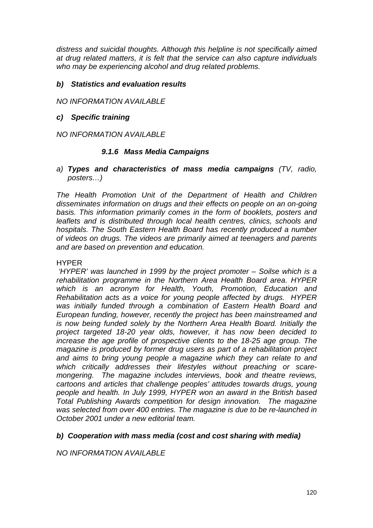*distress and suicidal thoughts. Although this helpline is not specifically aimed at drug related matters, it is felt that the service can also capture individuals who may be experiencing alcohol and drug related problems.* 

### *b) Statistics and evaluation results*

*NO INFORMATION AVAILABLE* 

### *c) Specific training*

*NO INFORMATION AVAILABLE* 

### *9.1.6 Mass Media Campaigns*

*a) Types and characteristics of mass media campaigns (TV, radio, posters…)* 

*The Health Promotion Unit of the Department of Health and Children disseminates information on drugs and their effects on people on an on-going basis. This information primarily comes in the form of booklets, posters and leaflets and is distributed through local health centres, clinics, schools and hospitals. The South Eastern Health Board has recently produced a number of videos on drugs. The videos are primarily aimed at teenagers and parents and are based on prevention and education.* 

#### HYPER

 *'HYPER' was launched in 1999 by the project promoter – Soilse which is a rehabilitation programme in the Northern Area Health Board area. HYPER which is an acronym for Health, Youth, Promotion, Education and Rehabilitation acts as a voice for young people affected by drugs. HYPER was initially funded through a combination of Eastern Health Board and European funding, however, recently the project has been mainstreamed and is now being funded solely by the Northern Area Health Board. Initially the project targeted 18-20 year olds, however, it has now been decided to increase the age profile of prospective clients to the 18-25 age group. The magazine is produced by former drug users as part of a rehabilitation project and aims to bring young people a magazine which they can relate to and which critically addresses their lifestyles without preaching or scaremongering. The magazine includes interviews, book and theatre reviews, cartoons and articles that challenge peoples' attitudes towards drugs, young people and health. In July 1999, HYPER won an award in the British based Total Publishing Awards competition for design innovation. The magazine was selected from over 400 entries. The magazine is due to be re-launched in October 2001 under a new editorial team.* 

### *b) Cooperation with mass media (cost and cost sharing with media)*

*NO INFORMATION AVAILABLE*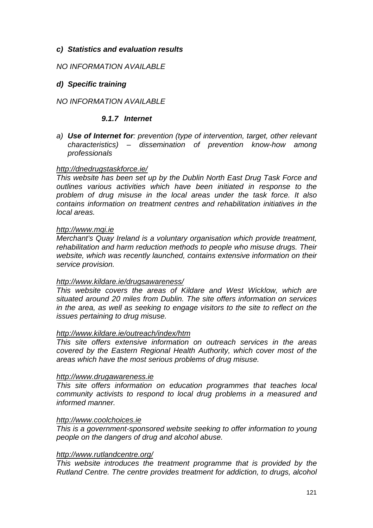### *c) Statistics and evaluation results*

### *NO INFORMATION AVAILABLE*

### *d) Specific training*

#### *NO INFORMATION AVAILABLE*

#### *9.1.7 Internet*

*a) Use of Internet for: prevention (type of intervention, target, other relevant characteristics) – dissemination of prevention know-how among professionals* 

#### *<http://dnedrugstaskforce.ie/>*

*This website has been set up by the Dublin North East Drug Task Force and outlines various activities which have been initiated in response to the problem of drug misuse in the local areas under the task force. It also contains information on treatment centres and rehabilitation initiatives in the local areas.* 

#### *[http://www.mqi.ie](http://www.mqi.ie/)*

*Merchant's Quay Ireland is a voluntary organisation which provide treatment, rehabilitation and harm reduction methods to people who misuse drugs. Their website, which was recently launched, contains extensive information on their service provision.* 

#### *<http://www.kildare.ie/drugsawareness/>*

*This website covers the areas of Kildare and West Wicklow, which are situated around 20 miles from Dublin. The site offers information on services in the area, as well as seeking to engage visitors to the site to reflect on the issues pertaining to drug misuse.* 

#### *<http://www.kildare.ie/outreach/index/htm>*

*This site offers extensive information on outreach services in the areas covered by the Eastern Regional Health Authority, which cover most of the areas which have the most serious problems of drug misuse.* 

#### *[http://www.drugawareness.ie](http://www.drugawareness.ie/)*

*This site offers information on education programmes that teaches local community activists to respond to local drug problems in a measured and informed manner.* 

#### *[http://www.coolchoices.ie](http://www.coolchoices.ie/)*

*This is a government-sponsored website seeking to offer information to young people on the dangers of drug and alcohol abuse.* 

#### *[http://www.rutlandcentre.org/](http://www.rutlandcentre.ie/)*

*This website introduces the treatment programme that is provided by the Rutland Centre. The centre provides treatment for addiction, to drugs, alcohol*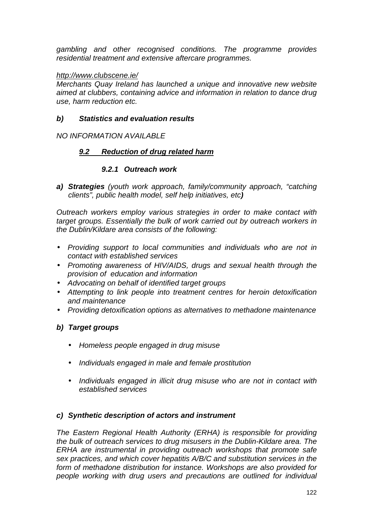*gambling and other recognised conditions. The programme provides residential treatment and extensive aftercare programmes.* 

### *<http://www.clubscene.ie/>*

*Merchants Quay Ireland has launched a unique and innovative new website aimed at clubbers, containing advice and information in relation to dance drug use, harm reduction etc.* 

### *b) Statistics and evaluation results*

### *NO INFORMATION AVAILABLE*

### *9.2 Reduction of drug related harm*

### *9.2.1 Outreach work*

*a) Strategies (youth work approach, family/community approach, "catching clients", public health model, self help initiatives, etc)* 

*Outreach workers employ various strategies in order to make contact with target groups. Essentially the bulk of work carried out by outreach workers in the Dublin/Kildare area consists of the following:* 

- *Providing support to local communities and individuals who are not in contact with established services*
- *Promoting awareness of HIV/AIDS, drugs and sexual health through the provision of education and information*
- *Advocating on behalf of identified target groups*
- *Attempting to link people into treatment centres for heroin detoxification and maintenance*
- *Providing detoxification options as alternatives to methadone maintenance*

### *b) Target groups*

- *Homeless people engaged in drug misuse*
- *Individuals engaged in male and female prostitution*
- *Individuals engaged in illicit drug misuse who are not in contact with established services*

### *c) Synthetic description of actors and instrument*

*The Eastern Regional Health Authority (ERHA) is responsible for providing the bulk of outreach services to drug misusers in the Dublin-Kildare area. The ERHA are instrumental in providing outreach workshops that promote safe sex practices, and which cover hepatitis A/B/C and substitution services in the form of methadone distribution for instance. Workshops are also provided for people working with drug users and precautions are outlined for individual*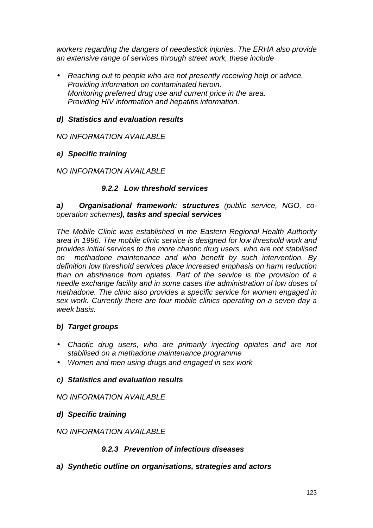*workers regarding the dangers of needlestick injuries. The ERHA also provide an extensive range of services through street work, these include* 

• *Reaching out to people who are not presently receiving help or advice. Providing information on contaminated heroin. Monitoring preferred drug use and current price in the area. Providing HIV information and hepatitis information.* 

### *d) Statistics and evaluation results*

### *NO INFORMATION AVAILABLE*

### *e) Specific training*

### *NO INFORMATION AVAILABLE*

### *9.2.2 Low threshold services*

### *a) Organisational framework: structures (public service, NGO, cooperation schemes), tasks and special services*

*The Mobile Clinic was established in the Eastern Regional Health Authority area in 1996. The mobile clinic service is designed for low threshold work and provides initial services to the more chaotic drug users, who are not stabilised on methadone maintenance and who benefit by such intervention. By definition low threshold services place increased emphasis on harm reduction than on abstinence from opiates. Part of the service is the provision of a needle exchange facility and in some cases the administration of low doses of methadone. The clinic also provides a specific service for women engaged in sex work. Currently there are four mobile clinics operating on a seven day a week basis.* 

### *b) Target groups*

- *Chaotic drug users, who are primarily injecting opiates and are not stabilised on a methadone maintenance programme*
- *Women and men using drugs and engaged in sex work*

### *c) Statistics and evaluation results*

### *NO INFORMATION AVAILABLE*

### *d) Specific training*

### *NO INFORMATION AVAILABLE*

### *9.2.3 Prevention of infectious diseases*

### *a) Synthetic outline on organisations, strategies and actors*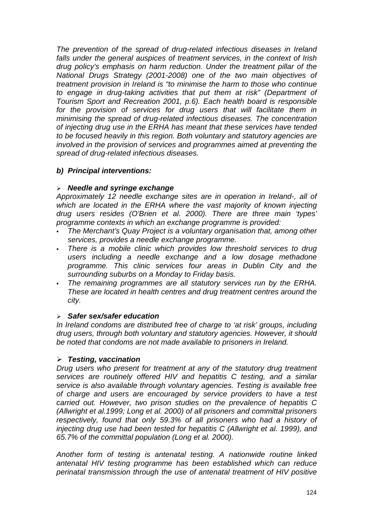*The prevention of the spread of drug-related infectious diseases in Ireland falls under the general auspices of treatment services, in the context of Irish drug policy's emphasis on harm reduction. Under the treatment pillar of the National Drugs Strategy (2001-2008) one of the two main objectives of treatment provision in Ireland is "to minimise the harm to those who continue to engage in drug-taking activities that put them at risk" (Department of Tourism Sport and Recreation 2001, p.6). Each health board is responsible*  for the provision of services for drug users that will facilitate them in *minimising the spread of drug-related infectious diseases. The concentration of injecting drug use in the ERHA has meant that these services have tended to be focused heavily in this region. Both voluntary and statutory agencies are involved in the provision of services and programmes aimed at preventing the spread of drug-related infectious diseases.* 

### *b) Principal interventions:*

### -*Needle and syringe exchange*

*Approximately 12 needle exchange sites are in operation in Ireland-, all of*  which are located in the ERHA where the vast majority of known injecting *drug users resides (O'Brien et al. 2000). There are three main 'types' programme contexts in which an exchange programme is provided:* 

- - *The Merchant's Quay Project is a voluntary organisation that, among other services, provides a needle exchange programme.*
- - *There is a mobile clinic which provides low threshold services to drug users including a needle exchange and a low dosage methadone programme. This clinic services four areas in Dublin City and the surrounding suburbs on a Monday to Friday basis.*
- - *The remaining programmes are all statutory services run by the ERHA. These are located in health centres and drug treatment centres around the city.*

### -*Safer sex/safer education*

*In Ireland condoms are distributed free of charge to 'at risk' groups, including drug users, through both voluntary and statutory agencies. However, it should be noted that condoms are not made available to prisoners in Ireland.* 

### -*Testing, vaccination*

*Drug users who present for treatment at any of the statutory drug treatment services are routinely offered HIV and hepatitis C testing, and a similar service is also available through voluntary agencies. Testing is available free of charge and users are encouraged by service providers to have a test carried out. However, two prison studies on the prevalence of hepatitis C (Allwright et al.1999; Long et al. 2000) of all prisoners and committal prisoners respectively, found that only 59.3% of all prisoners who had a history of injecting drug use had been tested for hepatitis C (Allwright et al. 1999), and 65.7% of the committal population (Long et al. 2000).* 

*Another form of testing is antenatal testing. A nationwide routine linked antenatal HIV testing programme has been established which can reduce perinatal transmission through the use of antenatal treatment of HIV positive*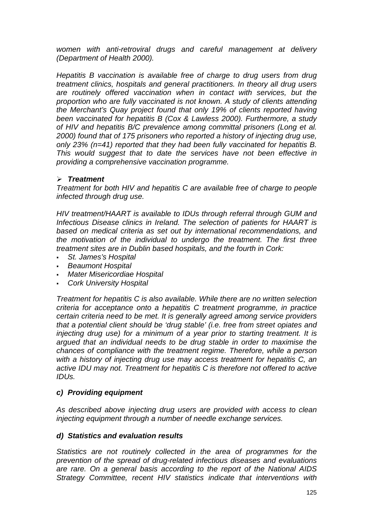*women with anti-retroviral drugs and careful management at delivery (Department of Health 2000).* 

*Hepatitis B vaccination is available free of charge to drug users from drug treatment clinics, hospitals and general practitioners. In theory all drug users are routinely offered vaccination when in contact with services, but the proportion who are fully vaccinated is not known. A study of clients attending the Merchant's Quay project found that only 19% of clients reported having been vaccinated for hepatitis B (Cox & Lawless 2000). Furthermore, a study of HIV and hepatitis B/C prevalence among committal prisoners (Long et al. 2000) found that of 175 prisoners who reported a history of injecting drug use, only 23% (n=41) reported that they had been fully vaccinated for hepatitis B. This would suggest that to date the services have not been effective in providing a comprehensive vaccination programme.* 

### -*Treatment*

*Treatment for both HIV and hepatitis C are available free of charge to people infected through drug use.* 

*HIV treatment/HAART is available to IDUs through referral through GUM and Infectious Disease clinics in Ireland. The selection of patients for HAART is based on medical criteria as set out by international recommendations, and the motivation of the individual to undergo the treatment. The first three treatment sites are in Dublin based hospitals, and the fourth in Cork:* 

- *St. James's Hospital*
- *Beaumont Hospital*
- *Mater Misericordiae Hospital*
- -*Cork University Hospital*

*Treatment for hepatitis C is also available. While there are no written selection criteria for acceptance onto a hepatitis C treatment programme, in practice certain criteria need to be met. It is generally agreed among service providers that a potential client should be 'drug stable' (i.e. free from street opiates and injecting drug use) for a minimum of a year prior to starting treatment. It is argued that an individual needs to be drug stable in order to maximise the chances of compliance with the treatment regime. Therefore, while a person with a history of injecting drug use may access treatment for hepatitis C, an active IDU may not. Treatment for hepatitis C is therefore not offered to active IDUs.* 

### *c) Providing equipment*

*As described above injecting drug users are provided with access to clean injecting equipment through a number of needle exchange services.* 

### *d) Statistics and evaluation results*

*Statistics are not routinely collected in the area of programmes for the prevention of the spread of drug-related infectious diseases and evaluations are rare. On a general basis according to the report of the National AIDS Strategy Committee, recent HIV statistics indicate that interventions with*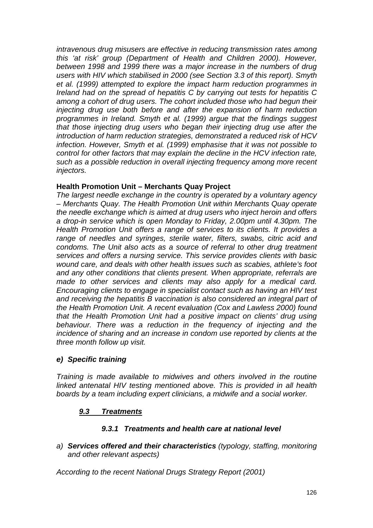*intravenous drug misusers are effective in reducing transmission rates among this 'at risk' group (Department of Health and Children 2000). However, between 1998 and 1999 there was a major increase in the numbers of drug users with HIV which stabilised in 2000 (see Section 3.3 of this report). Smyth et al. (1999) attempted to explore the impact harm reduction programmes in Ireland had on the spread of hepatitis C by carrying out tests for hepatitis C among a cohort of drug users. The cohort included those who had begun their injecting drug use both before and after the expansion of harm reduction programmes in Ireland. Smyth et al. (1999) argue that the findings suggest that those injecting drug users who began their injecting drug use after the introduction of harm reduction strategies, demonstrated a reduced risk of HCV infection. However, Smyth et al. (1999) emphasise that it was not possible to control for other factors that may explain the decline in the HCV infection rate, such as a possible reduction in overall injecting frequency among more recent injectors.* 

### **Health Promotion Unit – Merchants Quay Project**

*The largest needle exchange in the country is operated by a voluntary agency – Merchants Quay. The Health Promotion Unit within Merchants Quay operate the needle exchange which is aimed at drug users who inject heroin and offers a drop-in service which is open Monday to Friday, 2.00pm until 4.30pm. The Health Promotion Unit offers a range of services to its clients. It provides a range of needles and syringes, sterile water, filters, swabs, citric acid and condoms. The Unit also acts as a source of referral to other drug treatment services and offers a nursing service. This service provides clients with basic wound care, and deals with other health issues such as scabies, athlete's foot and any other conditions that clients present. When appropriate, referrals are made to other services and clients may also apply for a medical card. Encouraging clients to engage in specialist contact such as having an HIV test and receiving the hepatitis B vaccination is also considered an integral part of the Health Promotion Unit. A recent evaluation (Cox and Lawless 2000) found that the Health Promotion Unit had a positive impact on clients' drug using behaviour. There was a reduction in the frequency of injecting and the incidence of sharing and an increase in condom use reported by clients at the three month follow up visit.* 

### *e) Specific training*

*Training is made available to midwives and others involved in the routine linked antenatal HIV testing mentioned above. This is provided in all health boards by a team including expert clinicians, a midwife and a social worker.* 

### *9.3 Treatments*

### *9.3.1 Treatments and health care at national level*

*a) Services offered and their characteristics (typology, staffing, monitoring and other relevant aspects)* 

*According to the recent National Drugs Strategy Report (2001)*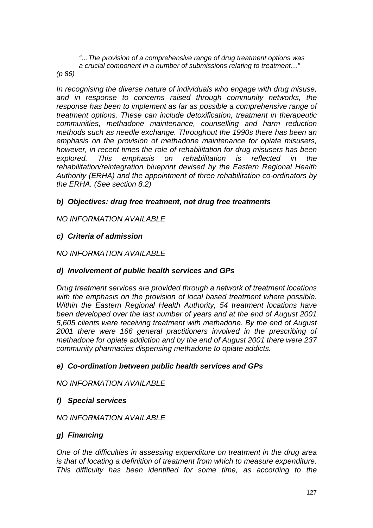*"…The provision of a comprehensive range of drug treatment options was a crucial component in a number of submissions relating to treatment…"* 

*(p 86)* 

*In recognising the diverse nature of individuals who engage with drug misuse, and in response to concerns raised through community networks, the response has been to implement as far as possible a comprehensive range of treatment options. These can include detoxification, treatment in therapeutic communities, methadone maintenance, counselling and harm reduction methods such as needle exchange. Throughout the 1990s there has been an emphasis on the provision of methadone maintenance for opiate misusers, however, in recent times the role of rehabilitation for drug misusers has been explored. This emphasis on rehabilitation is reflected in the rehabilitation/reintegration blueprint devised by the Eastern Regional Health Authority (ERHA) and the appointment of three rehabilitation co-ordinators by the ERHA. (See section 8.2)* 

### *b) Objectives: drug free treatment, not drug free treatments*

*NO INFORMATION AVAILABLE* 

### *c) Criteria of admission*

### *NO INFORMATION AVAILABLE*

### *d) Involvement of public health services and GPs*

*Drug treatment services are provided through a network of treatment locations with the emphasis on the provision of local based treatment where possible. Within the Eastern Regional Health Authority, 54 treatment locations have been developed over the last number of years and at the end of August 2001 5,605 clients were receiving treatment with methadone. By the end of August 2001 there were 166 general practitioners involved in the prescribing of methadone for opiate addiction and by the end of August 2001 there were 237 community pharmacies dispensing methadone to opiate addicts.* 

### *e) Co-ordination between public health services and GPs*

*NO INFORMATION AVAILABLE* 

### *f) Special services*

### *NO INFORMATION AVAILABLE*

### *g) Financing*

*One of the difficulties in assessing expenditure on treatment in the drug area is that of locating a definition of treatment from which to measure expenditure. This difficulty has been identified for some time, as according to the*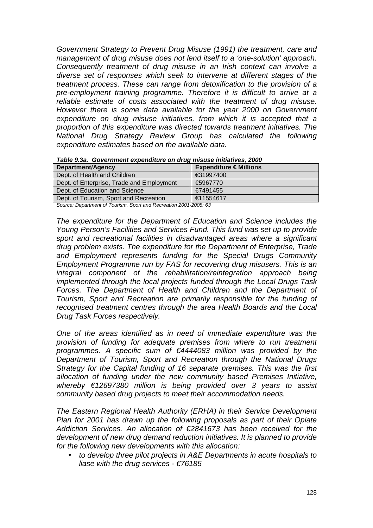*Government Strategy to Prevent Drug Misuse (1991) the treatment, care and management of drug misuse does not lend itself to a 'one-solution' approach. Consequently treatment of drug misuse in an Irish context can involve a diverse set of responses which seek to intervene at different stages of the treatment process. These can range from detoxification to the provision of a pre-employment training programme. Therefore it is difficult to arrive at a reliable estimate of costs associated with the treatment of drug misuse. However there is some data available for the year 2000 on Government expenditure on drug misuse initiatives, from which it is accepted that a proportion of this expenditure was directed towards treatment initiatives. The National Drug Strategy Review Group has calculated the following expenditure estimates based on the available data.* 

| Department/Agency                         | Expenditure $\in$ Millions |  |  |  |
|-------------------------------------------|----------------------------|--|--|--|
| Dept. of Health and Children              | €31997400                  |  |  |  |
| Dept. of Enterprise, Trade and Employment | €5967770                   |  |  |  |
| Dept. of Education and Science            | €7491455                   |  |  |  |
| Dept. of Tourism, Sport and Recreation    | €11554617                  |  |  |  |

*Table 9.3a. Government expenditure on drug misuse initiatives, 2000* 

*Source: Department of Tourism, Sport and Recreation 2001-2008: 63* 

*The expenditure for the Department of Education and Science includes the Young Person's Facilities and Services Fund. This fund was set up to provide sport and recreational facilities in disadvantaged areas where a significant drug problem exists. The expenditure for the Department of Enterprise, Trade and Employment represents funding for the Special Drugs Community Employment Programme run by FAS for recovering drug misusers. This is an integral component of the rehabilitation/reintegration approach being implemented through the local projects funded through the Local Drugs Task*  Forces. The Department of Health and Children and the Department of *Tourism, Sport and Recreation are primarily responsible for the funding of recognised treatment centres through the area Health Boards and the Local Drug Task Forces respectively.* 

*One of the areas identified as in need of immediate expenditure was the provision of funding for adequate premises from where to run treatment programmes. A specific sum of €4444083 million was provided by the Department of Tourism, Sport and Recreation through the National Drugs Strategy for the Capital funding of 16 separate premises. This was the first allocation of funding under the new community based Premises Initiative, whereby €12697380 million is being provided over 3 years to assist community based drug projects to meet their accommodation needs.* 

*The Eastern Regional Health Authority (ERHA) in their Service Development Plan for 2001 has drawn up the following proposals as part of their Opiate Addiction Services. An allocation of €2841673 has been received for the development of new drug demand reduction initiatives. It is planned to provide for the following new developments with this allocation:* 

• *to develop three pilot projects in A&E Departments in acute hospitals to liase with the drug services - €76185*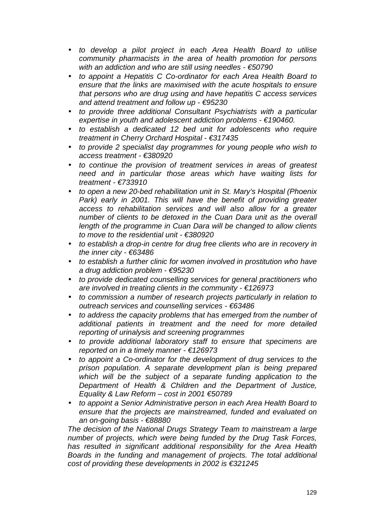- *to develop a pilot project in each Area Health Board to utilise community pharmacists in the area of health promotion for persons with an addiction and who are still using needles - €50790*
- *to appoint a Hepatitis C Co-ordinator for each Area Health Board to ensure that the links are maximised with the acute hospitals to ensure that persons who are drug using and have hepatitis C access services and attend treatment and follow up - €95230*
- *to provide three additional Consultant Psychiatrists with a particular expertise in youth and adolescent addiction problems - €190460.*
- *to establish a dedicated 12 bed unit for adolescents who require treatment in Cherry Orchard Hospital - €317435*
- *to provide 2 specialist day programmes for young people who wish to access treatment - €380920*
- *to continue the provision of treatment services in areas of greatest need and in particular those areas which have waiting lists for treatment - €733910*
- *to open a new 20-bed rehabilitation unit in St. Mary's Hospital (Phoenix Park) early in 2001. This will have the benefit of providing greater access to rehabilitation services and will also allow for a greater number of clients to be detoxed in the Cuan Dara unit as the overall length of the programme in Cuan Dara will be changed to allow clients to move to the residential unit - €380920*
- *to establish a drop-in centre for drug free clients who are in recovery in the inner city - €63486*
- *to establish a further clinic for women involved in prostitution who have a drug addiction problem - €95230*
- *to provide dedicated counselling services for general practitioners who are involved in treating clients in the community - €126973*
- *to commission a number of research projects particularly in relation to outreach services and counselling services - €63486*
- *to address the capacity problems that has emerged from the number of additional patients in treatment and the need for more detailed reporting of urinalysis and screening programmes*
- *to provide additional laboratory staff to ensure that specimens are reported on in a timely manner - €126973*
- *to appoint a Co-ordinator for the development of drug services to the prison population. A separate development plan is being prepared which will be the subject of a separate funding application to the Department of Health & Children and the Department of Justice, Equality & Law Reform – cost in 2001 €50789*
- *to appoint a Senior Administrative person in each Area Health Board to ensure that the projects are mainstreamed, funded and evaluated on an on-going basis - €88880*

*The decision of the National Drugs Strategy Team to mainstream a large number of projects, which were being funded by the Drug Task Forces, has resulted in significant additional responsibility for the Area Health Boards in the funding and management of projects. The total additional cost of providing these developments in 2002 is €321245*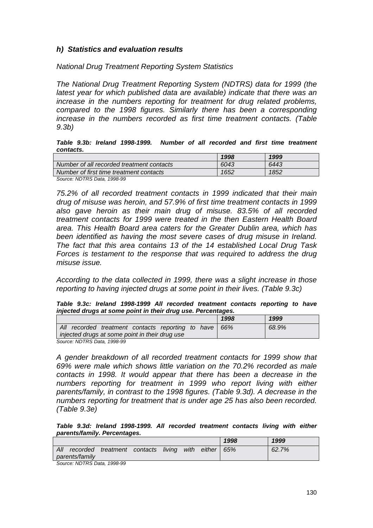### *h) Statistics and evaluation results*

*National Drug Treatment Reporting System Statistics* 

*The National Drug Treatment Reporting System (NDTRS) data for 1999 (the latest year for which published data are available) indicate that there was an increase in the numbers reporting for treatment for drug related problems, compared to the 1998 figures. Similarly there has been a corresponding increase in the numbers recorded as first time treatment contacts. (Table 9.3b)* 

*Table 9.3b: Ireland 1998-1999. Number of all recorded and first time treatment contacts.* 

|                                           | 1998 | 1999 |
|-------------------------------------------|------|------|
| Number of all recorded treatment contacts | 6043 | 6443 |
| Number of first time treatment contacts   | 1652 | 1852 |
| Cause NDTDC Data 1000.00                  |      |      |

*Source: NDTRS Data, 1998-99* 

*75.2% of all recorded treatment contacts in 1999 indicated that their main drug of misuse was heroin, and 57.9% of first time treatment contacts in 1999 also gave heroin as their main drug of misuse. 83.5% of all recorded treatment contacts for 1999 were treated in the then Eastern Health Board area. This Health Board area caters for the Greater Dublin area, which has been identified as having the most severe cases of drug misuse in Ireland. The fact that this area contains 13 of the 14 established Local Drug Task Forces is testament to the response that was required to address the drug misuse issue.* 

*According to the data collected in 1999, there was a slight increase in those reporting to having injected drugs at some point in their lives. (Table 9.3c)* 

*Table 9.3c: Ireland 1998-1999 All recorded treatment contacts reporting to have injected drugs at some point in their drug use. Percentages.* 

|                                                |                                                   |  |  |  | 1998 | 1999  |
|------------------------------------------------|---------------------------------------------------|--|--|--|------|-------|
|                                                | All recorded treatment contacts reporting to have |  |  |  | 66%  | 68.9% |
| injected drugs at some point in their drug use |                                                   |  |  |  |      |       |
| Cause: NDTDC Data 1008.00                      |                                                   |  |  |  |      |       |

*Source: NDTRS Data, 1998-99* 

*A gender breakdown of all recorded treatment contacts for 1999 show that 69% were male which shows little variation on the 70.2% recorded as male contacts in 1998. It would appear that there has been a decrease in the numbers reporting for treatment in 1999 who report living with either parents/family, in contrast to the 1998 figures. (Table 9.3d). A decrease in the numbers reporting for treatment that is under age 25 has also been recorded. (Table 9.3e)* 

*Table 9.3d: Ireland 1998-1999. All recorded treatment contacts living with either parents/family. Percentages.* 

|                           |          |                           |  |  |      |        | 1998 | 1999  |
|---------------------------|----------|---------------------------|--|--|------|--------|------|-------|
| All                       | recorded | treatment contacts living |  |  | with | either | 65%  | 62.7% |
| parents/family            |          |                           |  |  |      |        |      |       |
| Course MDTDC Data 1000.00 |          |                           |  |  |      |        |      |       |

*Source: NDTRS Data, 1998-99*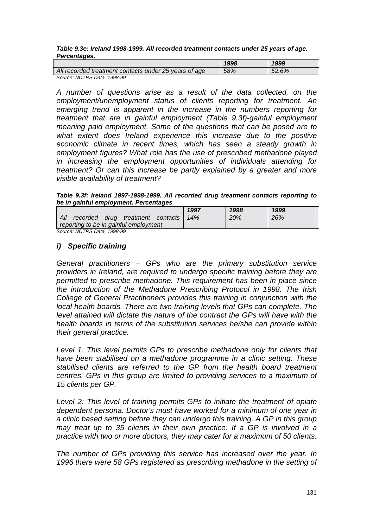#### *Table 9.3e: Ireland 1998-1999. All recorded treatment contacts under 25 years of age. Percentages.*

|                                                       | 1998 | 1999  |
|-------------------------------------------------------|------|-------|
| All recorded treatment contacts under 25 years of age | 58%  | 52.6% |
| Source: NDTRS Data, 1998-99                           |      |       |

*A number of questions arise as a result of the data collected, on the employment/unemployment status of clients reporting for treatment. An emerging trend is apparent in the increase in the numbers reporting for treatment that are in gainful employment (Table 9.3f)-gainful employment meaning paid employment. Some of the questions that can be posed are to what extent does Ireland experience this increase due to the positive economic climate in recent times, which has seen a steady growth in employment figures? What role has the use of prescribed methadone played in increasing the employment opportunities of individuals attending for treatment? Or can this increase be partly explained by a greater and more visible availability of treatment?* 

*Table 9.3f: Ireland 1997-1998-1999. All recorded drug treatment contacts reporting to be in gainful employment. Percentages* 

|                                         | 1997 | 1998 | 1999 |
|-----------------------------------------|------|------|------|
| All<br>recorded drug treatment contacts | 14%  | 20%  | 26%  |
| reporting to be in gainful employment   |      |      |      |
| Source: NDTRS Data, 1998-99             |      |      |      |

### *i) Specific training*

*General practitioners – GPs who are the primary substitution service providers in Ireland, are required to undergo specific training before they are permitted to prescribe methadone. This requirement has been in place since the introduction of the Methadone Prescribing Protocol in 1998. The Irish College of General Practitioners provides this training in conjunction with the local health boards. There are two training levels that GPs can complete. The level attained will dictate the nature of the contract the GPs will have with the health boards in terms of the substitution services he/she can provide within their general practice.* 

*Level 1: This level permits GPs to prescribe methadone only for clients that have been stabilised on a methadone programme in a clinic setting. These stabilised clients are referred to the GP from the health board treatment centres. GPs in this group are limited to providing services to a maximum of 15 clients per GP.* 

*Level 2: This level of training permits GPs to initiate the treatment of opiate dependent persona. Doctor's must have worked for a minimum of one year in a clinic based setting before they can undergo this training. A GP in this group may treat up to 35 clients in their own practice. If a GP is involved in a practice with two or more doctors, they may cater for a maximum of 50 clients.* 

*The number of GPs providing this service has increased over the year. In*  1996 there were 58 GPs registered as prescribing methadone in the setting of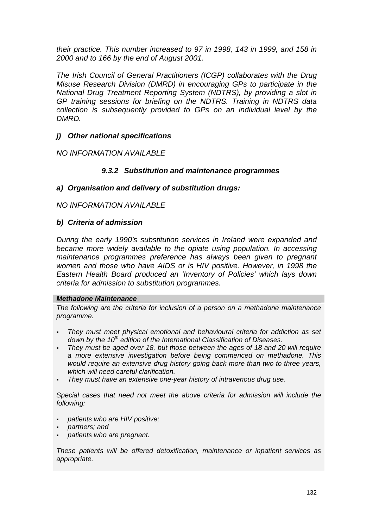*their practice. This number increased to 97 in 1998, 143 in 1999, and 158 in 2000 and to 166 by the end of August 2001.* 

*The Irish Council of General Practitioners (ICGP) collaborates with the Drug Misuse Research Division (DMRD) in encouraging GPs to participate in the National Drug Treatment Reporting System (NDTRS), by providing a slot in GP training sessions for briefing on the NDTRS. Training in NDTRS data collection is subsequently provided to GPs on an individual level by the DMRD.* 

### *j) Other national specifications*

*NO INFORMATION AVAILABLE* 

### *9.3.2 Substitution and maintenance programmes*

#### *a) Organisation and delivery of substitution drugs:*

#### *NO INFORMATION AVAILABLE*

#### *b) Criteria of admission*

*During the early 1990's substitution services in Ireland were expanded and became more widely available to the opiate using population. In accessing maintenance programmes preference has always been given to pregnant women and those who have AIDS or is HIV positive. However, in 1998 the Eastern Health Board produced an 'Inventory of Policies' which lays down criteria for admission to substitution programmes.* 

#### *Methadone Maintenance*

*The following are the criteria for inclusion of a person on a methadone maintenance programme.* 

- - *They must meet physical emotional and behavioural criteria for addiction as set*  down by the 10<sup>th</sup> edition of the International Classification of Diseases.
- *They must be aged over 18, but those between the ages of 18 and 20 will require a more extensive investigation before being commenced on methadone. This would require an extensive drug history going back more than two to three years, which will need careful clarification.*
- -*They must have an extensive one-year history of intravenous drug use.*

*Special cases that need not meet the above criteria for admission will include the following:* 

- *patients who are HIV positive;*
- *partners; and*
- *patients who are pregnant.*

*These patients will be offered detoxification, maintenance or inpatient services as appropriate.*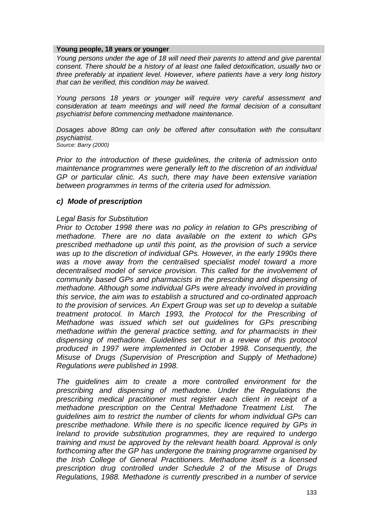#### **Young people, 18 years or younger**

*Young persons under the age of 18 will need their parents to attend and give parental consent. There should be a history of at least one failed detoxification, usually two or three preferably at inpatient level. However, where patients have a very long history that can be verified, this condition may be waived.* 

*Young persons 18 years or younger will require very careful assessment and consideration at team meetings and will need the formal decision of a consultant psychiatrist before commencing methadone maintenance.* 

*Dosages above 80mg can only be offered after consultation with the consultant psychiatrist. Source: Barry (2000)* 

*Prior to the introduction of these guidelines, the criteria of admission onto maintenance programmes were generally left to the discretion of an individual GP or particular clinic. As such, there may have been extensive variation between programmes in terms of the criteria used for admission.* 

#### *c) Mode of prescription*

#### *Legal Basis for Substitution*

*Prior to October 1998 there was no policy in relation to GPs prescribing of methadone. There are no data available on the extent to which GPs prescribed methadone up until this point, as the provision of such a service was up to the discretion of individual GPs. However, in the early 1990s there was a move away from the centralised specialist model toward a more decentralised model of service provision. This called for the involvement of community based GPs and pharmacists in the prescribing and dispensing of methadone. Although some individual GPs were already involved in providing this service, the aim was to establish a structured and co-ordinated approach to the provision of services. An Expert Group was set up to develop a suitable treatment protocol. In March 1993, the Protocol for the Prescribing of Methadone was issued which set out guidelines for GPs prescribing methadone within the general practice setting, and for pharmacists in their dispensing of methadone. Guidelines set out in a review of this protocol produced in 1997 were implemented in October 1998. Consequently, the Misuse of Drugs (Supervision of Prescription and Supply of Methadone) Regulations were published in 1998.* 

*The guidelines aim to create a more controlled environment for the prescribing and dispensing of methadone. Under the Regulations the prescribing medical practitioner must register each client in receipt of a methadone prescription on the Central Methadone Treatment List. The guidelines aim to restrict the number of clients for whom individual GPs can prescribe methadone. While there is no specific licence required by GPs in Ireland to provide substitution programmes, they are required to undergo training and must be approved by the relevant health board. Approval is only forthcoming after the GP has undergone the training programme organised by the Irish College of General Practitioners. Methadone itself is a licensed prescription drug controlled under Schedule 2 of the Misuse of Drugs Regulations, 1988. Methadone is currently prescribed in a number of service*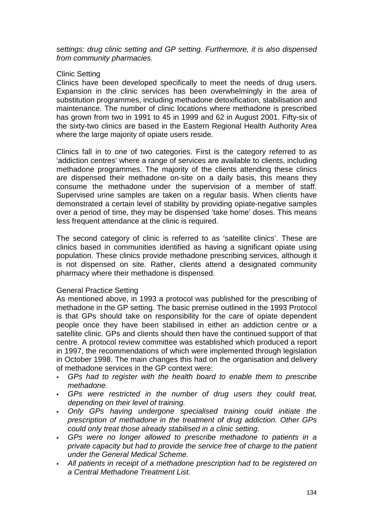*settings: drug clinic setting and GP setting. Furthermore, it is also dispensed from community pharmacies.* 

#### Clinic Setting

Clinics have been developed specifically to meet the needs of drug users. Expansion in the clinic services has been overwhelmingly in the area of substitution programmes, including methadone detoxification, stabilisation and maintenance. The number of clinic locations where methadone is prescribed has grown from two in 1991 to 45 in 1999 and 62 in August 2001. Fifty-six of the sixty-two clinics are based in the Eastern Regional Health Authority Area where the large majority of opiate users reside.

Clinics fall in to one of two categories. First is the category referred to as 'addiction centres' where a range of services are available to clients, including methadone programmes. The majority of the clients attending these clinics are dispensed their methadone on-site on a daily basis, this means they consume the methadone under the supervision of a member of staff. Supervised urine samples are taken on a regular basis. When clients have demonstrated a certain level of stability by providing opiate-negative samples over a period of time, they may be dispensed 'take home' doses. This means less frequent attendance at the clinic is required.

The second category of clinic is referred to as 'satellite clinics'. These are clinics based in communities identified as having a significant opiate using population. These clinics provide methadone prescribing services, although it is not dispensed on site. Rather, clients attend a designated community pharmacy where their methadone is dispensed.

#### General Practice Setting

As mentioned above, in 1993 a protocol was published for the prescribing of methadone in the GP setting. The basic premise outlined in the 1993 Protocol is that GPs should take on responsibility for the care of opiate dependent people once they have been stabilised in either an addiction centre or a satellite clinic. GPs and clients should then have the continued support of that centre. A protocol review committee was established which produced a report in 1997, the recommendations of which were implemented through legislation in October 1998. The main changes this had on the organisation and delivery of methadone services in the GP context were:

- *GPs had to register with the health board to enable them to prescribe methadone.*
- - *GPs were restricted in the number of drug users they could treat, depending on their level of training.*
- *Only GPs having undergone specialised training could initiate the prescription of methadone in the treatment of drug addiction. Other GPs could only treat those already stabilised in a clinic setting.*
- *GPs were no longer allowed to prescribe methadone to patients in a private capacity but had to provide the service free of charge to the patient under the General Medical Scheme.*
- *All patients in receipt of a methadone prescription had to be registered on a Central Methadone Treatment List.*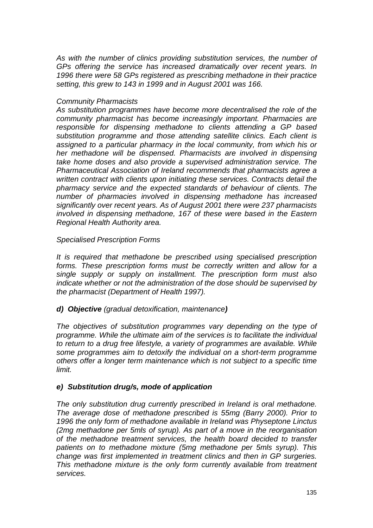*As with the number of clinics providing substitution services, the number of GPs offering the service has increased dramatically over recent years. In 1996 there were 58 GPs registered as prescribing methadone in their practice setting, this grew to 143 in 1999 and in August 2001 was 166.* 

#### *Community Pharmacists*

*As substitution programmes have become more decentralised the role of the community pharmacist has become increasingly important. Pharmacies are responsible for dispensing methadone to clients attending a GP based substitution programme and those attending satellite clinics. Each client is assigned to a particular pharmacy in the local community, from which his or her methadone will be dispensed. Pharmacists are involved in dispensing take home doses and also provide a supervised administration service. The Pharmaceutical Association of Ireland recommends that pharmacists agree a written contract with clients upon initiating these services. Contracts detail the pharmacy service and the expected standards of behaviour of clients. The number of pharmacies involved in dispensing methadone has increased significantly over recent years. As of August 2001 there were 237 pharmacists involved in dispensing methadone, 167 of these were based in the Eastern Regional Health Authority area.* 

*Specialised Prescription Forms* 

*It is required that methadone be prescribed using specialised prescription forms. These prescription forms must be correctly written and allow for a single supply or supply on installment. The prescription form must also indicate whether or not the administration of the dose should be supervised by the pharmacist (Department of Health 1997).* 

*d) Objective (gradual detoxification, maintenance)* 

*The objectives of substitution programmes vary depending on the type of programme. While the ultimate aim of the services is to facilitate the individual to return to a drug free lifestyle, a variety of programmes are available. While some programmes aim to detoxify the individual on a short-term programme others offer a longer term maintenance which is not subject to a specific time limit.* 

### *e) Substitution drug/s, mode of application*

*The only substitution drug currently prescribed in Ireland is oral methadone. The average dose of methadone prescribed is 55mg (Barry 2000). Prior to 1996 the only form of methadone available in Ireland was Physeptone Linctus (2mg methadone per 5mls of syrup). As part of a move in the reorganisation of the methadone treatment services, the health board decided to transfer patients on to methadone mixture (5mg methadone per 5mls syrup). This change was first implemented in treatment clinics and then in GP surgeries. This methadone mixture is the only form currently available from treatment services.*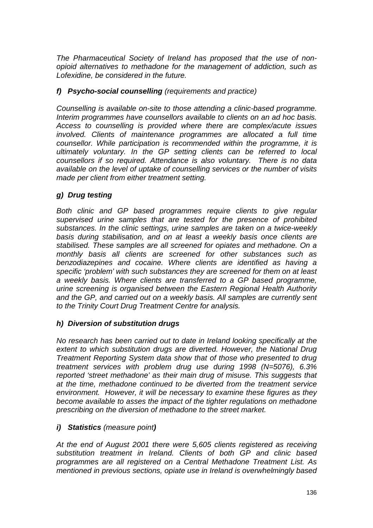*The Pharmaceutical Society of Ireland has proposed that the use of nonopioid alternatives to methadone for the management of addiction, such as Lofexidine, be considered in the future.* 

### *f) Psycho-social counselling (requirements and practice)*

*Counselling is available on-site to those attending a clinic-based programme. Interim programmes have counsellors available to clients on an ad hoc basis. Access to counselling is provided where there are complex/acute issues involved. Clients of maintenance programmes are allocated a full time counsellor. While participation is recommended within the programme, it is ultimately voluntary. In the GP setting clients can be referred to local counsellors if so required. Attendance is also voluntary. There is no data available on the level of uptake of counselling services or the number of visits made per client from either treatment setting.*

### *g) Drug testing*

*Both clinic and GP based programmes require clients to give regular supervised urine samples that are tested for the presence of prohibited substances. In the clinic settings, urine samples are taken on a twice-weekly basis during stabilisation, and on at least a weekly basis once clients are stabilised. These samples are all screened for opiates and methadone. On a monthly basis all clients are screened for other substances such as benzodiazepines and cocaine. Where clients are identified as having a specific 'problem' with such substances they are screened for them on at least a weekly basis. Where clients are transferred to a GP based programme, urine screening is organised between the Eastern Regional Health Authority and the GP, and carried out on a weekly basis. All samples are currently sent to the Trinity Court Drug Treatment Centre for analysis.* 

### *h) Diversion of substitution drugs*

*No research has been carried out to date in Ireland looking specifically at the extent to which substitution drugs are diverted. However, the National Drug Treatment Reporting System data show that of those who presented to drug treatment services with problem drug use during 1998 (N=5076), 6.3% reported 'street methadone' as their main drug of misuse. This suggests that at the time, methadone continued to be diverted from the treatment service environment. However, it will be necessary to examine these figures as they become available to asses the impact of the tighter regulations on methadone prescribing on the diversion of methadone to the street market.* 

### *i) Statistics (measure point)*

*At the end of August 2001 there were 5,605 clients registered as receiving substitution treatment in Ireland. Clients of both GP and clinic based programmes are all registered on a Central Methadone Treatment List. As mentioned in previous sections, opiate use in Ireland is overwhelmingly based*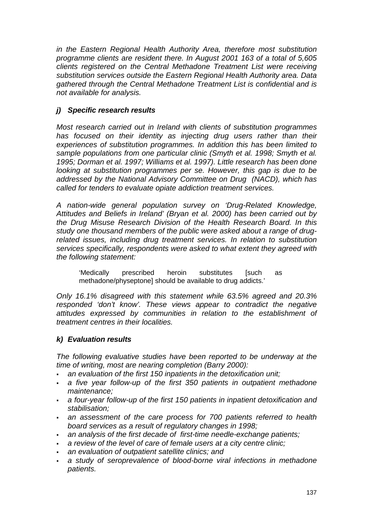*in the Eastern Regional Health Authority Area, therefore most substitution programme clients are resident there. In August 2001 163 of a total of 5,605 clients registered on the Central Methadone Treatment List were receiving substitution services outside the Eastern Regional Health Authority area. Data gathered through the Central Methadone Treatment List is confidential and is not available for analysis.* 

### *j) Specific research results*

*Most research carried out in Ireland with clients of substitution programmes*  has focused on their identity as injecting drug users rather than their *experiences of substitution programmes. In addition this has been limited to sample populations from one particular clinic (Smyth et al. 1998; Smyth et al. 1995; Dorman et al. 1997; Williams et al. 1997). Little research has been done looking at substitution programmes per se. However, this gap is due to be addressed by the National Advisory Committee on Drug (NACD), which has called for tenders to evaluate opiate addiction treatment services.* 

*A nation-wide general population survey on 'Drug-Related Knowledge, Attitudes and Beliefs in Ireland' (Bryan et al. 2000) has been carried out by the Drug Misuse Research Division of the Health Research Board. In this study one thousand members of the public were asked about a range of drugrelated issues, including drug treatment services. In relation to substitution services specifically, respondents were asked to what extent they agreed with the following statement:* 

'Medically prescribed heroin substitutes [such as methadone/physeptone] should be available to drug addicts.'

*Only 16.1% disagreed with this statement while 63.5% agreed and 20.3% responded 'don't know'. These views appear to contradict the negative attitudes expressed by communities in relation to the establishment of treatment centres in their localities.* 

### *k) Evaluation results*

*The following evaluative studies have been reported to be underway at the time of writing, most are nearing completion (Barry 2000):* 

- *an evaluation of the first 150 inpatients in the detoxification unit;*
- *a five year follow-up of the first 350 patients in outpatient methadone maintenance;*
- *a four-year follow-up of the first 150 patients in inpatient detoxification and stabilisation;*
- *an assessment of the care process for 700 patients referred to health board services as a result of regulatory changes in 1998;*
- *an analysis of the first decade of first-time needle-exchange patients;*
- *a review of the level of care of female users at a city centre clinic;*
- *an evaluation of outpatient satellite clinics; and*
- *a study of seroprevalence of blood-borne viral infections in methadone patients.*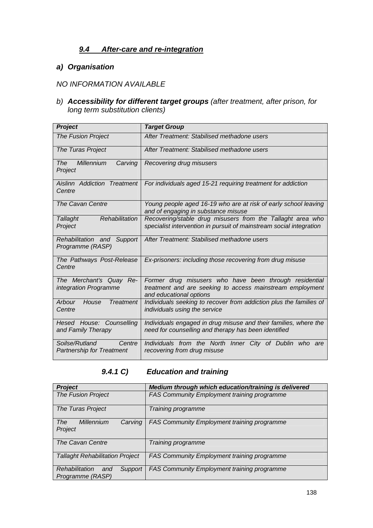### *9.4 After-care and re-integration*

### *a) Organisation*

## *NO INFORMATION AVAILABLE*

*b) Accessibility for different target groups (after treatment, after prison, for long term substitution clients)* 

| <b>Project</b>                                               | <b>Target Group</b>                                                                                                                            |
|--------------------------------------------------------------|------------------------------------------------------------------------------------------------------------------------------------------------|
| <b>The Fusion Project</b>                                    | After Treatment: Stabilised methadone users                                                                                                    |
| The Turas Project                                            | After Treatment: Stabilised methadone users                                                                                                    |
| <b>The</b><br>Millennium<br>Carving<br>Project               | Recovering drug misusers                                                                                                                       |
| Aislinn Addiction Treatment<br>Centre                        | For individuals aged 15-21 requiring treatment for addiction                                                                                   |
| The Cavan Centre                                             | Young people aged 16-19 who are at risk of early school leaving<br>and of engaging in substance misuse                                         |
| Rehabilitation<br><b>Tallaght</b>                            | Recovering/stable drug misusers from the Tallaght area who                                                                                     |
| Project                                                      | specialist intervention in pursuit of mainstream social integration                                                                            |
| Rehabilitation and Support<br>Programme (RASP)               | After Treatment: Stabilised methadone users                                                                                                    |
| The Pathways Post-Release<br>Centre                          | Ex-prisoners: including those recovering from drug misuse                                                                                      |
| The Merchant's Quay Re-<br>integration Programme             | Former drug misusers who have been through residential<br>treatment and are seeking to access mainstream employment<br>and educational options |
| <b>Treatment</b><br>Arbour<br>House<br>Centre                | Individuals seeking to recover from addiction plus the families of<br>individuals using the service                                            |
| Hesed House: Counselling<br>and Family Therapy               | Individuals engaged in drug misuse and their families, where the<br>need for counselling and therapy has been identified                       |
| Soilse/Rutland<br>Centre<br><b>Partnership for Treatment</b> | Individuals from the North Inner City of Dublin<br>who are<br>recovering from drug misuse                                                      |

## *9.4.1 C) Education and training*

| <b>Project</b>                                       | Medium through which education/training is delivered |
|------------------------------------------------------|------------------------------------------------------|
| <b>The Fusion Project</b>                            | FAS Community Employment training programme          |
| The Turas Project                                    | Training programme                                   |
| Millennium<br>The<br>Carving<br>Project              | <b>FAS Community Employment training programme</b>   |
| The Cavan Centre                                     | Training programme                                   |
| <b>Tallaght Rehabilitation Project</b>               | <b>FAS Community Employment training programme</b>   |
| Rehabilitation<br>Support<br>and<br>Programme (RASP) | <b>FAS Community Employment training programme</b>   |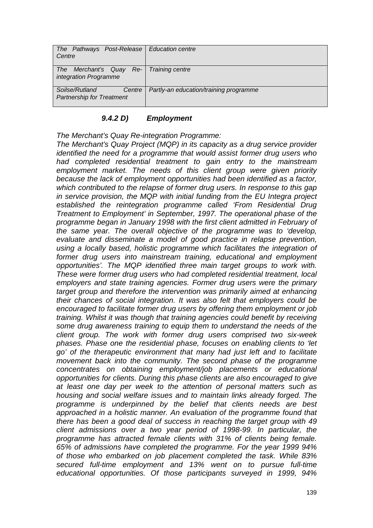| The Pathways Post-Release   Education centre<br>Centre             |                                        |
|--------------------------------------------------------------------|----------------------------------------|
| The Merchant's Quay Re-   Training centre<br>integration Programme |                                        |
| Soilse/Rutland<br>Centre<br><b>Partnership for Treatment</b>       | Partly-an education/training programme |

#### *9.4.2 D) Employment*

*The Merchant's Quay Re-integration Programme:* 

*The Merchant's Quay Project (MQP) in its capacity as a drug service provider identified the need for a programme that would assist former drug users who had completed residential treatment to gain entry to the mainstream employment market. The needs of this client group were given priority because the lack of employment opportunities had been identified as a factor, which contributed to the relapse of former drug users. In response to this gap in service provision, the MQP with initial funding from the EU Integra project established the reintegration programme called 'From Residential Drug Treatment to Employment' in September, 1997. The operational phase of the programme began in January 1998 with the first client admitted in February of the same year. The overall objective of the programme was to 'develop, evaluate and disseminate a model of good practice in relapse prevention, using a locally based, holistic programme which facilitates the integration of former drug users into mainstream training, educational and employment opportunities'. The MQP identified three main target groups to work with. These were former drug users who had completed residential treatment, local employers and state training agencies. Former drug users were the primary*  target group and therefore the intervention was primarily aimed at enhancing *their chances of social integration. It was also felt that employers could be encouraged to facilitate former drug users by offering them employment or job training. Whilst it was though that training agencies could benefit by receiving some drug awareness training to equip them to understand the needs of the client group. The work with former drug users comprised two six-week phases. Phase one the residential phase, focuses on enabling clients to 'let go' of the therapeutic environment that many had just left and to facilitate movement back into the community. The second phase of the programme concentrates on obtaining employment/job placements or educational opportunities for clients. During this phase clients are also encouraged to give at least one day per week to the attention of personal matters such as housing and social welfare issues and to maintain links already forged. The programme is underpinned by the belief that clients needs are best approached in a holistic manner. An evaluation of the programme found that there has been a good deal of success in reaching the target group with 49 client admissions over a two year period of 1998-99. In particular, the programme has attracted female clients with 31% of clients being female. 65% of admissions have completed the programme. For the year 1999 94% of those who embarked on job placement completed the task. While 83% secured full-time employment and 13% went on to pursue full-time educational opportunities. Of those participants surveyed in 1999, 94%*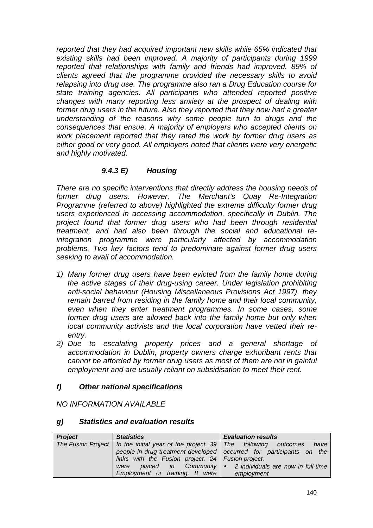*reported that they had acquired important new skills while 65% indicated that existing skills had been improved. A majority of participants during 1999 reported that relationships with family and friends had improved. 89% of clients agreed that the programme provided the necessary skills to avoid relapsing into drug use. The programme also ran a Drug Education course for state training agencies. All participants who attended reported positive changes with many reporting less anxiety at the prospect of dealing with former drug users in the future. Also they reported that they now had a greater understanding of the reasons why some people turn to drugs and the consequences that ensue. A majority of employers who accepted clients on work placement reported that they rated the work by former drug users as either good or very good. All employers noted that clients were very energetic and highly motivated.* 

### *9.4.3 E) Housing*

*There are no specific interventions that directly address the housing needs of former drug users. However, The Merchant's Quay Re-Integration Programme (referred to above) highlighted the extreme difficulty former drug users experienced in accessing accommodation, specifically in Dublin. The project found that former drug users who had been through residential treatment, and had also been through the social and educational reintegration programme were particularly affected by accommodation problems. Two key factors tend to predominate against former drug users seeking to avail of accommodation.* 

- *1) Many former drug users have been evicted from the family home during the active stages of their drug-using career. Under legislation prohibiting anti-social behaviour (Housing Miscellaneous Provisions Act 1997), they remain barred from residing in the family home and their local community, even when they enter treatment programmes. In some cases, some former drug users are allowed back into the family home but only when local community activists and the local corporation have vetted their reentry.*
- *2) Due to escalating property prices and a general shortage of accommodation in Dublin, property owners charge exhoribant rents that cannot be afforded by former drug users as most of them are not in gainful employment and are usually reliant on subsidisation to meet their rent.*

### *f) Other national specifications*

*NO INFORMATION AVAILABLE* 

### *g) Statistics and evaluation results*

| <b>Project</b> | <b>Statistics</b>                                                                      | <b>Evaluation results</b>                                             |
|----------------|----------------------------------------------------------------------------------------|-----------------------------------------------------------------------|
|                | The Fusion Project   In the initial year of the project, $39$   The following outcomes | have                                                                  |
|                |                                                                                        | people in drug treatment developed   occurred for participants on the |
|                | links with the Fusion project. $24$ Fusion project.                                    |                                                                       |
|                | were                                                                                   | placed in Community $\bullet$ 2 individuals are now in full-time      |
|                | Employment or training, 8 were                                                         | employment                                                            |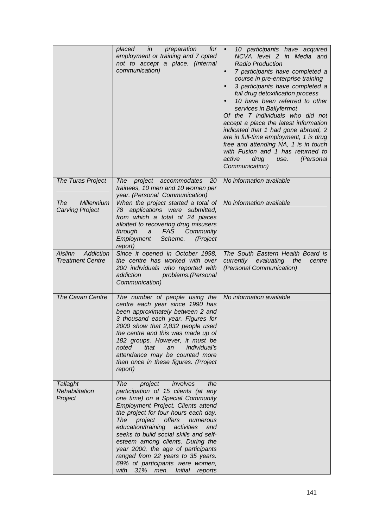|                                                 | placed in<br>preparation<br>for <sub>l</sub><br>employment or training and 7 opted<br>not to accept a place. (Internal<br>communication)                                                                                                                                                                                                                                                                                                                                                                                | 10 participants have acquired<br>$\bullet$<br>NCVA level 2 in Media and<br><b>Radio Production</b><br>7 participants have completed a<br>$\bullet$<br>course in pre-enterprise training<br>3 participants have completed a<br>$\bullet$<br>full drug detoxification process<br>10 have been referred to other<br>services in Ballyfermot<br>Of the 7 individuals who did not<br>accept a place the latest information<br>indicated that 1 had gone abroad, 2<br>are in full-time employment, 1 is drug<br>free and attending NA, 1 is in touch<br>with Fusion and 1 has returned to<br>active<br>drug<br>(Personal<br>use.<br>Communication) |
|-------------------------------------------------|-------------------------------------------------------------------------------------------------------------------------------------------------------------------------------------------------------------------------------------------------------------------------------------------------------------------------------------------------------------------------------------------------------------------------------------------------------------------------------------------------------------------------|----------------------------------------------------------------------------------------------------------------------------------------------------------------------------------------------------------------------------------------------------------------------------------------------------------------------------------------------------------------------------------------------------------------------------------------------------------------------------------------------------------------------------------------------------------------------------------------------------------------------------------------------|
| The Turas Project                               | project accommodates<br>20<br><i>The</i><br>trainees, 10 men and 10 women per<br>year. (Personal Communication)                                                                                                                                                                                                                                                                                                                                                                                                         | No information available                                                                                                                                                                                                                                                                                                                                                                                                                                                                                                                                                                                                                     |
| Millennium<br>The<br><b>Carving Project</b>     | When the project started a total of<br>78 applications were submitted,<br>from which a total of 24 places<br>allotted to recovering drug misusers<br>through<br>FAS<br>Community<br>$\boldsymbol{a}$<br>Employment<br>Scheme.<br>(Project<br>report)                                                                                                                                                                                                                                                                    | No information available                                                                                                                                                                                                                                                                                                                                                                                                                                                                                                                                                                                                                     |
| Addiction<br>Aislinn<br><b>Treatment Centre</b> | Since it opened in October 1998,<br>the centre has worked with over<br>200 individuals who reported with<br>addiction<br>problems. (Personal<br>Communication)                                                                                                                                                                                                                                                                                                                                                          | The South Eastern Health Board is<br>currently evaluating the<br>centre<br>(Personal Communication)                                                                                                                                                                                                                                                                                                                                                                                                                                                                                                                                          |
| <b>The Cavan Centre</b>                         | The number of people using the<br>centre each year since 1990 has<br>been approximately between 2 and<br>3 thousand each year. Figures for<br>2000 show that 2,832 people used<br>the centre and this was made up of<br>182 groups. However, it must be<br>that<br>noted<br><i>individual's</i><br>an<br>attendance may be counted more<br>than once in these figures. (Project<br>report)                                                                                                                              | No information available                                                                                                                                                                                                                                                                                                                                                                                                                                                                                                                                                                                                                     |
| <b>Tallaght</b><br>Rehabilitation<br>Project    | involves<br>the<br>The<br>project<br>participation of 15 clients (at any<br>one time) on a Special Community<br>Employment Project. Clients attend<br>the project for four hours each day.<br>offers<br>The<br>project<br>numerous<br>education/training<br>activities<br>and<br>seeks to build social skills and self-<br>esteem among clients. During the<br>year 2000, the age of participants<br>ranged from 22 years to 35 years.<br>69% of participants were women,<br>with 31% men.<br><i>Initial</i><br>reports |                                                                                                                                                                                                                                                                                                                                                                                                                                                                                                                                                                                                                                              |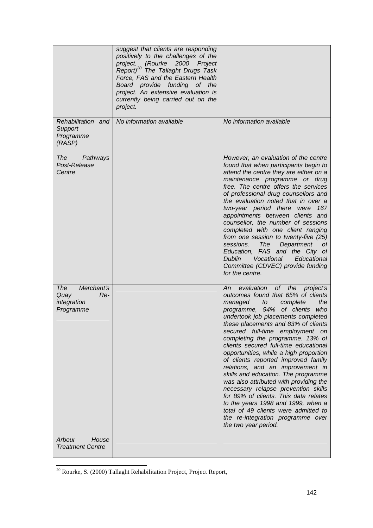|                                                                     | suggest that clients are responding<br>positively to the challenges of the<br>project. (Rourke 2000 Project<br>Report) <sup>20</sup> The Tallaght Drugs Task<br>Force, FAS and the Eastern Health<br>Board provide funding of the<br>project. An extensive evaluation is<br>currently being carried out on the<br>project. |                                                                                                                                                                                                                                                                                                                                                                                                                                                                                                                                                                                                                                                                                                                                                                               |
|---------------------------------------------------------------------|----------------------------------------------------------------------------------------------------------------------------------------------------------------------------------------------------------------------------------------------------------------------------------------------------------------------------|-------------------------------------------------------------------------------------------------------------------------------------------------------------------------------------------------------------------------------------------------------------------------------------------------------------------------------------------------------------------------------------------------------------------------------------------------------------------------------------------------------------------------------------------------------------------------------------------------------------------------------------------------------------------------------------------------------------------------------------------------------------------------------|
| Rehabilitation and<br>Support<br>Programme<br>(RASP)                | No information available                                                                                                                                                                                                                                                                                                   | No information available                                                                                                                                                                                                                                                                                                                                                                                                                                                                                                                                                                                                                                                                                                                                                      |
| <b>The</b><br>Pathways<br>Post-Release<br>Centre                    |                                                                                                                                                                                                                                                                                                                            | However, an evaluation of the centre<br>found that when participants begin to<br>attend the centre they are either on a<br>maintenance programme or drug<br>free. The centre offers the services<br>of professional drug counsellors and<br>the evaluation noted that in over a<br>two-year period there were<br>167<br>appointments between clients and<br>counsellor, the number of sessions<br>completed with one client ranging<br>from one session to twenty-five (25)<br>sessions.<br>The<br>Department<br>οt<br>Education, FAS and the City of<br>Vocational<br>Educational<br><b>Dublin</b><br>Committee (CDVEC) provide funding<br>for the centre.                                                                                                                   |
| Merchant's<br><b>The</b><br>Quay<br>Re-<br>integration<br>Programme |                                                                                                                                                                                                                                                                                                                            | evaluation of the project's<br>An<br>outcomes found that 65% of clients<br>managed<br>the<br>to<br>complete<br>programme, 94% of clients<br>who<br>undertook job placements completed<br>these placements and 83% of clients<br>secured full-time employment on<br>completing the programme. 13% of<br>clients secured full-time educational<br>opportunities, while a high proportion<br>of clients reported improved family<br>relations, and an improvement in<br>skills and education. The programme<br>was also attributed with providing the<br>necessary relapse prevention skills<br>for 89% of clients. This data relates<br>to the years 1998 and 1999, when a<br>total of 49 clients were admitted to<br>the re-integration programme over<br>the two year period. |
| Arbour<br>House<br><b>Treatment Centre</b>                          |                                                                                                                                                                                                                                                                                                                            |                                                                                                                                                                                                                                                                                                                                                                                                                                                                                                                                                                                                                                                                                                                                                                               |

 $20$  Rourke, S. (2000) Tallaght Rehabilitation Project, Project Report,

l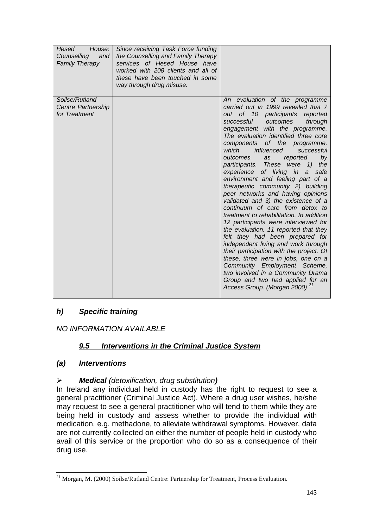| Hesed<br>House:<br>Counselling<br>and<br><b>Family Therapy</b> | Since receiving Task Force funding<br>the Counselling and Family Therapy<br>services of Hesed House have<br>worked with 208 clients and all of<br>these have been touched in some<br>way through drug misuse. |                                                                                                                                                                                                                                                                                                                                                                                                                                                                                                                                                                                                                                                                                                                                                                                                                                                                                                                                                                                                                                                      |
|----------------------------------------------------------------|---------------------------------------------------------------------------------------------------------------------------------------------------------------------------------------------------------------|------------------------------------------------------------------------------------------------------------------------------------------------------------------------------------------------------------------------------------------------------------------------------------------------------------------------------------------------------------------------------------------------------------------------------------------------------------------------------------------------------------------------------------------------------------------------------------------------------------------------------------------------------------------------------------------------------------------------------------------------------------------------------------------------------------------------------------------------------------------------------------------------------------------------------------------------------------------------------------------------------------------------------------------------------|
| Soilse/Rutland<br>Centre Partnership<br>for Treatment          |                                                                                                                                                                                                               | An evaluation of the programme<br>carried out in 1999 revealed that 7<br>out of 10 participants reported<br>successful outcomes<br>through<br>engagement with the programme.<br>The evaluation identified three core<br>components of the programme,<br>which<br>influenced<br>successful<br>outcomes<br>as<br>reported<br>by<br>participants. These were 1) the<br>experience of living in<br>safe<br>$\mathbf{a}$<br>environment and feeling part of a<br>therapeutic community 2) building<br>peer networks and having opinions<br>validated and 3) the existence of a<br>continuum of care from detox to<br>treatment to rehabilitation. In addition<br>12 participants were interviewed for<br>the evaluation. 11 reported that they<br>felt they had been prepared for<br>independent living and work through<br>their participation with the project. Of<br>these, three were in jobs, one on a<br>Community Employment Scheme,<br>two involved in a Community Drama<br>Group and two had applied for an<br>21<br>Access Group. (Morgan 2000) |

### *h) Specific training*

*NO INFORMATION AVAILABLE* 

### *9.5 Interventions in the Criminal Justice System*

### *(a) Interventions*

#### $\blacktriangleright$ *Medical (detoxification, drug substitution)*

In Ireland any individual held in custody has the right to request to see a general practitioner (Criminal Justice Act). Where a drug user wishes, he/she may request to see a general practitioner who will tend to them while they are being held in custody and assess whether to provide the individual with medication, e.g. methadone, to alleviate withdrawal symptoms. However, data are not currently collected on either the number of people held in custody who avail of this service or the proportion who do so as a consequence of their drug use.

l <sup>21</sup> Morgan, M. (2000) Soilse/Rutland Centre: Partnership for Treatment, Process Evaluation.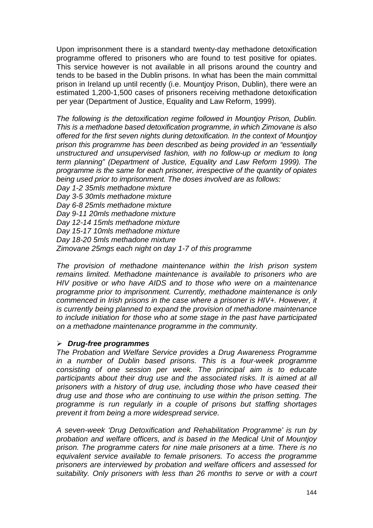Upon imprisonment there is a standard twenty-day methadone detoxification programme offered to prisoners who are found to test positive for opiates. This service however is not available in all prisons around the country and tends to be based in the Dublin prisons. In what has been the main committal prison in Ireland up until recently (i.e. Mountjoy Prison, Dublin), there were an estimated 1,200-1,500 cases of prisoners receiving methadone detoxification per year (Department of Justice, Equality and Law Reform, 1999).

*The following is the detoxification regime followed in Mountjoy Prison, Dublin. This is a methadone based detoxification programme, in which Zimovane is also offered for the first seven nights during detoxification. In the context of Mountjoy prison this programme has been described as being provided in an "essentially unstructured and unsupervised fashion, with no follow-up or medium to long term planning" (Department of Justice, Equality and Law Reform 1999). The programme is the same for each prisoner, irrespective of the quantity of opiates being used prior to imprisonment. The doses involved are as follows:* 

*Day 1-2 35mls methadone mixture Day 3-5 30mls methadone mixture Day 6-8 25mls methadone mixture Day 9-11 20mls methadone mixture Day 12-14 15mls methadone mixture Day 15-17 10mls methadone mixture Day 18-20 5mls methadone mixture Zimovane 25mgs each night on day 1-7 of this programme* 

*The provision of methadone maintenance within the Irish prison system remains limited. Methadone maintenance is available to prisoners who are HIV positive or who have AIDS and to those who were on a maintenance programme prior to imprisonment. Currently, methadone maintenance is only commenced in Irish prisons in the case where a prisoner is HIV+. However, it is currently being planned to expand the provision of methadone maintenance to include initiation for those who at some stage in the past have participated on a methadone maintenance programme in the community.* 

### -*Drug-free programmes*

*The Probation and Welfare Service provides a Drug Awareness Programme in a number of Dublin based prisons. This is a four-week programme consisting of one session per week. The principal aim is to educate participants about their drug use and the associated risks. It is aimed at all prisoners with a history of drug use, including those who have ceased their drug use and those who are continuing to use within the prison setting. The programme is run regularly in a couple of prisons but staffing shortages prevent it from being a more widespread service.* 

*A seven-week 'Drug Detoxification and Rehabilitation Programme' is run by probation and welfare officers, and is based in the Medical Unit of Mountjoy prison. The programme caters for nine male prisoners at a time. There is no equivalent service available to female prisoners. To access the programme prisoners are interviewed by probation and welfare officers and assessed for suitability. Only prisoners with less than 26 months to serve or with a court*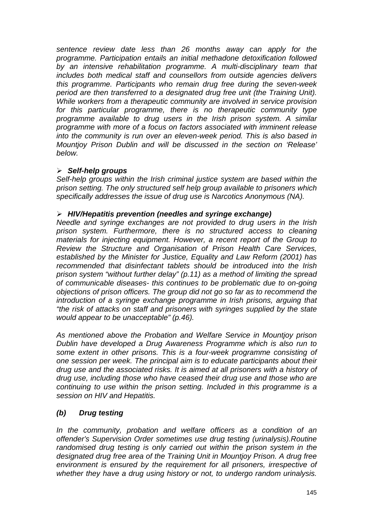*sentence review date less than 26 months away can apply for the programme. Participation entails an initial methadone detoxification followed by an intensive rehabilitation programme. A multi-disciplinary team that includes both medical staff and counsellors from outside agencies delivers this programme. Participants who remain drug free during the seven-week period are then transferred to a designated drug free unit (the Training Unit). While workers from a therapeutic community are involved in service provision for this particular programme, there is no therapeutic community type programme available to drug users in the Irish prison system. A similar programme with more of a focus on factors associated with imminent release into the community is run over an eleven-week period. This is also based in Mountjoy Prison Dublin and will be discussed in the section on 'Release' below.* 

## -*Self-help groups*

*Self-help groups within the Irish criminal justice system are based within the prison setting. The only structured self help group available to prisoners which specifically addresses the issue of drug use is Narcotics Anonymous (NA).* 

## -*HIV/Hepatitis prevention (needles and syringe exchange)*

*Needle and syringe exchanges are not provided to drug users in the Irish prison system. Furthermore, there is no structured access to cleaning materials for injecting equipment. However, a recent report of the Group to Review the Structure and Organisation of Prison Health Care Services, established by the Minister for Justice, Equality and Law Reform (2001) has recommended that disinfectant tablets should be introduced into the Irish prison system "without further delay" (p.11) as a method of limiting the spread of communicable diseases- this continues to be problematic due to on-going objections of prison officers. The group did not go so far as to recommend the introduction of a syringe exchange programme in Irish prisons, arguing that "the risk of attacks on staff and prisoners with syringes supplied by the state would appear to be unacceptable" (p.46).* 

*As mentioned above the Probation and Welfare Service in Mountjoy prison Dublin have developed a Drug Awareness Programme which is also run to some extent in other prisons. This is a four-week programme consisting of one session per week. The principal aim is to educate participants about their drug use and the associated risks. It is aimed at all prisoners with a history of drug use, including those who have ceased their drug use and those who are continuing to use within the prison setting. Included in this programme is a session on HIV and Hepatitis.* 

# *(b) Drug testing*

*In the community, probation and welfare officers as a condition of an offender's Supervision Order sometimes use drug testing (urinalysis).Routine randomised drug testing is only carried out within the prison system in the designated drug free area of the Training Unit in Mountjoy Prison. A drug free environment is ensured by the requirement for all prisoners, irrespective of whether they have a drug using history or not, to undergo random urinalysis.*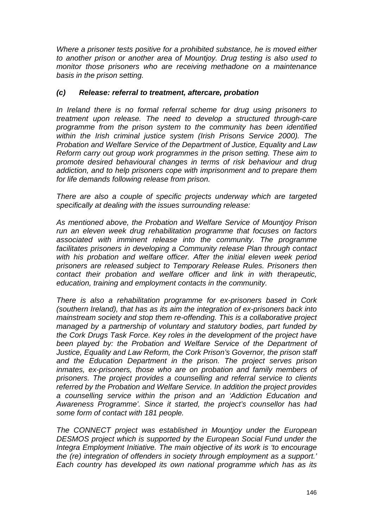*Where a prisoner tests positive for a prohibited substance, he is moved either to another prison or another area of Mountjoy. Drug testing is also used to monitor those prisoners who are receiving methadone on a maintenance basis in the prison setting.* 

## *(c) Release: referral to treatment, aftercare, probation*

*In Ireland there is no formal referral scheme for drug using prisoners to treatment upon release. The need to develop a structured through-care programme from the prison system to the community has been identified within the Irish criminal justice system (Irish Prisons Service 2000). The Probation and Welfare Service of the Department of Justice, Equality and Law Reform carry out group work programmes in the prison setting. These aim to promote desired behavioural changes in terms of risk behaviour and drug addiction, and to help prisoners cope with imprisonment and to prepare them for life demands following release from prison.* 

*There are also a couple of specific projects underway which are targeted specifically at dealing with the issues surrounding release:* 

*As mentioned above, the Probation and Welfare Service of Mountjoy Prison run an eleven week drug rehabilitation programme that focuses on factors associated with imminent release into the community. The programme facilitates prisoners in developing a Community release Plan through contact*  with his probation and welfare officer. After the initial eleven week period *prisoners are released subject to Temporary Release Rules. Prisoners then contact their probation and welfare officer and link in with therapeutic, education, training and employment contacts in the community.* 

*There is also a rehabilitation programme for ex-prisoners based in Cork (southern Ireland), that has as its aim the integration of ex-prisoners back into mainstream society and stop them re-offending. This is a collaborative project managed by a partnership of voluntary and statutory bodies, part funded by the Cork Drugs Task Force. Key roles in the development of the project have been played by: the Probation and Welfare Service of the Department of Justice, Equality and Law Reform, the Cork Prison's Governor, the prison staff and the Education Department in the prison. The project serves prison inmates, ex-prisoners, those who are on probation and family members of prisoners. The project provides a counselling and referral service to clients referred by the Probation and Welfare Service. In addition the project provides a counselling service within the prison and an 'Addiction Education and Awareness Programme'. Since it started, the project's counsellor has had some form of contact with 181 people.* 

*The CONNECT project was established in Mountjoy under the European DESMOS project which is supported by the European Social Fund under the Integra Employment Initiative. The main objective of its work is 'to encourage the (re) integration of offenders in society through employment as a support.' Each country has developed its own national programme which has as its*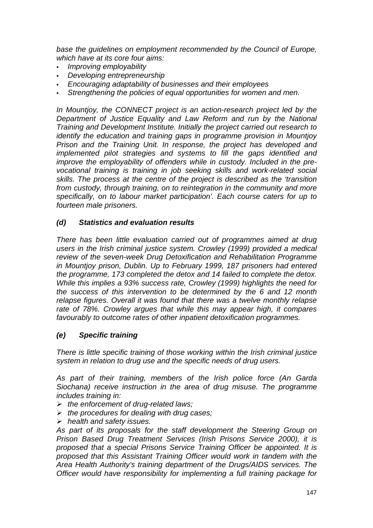*base the guidelines on employment recommended by the Council of Europe, which have at its core four aims:* 

- -*Improving employability*
- *Developing entrepreneurship*
- *Encouraging adaptability of businesses and their employees*
- -*Strengthening the policies of equal opportunities for women and men.*

*In Mountjoy, the CONNECT project is an action-research project led by the Department of Justice Equality and Law Reform and run by the National Training and Development Institute. Initially the project carried out research to identify the education and training gaps in programme provision in Mountjoy Prison and the Training Unit. In response, the project has developed and implemented pilot strategies and systems to fill the gaps identified and improve the employability of offenders while in custody. Included in the prevocational training is training in job seeking skills and work-related social skills. The process at the centre of the project is described as the 'transition from custody, through training, on to reintegration in the community and more specifically, on to labour market participation'. Each course caters for up to fourteen male prisoners.* 

## *(d) Statistics and evaluation results*

*There has been little evaluation carried out of programmes aimed at drug users in the Irish criminal justice system. Crowley (1999) provided a medical review of the seven-week Drug Detoxification and Rehabilitation Programme in Mountjoy prison, Dublin. Up to February 1999, 187 prisoners had entered the programme, 173 completed the detox and 14 failed to complete the detox. While this implies a 93% success rate, Crowley (1999) highlights the need for the success of this intervention to be determined by the 6 and 12 month relapse figures. Overall it was found that there was a twelve monthly relapse rate of 78%. Crowley argues that while this may appear high, it compares favourably to outcome rates of other inpatient detoxification programmes.* 

## *(e) Specific training*

*There is little specific training of those working within the Irish criminal justice system in relation to drug use and the specific needs of drug users.* 

*As part of their training, members of the Irish police force (An Garda Siochana) receive instruction in the area of drug misuse. The programme includes training in:* 

- -*the enforcement of drug-related laws;*
- -*the procedures for dealing with drug cases;*
- -*health and safety issues.*

*As part of its proposals for the staff development the Steering Group on Prison Based Drug Treatment Services (Irish Prisons Service 2000), it is proposed that a special Prisons Service Training Officer be appointed. It is proposed that this Assistant Training Officer would work in tandem with the Area Health Authority's training department of the Drugs/AIDS services. The Officer would have responsibility for implementing a full training package for*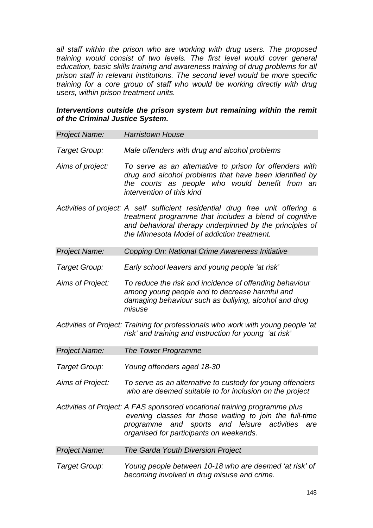*all staff within the prison who are working with drug users. The proposed training would consist of two levels. The first level would cover general education, basic skills training and awareness training of drug problems for all prison staff in relevant institutions. The second level would be more specific training for a core group of staff who would be working directly with drug users, within prison treatment units.* 

### *Interventions outside the prison system but remaining within the remit of the Criminal Justice System.*

| Project Name:        | <b>Harristown House</b>                                                                                                                                                                                                                            |
|----------------------|----------------------------------------------------------------------------------------------------------------------------------------------------------------------------------------------------------------------------------------------------|
| Target Group:        | Male offenders with drug and alcohol problems                                                                                                                                                                                                      |
| Aims of project:     | To serve as an alternative to prison for offenders with<br>drug and alcohol problems that have been identified by<br>the courts as people who would benefit from an<br>intervention of this kind                                                   |
|                      | Activities of project: A self sufficient residential drug free unit offering a<br>treatment programme that includes a blend of cognitive<br>and behavioral therapy underpinned by the principles of<br>the Minnesota Model of addiction treatment. |
| <b>Project Name:</b> | Copping On: National Crime Awareness Initiative                                                                                                                                                                                                    |
| Target Group:        | Early school leavers and young people 'at risk'                                                                                                                                                                                                    |
| Aims of Project:     | To reduce the risk and incidence of offending behaviour<br>among young people and to decrease harmful and<br>damaging behaviour such as bullying, alcohol and drug<br>misuse                                                                       |
|                      | Activities of Project: Training for professionals who work with young people 'at<br>risk' and training and instruction for young 'at risk'                                                                                                         |
| <b>Project Name:</b> | The Tower Programme                                                                                                                                                                                                                                |
| Target Group:        | Young offenders aged 18-30                                                                                                                                                                                                                         |
| Aims of Project:     | To serve as an alternative to custody for young offenders<br>who are deemed suitable to for inclusion on the project                                                                                                                               |
|                      | Activities of Project: A FAS sponsored vocational training programme plus<br>evening classes for those waiting to join the full-time<br>programme and sports and leisure activities<br>are<br>organised for participants on weekends.              |
| <b>Project Name:</b> | The Garda Youth Diversion Project                                                                                                                                                                                                                  |
| Target Group:        | Young people between 10-18 who are deemed 'at risk' of                                                                                                                                                                                             |

*becoming involved in drug misuse and crime.*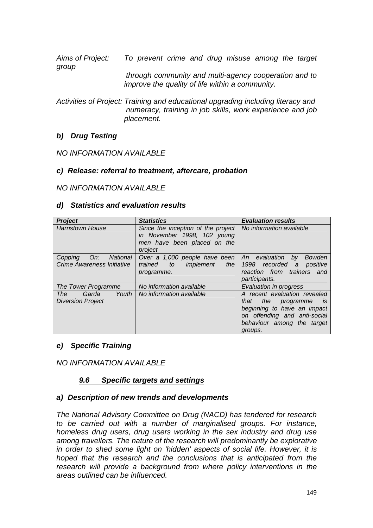*Aims of Project: To prevent crime and drug misuse among the target group through community and multi-agency cooperation and to* 

*improve the quality of life within a community.* 

*Activities of Project: Training and educational upgrading including literacy and numeracy, training in job skills, work experience and job placement.* 

## *b) Drug Testing*

*NO INFORMATION AVAILABLE* 

## *c) Release: referral to treatment, aftercare, probation*

### *NO INFORMATION AVAILABLE*

#### *d) Statistics and evaluation results*

| <b>Project</b>                                           | <b>Statistics</b>                                                                                           | <b>Evaluation results</b>                                                                                                                                                  |
|----------------------------------------------------------|-------------------------------------------------------------------------------------------------------------|----------------------------------------------------------------------------------------------------------------------------------------------------------------------------|
| <b>Harristown House</b>                                  | Since the inception of the project<br>in November 1998, 102 young<br>men have been placed on the<br>project | No information available                                                                                                                                                   |
| National<br>On:<br>Copping<br>Crime Awareness Initiative | Over a 1,000 people have been<br>implement<br>trained<br>the $ $<br>to<br>programme.                        | An evaluation<br>Bowden<br>by<br>1998<br>recorded a<br>positive<br>reaction from trainers and<br>participants.                                                             |
| The Tower Programme                                      | No information available                                                                                    | Evaluation in progress                                                                                                                                                     |
| Youth<br>Garda<br>The T<br><b>Diversion Project</b>      | No information available                                                                                    | A recent evaluation revealed<br>that<br>the programme<br><i>is</i><br>beginning to have an impact<br>on offending and anti-social<br>behaviour among the target<br>groups. |

#### *e) Specific Training*

*NO INFORMATION AVAILABLE* 

## *9.6 Specific targets and settings*

#### *a) Description of new trends and developments*

*The National Advisory Committee on Drug (NACD) has tendered for research to be carried out with a number of marginalised groups. For instance, homeless drug users, drug users working in the sex industry and drug use among travellers. The nature of the research will predominantly be explorative in order to shed some light on 'hidden' aspects of social life. However, it is hoped that the research and the conclusions that is anticipated from the research will provide a background from where policy interventions in the areas outlined can be influenced.*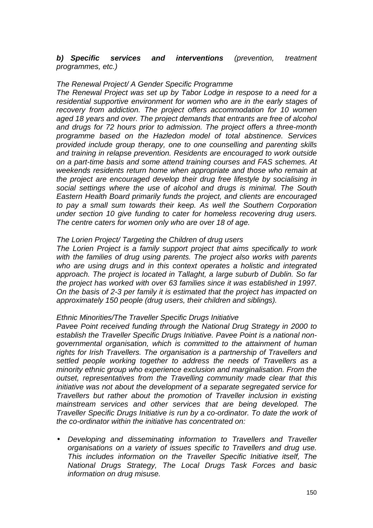### *b) Specific services and interventions (prevention, treatment programmes, etc.)*

### *The Renewal Project/ A Gender Specific Programme*

*The Renewal Project was set up by Tabor Lodge in respose to a need for a residential supportive environment for women who are in the early stages of recovery from addiction. The project offers accommodation for 10 women aged 18 years and over. The project demands that entrants are free of alcohol and drugs for 72 hours prior to admission. The project offers a three-month programme based on the Hazledon model of total abstinence. Services provided include group therapy, one to one counselling and parenting skills and training in relapse prevention. Residents are encouraged to work outside on a part-time basis and some attend training courses and FAS schemes. At weekends residents return home when appropriate and those who remain at the project are encouraged develop their drug free lifestyle by socialising in social settings where the use of alcohol and drugs is minimal. The South Eastern Health Board primarily funds the project, and clients are encouraged to pay a small sum towards their keep. As well the Southern Corporation under section 10 give funding to cater for homeless recovering drug users. The centre caters for women only who are over 18 of age.* 

#### *The Lorien Project/ Targeting the Children of drug users*

*The Lorien Project is a family support project that aims specifically to work with the families of drug using parents. The project also works with parents who are using drugs and in this context operates a holistic and integrated approach. The project is located in Tallaght, a large suburb of Dublin. So far the project has worked with over 63 families since it was established in 1997. On the basis of 2-3 per family it is estimated that the project has impacted on approximately 150 people (drug users, their children and siblings).* 

#### *Ethnic Minorities/The Traveller Specific Drugs Initiative*

*Pavee Point received funding through the National Drug Strategy in 2000 to establish the Traveller Specific Drugs Initiative. Pavee Point is a national nongovernmental organisation, which is committed to the attainment of human rights for Irish Travellers. The organisation is a partnership of Travellers and settled people working together to address the needs of Travellers as a minority ethnic group who experience exclusion and marginalisation. From the outset, representatives from the Travelling community made clear that this initiative was not about the development of a separate segregated service for Travellers but rather about the promotion of Traveller inclusion in existing mainstream services and other services that are being developed. The Traveller Specific Drugs Initiative is run by a co-ordinator. To date the work of the co-ordinator within the initiative has concentrated on:* 

• *Developing and disseminating information to Travellers and Traveller organisations on a variety of issues specific to Travellers and drug use. This includes information on the Traveller Specific Initiative itself, The National Drugs Strategy, The Local Drugs Task Forces and basic information on drug misuse.*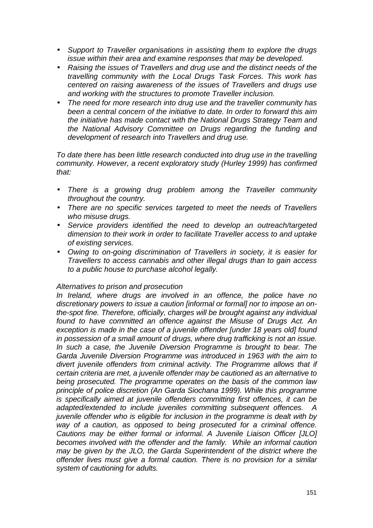- *Support to Traveller organisations in assisting them to explore the drugs issue within their area and examine responses that may be developed.*
- *Raising the issues of Travellers and drug use and the distinct needs of the travelling community with the Local Drugs Task Forces. This work has centered on raising awareness of the issues of Travellers and drugs use and working with the structures to promote Traveller inclusion.*
- *The need for more research into drug use and the traveller community has been a central concern of the initiative to date. In order to forward this aim the initiative has made contact with the National Drugs Strategy Team and the National Advisory Committee on Drugs regarding the funding and development of research into Travellers and drug use.*

*To date there has been little research conducted into drug use in the travelling community. However, a recent exploratory study (Hurley 1999) has confirmed that:* 

- *There is a growing drug problem among the Traveller community throughout the country.*
- *There are no specific services targeted to meet the needs of Travellers who misuse drugs.*
- *Service providers identified the need to develop an outreach/targeted dimension to their work in order to facilitate Traveller access to and uptake of existing services.*
- *Owing to on-going discrimination of Travellers in society, it is easier for Travellers to access cannabis and other illegal drugs than to gain access to a public house to purchase alcohol legally.*

## *Alternatives to prison and prosecution*

*In Ireland, where drugs are involved in an offence, the police have no discretionary powers to issue a caution [informal or formal] nor to impose an onthe-spot fine. Therefore, officially, charges will be brought against any individual found to have committed an offence against the Misuse of Drugs Act. An exception is made in the case of a juvenile offender [under 18 years old] found in possession of a small amount of drugs, where drug trafficking is not an issue. In such a case, the Juvenile Diversion Programme is brought to bear. The Garda Juvenile Diversion Programme was introduced in 1963 with the aim to*  divert juvenile offenders from criminal activity. The Programme allows that if *certain criteria are met, a juvenile offender may be cautioned as an alternative to being prosecuted. The programme operates on the basis of the common law principle of police discretion (An Garda Siochana 1999). While this programme is specifically aimed at juvenile offenders committing first offences, it can be adapted/extended to include juveniles committing subsequent offences. A juvenile offender who is eligible for inclusion in the programme is dealt with by way of a caution, as opposed to being prosecuted for a criminal offence. Cautions may be either formal or informal. A Juvenile Liaison Officer [JLO] becomes involved with the offender and the family. While an informal caution may be given by the JLO, the Garda Superintendent of the district where the offender lives must give a formal caution. There is no provision for a similar system of cautioning for adults.*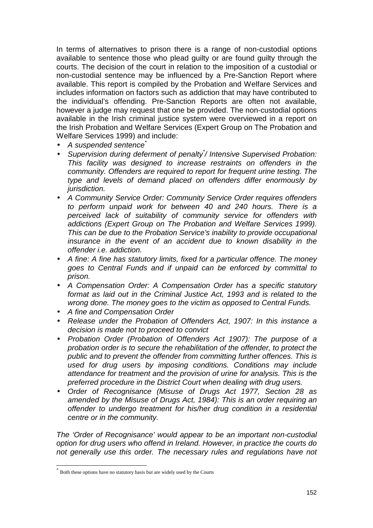In terms of alternatives to prison there is a range of non-custodial options available to sentence those who plead guilty or are found guilty through the courts. The decision of the court in relation to the imposition of a custodial or non-custodial sentence may be influenced by a Pre-Sanction Report where available. This report is compiled by the Probation and Welfare Services and includes information on factors such as addiction that may have contributed to the individual's offending. Pre-Sanction Reports are often not available, however a judge may request that one be provided. The non-custodial options available in the Irish criminal justice system were overviewed in a report on the Irish Probation and Welfare Services (Expert Group on The Probation and Welfare Services 1999) and include:

- *A suspended sentence\**
- *Supervision during deferment of penalty\* / Intensive Supervised Probation: This facility was designed to increase restraints on offenders in the community. Offenders are required to report for frequent urine testing. The type and levels of demand placed on offenders differ enormously by jurisdiction.*
- *A Community Service Order: Community Service Order requires offenders to perform unpaid work for between 40 and 240 hours. There is a perceived lack of suitability of community service for offenders with addictions (Expert Group on The Probation and Welfare Services 1999). This can be due to the Probation Service's inability to provide occupational insurance in the event of an accident due to known disability in the offender i.e. addiction.*
- *A fine: A fine has statutory limits, fixed for a particular offence. The money goes to Central Funds and if unpaid can be enforced by committal to prison.*
- *A Compensation Order: A Compensation Order has a specific statutory format as laid out in the Criminal Justice Act, 1993 and is related to the wrong done. The money goes to the victim as opposed to Central Funds.*
- *A fine and Compensation Order*
- *Release under the Probation of Offenders Act, 1907: In this instance a decision is made not to proceed to convict*
- *Probation Order (Probation of Offenders Act 1907): The purpose of a probation order is to secure the rehabilitation of the offender, to protect the public and to prevent the offender from committing further offences. This is used for drug users by imposing conditions. Conditions may include attendance for treatment and the provision of urine for analysis. This is the preferred procedure in the District Court when dealing with drug users.*
- *Order of Recognisance (Misuse of Drugs Act 1977, Section 28 as amended by the Misuse of Drugs Act, 1984): This is an order requiring an offender to undergo treatment for his/her drug condition in a residential centre or in the community.*

*The 'Order of Recognisance' would appear to be an important non-custodial option for drug users who offend in Ireland. However, in practice the courts do not generally use this order. The necessary rules and regulations have not* 

l

<sup>\*</sup> Both these options have no statutory basis but are widely used by the Courts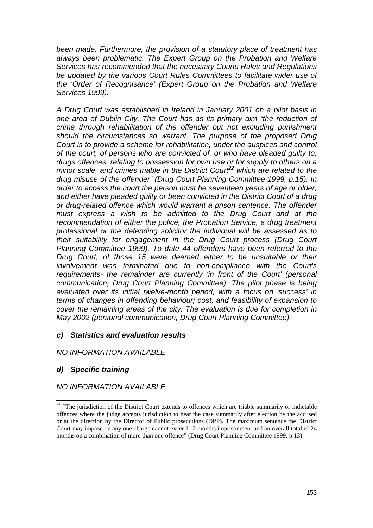*been made. Furthermore, the provision of a statutory place of treatment has always been problematic. The Expert Group on the Probation and Welfare Services has recommended that the necessary Courts Rules and Regulations be updated by the various Court Rules Committees to facilitate wider use of the 'Order of Recognisance' (Expert Group on the Probation and Welfare Services 1999).* 

*A Drug Court was established in Ireland in January 2001 on a pilot basis in one area of Dublin City. The Court has as its primary aim "the reduction of crime through rehabilitation of the offender but not excluding punishment should the circumstances so warrant. The purpose of the proposed Drug Court is to provide a scheme for rehabilitation, under the auspices and control of the court, of persons who are convicted of, or who have pleaded guilty to, drugs offences, relating to possession for own use or for supply to others on a minor scale, and crimes triable in the District Court22 which are related to the drug misuse of the offender" (Drug Court Planning Committee 1999, p.15). In order to access the court the person must be seventeen years of age or older, and either have pleaded guilty or been convicted in the District Court of a drug or drug-related offence which would warrant a prison sentence. The offender must express a wish to be admitted to the Drug Court and at the recommendation of either the police, the Probation Service, a drug treatment professional or the defending solicitor the individual will be assessed as to their suitability for engagement in the Drug Court process (Drug Court Planning Committee 1999). To date 44 offenders have been referred to the Drug Court, of those 15 were deemed either to be unsuitable or their involvement was terminated due to non-compliance with the Court's requirements- the remainder are currently 'in front of the Court' (personal communication, Drug Court Planning Committee). The pilot phase is being evaluated over its initial twelve-month period, with a focus on 'success' in terms of changes in offending behaviour; cost; and feasibility of expansion to cover the remaining areas of the city. The evaluation is due for completion in May 2002 (personal communication, Drug Court Planning Committee).* 

## *c) Statistics and evaluation results*

*NO INFORMATION AVAILABLE* 

# *d) Specific training*

l

## *NO INFORMATION AVAILABLE*

<sup>&</sup>lt;sup>22</sup> "The jurisdiction of the District Court extends to offences which are triable summarily or indictable offences where the judge accepts jurisdiction to hear the case summarily after election by the accused or at the direction by the Director of Public prosecutions (DPP). The maximum sentence the District Court may impose on any one charge cannot exceed 12 months imprisonment and an overall total of 24 months on a combination of more than one offence" (Drug Court Planning Committee 1999, p.13).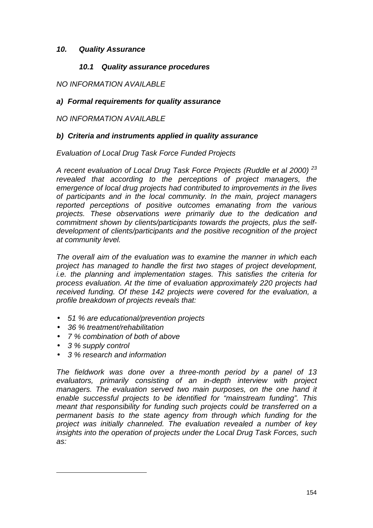## *10. Quality Assurance*

## *10.1 Quality assurance procedures*

## *NO INFORMATION AVAILABLE*

## *a) Formal requirements for quality assurance*

## *NO INFORMATION AVAILABLE*

## *b) Criteria and instruments applied in quality assurance*

*Evaluation of Local Drug Task Force Funded Projects* 

*A recent evaluation of Local Drug Task Force Projects (Ruddle et al 2000) <sup>23</sup> revealed that according to the perceptions of project managers, the emergence of local drug projects had contributed to improvements in the lives of participants and in the local community. In the main, project managers reported perceptions of positive outcomes emanating from the various projects. These observations were primarily due to the dedication and commitment shown by clients/participants towards the projects, plus the selfdevelopment of clients/participants and the positive recognition of the project at community level.* 

*The overall aim of the evaluation was to examine the manner in which each project has managed to handle the first two stages of project development, i.e. the planning and implementation stages. This satisfies the criteria for process evaluation. At the time of evaluation approximately 220 projects had received funding. Of these 142 projects were covered for the evaluation, a profile breakdown of projects reveals that:* 

- *51 % are educational/prevention projects*
- *36 % treatment/rehabilitation*
- *7 % combination of both of above*
- *3 % supply control*

l

• *3 % research and information* 

*The fieldwork was done over a three-month period by a panel of 13 evaluators, primarily consisting of an in-depth interview with project managers. The evaluation served two main purposes, on the one hand it enable successful projects to be identified for "mainstream funding". This meant that responsibility for funding such projects could be transferred on a permanent basis to the state agency from through which funding for the project was initially channeled. The evaluation revealed a number of key insights into the operation of projects under the Local Drug Task Forces, such as:*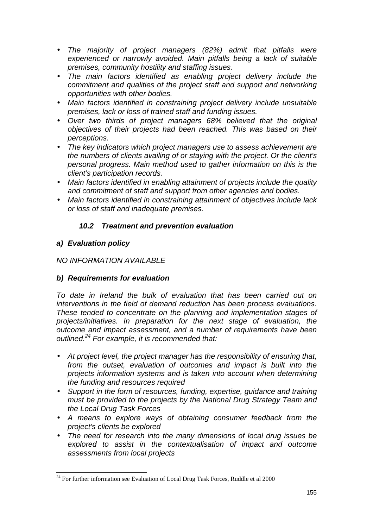- *The majority of project managers (82%) admit that pitfalls were experienced or narrowly avoided. Main pitfalls being a lack of suitable premises, community hostility and staffing issues.*
- *The main factors identified as enabling project delivery include the commitment and qualities of the project staff and support and networking opportunities with other bodies.*
- *Main factors identified in constraining project delivery include unsuitable premises, lack or loss of trained staff and funding issues.*
- *Over two thirds of project managers 68% believed that the original objectives of their projects had been reached. This was based on their perceptions.*
- *The key indicators which project managers use to assess achievement are the numbers of clients availing of or staying with the project. Or the client's personal progress. Main method used to gather information on this is the client's participation records.*
- *Main factors identified in enabling attainment of projects include the quality and commitment of staff and support from other agencies and bodies.*
- *Main factors identified in constraining attainment of objectives include lack or loss of staff and inadequate premises.*

# *10.2 Treatment and prevention evaluation*

# *a) Evaluation policy*

# *NO INFORMATION AVAILABLE*

# *b) Requirements for evaluation*

*To date in Ireland the bulk of evaluation that has been carried out on interventions in the field of demand reduction has been process evaluations. These tended to concentrate on the planning and implementation stages of projects/initiatives. In preparation for the next stage of evaluation, the outcome and impact assessment, and a number of requirements have been outlined.24 For example, it is recommended that:* 

- *At project level, the project manager has the responsibility of ensuring that, from the outset, evaluation of outcomes and impact is built into the projects information systems and is taken into account when determining the funding and resources required*
- *Support in the form of resources, funding, expertise, guidance and training must be provided to the projects by the National Drug Strategy Team and the Local Drug Task Forces*
- *A means to explore ways of obtaining consumer feedback from the project's clients be explored*
- *The need for research into the many dimensions of local drug issues be explored to assist in the contextualisation of impact and outcome assessments from local projects*

l  $24$  For further information see Evaluation of Local Drug Task Forces, Ruddle et al 2000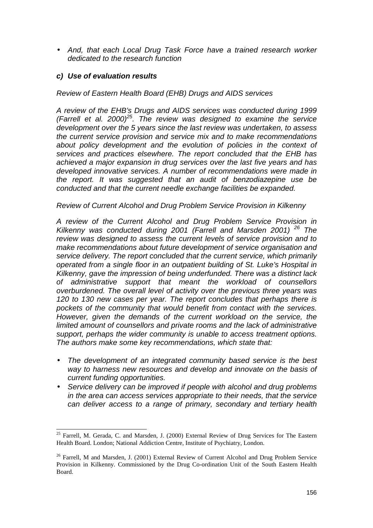• *And, that each Local Drug Task Force have a trained research worker dedicated to the research function* 

## *c) Use of evaluation results*

*Review of Eastern Health Board (EHB) Drugs and AIDS services* 

*A review of the EHB's Drugs and AIDS services was conducted during 1999 (Farrell et al. 2000)25. The review was designed to examine the service development over the 5 years since the last review was undertaken, to assess the current service provision and service mix and to make recommendations about policy development and the evolution of policies in the context of services and practices elsewhere. The report concluded that the EHB has achieved a major expansion in drug services over the last five years and has developed innovative services. A number of recommendations were made in the report. It was suggested that an audit of benzodiazepine use be conducted and that the current needle exchange facilities be expanded.* 

### *Review of Current Alcohol and Drug Problem Service Provision in Kilkenny*

*A review of the Current Alcohol and Drug Problem Service Provision in Kilkenny was conducted during 2001 (Farrell and Marsden 2001) 26 The review was designed to assess the current levels of service provision and to make recommendations about future development of service organisation and service delivery. The report concluded that the current service, which primarily operated from a single floor in an outpatient building of St. Luke's Hospital in Kilkenny, gave the impression of being underfunded. There was a distinct lack of administrative support that meant the workload of counsellors overburdened. The overall level of activity over the previous three years was 120 to 130 new cases per year. The report concludes that perhaps there is pockets of the community that would benefit from contact with the services. However, given the demands of the current workload on the service, the limited amount of counsellors and private rooms and the lack of administrative support, perhaps the wider community is unable to access treatment options. The authors make some key recommendations, which state that:* 

- *The development of an integrated community based service is the best way to harness new resources and develop and innovate on the basis of current funding opportunities.*
- *Service delivery can be improved if people with alcohol and drug problems in the area can access services appropriate to their needs, that the service can deliver access to a range of primary, secondary and tertiary health*

l <sup>25</sup> Farrell, M. Gerada, C. and Marsden, J. (2000) External Review of Drug Services for The Eastern Health Board. London; National Addiction Centre, Institute of Psychiatry, London.

<sup>&</sup>lt;sup>26</sup> Farrell, M and Marsden, J. (2001) External Review of Current Alcohol and Drug Problem Service Provision in Kilkenny. Commissioned by the Drug Co-ordination Unit of the South Eastern Health Board.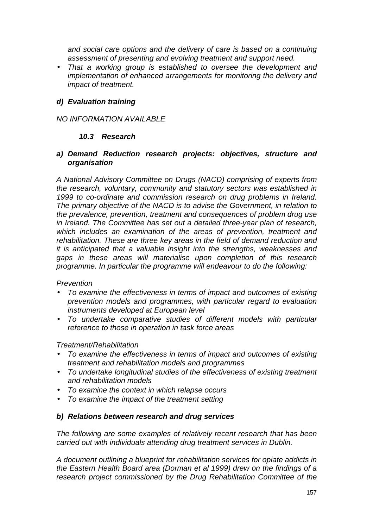*and social care options and the delivery of care is based on a continuing assessment of presenting and evolving treatment and support need.* 

• *That a working group is established to oversee the development and implementation of enhanced arrangements for monitoring the delivery and impact of treatment.* 

## *d) Evaluation training*

## *NO INFORMATION AVAILABLE*

## *10.3 Research*

### *a) Demand Reduction research projects: objectives, structure and organisation*

*A National Advisory Committee on Drugs (NACD) comprising of experts from the research, voluntary, community and statutory sectors was established in 1999 to co-ordinate and commission research on drug problems in Ireland. The primary objective of the NACD is to advise the Government, in relation to the prevalence, prevention, treatment and consequences of problem drug use in Ireland. The Committee has set out a detailed three-year plan of research, which includes an examination of the areas of prevention, treatment and rehabilitation. These are three key areas in the field of demand reduction and it is anticipated that a valuable insight into the strengths, weaknesses and gaps in these areas will materialise upon completion of this research programme. In particular the programme will endeavour to do the following:* 

#### *Prevention*

- *To examine the effectiveness in terms of impact and outcomes of existing prevention models and programmes, with particular regard to evaluation instruments developed at European level*
- *To undertake comparative studies of different models with particular reference to those in operation in task force areas*

## *Treatment/Rehabilitation*

- *To examine the effectiveness in terms of impact and outcomes of existing treatment and rehabilitation models and programmes*
- *To undertake longitudinal studies of the effectiveness of existing treatment and rehabilitation models*
- *To examine the context in which relapse occurs*
- *To examine the impact of the treatment setting*

## *b) Relations between research and drug services*

*The following are some examples of relatively recent research that has been carried out with individuals attending drug treatment services in Dublin.* 

*A document outlining a blueprint for rehabilitation services for opiate addicts in the Eastern Health Board area (Dorman et al 1999) drew on the findings of a research project commissioned by the Drug Rehabilitation Committee of the*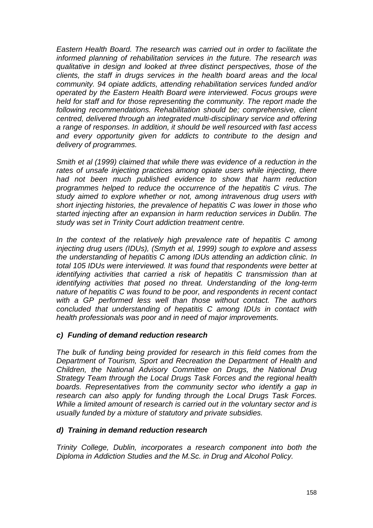*Eastern Health Board. The research was carried out in order to facilitate the informed planning of rehabilitation services in the future. The research was qualitative in design and looked at three distinct perspectives, those of the clients, the staff in drugs services in the health board areas and the local community. 94 opiate addicts, attending rehabilitation services funded and/or operated by the Eastern Health Board were interviewed. Focus groups were held for staff and for those representing the community. The report made the following recommendations. Rehabilitation should be; comprehensive, client centred, delivered through an integrated multi-disciplinary service and offering a range of responses. In addition, it should be well resourced with fast access and every opportunity given for addicts to contribute to the design and delivery of programmes.* 

*Smith et al (1999) claimed that while there was evidence of a reduction in the*  rates of unsafe injecting practices among opiate users while injecting, there *had not been much published evidence to show that harm reduction programmes helped to reduce the occurrence of the hepatitis C virus. The study aimed to explore whether or not, among intravenous drug users with short injecting histories, the prevalence of hepatitis C was lower in those who started injecting after an expansion in harm reduction services in Dublin. The study was set in Trinity Court addiction treatment centre.* 

*In the context of the relatively high prevalence rate of hepatitis C among injecting drug users (IDUs), (Smyth et al, 1999) sough to explore and assess the understanding of hepatitis C among IDUs attending an addiction clinic. In total 105 IDUs were interviewed. It was found that respondents were better at identifying activities that carried a risk of hepatitis C transmission than at identifying activities that posed no threat. Understanding of the long-term nature of hepatitis C was found to be poor, and respondents in recent contact with a GP performed less well than those without contact. The authors concluded that understanding of hepatitis C among IDUs in contact with health professionals was poor and in need of major improvements.* 

## *c) Funding of demand reduction research*

*The bulk of funding being provided for research in this field comes from the Department of Tourism, Sport and Recreation the Department of Health and Children, the National Advisory Committee on Drugs, the National Drug Strategy Team through the Local Drugs Task Forces and the regional health boards. Representatives from the community sector who identify a gap in research can also apply for funding through the Local Drugs Task Forces. While a limited amount of research is carried out in the voluntary sector and is usually funded by a mixture of statutory and private subsidies.* 

# *d) Training in demand reduction research*

*Trinity College, Dublin, incorporates a research component into both the Diploma in Addiction Studies and the M.Sc. in Drug and Alcohol Policy.*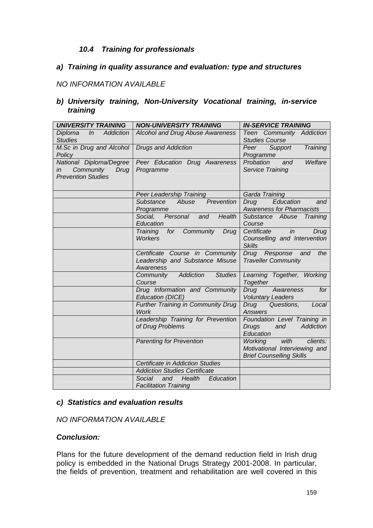## *10.4 Training for professionals*

### *a) Training in quality assurance and evaluation: type and structures*

## *NO INFORMATION AVAILABLE*

### *b) University training, Non-University Vocational training, in-service training*

| <b>UNIVERSITY TRAINING</b>                                                      | <b>NON-UNIVERSITY TRAINING</b>                                                  | <b>IN-SERVICE TRAINING</b>                                                                             |
|---------------------------------------------------------------------------------|---------------------------------------------------------------------------------|--------------------------------------------------------------------------------------------------------|
| Diploma<br>ln<br><b>Addiction</b><br><b>Studies</b>                             | <b>Alcohol and Drug Abuse Awareness</b>                                         | Teen Community Addiction<br><b>Studies Course</b>                                                      |
| M.Sc in Drug and Alcohol<br>Policy                                              | <b>Drugs and Addiction</b>                                                      | Peer<br>Support<br>Training<br>Programme                                                               |
| National Diploma/Degree<br>Community<br>in<br>Drug<br><b>Prevention Studies</b> | Peer Education Drug Awareness<br>Programme                                      | Probation<br>Welfare<br>and<br>Service Training                                                        |
|                                                                                 | Peer Leadership Training                                                        | Garda Training                                                                                         |
|                                                                                 | Prevention<br><b>Substance</b><br>Abuse<br>Programme                            | Education<br>Drug<br>and<br><b>Awareness for Pharmacists</b>                                           |
|                                                                                 | Personal<br>Social,<br>Health<br>and<br>Education                               | Substance Abuse Training<br>Course                                                                     |
|                                                                                 | for<br>Community<br>Drug<br>Training<br><b>Workers</b>                          | in<br>Certificate<br>Drug<br>Counselling and Intervention<br><b>Skills</b>                             |
|                                                                                 | Certificate Course in Community<br>Leadership and Substance Misuse<br>Awareness | Drug Response<br>the<br>and<br><b>Traveller Community</b>                                              |
|                                                                                 | Addiction<br><b>Studies</b><br>Community<br>Course                              | Learning Together, Working<br>Together                                                                 |
|                                                                                 | Drug Information and Community<br>Education (DICE)                              | Drug<br>for<br>Awareness<br><b>Voluntary Leaders</b>                                                   |
|                                                                                 | Further Training in Community Drug<br><b>Work</b>                               | Drug<br>Questions,<br>Local<br><b>Answers</b>                                                          |
|                                                                                 | Leadership Training for Prevention<br>of Drug Problems                          | Foundation Level Training in<br>Addiction<br><b>Drugs</b><br>and<br>Education                          |
|                                                                                 | <b>Parenting for Prevention</b>                                                 | <b>Working</b><br>with<br>clients:<br>Motivational Interviewing and<br><b>Brief Counselling Skills</b> |
|                                                                                 | <b>Certificate in Addiction Studies</b>                                         |                                                                                                        |
|                                                                                 | <b>Addiction Studies Certificate</b>                                            |                                                                                                        |
|                                                                                 | Health<br>Social<br>Education<br>and<br><b>Facilitation Training</b>            |                                                                                                        |

## *c) Statistics and evaluation results*

## *NO INFORMATION AVAILABLE*

### *Conclusion:*

Plans for the future development of the demand reduction field in Irish drug policy is embedded in the National Drugs Strategy 2001-2008. In particular, the fields of prevention, treatment and rehabilitation are well covered in this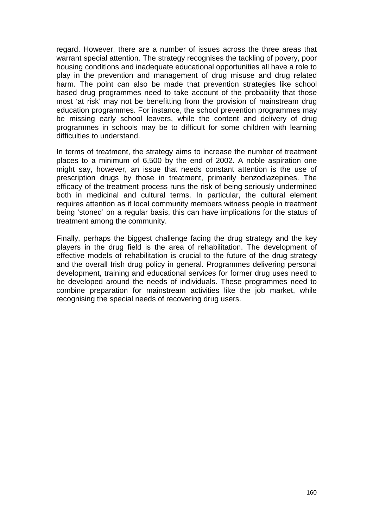regard. However, there are a number of issues across the three areas that warrant special attention. The strategy recognises the tackling of povery, poor housing conditions and inadequate educational opportunities all have a role to play in the prevention and management of drug misuse and drug related harm. The point can also be made that prevention strategies like school based drug programmes need to take account of the probability that those most 'at risk' may not be benefitting from the provision of mainstream drug education programmes. For instance, the school prevention programmes may be missing early school leavers, while the content and delivery of drug programmes in schools may be to difficult for some children with learning difficulties to understand.

In terms of treatment, the strategy aims to increase the number of treatment places to a minimum of 6,500 by the end of 2002. A noble aspiration one might say, however, an issue that needs constant attention is the use of prescription drugs by those in treatment, primarily benzodiazepines. The efficacy of the treatment process runs the risk of being seriously undermined both in medicinal and cultural terms. In particular, the cultural element requires attention as if local community members witness people in treatment being 'stoned' on a regular basis, this can have implications for the status of treatment among the community.

Finally, perhaps the biggest challenge facing the drug strategy and the key players in the drug field is the area of rehabilitation. The development of effective models of rehabilitation is crucial to the future of the drug strategy and the overall Irish drug policy in general. Programmes delivering personal development, training and educational services for former drug uses need to be developed around the needs of individuals. These programmes need to combine preparation for mainstream activities like the job market, while recognising the special needs of recovering drug users.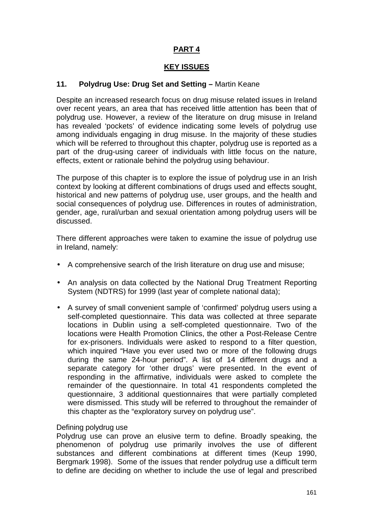# **PART 4**

## **KEY ISSUES**

### **11. Polydrug Use: Drug Set and Setting –** Martin Keane

Despite an increased research focus on drug misuse related issues in Ireland over recent years, an area that has received little attention has been that of polydrug use. However, a review of the literature on drug misuse in Ireland has revealed 'pockets' of evidence indicating some levels of polydrug use among individuals engaging in drug misuse. In the majority of these studies which will be referred to throughout this chapter, polydrug use is reported as a part of the drug-using career of individuals with little focus on the nature, effects, extent or rationale behind the polydrug using behaviour.

The purpose of this chapter is to explore the issue of polydrug use in an Irish context by looking at different combinations of drugs used and effects sought, historical and new patterns of polydrug use, user groups, and the health and social consequences of polydrug use. Differences in routes of administration, gender, age, rural/urban and sexual orientation among polydrug users will be discussed.

There different approaches were taken to examine the issue of polydrug use in Ireland, namely:

- A comprehensive search of the Irish literature on drug use and misuse;
- An analysis on data collected by the National Drug Treatment Reporting System (NDTRS) for 1999 (last year of complete national data);
- A survey of small convenient sample of 'confirmed' polydrug users using a self-completed questionnaire. This data was collected at three separate locations in Dublin using a self-completed questionnaire. Two of the locations were Health Promotion Clinics, the other a Post-Release Centre for ex-prisoners. Individuals were asked to respond to a filter question, which inquired "Have you ever used two or more of the following drugs during the same 24-hour period". A list of 14 different drugs and a separate category for 'other drugs' were presented. In the event of responding in the affirmative, individuals were asked to complete the remainder of the questionnaire. In total 41 respondents completed the questionnaire, 3 additional questionnaires that were partially completed were dismissed. This study will be referred to throughout the remainder of this chapter as the "exploratory survey on polydrug use".

#### Defining polydrug use

Polydrug use can prove an elusive term to define. Broadly speaking, the phenomenon of polydrug use primarily involves the use of different substances and different combinations at different times (Keup 1990, Bergmark 1998). Some of the issues that render polydrug use a difficult term to define are deciding on whether to include the use of legal and prescribed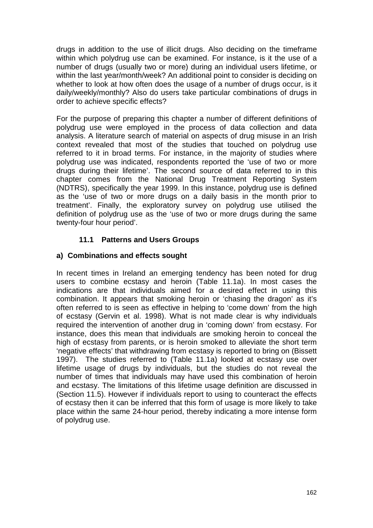drugs in addition to the use of illicit drugs. Also deciding on the timeframe within which polydrug use can be examined. For instance, is it the use of a number of drugs (usually two or more) during an individual users lifetime, or within the last year/month/week? An additional point to consider is deciding on whether to look at how often does the usage of a number of drugs occur, is it daily/weekly/monthly? Also do users take particular combinations of drugs in order to achieve specific effects?

For the purpose of preparing this chapter a number of different definitions of polydrug use were employed in the process of data collection and data analysis. A literature search of material on aspects of drug misuse in an Irish context revealed that most of the studies that touched on polydrug use referred to it in broad terms. For instance, in the majority of studies where polydrug use was indicated, respondents reported the 'use of two or more drugs during their lifetime'. The second source of data referred to in this chapter comes from the National Drug Treatment Reporting System (NDTRS), specifically the year 1999. In this instance, polydrug use is defined as the 'use of two or more drugs on a daily basis in the month prior to treatment'. Finally, the exploratory survey on polydrug use utilised the definition of polydrug use as the 'use of two or more drugs during the same twenty-four hour period'.

# **11.1 Patterns and Users Groups**

# **a) Combinations and effects sought**

In recent times in Ireland an emerging tendency has been noted for drug users to combine ecstasy and heroin (Table 11.1a). In most cases the indications are that individuals aimed for a desired effect in using this combination. It appears that smoking heroin or 'chasing the dragon' as it's often referred to is seen as effective in helping to 'come down' from the high of ecstasy (Gervin et al. 1998). What is not made clear is why individuals required the intervention of another drug in 'coming down' from ecstasy. For instance, does this mean that individuals are smoking heroin to conceal the high of ecstasy from parents, or is heroin smoked to alleviate the short term 'negative effects' that withdrawing from ecstasy is reported to bring on (Bissett 1997). The studies referred to (Table 11.1a) looked at ecstasy use over lifetime usage of drugs by individuals, but the studies do not reveal the number of times that individuals may have used this combination of heroin and ecstasy. The limitations of this lifetime usage definition are discussed in (Section 11.5). However if individuals report to using to counteract the effects of ecstasy then it can be inferred that this form of usage is more likely to take place within the same 24-hour period, thereby indicating a more intense form of polydrug use.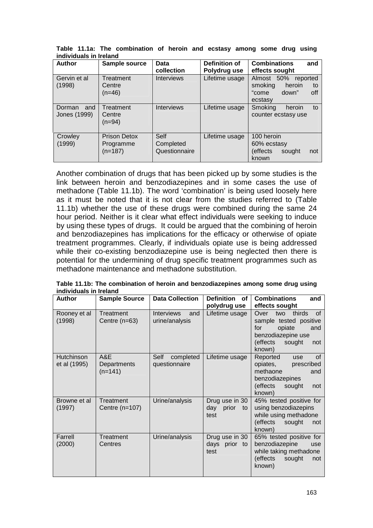| <b>Author</b>                 | Sample source                          | Data<br>collection                 | Definition of<br>Polydrug use | <b>Combinations</b><br>and<br>effects sought                                       |
|-------------------------------|----------------------------------------|------------------------------------|-------------------------------|------------------------------------------------------------------------------------|
| Gervin et al<br>(1998)        | Treatment<br>Centre<br>$(n=46)$        | <b>Interviews</b>                  | Lifetime usage                | Almost 50% reported<br>heroin<br>smoking<br>to<br>down"<br>off<br>"come<br>ecstasy |
| Dorman<br>and<br>Jones (1999) | Treatment<br>Centre<br>$(n=94)$        | <b>Interviews</b>                  | Lifetime usage                | Smoking<br>heroin<br>to<br>counter ecstasy use                                     |
| Crowley<br>(1999)             | Prison Detox<br>Programme<br>$(n=187)$ | Self<br>Completed<br>Questionnaire | Lifetime usage                | 100 heroin<br>60% ecstasy<br>effects)<br>sought<br>not<br>known                    |

**Table 11.1a: The combination of heroin and ecstasy among some drug using individuals in Ireland** 

Another combination of drugs that has been picked up by some studies is the link between heroin and benzodiazepines and in some cases the use of methadone (Table 11.1b). The word 'combination' is being used loosely here as it must be noted that it is not clear from the studies referred to (Table 11.1b) whether the use of these drugs were combined during the same 24 hour period. Neither is it clear what effect individuals were seeking to induce by using these types of drugs. It could be argued that the combining of heroin and benzodiazepines has implications for the efficacy or otherwise of opiate treatment programmes. Clearly, if individuals opiate use is being addressed while their co-existing benzodiazepine use is being neglected then there is potential for the undermining of drug specific treatment programmes such as methadone maintenance and methadone substitution.

| <b>Author</b>              | <b>Sample Source</b>            | <b>Data Collection</b>                     | Definition<br>of                             | <b>Combinations</b><br>and                                                                                                                                          |
|----------------------------|---------------------------------|--------------------------------------------|----------------------------------------------|---------------------------------------------------------------------------------------------------------------------------------------------------------------------|
| Rooney et al<br>(1998)     | Treatment<br>Centre $(n=63)$    | <b>Interviews</b><br>and<br>urine/analysis | polydrug use<br>Lifetime usage               | effects sought<br><b>of</b><br>thirds<br>Over<br>two<br>sample tested positive<br>opiate<br>for<br>and<br>benzodiazepine use<br>(effects<br>sought<br>not<br>known) |
| Hutchinson<br>et al (1995) | A&E<br>Departments<br>$(n=141)$ | Self<br>completed<br>questionnaire         | Lifetime usage                               | <b>of</b><br>Reported<br>use<br>opiates,<br>prescribed<br>methaone<br>and<br>benzodiazepines<br>effects)<br>sought<br>not<br>known)                                 |
| Browne et al<br>(1997)     | Treatment<br>Centre (n=107)     | Urine/analysis                             | Drug use in 30<br>prior<br>day<br>to<br>test | 45% tested positive for<br>using benzodiazepins<br>while using methadone<br>(effects<br>sought<br>not<br>known)                                                     |
| Farrell<br>(2000)          | Treatment<br>Centres            | Urine/analysis                             | Drug use in 30<br>days prior to<br>test      | 65% tested positive for<br>benzodiazepine<br>use<br>while taking methadone<br>(effects<br>sought<br>not<br>known)                                                   |

**Table 11.1b: The combination of heroin and benzodiazepines among some drug using individuals in Ireland**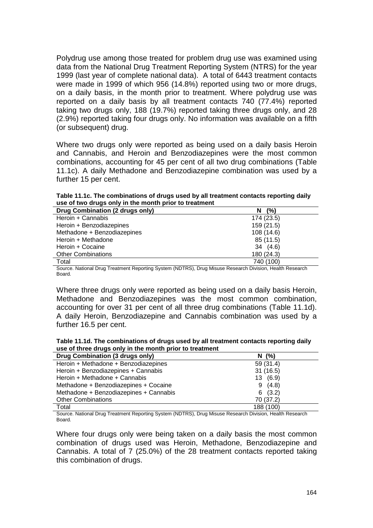Polydrug use among those treated for problem drug use was examined using data from the National Drug Treatment Reporting System (NTRS) for the year 1999 (last year of complete national data). A total of 6443 treatment contacts were made in 1999 of which 956 (14.8%) reported using two or more drugs, on a daily basis, in the month prior to treatment. Where polydrug use was reported on a daily basis by all treatment contacts 740 (77.4%) reported taking two drugs only, 188 (19.7%) reported taking three drugs only, and 28 (2.9%) reported taking four drugs only. No information was available on a fifth (or subsequent) drug.

Where two drugs only were reported as being used on a daily basis Heroin and Cannabis, and Heroin and Benzodiazepines were the most common combinations, accounting for 45 per cent of all two drug combinations (Table 11.1c). A daily Methadone and Benzodiazepine combination was used by a further 15 per cent.

**Table 11.1c. The combinations of drugs used by all treatment contacts reporting daily use of two drugs only in the month prior to treatment** 

| Drug Combination (2 drugs only) | (%)<br>N.  |
|---------------------------------|------------|
| Heroin + Cannabis               | 174 (23.5) |
| Heroin + Benzodiazepines        | 159 (21.5) |
| Methadone + Benzodiazepines     | 108 (14.6) |
| Heroin + Methadone              | 85 (11.5)  |
| Heroin + Cocaine                | 34 (4.6)   |
| <b>Other Combinations</b>       | 180 (24.3) |
| Total                           | 740 (100)  |

Source. National Drug Treatment Reporting System (NDTRS), Drug Misuse Research Division, Health Research Board.

Where three drugs only were reported as being used on a daily basis Heroin, Methadone and Benzodiazepines was the most common combination, accounting for over 31 per cent of all three drug combinations (Table 11.1d). A daily Heroin, Benzodiazepine and Cannabis combination was used by a further 16.5 per cent.

**Table 11.1d. The combinations of drugs used by all treatment contacts reporting daily use of three drugs only in the month prior to treatment** 

| Drug Combination (3 drugs only)        | N(%)       |
|----------------------------------------|------------|
| Heroin + Methadone + Benzodiazepines   | 59 (31.4)  |
| Heroin + Benzodiazepines + Cannabis    | 31(16.5)   |
| Heroin + Methadone + Cannabis          | 13 (6.9)   |
| Methadone + Benzodiazepines + Cocaine  | (4.8)<br>9 |
| Methadone + Benzodiazepines + Cannabis | 6(3.2)     |
| <b>Other Combinations</b>              | 70 (37.2)  |
| Total                                  | 188 (100)  |

Source. National Drug Treatment Reporting System (NDTRS), Drug Misuse Research Division, Health Research Board.

Where four drugs only were being taken on a daily basis the most common combination of drugs used was Heroin, Methadone, Benzodiazepine and Cannabis. A total of 7 (25.0%) of the 28 treatment contacts reported taking this combination of drugs.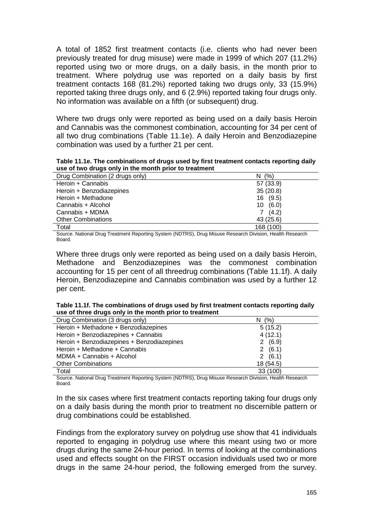A total of 1852 first treatment contacts (i.e. clients who had never been previously treated for drug misuse) were made in 1999 of which 207 (11.2%) reported using two or more drugs, on a daily basis, in the month prior to treatment. Where polydrug use was reported on a daily basis by first treatment contacts 168 (81.2%) reported taking two drugs only, 33 (15.9%) reported taking three drugs only, and 6 (2.9%) reported taking four drugs only. No information was available on a fifth (or subsequent) drug.

Where two drugs only were reported as being used on a daily basis Heroin and Cannabis was the commonest combination, accounting for 34 per cent of all two drug combinations (Table 11.1e). A daily Heroin and Benzodiazepine combination was used by a further 21 per cent.

**Table 11.1e. The combinations of drugs used by first treatment contacts reporting daily use of two drugs only in the month prior to treatment** 

| Drug Combination (2 drugs only) | N(%)       |
|---------------------------------|------------|
| Heroin + Cannabis               | 57 (33.9)  |
| Heroin + Benzodiazepines        | 35(20.8)   |
| Heroin + Methadone              | 16 (9.5)   |
| Cannabis + Alcohol              | 10(6.0)    |
| Cannabis + MDMA                 | (4.2)<br>7 |
| <b>Other Combinations</b>       | 43 (25.6)  |
| Total                           | 168 (100)  |

Source. National Drug Treatment Reporting System (NDTRS), Drug Misuse Research Division, Health Research Board.

Where three drugs only were reported as being used on a daily basis Heroin, Methadone and Benzodiazepines was the commonest combination accounting for 15 per cent of all threedrug combinations (Table 11.1f). A daily Heroin, Benzodiazepine and Cannabis combination was used by a further 12 per cent.

| Table 11.1f. The combinations of drugs used by first treatment contacts reporting daily |  |
|-----------------------------------------------------------------------------------------|--|
| use of three drugs only in the month prior to treatment                                 |  |

| Drug Combination (3 drugs only)            | N(%)      |
|--------------------------------------------|-----------|
| Heroin + Methadone + Benzodiazepines       | 5(15.2)   |
| Heroin + Benzodiazepines + Cannabis        | 4(12.1)   |
| Heroin + Benzodiazepines + Benzodiazepines | 2(6.9)    |
| Heroin + Methadone + Cannabis              | 2(6.1)    |
| MDMA + Cannabis + Alcohol                  | 2(6.1)    |
| <b>Other Combinations</b>                  | 18 (54.5) |
| Total                                      | 33 (100)  |

Source. National Drug Treatment Reporting System (NDTRS), Drug Misuse Research Division, Health Research Board.

In the six cases where first treatment contacts reporting taking four drugs only on a daily basis during the month prior to treatment no discernible pattern or drug combinations could be established.

Findings from the exploratory survey on polydrug use show that 41 individuals reported to engaging in polydrug use where this meant using two or more drugs during the same 24-hour period. In terms of looking at the combinations used and effects sought on the FIRST occasion individuals used two or more drugs in the same 24-hour period, the following emerged from the survey.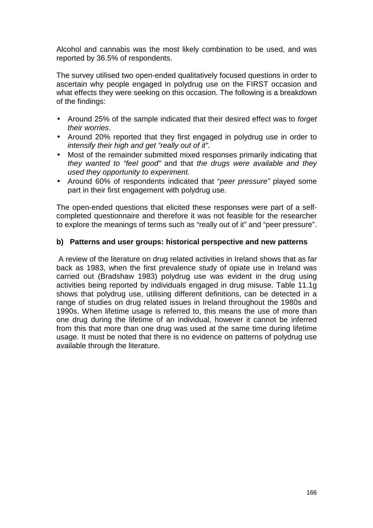Alcohol and cannabis was the most likely combination to be used, and was reported by 36.5% of respondents.

The survey utilised two open-ended qualitatively focused questions in order to ascertain why people engaged in polydrug use on the FIRST occasion and what effects they were seeking on this occasion. The following is a breakdown of the findings:

- Around 25% of the sample indicated that their desired effect was to *forget their worries*.
- Around 20% reported that they first engaged in polydrug use in order to *intensify their high and get "really out of it"*.
- Most of the remainder submitted mixed responses primarily indicating that *they wanted to "feel good"* and that *the drugs were available and they used they opportunity to experiment.*
- Around 60% of respondents indicated that "*peer pressure"* played some part in their first engagement with polydrug use.

The open-ended questions that elicited these responses were part of a selfcompleted questionnaire and therefore it was not feasible for the researcher to explore the meanings of terms such as "really out of it" and "peer pressure".

## **b) Patterns and user groups: historical perspective and new patterns**

 A review of the literature on drug related activities in Ireland shows that as far back as 1983, when the first prevalence study of opiate use in Ireland was carried out (Bradshaw 1983) polydrug use was evident in the drug using activities being reported by individuals engaged in drug misuse. Table 11.1g shows that polydrug use, utilising different definitions, can be detected in a range of studies on drug related issues in Ireland throughout the 1980s and 1990s. When lifetime usage is referred to, this means the use of more than one drug during the lifetime of an individual, however it cannot be inferred from this that more than one drug was used at the same time during lifetime usage. It must be noted that there is no evidence on patterns of polydrug use available through the literature.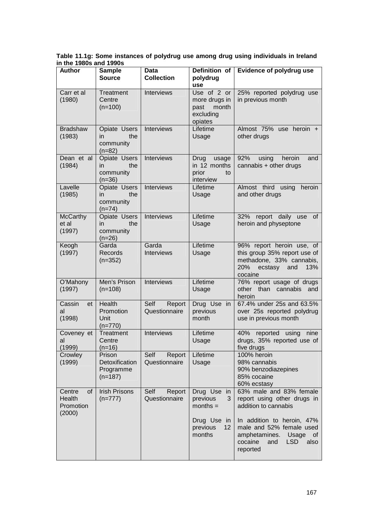**Table 11.1g: Some instances of polydrug use among drug using individuals in Ireland in the 1980s and 1990s** 

| <b>Author</b>                                 | <b>Sample</b><br><b>Source</b>                     | Data<br><b>Collection</b>       | Definition of<br>polydrug<br>use                                                      | <b>Evidence of polydrug use</b>                                                                                                                                                                                        |
|-----------------------------------------------|----------------------------------------------------|---------------------------------|---------------------------------------------------------------------------------------|------------------------------------------------------------------------------------------------------------------------------------------------------------------------------------------------------------------------|
| Carr et al<br>(1980)                          | Treatment<br>Centre<br>$(n=100)$                   | Interviews                      | Use of 2 or<br>more drugs in<br>month<br>past<br>excluding<br>opiates                 | 25% reported polydrug use<br>in previous month                                                                                                                                                                         |
| <b>Bradshaw</b><br>(1983)                     | Opiate Users<br>the<br>in<br>community<br>$(n=82)$ | Interviews                      | Lifetime<br>Usage                                                                     | Almost 75% use heroin +<br>other drugs                                                                                                                                                                                 |
| Dean et al<br>(1984)                          | Opiate Users<br>the<br>in<br>community<br>$(n=36)$ | Interviews                      | Drug<br>usage<br>in 12 months<br>prior<br>to<br>interview                             | 92%<br>using<br>heroin<br>and<br>cannabis + other drugs                                                                                                                                                                |
| Lavelle<br>(1985)                             | Opiate Users<br>the<br>in<br>community<br>$(n=74)$ | Interviews                      | Lifetime<br>Usage                                                                     | Almost third using<br>heroin<br>and other drugs                                                                                                                                                                        |
| <b>McCarthy</b><br>et al<br>(1997)            | Opiate Users<br>the<br>in<br>community<br>$(n=26)$ | Interviews                      | Lifetime<br>Usage                                                                     | 32% report daily use<br>of<br>heroin and physeptone                                                                                                                                                                    |
| Keogh<br>(1997)                               | Garda<br>Records<br>$(n=352)$                      | Garda<br><b>Interviews</b>      | Lifetime<br>Usage                                                                     | 96% report heroin use, of<br>this group 35% report use of<br>methadone, 33% cannabis,<br>20%<br>ecstasy<br>and<br>13%<br>cocaine                                                                                       |
| O'Mahony<br>(1997)                            | Men's Prison<br>$(n=108)$                          | Interviews                      | Lifetime<br>Usage                                                                     | 76% report usage of drugs<br>other than<br>cannabis<br>and<br>heroin                                                                                                                                                   |
| Cassin<br>et<br>al<br>(1998)                  | Health<br>Promotion<br>Unit<br>$(n=770)$           | Self<br>Report<br>Questionnaire | Drug Use in<br>previous<br>month                                                      | 67.4% under 25s and 63.5%<br>over 25s reported polydrug<br>use in previous month                                                                                                                                       |
| Coveney et<br>al<br>(1999)                    | Treatment<br>Centre<br>$(n=16)$                    | Interviews                      | Lifetime<br>Usage                                                                     | 40%<br>reported using<br>nine<br>drugs, 35% reported use of<br>five drugs                                                                                                                                              |
| Crowley<br>(1999)                             | Prison<br>Detoxification<br>Programme<br>$(n=187)$ | Self<br>Report<br>Questionnaire | Lifetime<br>Usage                                                                     | 100% heroin<br>98% cannabis<br>90% benzodiazepines<br>85% cocaine<br>60% ecstasy                                                                                                                                       |
| Centre<br>0f<br>Health<br>Promotion<br>(2000) | <b>Irish Prisons</b><br>$(n=777)$                  | Report<br>Self<br>Questionnaire | Drug Use in<br>previous<br>3<br>$months =$<br>Drug Use in<br>12<br>previous<br>months | 63% male and 83% female<br>report using other drugs in<br>addition to cannabis<br>In addition to heroin, 47%<br>male and 52% female used<br>amphetamines. Usage of<br><b>LSD</b><br>cocaine<br>and<br>also<br>reported |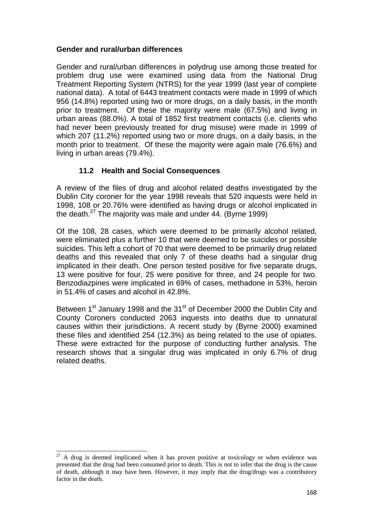## **Gender and rural/urban differences**

Gender and rural/urban differences in polydrug use among those treated for problem drug use were examined using data from the National Drug Treatment Reporting System (NTRS) for the year 1999 (last year of complete national data). A total of 6443 treatment contacts were made in 1999 of which 956 (14.8%) reported using two or more drugs, on a daily basis, in the month prior to treatment. Of these the majority were male (67.5%) and living in urban areas (88.0%). A total of 1852 first treatment contacts (i.e. clients who had never been previously treated for drug misuse) were made in 1999 of which 207 (11.2%) reported using two or more drugs, on a daily basis, in the month prior to treatment. Of these the majority were again male (76.6%) and living in urban areas (79.4%).

# **11.2 Health and Social Consequences**

A review of the files of drug and alcohol related deaths investigated by the Dublin City coroner for the year 1998 reveals that 520 inquests were held in 1998, 108 or 20.76% were identified as having drugs or alcohol implicated in the death. $^{27}$  The majority was male and under 44. (Byrne 1999)

Of the 108, 28 cases, which were deemed to be primarily alcohol related, were eliminated plus a further 10 that were deemed to be suicides or possible suicides. This left a cohort of 70 that were deemed to be primarily drug related deaths and this revealed that only 7 of these deaths had a singular drug implicated in their death. One person tested positive for five separate drugs, 13 were positive for four, 25 were positive for three, and 24 people for two. Benzodiazpines were implicated in 69% of cases, methadone in 53%, heroin in 51.4% of cases and alcohol in 42.8%.

Between 1<sup>st</sup> January 1998 and the 31<sup>st</sup> of December 2000 the Dublin City and County Coroners conducted 2063 inquests into deaths due to unnatural causes within their jurisdictions. A recent study by (Byrne 2000) examined these files and identified 254 (12.3%) as being related to the use of opiates. These were extracted for the purpose of conducting further analysis. The research shows that a singular drug was implicated in only 6.7% of drug related deaths.

l

 $27$  A drug is deemed implicated when it has proven positive at toxicology or when evidence was presented that the drug had been consumed prior to death. This is not to infer that the drug is the cause of death, although it may have been. However, it may imply that the drug/drugs was a contributory factor in the death.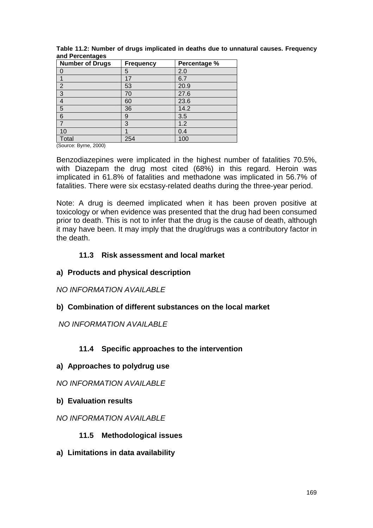| <b>Number of Drugs</b> | <b>Frequency</b> | Percentage % |
|------------------------|------------------|--------------|
| $\Box$                 | 5                | 2.0          |
|                        | 17               | 6.7          |
| $\overline{2}$         | 53               | 20.9         |
| 3                      | 70               | 27.6         |
| 4                      | 60               | 23.6         |
| $\overline{5}$         | 36               | 14.2         |
| $6\phantom{1}6$        | 9                | 3.5          |
| $\overline{ }$         | 3                | 1.2          |
| 10                     |                  | 0.4          |
| Total                  | 254              | 100          |

**Table 11.2: Number of drugs implicated in deaths due to unnatural causes. Frequency and Percentages** 

(Source: Byrne, 2000)

Benzodiazepines were implicated in the highest number of fatalities 70.5%, with Diazepam the drug most cited (68%) in this regard. Heroin was implicated in 61.8% of fatalities and methadone was implicated in 56.7% of fatalities. There were six ecstasy-related deaths during the three-year period.

Note: A drug is deemed implicated when it has been proven positive at toxicology or when evidence was presented that the drug had been consumed prior to death. This is not to infer that the drug is the cause of death, although it may have been. It may imply that the drug/drugs was a contributory factor in the death.

## **11.3 Risk assessment and local market**

## **a) Products and physical description**

*NO INFORMATION AVAILABLE* 

## **b) Combination of different substances on the local market**

## *NO INFORMATION AVAILABLE*

# **11.4 Specific approaches to the intervention**

## **a) Approaches to polydrug use**

*NO INFORMATION AVAILABLE* 

## **b) Evaluation results**

## *NO INFORMATION AVAILABLE*

# **11.5 Methodological issues**

**a) Limitations in data availability**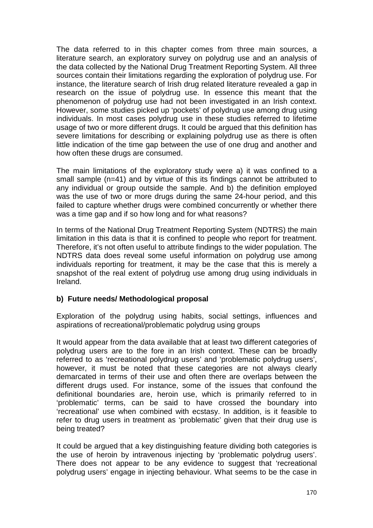The data referred to in this chapter comes from three main sources, a literature search, an exploratory survey on polydrug use and an analysis of the data collected by the National Drug Treatment Reporting System. All three sources contain their limitations regarding the exploration of polydrug use. For instance, the literature search of Irish drug related literature revealed a gap in research on the issue of polydrug use. In essence this meant that the phenomenon of polydrug use had not been investigated in an Irish context. However, some studies picked up 'pockets' of polydrug use among drug using individuals. In most cases polydrug use in these studies referred to lifetime usage of two or more different drugs. It could be argued that this definition has severe limitations for describing or explaining polydrug use as there is often little indication of the time gap between the use of one drug and another and how often these drugs are consumed.

The main limitations of the exploratory study were a) it was confined to a small sample (n=41) and by virtue of this its findings cannot be attributed to any individual or group outside the sample. And b) the definition employed was the use of two or more drugs during the same 24-hour period, and this failed to capture whether drugs were combined concurrently or whether there was a time gap and if so how long and for what reasons?

In terms of the National Drug Treatment Reporting System (NDTRS) the main limitation in this data is that it is confined to people who report for treatment. Therefore, it's not often useful to attribute findings to the wider population. The NDTRS data does reveal some useful information on polydrug use among individuals reporting for treatment, it may be the case that this is merely a snapshot of the real extent of polydrug use among drug using individuals in Ireland.

# **b) Future needs/ Methodological proposal**

Exploration of the polydrug using habits, social settings, influences and aspirations of recreational/problematic polydrug using groups

It would appear from the data available that at least two different categories of polydrug users are to the fore in an Irish context. These can be broadly referred to as 'recreational polydrug users' and 'problematic polydrug users', however, it must be noted that these categories are not always clearly demarcated in terms of their use and often there are overlaps between the different drugs used. For instance, some of the issues that confound the definitional boundaries are, heroin use, which is primarily referred to in 'problematic' terms, can be said to have crossed the boundary into 'recreational' use when combined with ecstasy. In addition, is it feasible to refer to drug users in treatment as 'problematic' given that their drug use is being treated?

It could be argued that a key distinguishing feature dividing both categories is the use of heroin by intravenous injecting by 'problematic polydrug users'. There does not appear to be any evidence to suggest that 'recreational polydrug users' engage in injecting behaviour. What seems to be the case in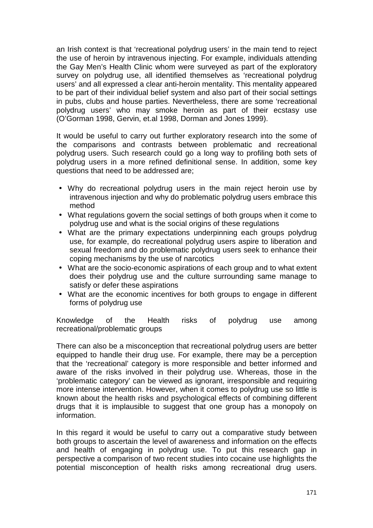an Irish context is that 'recreational polydrug users' in the main tend to reject the use of heroin by intravenous injecting. For example, individuals attending the Gay Men's Health Clinic whom were surveyed as part of the exploratory survey on polydrug use, all identified themselves as 'recreational polydrug users' and all expressed a clear anti-heroin mentality. This mentality appeared to be part of their individual belief system and also part of their social settings in pubs, clubs and house parties. Nevertheless, there are some 'recreational polydrug users' who may smoke heroin as part of their ecstasy use (O'Gorman 1998, Gervin, et.al 1998, Dorman and Jones 1999).

It would be useful to carry out further exploratory research into the some of the comparisons and contrasts between problematic and recreational polydrug users. Such research could go a long way to profiling both sets of polydrug users in a more refined definitional sense. In addition, some key questions that need to be addressed are;

- Why do recreational polydrug users in the main reject heroin use by intravenous injection and why do problematic polydrug users embrace this method
- What regulations govern the social settings of both groups when it come to polydrug use and what is the social origins of these regulations
- What are the primary expectations underpinning each groups polydrug use, for example, do recreational polydrug users aspire to liberation and sexual freedom and do problematic polydrug users seek to enhance their coping mechanisms by the use of narcotics
- What are the socio-economic aspirations of each group and to what extent does their polydrug use and the culture surrounding same manage to satisfy or defer these aspirations
- What are the economic incentives for both groups to engage in different forms of polydrug use

Knowledge of the Health risks of polydrug use among recreational/problematic groups

There can also be a misconception that recreational polydrug users are better equipped to handle their drug use. For example, there may be a perception that the 'recreational' category is more responsible and better informed and aware of the risks involved in their polydrug use. Whereas, those in the 'problematic category' can be viewed as ignorant, irresponsible and requiring more intense intervention. However, when it comes to polydrug use so little is known about the health risks and psychological effects of combining different drugs that it is implausible to suggest that one group has a monopoly on information.

In this regard it would be useful to carry out a comparative study between both groups to ascertain the level of awareness and information on the effects and health of engaging in polydrug use. To put this research gap in perspective a comparison of two recent studies into cocaine use highlights the potential misconception of health risks among recreational drug users.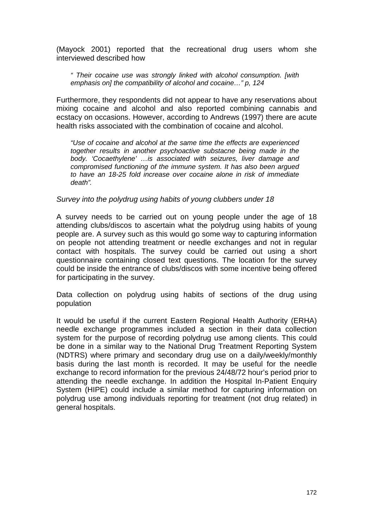(Mayock 2001) reported that the recreational drug users whom she interviewed described how

*" Their cocaine use was strongly linked with alcohol consumption. [with emphasis on] the compatibility of alcohol and cocaine…" p, 124* 

Furthermore, they respondents did not appear to have any reservations about mixing cocaine and alcohol and also reported combining cannabis and ecstacy on occasions. However, according to Andrews (1997) there are acute health risks associated with the combination of cocaine and alcohol.

*"Use of cocaine and alcohol at the same time the effects are experienced together results in another psychoactive substacne being made in the body. 'Cocaethylene' …is associated with seizures, liver damage and compromised functioning of the immune system. It has also been argued to have an 18-25 fold increase over cocaine alone in risk of immediate death".* 

*Survey into the polydrug using habits of young clubbers under 18* 

A survey needs to be carried out on young people under the age of 18 attending clubs/discos to ascertain what the polydrug using habits of young people are. A survey such as this would go some way to capturing information on people not attending treatment or needle exchanges and not in regular contact with hospitals. The survey could be carried out using a short questionnaire containing closed text questions. The location for the survey could be inside the entrance of clubs/discos with some incentive being offered for participating in the survey.

Data collection on polydrug using habits of sections of the drug using population

It would be useful if the current Eastern Regional Health Authority (ERHA) needle exchange programmes included a section in their data collection system for the purpose of recording polydrug use among clients. This could be done in a similar way to the National Drug Treatment Reporting System (NDTRS) where primary and secondary drug use on a daily/weekly/monthly basis during the last month is recorded. It may be useful for the needle exchange to record information for the previous 24/48/72 hour's period prior to attending the needle exchange. In addition the Hospital In-Patient Enquiry System (HIPE) could include a similar method for capturing information on polydrug use among individuals reporting for treatment (not drug related) in general hospitals.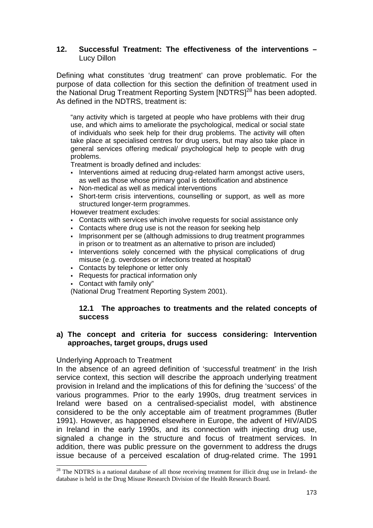### **12. Successful Treatment: The effectiveness of the interventions –**  Lucy Dillon

Defining what constitutes 'drug treatment' can prove problematic. For the purpose of data collection for this section the definition of treatment used in the National Drug Treatment Reporting System [NDTRS]<sup>28</sup> has been adopted. As defined in the NDTRS, treatment is:

"any activity which is targeted at people who have problems with their drug use, and which aims to ameliorate the psychological, medical or social state of individuals who seek help for their drug problems. The activity will often take place at specialised centres for drug users, but may also take place in general services offering medical/ psychological help to people with drug problems.

Treatment is broadly defined and includes:

- Interventions aimed at reducing drug-related harm amongst active users, as well as those whose primary goal is detoxification and abstinence
- Non-medical as well as medical interventions
- Short-term crisis interventions, counselling or support, as well as more structured longer-term programmes.

However treatment excludes:

- Contacts with services which involve requests for social assistance only
- Contacts where drug use is not the reason for seeking help
- Imprisonment per se (although admissions to drug treatment programmes in prison or to treatment as an alternative to prison are included)
- Interventions solely concerned with the physical complications of drug misuse (e.g. overdoses or infections treated at hospital0
- Contacts by telephone or letter only
- Requests for practical information only
- Contact with family only"

(National Drug Treatment Reporting System 2001).

## **12.1 The approaches to treatments and the related concepts of success**

## **a) The concept and criteria for success considering: Intervention approaches, target groups, drugs used**

## Underlying Approach to Treatment

l

In the absence of an agreed definition of 'successful treatment' in the Irish service context, this section will describe the approach underlying treatment provision in Ireland and the implications of this for defining the 'success' of the various programmes. Prior to the early 1990s, drug treatment services in Ireland were based on a centralised-specialist model, with abstinence considered to be the only acceptable aim of treatment programmes (Butler 1991). However, as happened elsewhere in Europe, the advent of HIV/AIDS in Ireland in the early 1990s, and its connection with injecting drug use, signaled a change in the structure and focus of treatment services. In addition, there was public pressure on the government to address the drugs issue because of a perceived escalation of drug-related crime. The 1991

 $2<sup>28</sup>$  The NDTRS is a national database of all those receiving treatment for illicit drug use in Ireland- the database is held in the Drug Misuse Research Division of the Health Research Board.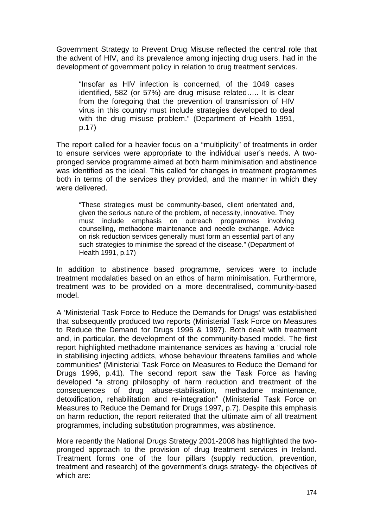Government Strategy to Prevent Drug Misuse reflected the central role that the advent of HIV, and its prevalence among injecting drug users, had in the development of government policy in relation to drug treatment services.

"Insofar as HIV infection is concerned, of the 1049 cases identified, 582 (or 57%) are drug misuse related….. It is clear from the foregoing that the prevention of transmission of HIV virus in this country must include strategies developed to deal with the drug misuse problem." (Department of Health 1991, p.17)

The report called for a heavier focus on a "multiplicity" of treatments in order to ensure services were appropriate to the individual user's needs. A twopronged service programme aimed at both harm minimisation and abstinence was identified as the ideal. This called for changes in treatment programmes both in terms of the services they provided, and the manner in which they were delivered.

"These strategies must be community-based, client orientated and, given the serious nature of the problem, of necessity, innovative. They must include emphasis on outreach programmes involving counselling, methadone maintenance and needle exchange. Advice on risk reduction services generally must form an essential part of any such strategies to minimise the spread of the disease." (Department of Health 1991, p.17)

In addition to abstinence based programme, services were to include treatment modalaties based on an ethos of harm minimisation. Furthermore, treatment was to be provided on a more decentralised, community-based model.

A 'Ministerial Task Force to Reduce the Demands for Drugs' was established that subsequently produced two reports (Ministerial Task Force on Measures to Reduce the Demand for Drugs 1996 & 1997). Both dealt with treatment and, in particular, the development of the community-based model. The first report highlighted methadone maintenance services as having a "crucial role in stabilising injecting addicts, whose behaviour threatens families and whole communities" (Ministerial Task Force on Measures to Reduce the Demand for Drugs 1996, p.41). The second report saw the Task Force as having developed "a strong philosophy of harm reduction and treatment of the consequences of drug abuse-stabilisation, methadone maintenance, detoxification, rehabilitation and re-integration" (Ministerial Task Force on Measures to Reduce the Demand for Drugs 1997, p.7). Despite this emphasis on harm reduction, the report reiterated that the ultimate aim of all treatment programmes, including substitution programmes, was abstinence.

More recently the National Drugs Strategy 2001-2008 has highlighted the twopronged approach to the provision of drug treatment services in Ireland. Treatment forms one of the four pillars (supply reduction, prevention, treatment and research) of the government's drugs strategy- the objectives of which are: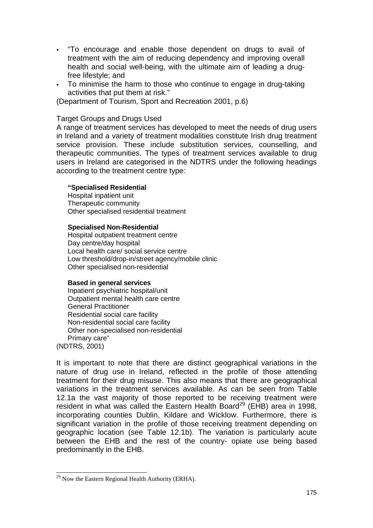- "To encourage and enable those dependent on drugs to avail of treatment with the aim of reducing dependency and improving overall health and social well-being, with the ultimate aim of leading a drugfree lifestyle; and
- - To minimise the harm to those who continue to engage in drug-taking activities that put them at risk."

(Department of Tourism, Sport and Recreation 2001, p.6)

### Target Groups and Drugs Used

A range of treatment services has developed to meet the needs of drug users in Ireland and a variety of treatment modalities constitute Irish drug treatment service provision. These include substitution services, counselling, and therapeutic communities. The types of treatment services available to drug users in Ireland are categorised in the NDTRS under the following headings according to the treatment centre type:

#### **"Specialised Residential**

Hospital inpatient unit Therapeutic community Other specialised residential treatment

#### **Specialised Non-Residential**

Hospital outpatient treatment centre Day centre/day hospital Local health care/ social service centre Low threshold/drop-in/street agency/mobile clinic Other specialised non-residential

#### **Based in general services**

Inpatient psychiatric hospital/unit Outpatient mental health care centre General Practitioner Residential social care facility Non-residential social care facility Other non-specialised non-residential Primary care" (NDTRS, 2001)

It is important to note that there are distinct geographical variations in the nature of drug use in Ireland, reflected in the profile of those attending treatment for their drug misuse. This also means that there are geographical variations in the treatment services available. As can be seen from Table 12.1a the vast majority of those reported to be receiving treatment were resident in what was called the Eastern Health Board<sup>29</sup> (EHB) area in 1998, incorporating counties Dublin, Kildare and Wicklow. Furthermore, there is significant variation in the profile of those receiving treatment depending on geographic location (see Table 12.1b). The variation is particularly acute between the EHB and the rest of the country- opiate use being based predominantly in the EHB.

l  $^{29}$  Now the Eastern Regional Health Authority (ERHA).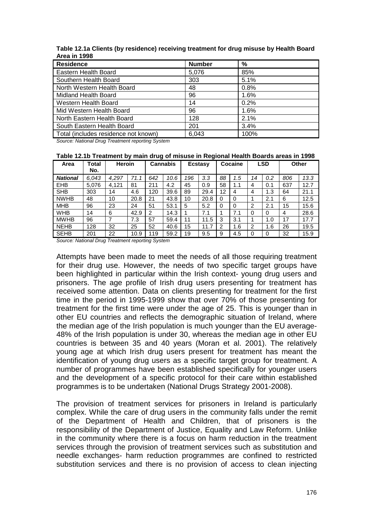| <b>Residence</b>                     | <b>Number</b> | %    |  |  |  |
|--------------------------------------|---------------|------|--|--|--|
| Eastern Health Board                 | 5,076         | 85%  |  |  |  |
| Southern Health Board                | 303           | 5.1% |  |  |  |
| North Western Health Board           | 48            | 0.8% |  |  |  |
| <b>Midland Health Board</b>          | 96            | 1.6% |  |  |  |
| Western Health Board                 | 14            | 0.2% |  |  |  |
| Mid Western Health Board             | 96            | 1.6% |  |  |  |
| North Eastern Health Board           | 128           | 2.1% |  |  |  |
| South Eastern Health Board           | 201           | 3.4% |  |  |  |
| Total (includes residence not known) | 6,043         | 100% |  |  |  |

**Table 12.1a Clients (by residence) receiving treatment for drug misuse by Health Board Area in 1998** 

*Source: National Drug Treatment reporting System* 

**Table 12.1b Treatment by main drug of misuse in Regional Health Boards areas in 1998** 

| Area            | Total<br>No. | <b>Heroin</b> |      | <b>Cannabis</b> |      | <b>Ecstasy</b> |      | Cocaine |     | <b>LSD</b>     |     | Other |      |
|-----------------|--------------|---------------|------|-----------------|------|----------------|------|---------|-----|----------------|-----|-------|------|
| <b>National</b> | 6.043        | 4.297         | 71.1 | 642             | 10.6 | 196            | 3.3  | 88      | 1.5 | 14             | 0.2 | 806   | 13.3 |
| <b>EHB</b>      | 5.076        | 4.121         | 81   | 211             | 4.2  | 45             | 0.9  | 58      | 1.1 | 4              | 0.1 | 637   | 12.7 |
| <b>SHB</b>      | 303          | 14            | 4.6  | 120             | 39.6 | 89             | 29.4 | 12      | 4   | 4              | 1.3 | 64    | 21.1 |
| <b>NWHB</b>     | 48           | 10            | 20.8 | 21              | 43.8 | 10             | 20.8 | 0       |     |                | 2.1 | 6     | 12.5 |
| <b>MHB</b>      | 96           | 23            | 24   | 51              | 53.1 | 5              | 5.2  | 0       | 0   | 2              | 2.1 | 15    | 15.6 |
| <b>WHB</b>      | 14           | 6             | 42.9 | 2               | 14.3 |                | 7.1  |         | 7.1 |                | 0   | 4     | 28.6 |
| <b>MWHB</b>     | 96           | 7             | 7.3  | 57              | 59.4 | 11             | 11.5 | 3       | 3.1 |                | 1.0 | 17    | 17.7 |
| <b>NEHB</b>     | 128          | 32            | 25   | 52              | 40.6 | 15             | 11.7 | 2       | 1.6 | $\overline{2}$ | 1.6 | 26    | 19.5 |
| <b>SEHB</b>     | 201          | 22            | 10.9 | 119             | 59.2 | 19             | 9.5  | 9       | 4.5 |                | 0   | 32    | 15.9 |

*Source: National Drug Treatment reporting System* 

Attempts have been made to meet the needs of all those requiring treatment for their drug use. However, the needs of two specific target groups have been highlighted in particular within the Irish context- young drug users and prisoners. The age profile of Irish drug users presenting for treatment has received some attention. Data on clients presenting for treatment for the first time in the period in 1995-1999 show that over 70% of those presenting for treatment for the first time were under the age of 25. This is younger than in other EU countries and reflects the demographic situation of Ireland, where the median age of the Irish population is much younger than the EU average-48% of the Irish population is under 30, whereas the median age in other EU countries is between 35 and 40 years (Moran et al. 2001). The relatively young age at which Irish drug users present for treatment has meant the identification of young drug users as a specific target group for treatment. A number of programmes have been established specifically for younger users and the development of a specific protocol for their care within established programmes is to be undertaken (National Drugs Strategy 2001-2008).

The provision of treatment services for prisoners in Ireland is particularly complex. While the care of drug users in the community falls under the remit of the Department of Health and Children, that of prisoners is the responsibility of the Department of Justice, Equality and Law Reform. Unlike in the community where there is a focus on harm reduction in the treatment services through the provision of treatment services such as substitution and needle exchanges- harm reduction programmes are confined to restricted substitution services and there is no provision of access to clean injecting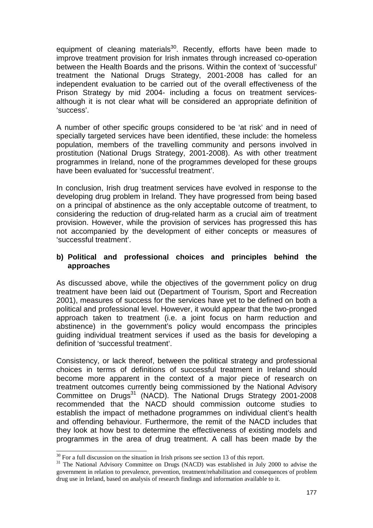equipment of cleaning materials<sup>30</sup>. Recently, efforts have been made to improve treatment provision for Irish inmates through increased co-operation between the Health Boards and the prisons. Within the context of 'successful' treatment the National Drugs Strategy, 2001-2008 has called for an independent evaluation to be carried out of the overall effectiveness of the Prison Strategy by mid 2004- including a focus on treatment servicesalthough it is not clear what will be considered an appropriate definition of 'success'.

A number of other specific groups considered to be 'at risk' and in need of specially targeted services have been identified, these include: the homeless population, members of the travelling community and persons involved in prostitution (National Drugs Strategy, 2001-2008). As with other treatment programmes in Ireland, none of the programmes developed for these groups have been evaluated for 'successful treatment'.

In conclusion, Irish drug treatment services have evolved in response to the developing drug problem in Ireland. They have progressed from being based on a principal of abstinence as the only acceptable outcome of treatment, to considering the reduction of drug-related harm as a crucial aim of treatment provision. However, while the provision of services has progressed this has not accompanied by the development of either concepts or measures of 'successful treatment'.

## **b) Political and professional choices and principles behind the approaches**

As discussed above, while the objectives of the government policy on drug treatment have been laid out (Department of Tourism, Sport and Recreation 2001), measures of success for the services have yet to be defined on both a political and professional level. However, it would appear that the two-pronged approach taken to treatment (i.e. a joint focus on harm reduction and abstinence) in the government's policy would encompass the principles guiding individual treatment services if used as the basis for developing a definition of 'successful treatment'.

Consistency, or lack thereof, between the political strategy and professional choices in terms of definitions of successful treatment in Ireland should become more apparent in the context of a major piece of research on treatment outcomes currently being commissioned by the National Advisory Committee on Drugs<sup>31</sup> (NACD). The National Drugs Strategy 2001-2008 recommended that the NACD should commission outcome studies to establish the impact of methadone programmes on individual client's health and offending behaviour. Furthermore, the remit of the NACD includes that they look at how best to determine the effectiveness of existing models and programmes in the area of drug treatment. A call has been made by the

l

 $30$  For a full discussion on the situation in Irish prisons see section 13 of this report.

 $31$  The National Advisory Committee on Drugs (NACD) was established in July 2000 to advise the government in relation to prevalence, prevention, treatment/rehabilitation and consequences of problem drug use in Ireland, based on analysis of research findings and information available to it.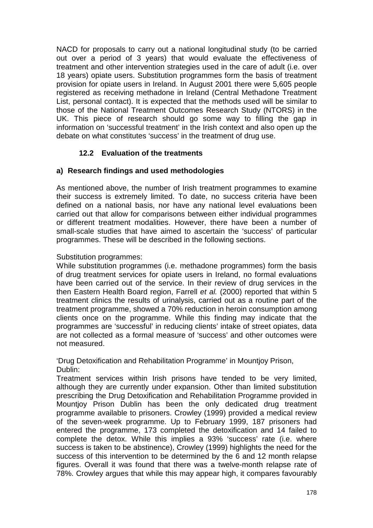NACD for proposals to carry out a national longitudinal study (to be carried out over a period of 3 years) that would evaluate the effectiveness of treatment and other intervention strategies used in the care of adult (i.e. over 18 years) opiate users. Substitution programmes form the basis of treatment provision for opiate users in Ireland. In August 2001 there were 5,605 people registered as receiving methadone in Ireland (Central Methadone Treatment List, personal contact). It is expected that the methods used will be similar to those of the National Treatment Outcomes Research Study (NTORS) in the UK. This piece of research should go some way to filling the gap in information on 'successful treatment' in the Irish context and also open up the debate on what constitutes 'success' in the treatment of drug use.

# **12.2 Evaluation of the treatments**

# **a) Research findings and used methodologies**

As mentioned above, the number of Irish treatment programmes to examine their success is extremely limited. To date, no success criteria have been defined on a national basis, nor have any national level evaluations been carried out that allow for comparisons between either individual programmes or different treatment modalities. However, there have been a number of small-scale studies that have aimed to ascertain the 'success' of particular programmes. These will be described in the following sections.

## Substitution programmes:

While substitution programmes (i.e. methadone programmes) form the basis of drug treatment services for opiate users in Ireland, no formal evaluations have been carried out of the service. In their review of drug services in the then Eastern Health Board region, Farrell *et al.* (2000) reported that within 5 treatment clinics the results of urinalysis, carried out as a routine part of the treatment programme, showed a 70% reduction in heroin consumption among clients once on the programme. While this finding may indicate that the programmes are 'successful' in reducing clients' intake of street opiates, data are not collected as a formal measure of 'success' and other outcomes were not measured.

'Drug Detoxification and Rehabilitation Programme' in Mountjoy Prison, Dublin:

Treatment services within Irish prisons have tended to be very limited, although they are currently under expansion. Other than limited substitution prescribing the Drug Detoxification and Rehabilitation Programme provided in Mountjoy Prison Dublin has been the only dedicated drug treatment programme available to prisoners. Crowley (1999) provided a medical review of the seven-week programme. Up to February 1999, 187 prisoners had entered the programme, 173 completed the detoxification and 14 failed to complete the detox. While this implies a 93% 'success' rate (i.e. where success is taken to be abstinence), Crowley (1999) highlights the need for the success of this intervention to be determined by the 6 and 12 month relapse figures. Overall it was found that there was a twelve-month relapse rate of 78%. Crowley argues that while this may appear high, it compares favourably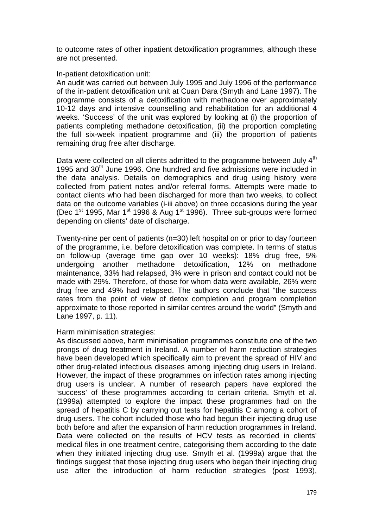to outcome rates of other inpatient detoxification programmes, although these are not presented.

### In-patient detoxification unit:

An audit was carried out between July 1995 and July 1996 of the performance of the in-patient detoxification unit at Cuan Dara (Smyth and Lane 1997). The programme consists of a detoxification with methadone over approximately 10-12 days and intensive counselling and rehabilitation for an additional 4 weeks. 'Success' of the unit was explored by looking at (i) the proportion of patients completing methadone detoxification, (ii) the proportion completing the full six-week inpatient programme and (iii) the proportion of patients remaining drug free after discharge.

Data were collected on all clients admitted to the programme between July 4<sup>th</sup> 1995 and 30<sup>th</sup> June 1996. One hundred and five admissions were included in the data analysis. Details on demographics and drug using history were collected from patient notes and/or referral forms. Attempts were made to contact clients who had been discharged for more than two weeks, to collect data on the outcome variables (i-iii above) on three occasions during the year (Dec 1<sup>st</sup> 1995, Mar 1<sup>st</sup> 1996 & Aug 1<sup>st</sup> 1996). Three sub-groups were formed depending on clients' date of discharge.

Twenty-nine per cent of patients (n=30) left hospital on or prior to day fourteen of the programme, i.e. before detoxification was complete. In terms of status on follow-up (average time gap over 10 weeks): 18% drug free, 5% undergoing another methadone detoxification, 12% on methadone maintenance, 33% had relapsed, 3% were in prison and contact could not be made with 29%. Therefore, of those for whom data were available, 26% were drug free and 49% had relapsed. The authors conclude that "the success rates from the point of view of detox completion and program completion approximate to those reported in similar centres around the world" (Smyth and Lane 1997, p. 11).

## Harm minimisation strategies:

As discussed above, harm minimisation programmes constitute one of the two prongs of drug treatment in Ireland. A number of harm reduction strategies have been developed which specifically aim to prevent the spread of HIV and other drug-related infectious diseases among injecting drug users in Ireland. However, the impact of these programmes on infection rates among injecting drug users is unclear. A number of research papers have explored the 'success' of these programmes according to certain criteria. Smyth et al. (1999a) attempted to explore the impact these programmes had on the spread of hepatitis C by carrying out tests for hepatitis C among a cohort of drug users. The cohort included those who had begun their injecting drug use both before and after the expansion of harm reduction programmes in Ireland. Data were collected on the results of HCV tests as recorded in clients' medical files in one treatment centre, categorising them according to the date when they initiated injecting drug use. Smyth et al. (1999a) argue that the findings suggest that those injecting drug users who began their injecting drug use after the introduction of harm reduction strategies (post 1993),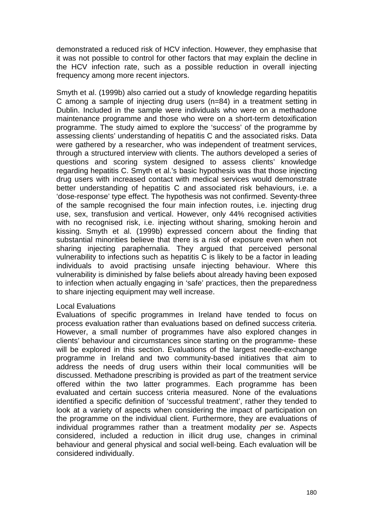demonstrated a reduced risk of HCV infection. However, they emphasise that it was not possible to control for other factors that may explain the decline in the HCV infection rate, such as a possible reduction in overall injecting frequency among more recent injectors.

Smyth et al. (1999b) also carried out a study of knowledge regarding hepatitis C among a sample of injecting drug users (n=84) in a treatment setting in Dublin. Included in the sample were individuals who were on a methadone maintenance programme and those who were on a short-term detoxification programme. The study aimed to explore the 'success' of the programme by assessing clients' understanding of hepatitis C and the associated risks. Data were gathered by a researcher, who was independent of treatment services, through a structured interview with clients. The authors developed a series of questions and scoring system designed to assess clients' knowledge regarding hepatitis C. Smyth et al.'s basic hypothesis was that those injecting drug users with increased contact with medical services would demonstrate better understanding of hepatitis C and associated risk behaviours, i.e. a 'dose-response' type effect. The hypothesis was not confirmed. Seventy-three of the sample recognised the four main infection routes, i.e. injecting drug use, sex, transfusion and vertical. However, only 44% recognised activities with no recognised risk, i.e. injecting without sharing, smoking heroin and kissing. Smyth et al. (1999b) expressed concern about the finding that substantial minorities believe that there is a risk of exposure even when not sharing injecting paraphernalia. They argued that perceived personal vulnerability to infections such as hepatitis C is likely to be a factor in leading individuals to avoid practising unsafe injecting behaviour. Where this vulnerability is diminished by false beliefs about already having been exposed to infection when actually engaging in 'safe' practices, then the preparedness to share injecting equipment may well increase.

#### Local Evaluations

Evaluations of specific programmes in Ireland have tended to focus on process evaluation rather than evaluations based on defined success criteria. However, a small number of programmes have also explored changes in clients' behaviour and circumstances since starting on the programme- these will be explored in this section. Evaluations of the largest needle-exchange programme in Ireland and two community-based initiatives that aim to address the needs of drug users within their local communities will be discussed. Methadone prescribing is provided as part of the treatment service offered within the two latter programmes. Each programme has been evaluated and certain success criteria measured. None of the evaluations identified a specific definition of 'successful treatment', rather they tended to look at a variety of aspects when considering the impact of participation on the programme on the individual client. Furthermore, they are evaluations of individual programmes rather than a treatment modality *per se*. Aspects considered, included a reduction in illicit drug use, changes in criminal behaviour and general physical and social well-being. Each evaluation will be considered individually.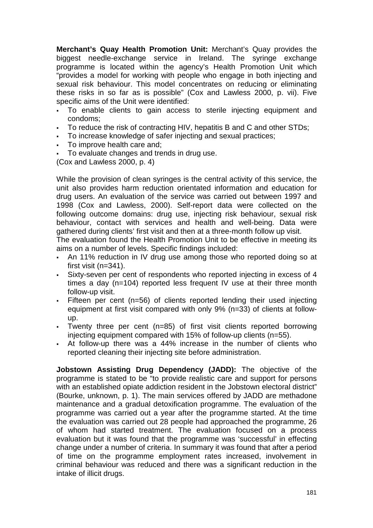**Merchant's Quay Health Promotion Unit:** Merchant's Quay provides the biggest needle-exchange service in Ireland. The syringe exchange programme is located within the agency's Health Promotion Unit which "provides a model for working with people who engage in both injecting and sexual risk behaviour. This model concentrates on reducing or eliminating these risks in so far as is possible" (Cox and Lawless 2000, p. vii). Five specific aims of the Unit were identified:

- - To enable clients to gain access to sterile injecting equipment and condoms;
- To reduce the risk of contracting HIV, hepatitis B and C and other STDs;
- To increase knowledge of safer injecting and sexual practices;
- To improve health care and;
- To evaluate changes and trends in drug use.

(Cox and Lawless 2000, p. 4)

While the provision of clean syringes is the central activity of this service, the unit also provides harm reduction orientated information and education for drug users. An evaluation of the service was carried out between 1997 and 1998 (Cox and Lawless, 2000). Self-report data were collected on the following outcome domains: drug use, injecting risk behaviour, sexual risk behaviour, contact with services and health and well-being. Data were gathered during clients' first visit and then at a three-month follow up visit.

The evaluation found the Health Promotion Unit to be effective in meeting its aims on a number of levels. Specific findings included:

- An 11% reduction in IV drug use among those who reported doing so at first visit (n=341).
- - Sixty-seven per cent of respondents who reported injecting in excess of 4 times a day (n=104) reported less frequent IV use at their three month follow-up visit.
- - Fifteen per cent (n=56) of clients reported lending their used injecting equipment at first visit compared with only 9% (n=33) of clients at followup.
- Twenty three per cent (n=85) of first visit clients reported borrowing injecting equipment compared with 15% of follow-up clients (n=55).
- - At follow-up there was a 44% increase in the number of clients who reported cleaning their injecting site before administration.

**Jobstown Assisting Drug Dependency (JADD):** The objective of the programme is stated to be "to provide realistic care and support for persons with an established opiate addiction resident in the Jobstown electoral district" (Bourke, unknown, p. 1). The main services offered by JADD are methadone maintenance and a gradual detoxification programme. The evaluation of the programme was carried out a year after the programme started. At the time the evaluation was carried out 28 people had approached the programme, 26 of whom had started treatment. The evaluation focused on a process evaluation but it was found that the programme was 'successful' in effecting change under a number of criteria. In summary it was found that after a period of time on the programme employment rates increased, involvement in criminal behaviour was reduced and there was a significant reduction in the intake of illicit drugs.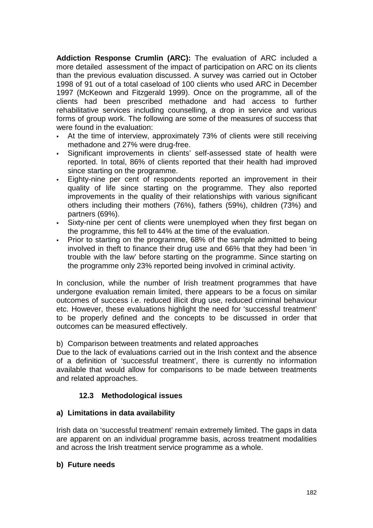**Addiction Response Crumlin (ARC):** The evaluation of ARC included a more detailed assessment of the impact of participation on ARC on its clients than the previous evaluation discussed. A survey was carried out in October 1998 of 91 out of a total caseload of 100 clients who used ARC in December 1997 (McKeown and Fitzgerald 1999). Once on the programme, all of the clients had been prescribed methadone and had access to further rehabilitative services including counselling, a drop in service and various forms of group work. The following are some of the measures of success that were found in the evaluation:

- - At the time of interview, approximately 73% of clients were still receiving methadone and 27% were drug-free.
- - Significant improvements in clients' self-assessed state of health were reported. In total, 86% of clients reported that their health had improved since starting on the programme.
- - Eighty-nine per cent of respondents reported an improvement in their quality of life since starting on the programme. They also reported improvements in the quality of their relationships with various significant others including their mothers (76%), fathers (59%), children (73%) and partners (69%).
- Sixty-nine per cent of clients were unemployed when they first began on the programme, this fell to 44% at the time of the evaluation.
- - Prior to starting on the programme, 68% of the sample admitted to being involved in theft to finance their drug use and 66% that they had been 'in trouble with the law' before starting on the programme. Since starting on the programme only 23% reported being involved in criminal activity.

In conclusion, while the number of Irish treatment programmes that have undergone evaluation remain limited, there appears to be a focus on similar outcomes of success i.e. reduced illicit drug use, reduced criminal behaviour etc. However, these evaluations highlight the need for 'successful treatment' to be properly defined and the concepts to be discussed in order that outcomes can be measured effectively.

b) Comparison between treatments and related approaches

Due to the lack of evaluations carried out in the Irish context and the absence of a definition of 'successful treatment', there is currently no information available that would allow for comparisons to be made between treatments and related approaches.

# **12.3 Methodological issues**

# **a) Limitations in data availability**

Irish data on 'successful treatment' remain extremely limited. The gaps in data are apparent on an individual programme basis, across treatment modalities and across the Irish treatment service programme as a whole.

## **b) Future needs**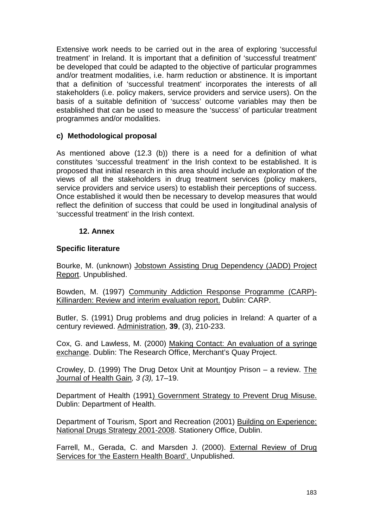Extensive work needs to be carried out in the area of exploring 'successful treatment' in Ireland. It is important that a definition of 'successful treatment' be developed that could be adapted to the objective of particular programmes and/or treatment modalities, i.e. harm reduction or abstinence. It is important that a definition of 'successful treatment' incorporates the interests of all stakeholders (i.e. policy makers, service providers and service users). On the basis of a suitable definition of 'success' outcome variables may then be established that can be used to measure the 'success' of particular treatment programmes and/or modalities.

## **c) Methodological proposal**

As mentioned above (12.3 (b)) there is a need for a definition of what constitutes 'successful treatment' in the Irish context to be established. It is proposed that initial research in this area should include an exploration of the views of all the stakeholders in drug treatment services (policy makers, service providers and service users) to establish their perceptions of success. Once established it would then be necessary to develop measures that would reflect the definition of success that could be used in longitudinal analysis of 'successful treatment' in the Irish context.

## **12. Annex**

## **Specific literature**

Bourke, M. (unknown) Jobstown Assisting Drug Dependency (JADD) Project Report. Unpublished.

Bowden, M. (1997) Community Addiction Response Programme (CARP)- Killinarden: Review and interim evaluation report. Dublin: CARP.

Butler, S. (1991) Drug problems and drug policies in Ireland: A quarter of a century reviewed. Administration, **39**, (3), 210-233.

Cox, G. and Lawless, M. (2000) Making Contact: An evaluation of a syringe exchange. Dublin: The Research Office, Merchant's Quay Project.

Crowley, D. (1999) The Drug Detox Unit at Mountjoy Prison – a review. The Journal of Health Gain*, 3 (3),* 17–19.

Department of Health (1991) Government Strategy to Prevent Drug Misuse. Dublin: Department of Health.

Department of Tourism, Sport and Recreation (2001) Building on Experience: National Drugs Strategy 2001-2008. Stationery Office, Dublin.

Farrell, M., Gerada, C. and Marsden J. (2000). External Review of Drug Services for 'the Eastern Health Board'. Unpublished.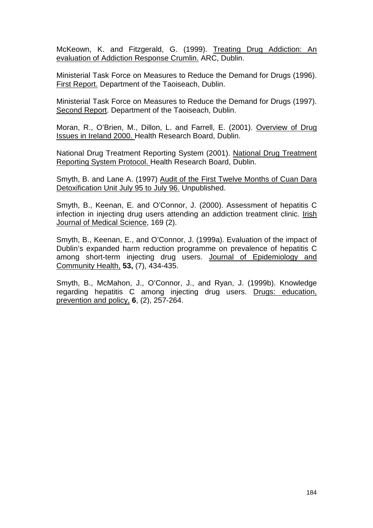McKeown, K. and Fitzgerald, G. (1999). Treating Drug Addiction: An evaluation of Addiction Response Crumlin. ARC, Dublin.

Ministerial Task Force on Measures to Reduce the Demand for Drugs (1996). First Report. Department of the Taoiseach, Dublin.

Ministerial Task Force on Measures to Reduce the Demand for Drugs (1997). Second Report. Department of the Taoiseach, Dublin.

Moran, R., O'Brien, M., Dillon, L. and Farrell, E. (2001). Overview of Drug Issues in Ireland 2000. Health Research Board, Dublin.

National Drug Treatment Reporting System (2001). National Drug Treatment Reporting System Protocol. Health Research Board, Dublin.

Smyth, B. and Lane A. (1997) Audit of the First Twelve Months of Cuan Dara Detoxification Unit July 95 to July 96. Unpublished.

Smyth, B., Keenan, E. and O'Connor, J. (2000). Assessment of hepatitis C infection in injecting drug users attending an addiction treatment clinic. Irish Journal of Medical Science, 169 (2).

Smyth, B., Keenan, E., and O'Connor, J. (1999a). Evaluation of the impact of Dublin's expanded harm reduction programme on prevalence of hepatitis C among short-term injecting drug users. Journal of Epidemiology and Community Health, **53,** (7), 434-435.

Smyth, B., McMahon, J., O'Connor, J., and Ryan, J. (1999b). Knowledge regarding hepatitis C among injecting drug users. Drugs: education, prevention and policy, **6**, (2), 257-264.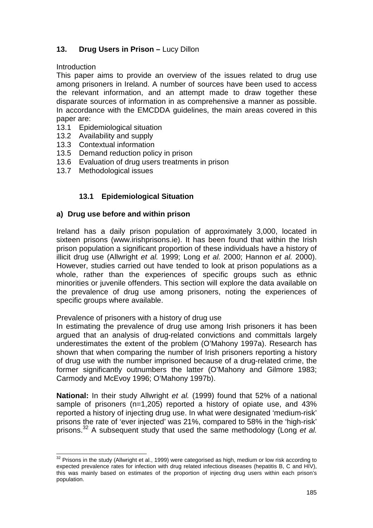# 13. Drug Users in Prison – Lucy Dillon

**Introduction** 

l

This paper aims to provide an overview of the issues related to drug use among prisoners in Ireland. A number of sources have been used to access the relevant information, and an attempt made to draw together these disparate sources of information in as comprehensive a manner as possible. In accordance with the EMCDDA guidelines, the main areas covered in this paper are:

- 13.1 Epidemiological situation
- 13.2 Availability and supply
- 13.3 Contextual information
- 13.5 Demand reduction policy in prison
- 13.6 Evaluation of drug users treatments in prison
- 13.7 Methodological issues

# **13.1 Epidemiological Situation**

## **a) Drug use before and within prison**

Ireland has a daily prison population of approximately 3,000, located in sixteen prisons (www.irishprisons.ie). It has been found that within the Irish prison population a significant proportion of these individuals have a history of illicit drug use (Allwright *et al.* 1999; Long *et al.* 2000; Hannon *et al.* 2000). However, studies carried out have tended to look at prison populations as a whole, rather than the experiences of specific groups such as ethnic minorities or juvenile offenders. This section will explore the data available on the prevalence of drug use among prisoners, noting the experiences of specific groups where available.

## Prevalence of prisoners with a history of drug use

In estimating the prevalence of drug use among Irish prisoners it has been argued that an analysis of drug-related convictions and committals largely underestimates the extent of the problem (O'Mahony 1997a). Research has shown that when comparing the number of Irish prisoners reporting a history of drug use with the number imprisoned because of a drug-related crime, the former significantly outnumbers the latter (O'Mahony and Gilmore 1983; Carmody and McEvoy 1996; O'Mahony 1997b).

**National:** In their study Allwright *et al.* (1999) found that 52% of a national sample of prisoners (n=1,205) reported a history of opiate use, and 43% reported a history of injecting drug use. In what were designated 'medium-risk' prisons the rate of 'ever injected' was 21%, compared to 58% in the 'high-risk' prisons.32 A subsequent study that used the same methodology (Long *et al.*

 $32$  Prisons in the study (Allwright et al., 1999) were categorised as high, medium or low risk according to expected prevalence rates for infection with drug related infectious diseases (hepatitis B, C and HIV), this was mainly based on estimates of the proportion of injecting drug users within each prison's population.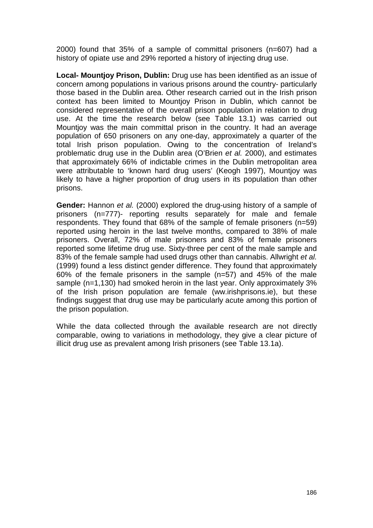2000) found that 35% of a sample of committal prisoners (n=607) had a history of opiate use and 29% reported a history of injecting drug use.

**Local- Mountjoy Prison, Dublin:** Drug use has been identified as an issue of concern among populations in various prisons around the country- particularly those based in the Dublin area. Other research carried out in the Irish prison context has been limited to Mountjoy Prison in Dublin, which cannot be considered representative of the overall prison population in relation to drug use. At the time the research below (see Table 13.1) was carried out Mountioy was the main committal prison in the country. It had an average population of 650 prisoners on any one-day, approximately a quarter of the total Irish prison population. Owing to the concentration of Ireland's problematic drug use in the Dublin area (O'Brien *et al.* 2000), and estimates that approximately 66% of indictable crimes in the Dublin metropolitan area were attributable to 'known hard drug users' (Keogh 1997), Mountjoy was likely to have a higher proportion of drug users in its population than other prisons.

**Gender:** Hannon *et al.* (2000) explored the drug-using history of a sample of prisoners (n=777)- reporting results separately for male and female respondents. They found that 68% of the sample of female prisoners (n=59) reported using heroin in the last twelve months, compared to 38% of male prisoners. Overall, 72% of male prisoners and 83% of female prisoners reported some lifetime drug use. Sixty-three per cent of the male sample and 83% of the female sample had used drugs other than cannabis. Allwright *et al.* (1999) found a less distinct gender difference. They found that approximately 60% of the female prisoners in the sample (n=57) and 45% of the male sample (n=1,130) had smoked heroin in the last year. Only approximately 3% of the Irish prison population are female (ww.irishprisons.ie), but these findings suggest that drug use may be particularly acute among this portion of the prison population.

While the data collected through the available research are not directly comparable, owing to variations in methodology, they give a clear picture of illicit drug use as prevalent among Irish prisoners (see Table 13.1a).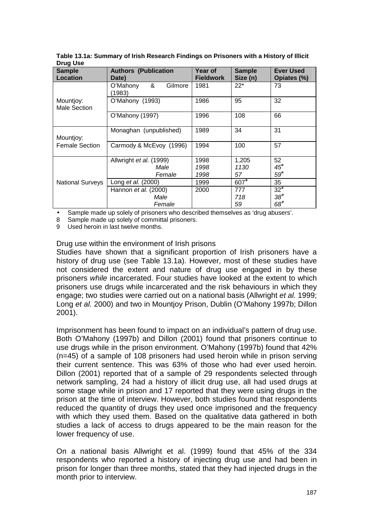| <b>Sample</b><br><b>Location</b> | <b>Authors (Publication</b><br>Date) | Year of<br><b>Fieldwork</b> | <b>Sample</b><br>Size (n) | <b>Ever Used</b><br>Opiates (%) |
|----------------------------------|--------------------------------------|-----------------------------|---------------------------|---------------------------------|
|                                  | &<br>O'Mahony<br>Gilmore<br>1983)    | 1981                        | $22*$                     | 73                              |
| Mountjoy:<br><b>Male Section</b> | O'Mahony (1993)                      | 1986                        | 95                        | 32                              |
|                                  | O'Mahony (1997)                      | 1996                        | 108                       | 66                              |
| Mountjoy:                        | Monaghan (unpublished)               |                             | 34                        | 31                              |
| <b>Female Section</b>            | Carmody & McEvoy (1996)              | 1994                        | 100                       | 57                              |
|                                  | Allwright et al. (1999)              | 1998                        | 1,205                     | 52                              |
|                                  | Male                                 | 1998                        | 1130                      | $45*$                           |
|                                  | Female                               | 1998                        | 57                        | $59*$                           |
| <b>National Surveys</b>          | Long et al. (2000)                   | 1999                        | 607*                      | 35                              |
|                                  | Hannon et al. (2000)                 | 2000                        | 777                       | $32*$                           |
|                                  | Male                                 |                             | 718                       | $38*$                           |
|                                  | Female                               |                             | 59                        | $68*$                           |

**Table 13.1a: Summary of Irish Research Findings on Prisoners with a History of Illicit Drug Use** 

• Sample made up solely of prisoners who described themselves as 'drug abusers'.

• Sample made up solely of prisoners who descri<br>8 Sample made up solely of committal prisoners.

9 Used heroin in last twelve months.

Drug use within the environment of Irish prisons

Studies have shown that a significant proportion of Irish prisoners have a history of drug use (see Table 13.1a). However, most of these studies have not considered the extent and nature of drug use engaged in by these prisoners *while* incarcerated. Four studies have looked at the extent to which prisoners use drugs while incarcerated and the risk behaviours in which they engage; two studies were carried out on a national basis (Allwright *et al.* 1999; Long *et al.* 2000) and two in Mountjoy Prison, Dublin (O'Mahony 1997b; Dillon 2001).

Imprisonment has been found to impact on an individual's pattern of drug use. Both O'Mahony (1997b) and Dillon (2001) found that prisoners continue to use drugs while in the prison environment. O'Mahony (1997b) found that 42% (n=45) of a sample of 108 prisoners had used heroin while in prison serving their current sentence. This was 63% of those who had ever used heroin. Dillon (2001) reported that of a sample of 29 respondents selected through network sampling, 24 had a history of illicit drug use, all had used drugs at some stage while in prison and 17 reported that they were using drugs in the prison at the time of interview. However, both studies found that respondents reduced the quantity of drugs they used once imprisoned and the frequency with which they used them. Based on the qualitative data gathered in both studies a lack of access to drugs appeared to be the main reason for the lower frequency of use.

On a national basis Allwright et al. (1999) found that 45% of the 334 respondents who reported a history of injecting drug use and had been in prison for longer than three months, stated that they had injected drugs in the month prior to interview.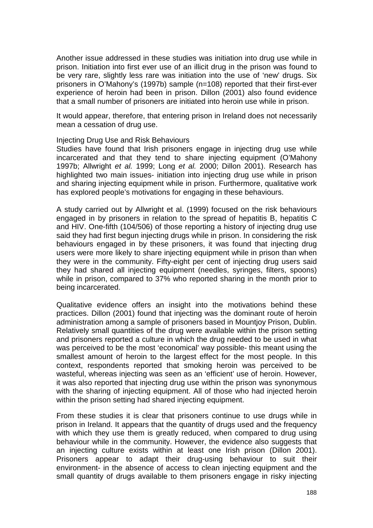Another issue addressed in these studies was initiation into drug use while in prison. Initiation into first ever use of an illicit drug in the prison was found to be very rare, slightly less rare was initiation into the use of 'new' drugs. Six prisoners in O'Mahony's (1997b) sample (n=108) reported that their first-ever experience of heroin had been in prison. Dillon (2001) also found evidence that a small number of prisoners are initiated into heroin use while in prison.

It would appear, therefore, that entering prison in Ireland does not necessarily mean a cessation of drug use.

#### Injecting Drug Use and Risk Behaviours

Studies have found that Irish prisoners engage in injecting drug use while incarcerated and that they tend to share injecting equipment (O'Mahony 1997b; Allwright *et al.* 1999; Long *et al.* 2000; Dillon 2001). Research has highlighted two main issues- initiation into injecting drug use while in prison and sharing injecting equipment while in prison. Furthermore, qualitative work has explored people's motivations for engaging in these behaviours.

A study carried out by Allwright et al. (1999) focused on the risk behaviours engaged in by prisoners in relation to the spread of hepatitis B, hepatitis C and HIV. One-fifth (104/506) of those reporting a history of injecting drug use said they had first begun injecting drugs while in prison. In considering the risk behaviours engaged in by these prisoners, it was found that injecting drug users were more likely to share injecting equipment while in prison than when they were in the community. Fifty-eight per cent of injecting drug users said they had shared all injecting equipment (needles, syringes, filters, spoons) while in prison, compared to 37% who reported sharing in the month prior to being incarcerated.

Qualitative evidence offers an insight into the motivations behind these practices. Dillon (2001) found that injecting was the dominant route of heroin administration among a sample of prisoners based in Mountjoy Prison, Dublin. Relatively small quantities of the drug were available within the prison setting and prisoners reported a culture in which the drug needed to be used in what was perceived to be the most 'economical' way possible- this meant using the smallest amount of heroin to the largest effect for the most people. In this context, respondents reported that smoking heroin was perceived to be wasteful, whereas injecting was seen as an 'efficient' use of heroin. However, it was also reported that injecting drug use within the prison was synonymous with the sharing of injecting equipment. All of those who had injected heroin within the prison setting had shared injecting equipment.

From these studies it is clear that prisoners continue to use drugs while in prison in Ireland. It appears that the quantity of drugs used and the frequency with which they use them is greatly reduced, when compared to drug using behaviour while in the community. However, the evidence also suggests that an injecting culture exists within at least one Irish prison (Dillon 2001). Prisoners appear to adapt their drug-using behaviour to suit their environment- in the absence of access to clean injecting equipment and the small quantity of drugs available to them prisoners engage in risky injecting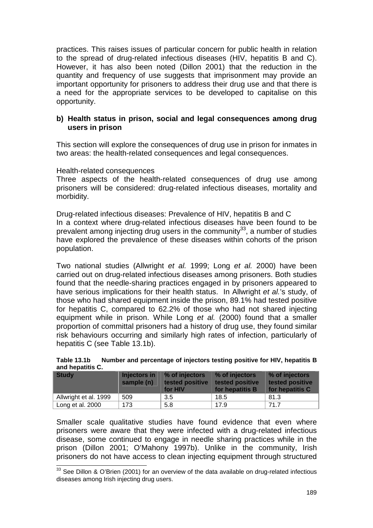practices. This raises issues of particular concern for public health in relation to the spread of drug-related infectious diseases (HIV, hepatitis B and C). However, it has also been noted (Dillon 2001) that the reduction in the quantity and frequency of use suggests that imprisonment may provide an important opportunity for prisoners to address their drug use and that there is a need for the appropriate services to be developed to capitalise on this opportunity.

## **b) Health status in prison, social and legal consequences among drug users in prison**

This section will explore the consequences of drug use in prison for inmates in two areas: the health-related consequences and legal consequences.

#### Health-related consequences

l

Three aspects of the health-related consequences of drug use among prisoners will be considered: drug-related infectious diseases, mortality and morbidity.

Drug-related infectious diseases: Prevalence of HIV, hepatitis B and C In a context where drug-related infectious diseases have been found to be prevalent among injecting drug users in the community<sup>33</sup>, a number of studies have explored the prevalence of these diseases within cohorts of the prison population.

Two national studies (Allwright *et al.* 1999; Long *et al.* 2000) have been carried out on drug-related infectious diseases among prisoners. Both studies found that the needle-sharing practices engaged in by prisoners appeared to have serious implications for their health status. In Allwright *et al.*'s study, of those who had shared equipment inside the prison, 89.1% had tested positive for hepatitis C, compared to 62.2% of those who had not shared injecting equipment while in prison. While Long *et al.* (2000) found that a smaller proportion of committal prisoners had a history of drug use, they found similar risk behaviours occurring and similarly high rates of infection, particularly of hepatitis C (see Table 13.1b).

|                  |  | Table 13.1b Number and percentage of injectors testing positive for HIV, hepatitis B |  |
|------------------|--|--------------------------------------------------------------------------------------|--|
| and hepatitis C. |  |                                                                                      |  |

| <b>Study</b>          | Injectors in<br>sample (n) | % of injectors<br>tested positive<br>for HIV | % of injectors<br>tested positive<br>for hepatitis <b>B</b> | % of injectors<br>tested positive<br>for hepatitis C |
|-----------------------|----------------------------|----------------------------------------------|-------------------------------------------------------------|------------------------------------------------------|
| Allwright et al. 1999 | 509                        | 3.5                                          | 18.5                                                        | 81.3                                                 |
| Long et al. 2000      | 173                        | 5.8                                          | 17.9                                                        | 71.7                                                 |

Smaller scale qualitative studies have found evidence that even where prisoners were aware that they were infected with a drug-related infectious disease, some continued to engage in needle sharing practices while in the prison (Dillon 2001; O'Mahony 1997b). Unlike in the community, Irish prisoners do not have access to clean injecting equipment through structured

 $33$  See Dillon & O'Brien (2001) for an overview of the data available on drug-related infectious diseases among Irish injecting drug users.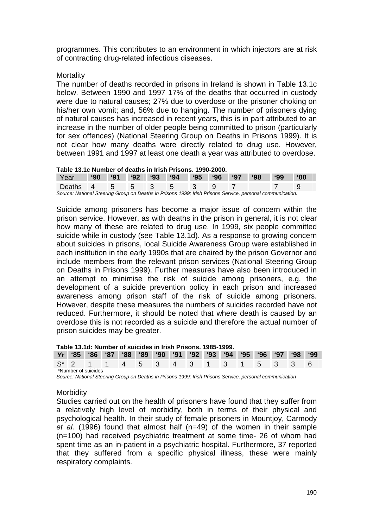programmes. This contributes to an environment in which injectors are at risk of contracting drug-related infectious diseases.

#### **Mortality**

The number of deaths recorded in prisons in Ireland is shown in Table 13.1c below. Between 1990 and 1997 17% of the deaths that occurred in custody were due to natural causes; 27% due to overdose or the prisoner choking on his/her own vomit; and, 56% due to hanging. The number of prisoners dying of natural causes has increased in recent years, this is in part attributed to an increase in the number of older people being committed to prison (particularly for sex offences) (National Steering Group on Deaths in Prisons 1999). It is not clear how many deaths were directly related to drug use. However, between 1991 and 1997 at least one death a year was attributed to overdose.

#### **Table 13.1c Number of deaths in Irish Prisons. 1990-2000.**

| Year                                                                                                      |  |  |  |  | 90 91 92 93 94 95 96 97 98 |  |  | <b>99°</b> | $^{\circ}00$ |
|-----------------------------------------------------------------------------------------------------------|--|--|--|--|----------------------------|--|--|------------|--------------|
| Deaths 4 5 5 3 5 3                                                                                        |  |  |  |  |                            |  |  |            |              |
| Source: National Steering Group on Deaths in Prisons 1999; Irish Prisons Service, personal communication. |  |  |  |  |                            |  |  |            |              |

Suicide among prisoners has become a major issue of concern within the prison service. However, as with deaths in the prison in general, it is not clear how many of these are related to drug use. In 1999, six people committed suicide while in custody (see Table 13.1d). As a response to growing concern about suicides in prisons, local Suicide Awareness Group were established in each institution in the early 1990s that are chaired by the prison Governor and include members from the relevant prison services (National Steering Group on Deaths in Prisons 1999). Further measures have also been introduced in an attempt to minimise the risk of suicide among prisoners, e.g. the development of a suicide prevention policy in each prison and increased awareness among prison staff of the risk of suicide among prisoners. However, despite these measures the numbers of suicides recorded have not reduced. Furthermore, it should be noted that where death is caused by an overdose this is not recorded as a suicide and therefore the actual number of prison suicides may be greater.

#### **Table 13.1d: Number of suicides in Irish Prisons. 1985-1999.**

|  |                     |  |  |  |  |  | Yr '85 '86 '87 '88 '89 '90 '91 '92 '93 '94 '95 '96 '97 '98 '99 |  |
|--|---------------------|--|--|--|--|--|----------------------------------------------------------------|--|
|  |                     |  |  |  |  |  | S* 2 1 1 4 5 3 4 3 1 3 1 5 3 3 6                               |  |
|  | *Number of suicides |  |  |  |  |  |                                                                |  |

*Source: National Steering Group on Deaths in Prisons 1999; Irish Prisons Service, personal communication* 

#### Morbidity

Studies carried out on the health of prisoners have found that they suffer from a relatively high level of morbidity, both in terms of their physical and psychological health. In their study of female prisoners in Mountjoy, Carmody *et al.* (1996) found that almost half (n=49) of the women in their sample (n=100) had received psychiatric treatment at some time- 26 of whom had spent time as an in-patient in a psychiatric hospital. Furthermore, 37 reported that they suffered from a specific physical illness, these were mainly respiratory complaints.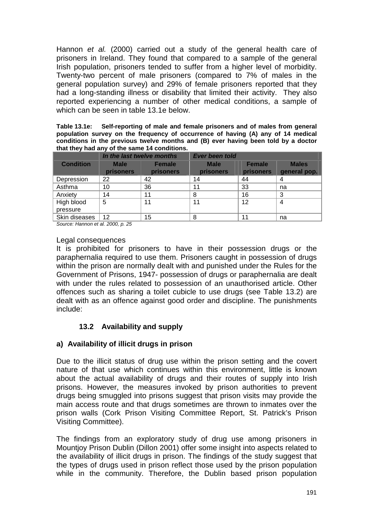Hannon *et al.* (2000) carried out a study of the general health care of prisoners in Ireland. They found that compared to a sample of the general Irish population, prisoners tended to suffer from a higher level of morbidity. Twenty-two percent of male prisoners (compared to 7% of males in the general population survey) and 29% of female prisoners reported that they had a long-standing illness or disability that limited their activity. They also reported experiencing a number of other medical conditions, a sample of which can be seen in table 13.1e below.

**Table 13.1e: Self-reporting of male and female prisoners and of males from general population survey on the frequency of occurrence of having (A) any of 14 medical conditions in the previous twelve months and (B) ever having been told by a doctor that they had any of the same 14 conditions.** 

|                        | In the last twelve months       |                                   | <b>Ever been told</b>           |                            |                              |  |
|------------------------|---------------------------------|-----------------------------------|---------------------------------|----------------------------|------------------------------|--|
| <b>Condition</b>       | <b>Male</b><br><b>prisoners</b> | <b>Female</b><br><b>prisoners</b> | <b>Male</b><br><b>prisoners</b> | <b>Female</b><br>prisoners | <b>Males</b><br>general pop. |  |
| Depression             | 22                              | 42                                | 14                              | 44                         | 4                            |  |
| Asthma                 | 10                              | 36                                | 11                              | 33                         | na                           |  |
| Anxiety                | 14                              | 11                                | 8                               | 16                         | 3                            |  |
| High blood<br>pressure | 5                               | 11                                | 11                              | 12                         | 4                            |  |
| Skin diseases          | 12                              | 15                                | 8                               | 11                         | na                           |  |

*Source: Hannon et al. 2000, p. 25* 

#### Legal consequences

It is prohibited for prisoners to have in their possession drugs or the paraphernalia required to use them. Prisoners caught in possession of drugs within the prison are normally dealt with and punished under the Rules for the Government of Prisons, 1947- possession of drugs or paraphernalia are dealt with under the rules related to possession of an unauthorised article. Other offences such as sharing a toilet cubicle to use drugs (see Table 13.2) are dealt with as an offence against good order and discipline. The punishments include:

# **13.2 Availability and supply**

# **a) Availability of illicit drugs in prison**

Due to the illicit status of drug use within the prison setting and the covert nature of that use which continues within this environment, little is known about the actual availability of drugs and their routes of supply into Irish prisons. However, the measures invoked by prison authorities to prevent drugs being smuggled into prisons suggest that prison visits may provide the main access route and that drugs sometimes are thrown to inmates over the prison walls (Cork Prison Visiting Committee Report, St. Patrick's Prison Visiting Committee).

The findings from an exploratory study of drug use among prisoners in Mountjoy Prison Dublin (Dillon 2001) offer some insight into aspects related to the availability of illicit drugs in prison. The findings of the study suggest that the types of drugs used in prison reflect those used by the prison population while in the community. Therefore, the Dublin based prison population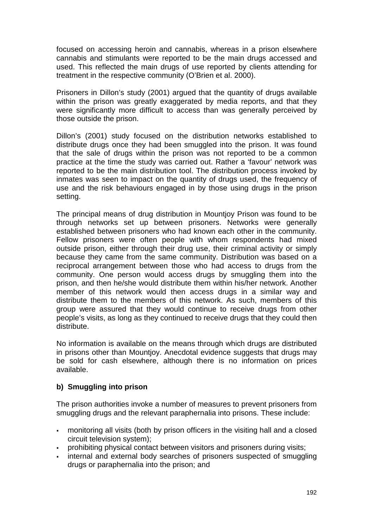focused on accessing heroin and cannabis, whereas in a prison elsewhere cannabis and stimulants were reported to be the main drugs accessed and used. This reflected the main drugs of use reported by clients attending for treatment in the respective community (O'Brien et al. 2000).

Prisoners in Dillon's study (2001) argued that the quantity of drugs available within the prison was greatly exaggerated by media reports, and that they were significantly more difficult to access than was generally perceived by those outside the prison.

Dillon's (2001) study focused on the distribution networks established to distribute drugs once they had been smuggled into the prison. It was found that the sale of drugs within the prison was not reported to be a common practice at the time the study was carried out. Rather a 'favour' network was reported to be the main distribution tool. The distribution process invoked by inmates was seen to impact on the quantity of drugs used, the frequency of use and the risk behaviours engaged in by those using drugs in the prison setting.

The principal means of drug distribution in Mountjoy Prison was found to be through networks set up between prisoners. Networks were generally established between prisoners who had known each other in the community. Fellow prisoners were often people with whom respondents had mixed outside prison, either through their drug use, their criminal activity or simply because they came from the same community. Distribution was based on a reciprocal arrangement between those who had access to drugs from the community. One person would access drugs by smuggling them into the prison, and then he/she would distribute them within his/her network. Another member of this network would then access drugs in a similar way and distribute them to the members of this network. As such, members of this group were assured that they would continue to receive drugs from other people's visits, as long as they continued to receive drugs that they could then distribute.

No information is available on the means through which drugs are distributed in prisons other than Mountjoy. Anecdotal evidence suggests that drugs may be sold for cash elsewhere, although there is no information on prices available.

## **b) Smuggling into prison**

The prison authorities invoke a number of measures to prevent prisoners from smuggling drugs and the relevant paraphernalia into prisons. These include:

- monitoring all visits (both by prison officers in the visiting hall and a closed circuit television system);
- prohibiting physical contact between visitors and prisoners during visits;
- internal and external body searches of prisoners suspected of smuggling drugs or paraphernalia into the prison; and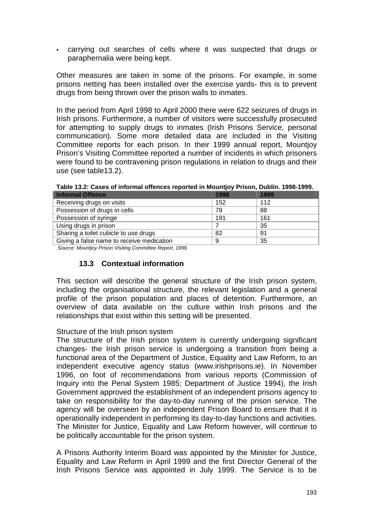- carrying out searches of cells where it was suspected that drugs or paraphernalia were being kept.

Other measures are taken in some of the prisons. For example, in some prisons netting has been installed over the exercise yards- this is to prevent drugs from being thrown over the prison walls to inmates.

In the period from April 1998 to April 2000 there were 622 seizures of drugs in Irish prisons. Furthermore, a number of visitors were successfully prosecuted for attempting to supply drugs to inmates (Irish Prisons Service, personal communication). Some more detailed data are included in the Visiting Committee reports for each prison. In their 1999 annual report, Mountjoy Prison's Visiting Committee reported a number of incidents in which prisoners were found to be contravening prison regulations in relation to drugs and their use (see table13.2).

| <b>Informal Offence</b>                   | 1998 | 1999 |
|-------------------------------------------|------|------|
| Receiving drugs on visits                 | 152  | 112  |
| Possession of drugs in cells              | 78   | 88   |
| Possession of syringe                     | 191  | 161  |
| Using drugs in prison                     |      | 35   |
| Sharing a toilet cubicle to use drugs     | 82   | 91   |
| Giving a false name to receive medication | 9    | 35   |

**Table 13.2: Cases of informal offences reported in Mountjoy Prison, Dublin. 1998-1999.** 

 *Source: Mountjoy Prison Visiting Committee Report, 1999.* 

### **13.3 Contextual information**

This section will describe the general structure of the Irish prison system, including the organisational structure, the relevant legislation and a general profile of the prison population and places of detention. Furthermore, an overview of data available on the culture within Irish prisons and the relationships that exist within this setting will be presented.

#### Structure of the Irish prison system

The structure of the Irish prison system is currently undergoing significant changes- the Irish prison service is undergoing a transition from being a functional area of the Department of Justice, Equality and Law Reform, to an independent executive agency status (www.irishprisons.ie). In November 1996, on foot of recommendations from various reports (Commission of Inquiry into the Penal System 1985; Department of Justice 1994), the Irish Government approved the establishment of an independent prisons agency to take on responsibility for the day-to-day running of the prison service. The agency will be overseen by an independent Prison Board to ensure that it is operationally independent in performing its day-to-day functions and activities. The Minister for Justice, Equality and Law Reform however, will continue to be politically accountable for the prison system.

A Prisons Authority Interim Board was appointed by the Minister for Justice, Equality and Law Reform in April 1999 and the first Director General of the Irish Prisons Service was appointed in July 1999. The Service is to be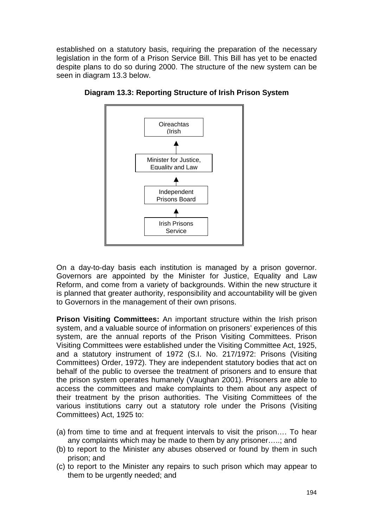established on a statutory basis, requiring the preparation of the necessary legislation in the form of a Prison Service Bill. This Bill has yet to be enacted despite plans to do so during 2000. The structure of the new system can be seen in diagram 13.3 below.



**Diagram 13.3: Reporting Structure of Irish Prison System** 

On a day-to-day basis each institution is managed by a prison governor. Governors are appointed by the Minister for Justice, Equality and Law Reform, and come from a variety of backgrounds. Within the new structure it is planned that greater authority, responsibility and accountability will be given to Governors in the management of their own prisons.

**Prison Visiting Committees:** An important structure within the Irish prison system, and a valuable source of information on prisoners' experiences of this system, are the annual reports of the Prison Visiting Committees. Prison Visiting Committees were established under the Visiting Committee Act, 1925, and a statutory instrument of 1972 (S.I. No. 217/1972: Prisons (Visiting Committees) Order, 1972). They are independent statutory bodies that act on behalf of the public to oversee the treatment of prisoners and to ensure that the prison system operates humanely (Vaughan 2001). Prisoners are able to access the committees and make complaints to them about any aspect of their treatment by the prison authorities. The Visiting Committees of the various institutions carry out a statutory role under the Prisons (Visiting Committees) Act, 1925 to:

- (a) from time to time and at frequent intervals to visit the prison…. To hear any complaints which may be made to them by any prisoner…..; and
- (b) to report to the Minister any abuses observed or found by them in such prison; and
- (c) to report to the Minister any repairs to such prison which may appear to them to be urgently needed; and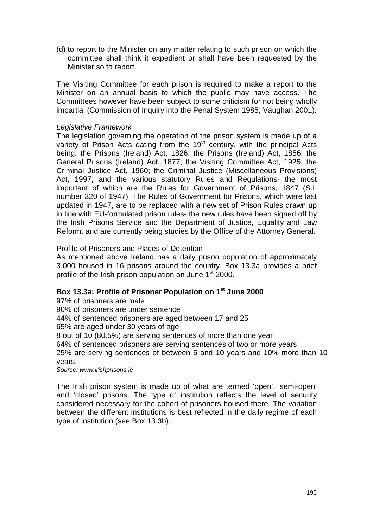(d) to report to the Minister on any matter relating to such prison on which the committee shall think it expedient or shall have been requested by the Minister so to report.

The Visiting Committee for each prison is required to make a report to the Minister on an annual basis to which the public may have access. The Committees however have been subject to some criticism for not being wholly impartial (Commission of Inquiry into the Penal System 1985; Vaughan 2001).

### *Legislative Framework*

The legislation governing the operation of the prison system is made up of a variety of Prison Acts dating from the  $19<sup>th</sup>$  century, with the principal Acts being: the Prisons (Ireland) Act, 1826; the Prisons (Ireland) Act, 1856; the General Prisons (Ireland) Act, 1877; the Visiting Committee Act, 1925; the Criminal Justice Act, 1960; the Criminal Justice (Miscellaneous Provisions) Act, 1997; and the various statutory Rules and Regulations- the most important of which are the Rules for Government of Prisons, 1847 (S.I. number 320 of 1947). The Rules of Government for Prisons, which were last updated in 1947, are to be replaced with a new set of Prison Rules drawn up in line with EU-formulated prison rules- the new rules have been signed off by the Irish Prisons Service and the Department of Justice, Equality and Law Reform, and are currently being studies by the Office of the Attorney General.

#### Profile of Prisoners and Places of Detention

As mentioned above Ireland has a daily prison population of approximately 3,000 housed in 16 prisons around the country. Box 13.3a provides a brief profile of the Irish prison population on June 1<sup>st</sup> 2000.

## Box 13.3a: Profile of Prisoner Population on 1<sup>st</sup> June 2000

97% of prisoners are male 90% of prisoners are under sentence 44% of sentenced prisoners are aged between 17 and 25 65% are aged under 30 years of age 8 out of 10 (80.5%) are serving sentences of more than one year 64% of sentenced prisoners are serving sentences of two or more years 25% are serving sentences of between 5 and 10 years and 10% more than 10 years.

*Source: [www.irishprisons.ie](http://www.irishprisons.ie/)*

The Irish prison system is made up of what are termed 'open', 'semi-open' and 'closed' prisons. The type of institution reflects the level of security considered necessary for the cohort of prisoners housed there. The variation between the different institutions is best reflected in the daily regime of each type of institution (see Box 13.3b).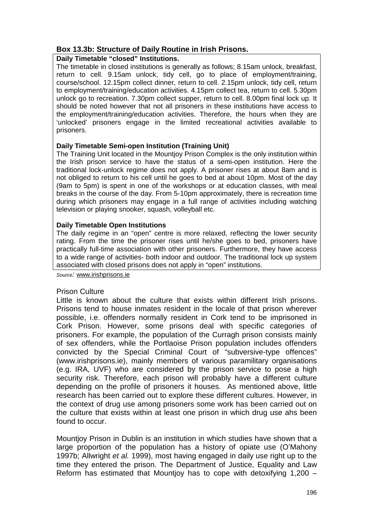## **Box 13.3b: Structure of Daily Routine in Irish Prisons.**

#### **Daily Timetable "closed" Institutions.**

The timetable in closed institutions is generally as follows; 8.15am unlock, breakfast, return to cell. 9.15am unlock, tidy cell, go to place of employment/training, course/school. 12.15pm collect dinner, return to cell. 2.15pm unlock, tidy cell, return to employment/training/education activities. 4.15pm collect tea, return to cell. 5.30pm unlock go to recreation. 7.30pm collect supper, return to cell. 8.00pm final lock up. It should be noted however that not all prisoners in these institutions have access to the employment/training/education activities. Therefore, the hours when they are 'unlocked' prisoners engage in the limited recreational activities available to prisoners.

#### **Daily Timetable Semi-open Institution (Training Unit)**

The Training Unit located in the Mountjoy Prison Complex is the only institution within the Irish prison service to have the status of a semi-open institution. Here the traditional lock-unlock regime does not apply. A prisoner rises at about 8am and is not obliged to return to his cell until he goes to bed at about 10pm. Most of the day (9am to 5pm) is spent in one of the workshops or at education classes, with meal breaks in the course of the day. From 5-10pm approximately, there is recreation time during which prisoners may engage in a full range of activities including watching television or playing snooker, squash, volleyball etc.

#### **Daily Timetable Open Institutions**

The daily regime in an "open" centre is more relaxed, reflecting the lower security rating. From the time the prisoner rises until he/she goes to bed, prisoners have practically full-time association with other prisoners. Furthermore, they have access to a wide range of activities- both indoor and outdoor. The traditional lock up system associated with closed prisons does not apply in "open" institutions.

*Source:* [www.irishprisons.ie](http://www.irishprisons.ie/)

## Prison Culture

Little is known about the culture that exists within different Irish prisons. Prisons tend to house inmates resident in the locale of that prison wherever possible, i.e. offenders normally resident in Cork tend to be imprisoned in Cork Prison. However, some prisons deal with specific categories of prisoners. For example, the population of the Curragh prison consists mainly of sex offenders, while the Portlaoise Prison population includes offenders convicted by the Special Criminal Court of "subversive-type offences" (www.irishprisons.ie), mainly members of various paramilitary organisations (e.g. IRA, UVF) who are considered by the prison service to pose a high security risk. Therefore, each prison will probably have a different culture depending on the profile of prisoners it houses. As mentioned above, little research has been carried out to explore these different cultures. However, in the context of drug use among prisoners some work has been carried out on the culture that exists within at least one prison in which drug use ahs been found to occur.

Mountjoy Prison in Dublin is an institution in which studies have shown that a large proportion of the population has a history of opiate use (O'Mahony 1997b; Allwright *et al.* 1999), most having engaged in daily use right up to the time they entered the prison. The Department of Justice, Equality and Law Reform has estimated that Mountjoy has to cope with detoxifying 1,200 –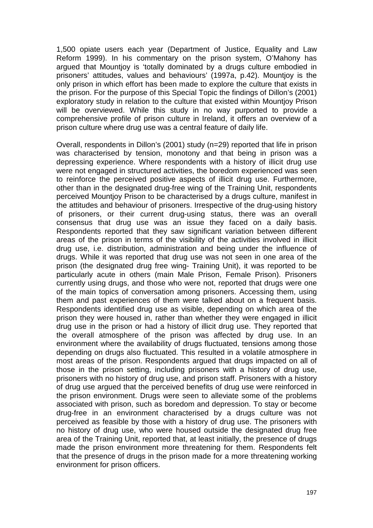1,500 opiate users each year (Department of Justice, Equality and Law Reform 1999). In his commentary on the prison system, O'Mahony has argued that Mountjoy is 'totally dominated by a drugs culture embodied in prisoners' attitudes, values and behaviours' (1997a, p.42). Mountjoy is the only prison in which effort has been made to explore the culture that exists in the prison. For the purpose of this Special Topic the findings of Dillon's (2001) exploratory study in relation to the culture that existed within Mountjoy Prison will be overviewed. While this study in no way purported to provide a comprehensive profile of prison culture in Ireland, it offers an overview of a prison culture where drug use was a central feature of daily life.

Overall, respondents in Dillon's (2001) study (n=29) reported that life in prison was characterised by tension, monotony and that being in prison was a depressing experience. Where respondents with a history of illicit drug use were not engaged in structured activities, the boredom experienced was seen to reinforce the perceived positive aspects of illicit drug use. Furthermore, other than in the designated drug-free wing of the Training Unit, respondents perceived Mountjoy Prison to be characterised by a drugs culture, manifest in the attitudes and behaviour of prisoners. Irrespective of the drug-using history of prisoners, or their current drug-using status, there was an overall consensus that drug use was an issue they faced on a daily basis. Respondents reported that they saw significant variation between different areas of the prison in terms of the visibility of the activities involved in illicit drug use, i.e. distribution, administration and being under the influence of drugs. While it was reported that drug use was not seen in one area of the prison (the designated drug free wing- Training Unit), it was reported to be particularly acute in others (main Male Prison, Female Prison). Prisoners currently using drugs, and those who were not, reported that drugs were one of the main topics of conversation among prisoners. Accessing them, using them and past experiences of them were talked about on a frequent basis. Respondents identified drug use as visible, depending on which area of the prison they were housed in, rather than whether they were engaged in illicit drug use in the prison or had a history of illicit drug use. They reported that the overall atmosphere of the prison was affected by drug use. In an environment where the availability of drugs fluctuated, tensions among those depending on drugs also fluctuated. This resulted in a volatile atmosphere in most areas of the prison. Respondents argued that drugs impacted on all of those in the prison setting, including prisoners with a history of drug use, prisoners with no history of drug use, and prison staff. Prisoners with a history of drug use argued that the perceived benefits of drug use were reinforced in the prison environment. Drugs were seen to alleviate some of the problems associated with prison, such as boredom and depression. To stay or become drug-free in an environment characterised by a drugs culture was not perceived as feasible by those with a history of drug use. The prisoners with no history of drug use, who were housed outside the designated drug free area of the Training Unit, reported that, at least initially, the presence of drugs made the prison environment more threatening for them. Respondents felt that the presence of drugs in the prison made for a more threatening working environment for prison officers.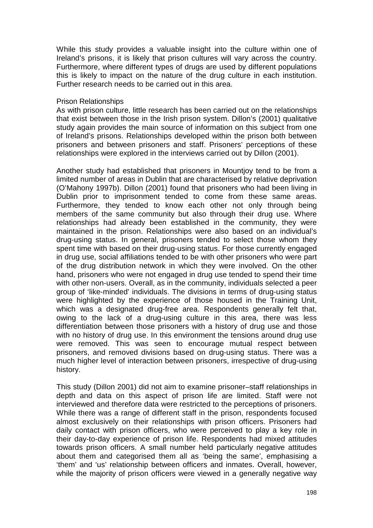While this study provides a valuable insight into the culture within one of Ireland's prisons, it is likely that prison cultures will vary across the country. Furthermore, where different types of drugs are used by different populations this is likely to impact on the nature of the drug culture in each institution. Further research needs to be carried out in this area.

#### Prison Relationships

As with prison culture, little research has been carried out on the relationships that exist between those in the Irish prison system. Dillon's (2001) qualitative study again provides the main source of information on this subject from one of Ireland's prisons. Relationships developed within the prison both between prisoners and between prisoners and staff. Prisoners' perceptions of these relationships were explored in the interviews carried out by Dillon (2001).

Another study had established that prisoners in Mountjoy tend to be from a limited number of areas in Dublin that are characterised by relative deprivation (O'Mahony 1997b). Dillon (2001) found that prisoners who had been living in Dublin prior to imprisonment tended to come from these same areas. Furthermore, they tended to know each other not only through being members of the same community but also through their drug use. Where relationships had already been established in the community, they were maintained in the prison. Relationships were also based on an individual's drug-using status. In general, prisoners tended to select those whom they spent time with based on their drug-using status. For those currently engaged in drug use, social affiliations tended to be with other prisoners who were part of the drug distribution network in which they were involved. On the other hand, prisoners who were not engaged in drug use tended to spend their time with other non-users. Overall, as in the community, individuals selected a peer group of 'like-minded' individuals. The divisions in terms of drug-using status were highlighted by the experience of those housed in the Training Unit, which was a designated drug-free area. Respondents generally felt that, owing to the lack of a drug-using culture in this area, there was less differentiation between those prisoners with a history of drug use and those with no history of drug use. In this environment the tensions around drug use were removed. This was seen to encourage mutual respect between prisoners, and removed divisions based on drug-using status. There was a much higher level of interaction between prisoners, irrespective of drug-using history.

This study (Dillon 2001) did not aim to examine prisoner–staff relationships in depth and data on this aspect of prison life are limited. Staff were not interviewed and therefore data were restricted to the perceptions of prisoners. While there was a range of different staff in the prison, respondents focused almost exclusively on their relationships with prison officers. Prisoners had daily contact with prison officers, who were perceived to play a key role in their day-to-day experience of prison life. Respondents had mixed attitudes towards prison officers. A small number held particularly negative attitudes about them and categorised them all as 'being the same', emphasising a 'them' and 'us' relationship between officers and inmates. Overall, however, while the majority of prison officers were viewed in a generally negative way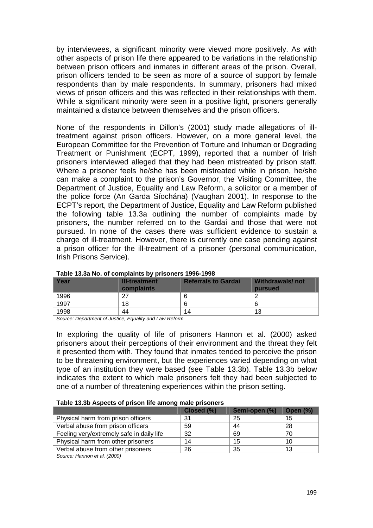by interviewees, a significant minority were viewed more positively. As with other aspects of prison life there appeared to be variations in the relationship between prison officers and inmates in different areas of the prison. Overall, prison officers tended to be seen as more of a source of support by female respondents than by male respondents. In summary, prisoners had mixed views of prison officers and this was reflected in their relationships with them. While a significant minority were seen in a positive light, prisoners generally maintained a distance between themselves and the prison officers.

None of the respondents in Dillon's (2001) study made allegations of illtreatment against prison officers. However, on a more general level, the European Committee for the Prevention of Torture and Inhuman or Degrading Treatment or Punishment (ECPT, 1999), reported that a number of Irish prisoners interviewed alleged that they had been mistreated by prison staff. Where a prisoner feels he/she has been mistreated while in prison, he/she can make a complaint to the prison's Governor, the Visiting Committee, the Department of Justice, Equality and Law Reform, a solicitor or a member of the police force (An Garda Síochána) (Vaughan 2001). In response to the ECPT's report, the Department of Justice, Equality and Law Reform published the following table 13.3a outlining the number of complaints made by prisoners, the number referred on to the Gardaí and those that were not pursued. In none of the cases there was sufficient evidence to sustain a charge of ill-treatment. However, there is currently one case pending against a prison officer for the ill-treatment of a prisoner (personal communication, Irish Prisons Service).

| Year | <b>Ill-treatment</b><br>complaints | <b>Referrals to Gardai</b> | Withdrawals/not<br>pursued |
|------|------------------------------------|----------------------------|----------------------------|
| 1996 | - 27                               |                            |                            |
| 1997 | 18                                 |                            |                            |
| 1998 | 44                                 | 14                         | 13                         |

#### **Table 13.3a No. of complaints by prisoners 1996-1998**

*Source: Department of Justice, Equality and Law Reform* 

In exploring the quality of life of prisoners Hannon et al. (2000) asked prisoners about their perceptions of their environment and the threat they felt it presented them with. They found that inmates tended to perceive the prison to be threatening environment, but the experiences varied depending on what type of an institution they were based (see Table 13.3b). Table 13.3b below indicates the extent to which male prisoners felt they had been subjected to one of a number of threatening experiences within the prison setting.

#### **Table 13.3b Aspects of prison life among male prisoners**

|                                           | Closed (%) | Semi-open (%) | <b>Open (%)</b> |
|-------------------------------------------|------------|---------------|-----------------|
| Physical harm from prison officers        | 31         | 25            | 15              |
| Verbal abuse from prison officers         | 59         | 44            | 28              |
| Feeling very/extremely safe in daily life | 32         | 69            | 70              |
| Physical harm from other prisoners        | 14         | 15            | 10              |
| Verbal abuse from other prisoners         | 26         | 35            | 13              |
|                                           |            |               |                 |

*Source: Hannon et al. (2000)*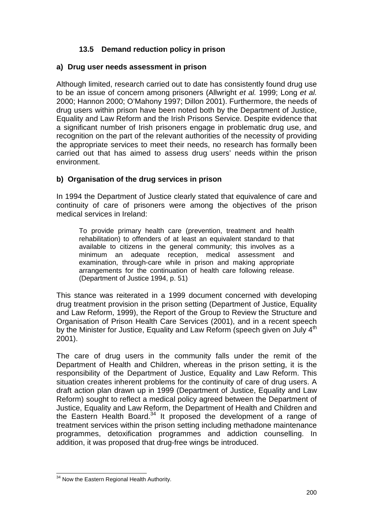# **13.5 Demand reduction policy in prison**

## **a) Drug user needs assessment in prison**

Although limited, research carried out to date has consistently found drug use to be an issue of concern among prisoners (Allwright *et al.* 1999; Long *et al.* 2000; Hannon 2000; O'Mahony 1997; Dillon 2001). Furthermore, the needs of drug users within prison have been noted both by the Department of Justice, Equality and Law Reform and the Irish Prisons Service. Despite evidence that a significant number of Irish prisoners engage in problematic drug use, and recognition on the part of the relevant authorities of the necessity of providing the appropriate services to meet their needs, no research has formally been carried out that has aimed to assess drug users' needs within the prison environment.

# **b) Organisation of the drug services in prison**

In 1994 the Department of Justice clearly stated that equivalence of care and continuity of care of prisoners were among the objectives of the prison medical services in Ireland:

To provide primary health care (prevention, treatment and health rehabilitation) to offenders of at least an equivalent standard to that available to citizens in the general community; this involves as a minimum an adequate reception, medical assessment and examination, through-care while in prison and making appropriate arrangements for the continuation of health care following release. (Department of Justice 1994, p. 51)

This stance was reiterated in a 1999 document concerned with developing drug treatment provision in the prison setting (Department of Justice, Equality and Law Reform, 1999), the Report of the Group to Review the Structure and Organisation of Prison Health Care Services (2001), and in a recent speech by the Minister for Justice, Equality and Law Reform (speech given on July  $4<sup>th</sup>$ 2001).

The care of drug users in the community falls under the remit of the Department of Health and Children, whereas in the prison setting, it is the responsibility of the Department of Justice, Equality and Law Reform. This situation creates inherent problems for the continuity of care of drug users. A draft action plan drawn up in 1999 (Department of Justice, Equality and Law Reform) sought to reflect a medical policy agreed between the Department of Justice, Equality and Law Reform, the Department of Health and Children and the Eastern Health Board.<sup>34</sup> It proposed the development of a range of treatment services within the prison setting including methadone maintenance programmes, detoxification programmes and addiction counselling. In addition, it was proposed that drug-free wings be introduced.

l  $34$  Now the Eastern Regional Health Authority.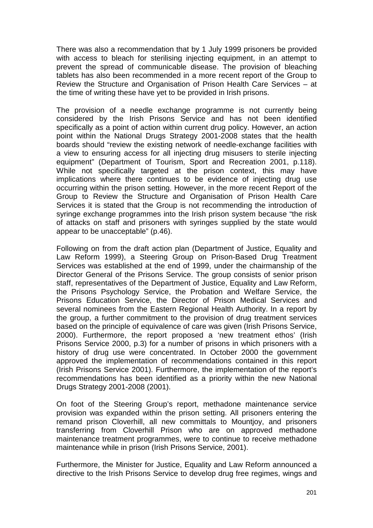There was also a recommendation that by 1 July 1999 prisoners be provided with access to bleach for sterilising injecting equipment, in an attempt to prevent the spread of communicable disease. The provision of bleaching tablets has also been recommended in a more recent report of the Group to Review the Structure and Organisation of Prison Health Care Services – at the time of writing these have yet to be provided in Irish prisons.

The provision of a needle exchange programme is not currently being considered by the Irish Prisons Service and has not been identified specifically as a point of action within current drug policy. However, an action point within the National Drugs Strategy 2001-2008 states that the health boards should "review the existing network of needle-exchange facilities with a view to ensuring access for all injecting drug misusers to sterile injecting equipment" (Department of Tourism, Sport and Recreation 2001, p.118). While not specifically targeted at the prison context, this may have implications where there continues to be evidence of injecting drug use occurring within the prison setting. However, in the more recent Report of the Group to Review the Structure and Organisation of Prison Health Care Services it is stated that the Group is not recommending the introduction of syringe exchange programmes into the Irish prison system because "the risk of attacks on staff and prisoners with syringes supplied by the state would appear to be unacceptable" (p.46).

Following on from the draft action plan (Department of Justice, Equality and Law Reform 1999), a Steering Group on Prison-Based Drug Treatment Services was established at the end of 1999, under the chairmanship of the Director General of the Prisons Service. The group consists of senior prison staff, representatives of the Department of Justice, Equality and Law Reform, the Prisons Psychology Service, the Probation and Welfare Service, the Prisons Education Service, the Director of Prison Medical Services and several nominees from the Eastern Regional Health Authority. In a report by the group, a further commitment to the provision of drug treatment services based on the principle of equivalence of care was given (Irish Prisons Service, 2000). Furthermore, the report proposed a 'new treatment ethos' (Irish Prisons Service 2000, p.3) for a number of prisons in which prisoners with a history of drug use were concentrated. In October 2000 the government approved the implementation of recommendations contained in this report (Irish Prisons Service 2001). Furthermore, the implementation of the report's recommendations has been identified as a priority within the new National Drugs Strategy 2001-2008 (2001).

On foot of the Steering Group's report, methadone maintenance service provision was expanded within the prison setting. All prisoners entering the remand prison Cloverhill, all new committals to Mountjoy, and prisoners transferring from Cloverhill Prison who are on approved methadone maintenance treatment programmes, were to continue to receive methadone maintenance while in prison (Irish Prisons Service, 2001).

Furthermore, the Minister for Justice, Equality and Law Reform announced a directive to the Irish Prisons Service to develop drug free regimes, wings and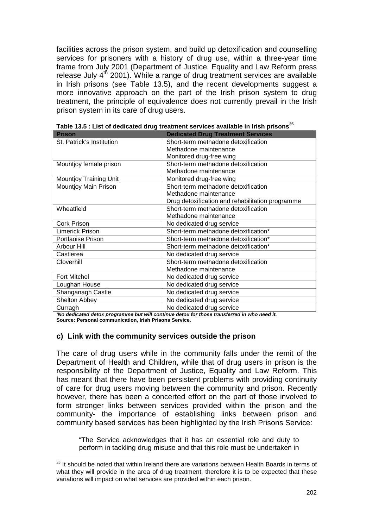facilities across the prison system, and build up detoxification and counselling services for prisoners with a history of drug use, within a three-year time frame from July 2001 (Department of Justice, Equality and Law Reform press release July  $4<sup>th</sup>$  2001). While a range of drug treatment services are available in Irish prisons (see Table 13.5), and the recent developments suggest a more innovative approach on the part of the Irish prison system to drug treatment, the principle of equivalence does not currently prevail in the Irish prison system in its care of drug users.

| <b>Prison</b>                 | <b>Dedicated Drug Treatment Services</b>         |
|-------------------------------|--------------------------------------------------|
| St. Patrick's Institution     | Short-term methadone detoxification              |
|                               | Methadone maintenance                            |
|                               | Monitored drug-free wing                         |
| Mountjoy female prison        | Short-term methadone detoxification              |
|                               | Methadone maintenance                            |
| <b>Mountjoy Training Unit</b> | Monitored drug-free wing                         |
| Mountjoy Main Prison          | Short-term methadone detoxification              |
|                               | Methadone maintenance                            |
|                               | Drug detoxification and rehabilitation programme |
| Wheatfield                    | Short-term methadone detoxification              |
|                               | Methadone maintenance                            |
| <b>Cork Prison</b>            | No dedicated drug service                        |
| <b>Limerick Prison</b>        | Short-term methadone detoxification*             |
| Portlaoise Prison             | Short-term methadone detoxification*             |
| Arbour Hill                   | Short-term methadone detoxification*             |
| Castlerea                     | No dedicated drug service                        |
| Cloverhill                    | Short-term methadone detoxification              |
|                               | Methadone maintenance                            |
| <b>Fort Mitchel</b>           | No dedicated drug service                        |
| Loughan House                 | No dedicated drug service                        |
| Shanganagh Castle             | No dedicated drug service                        |
| Shelton Abbey                 | No dedicated drug service                        |
| Curragh                       | No dedicated drug service                        |

Table 13.5 : List of dedicated drug treatment services available in Irish prisons<sup>35</sup>

*'No dedicated detox programme but will continue detox for those transferred in who need it.*  **Source: Personal communication, Irish Prisons Service.** 

#### **c) Link with the community services outside the prison**

l

The care of drug users while in the community falls under the remit of the Department of Health and Children, while that of drug users in prison is the responsibility of the Department of Justice, Equality and Law Reform. This has meant that there have been persistent problems with providing continuity of care for drug users moving between the community and prison. Recently however, there has been a concerted effort on the part of those involved to form stronger links between services provided within the prison and the community- the importance of establishing links between prison and community based services has been highlighted by the Irish Prisons Service:

"The Service acknowledges that it has an essential role and duty to perform in tackling drug misuse and that this role must be undertaken in

 $35$  It should be noted that within Ireland there are variations between Health Boards in terms of what they will provide in the area of drug treatment, therefore it is to be expected that these variations will impact on what services are provided within each prison.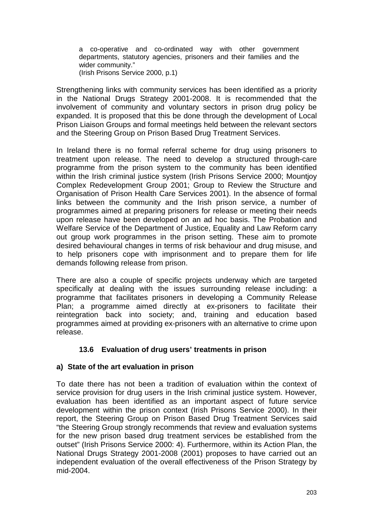a co-operative and co-ordinated way with other government departments, statutory agencies, prisoners and their families and the wider community." (Irish Prisons Service 2000, p.1)

Strengthening links with community services has been identified as a priority in the National Drugs Strategy 2001-2008. It is recommended that the involvement of community and voluntary sectors in prison drug policy be expanded. It is proposed that this be done through the development of Local Prison Liaison Groups and formal meetings held between the relevant sectors and the Steering Group on Prison Based Drug Treatment Services.

In Ireland there is no formal referral scheme for drug using prisoners to treatment upon release. The need to develop a structured through-care programme from the prison system to the community has been identified within the Irish criminal justice system (Irish Prisons Service 2000; Mountjoy Complex Redevelopment Group 2001; Group to Review the Structure and Organisation of Prison Health Care Services 2001). In the absence of formal links between the community and the Irish prison service, a number of programmes aimed at preparing prisoners for release or meeting their needs upon release have been developed on an ad hoc basis. The Probation and Welfare Service of the Department of Justice, Equality and Law Reform carry out group work programmes in the prison setting. These aim to promote desired behavioural changes in terms of risk behaviour and drug misuse, and to help prisoners cope with imprisonment and to prepare them for life demands following release from prison.

There are also a couple of specific projects underway which are targeted specifically at dealing with the issues surrounding release including: a programme that facilitates prisoners in developing a Community Release Plan; a programme aimed directly at ex-prisoners to facilitate their reintegration back into society; and, training and education based programmes aimed at providing ex-prisoners with an alternative to crime upon release.

# **13.6 Evaluation of drug users' treatments in prison**

## **a) State of the art evaluation in prison**

To date there has not been a tradition of evaluation within the context of service provision for drug users in the Irish criminal justice system. However, evaluation has been identified as an important aspect of future service development within the prison context (Irish Prisons Service 2000). In their report, the Steering Group on Prison Based Drug Treatment Services said "the Steering Group strongly recommends that review and evaluation systems for the new prison based drug treatment services be established from the outset" (Irish Prisons Service 2000: 4). Furthermore, within its Action Plan, the National Drugs Strategy 2001-2008 (2001) proposes to have carried out an independent evaluation of the overall effectiveness of the Prison Strategy by mid-2004.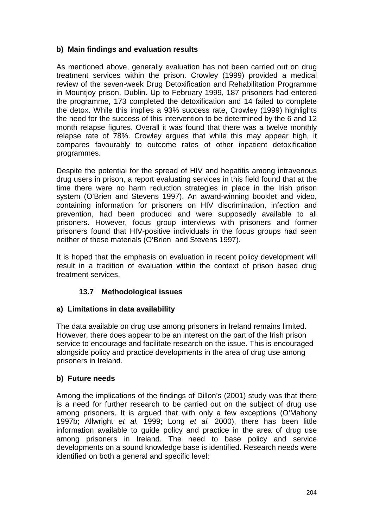# **b) Main findings and evaluation results**

As mentioned above, generally evaluation has not been carried out on drug treatment services within the prison. Crowley (1999) provided a medical review of the seven-week Drug Detoxification and Rehabilitation Programme in Mountjoy prison, Dublin. Up to February 1999, 187 prisoners had entered the programme, 173 completed the detoxification and 14 failed to complete the detox. While this implies a 93% success rate, Crowley (1999) highlights the need for the success of this intervention to be determined by the 6 and 12 month relapse figures. Overall it was found that there was a twelve monthly relapse rate of 78%. Crowley argues that while this may appear high, it compares favourably to outcome rates of other inpatient detoxification programmes.

Despite the potential for the spread of HIV and hepatitis among intravenous drug users in prison, a report evaluating services in this field found that at the time there were no harm reduction strategies in place in the Irish prison system (O'Brien and Stevens 1997). An award-winning booklet and video, containing information for prisoners on HIV discrimination, infection and prevention, had been produced and were supposedly available to all prisoners. However, focus group interviews with prisoners and former prisoners found that HIV-positive individuals in the focus groups had seen neither of these materials (O'Brien and Stevens 1997).

It is hoped that the emphasis on evaluation in recent policy development will result in a tradition of evaluation within the context of prison based drug treatment services.

# **13.7 Methodological issues**

## **a) Limitations in data availability**

The data available on drug use among prisoners in Ireland remains limited. However, there does appear to be an interest on the part of the Irish prison service to encourage and facilitate research on the issue. This is encouraged alongside policy and practice developments in the area of drug use among prisoners in Ireland.

## **b) Future needs**

Among the implications of the findings of Dillon's (2001) study was that there is a need for further research to be carried out on the subject of drug use among prisoners. It is argued that with only a few exceptions (O'Mahony 1997b; Allwright *et al.* 1999; Long *et al.* 2000), there has been little information available to guide policy and practice in the area of drug use among prisoners in Ireland. The need to base policy and service developments on a sound knowledge base is identified. Research needs were identified on both a general and specific level: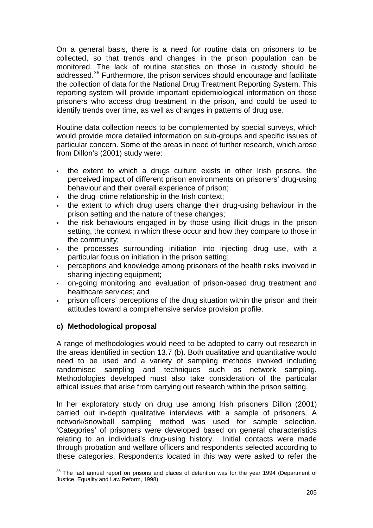On a general basis, there is a need for routine data on prisoners to be collected, so that trends and changes in the prison population can be monitored. The lack of routine statistics on those in custody should be addressed.<sup>36</sup> Furthermore, the prison services should encourage and facilitate the collection of data for the National Drug Treatment Reporting System. This reporting system will provide important epidemiological information on those prisoners who access drug treatment in the prison, and could be used to identify trends over time, as well as changes in patterns of drug use.

Routine data collection needs to be complemented by special surveys, which would provide more detailed information on sub-groups and specific issues of particular concern. Some of the areas in need of further research, which arose from Dillon's (2001) study were:

- the extent to which a drugs culture exists in other Irish prisons, the perceived impact of different prison environments on prisoners' drug-using behaviour and their overall experience of prison;
- the drug–crime relationship in the Irish context;
- the extent to which drug users change their drug-using behaviour in the prison setting and the nature of these changes;
- the risk behaviours engaged in by those using illicit drugs in the prison setting, the context in which these occur and how they compare to those in the community;
- the processes surrounding initiation into injecting drug use, with a particular focus on initiation in the prison setting;
- perceptions and knowledge among prisoners of the health risks involved in sharing injecting equipment;
- on-going monitoring and evaluation of prison-based drug treatment and healthcare services; and
- prison officers' perceptions of the drug situation within the prison and their attitudes toward a comprehensive service provision profile.

# **c) Methodological proposal**

l

A range of methodologies would need to be adopted to carry out research in the areas identified in section 13.7 (b). Both qualitative and quantitative would need to be used and a variety of sampling methods invoked including randomised sampling and techniques such as network sampling. Methodologies developed must also take consideration of the particular ethical issues that arise from carrying out research within the prison setting.

In her exploratory study on drug use among Irish prisoners Dillon (2001) carried out in-depth qualitative interviews with a sample of prisoners. A network/snowball sampling method was used for sample selection. 'Categories' of prisoners were developed based on general characteristics relating to an individual's drug-using history. Initial contacts were made through probation and welfare officers and respondents selected according to these categories. Respondents located in this way were asked to refer the

 $36$  The last annual report on prisons and places of detention was for the year 1994 (Department of Justice, Equality and Law Reform, 1998).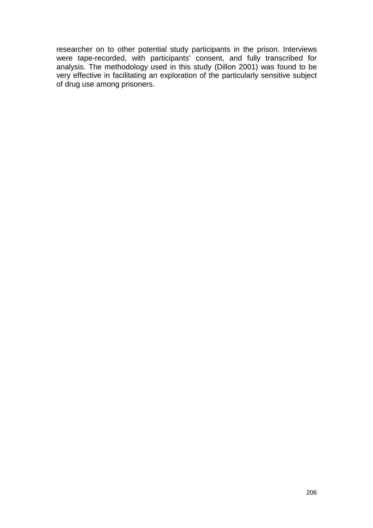researcher on to other potential study participants in the prison. Interviews were tape-recorded, with participants' consent, and fully transcribed for analysis. The methodology used in this study (Dillon 2001) was found to be very effective in facilitating an exploration of the particularly sensitive subject of drug use among prisoners.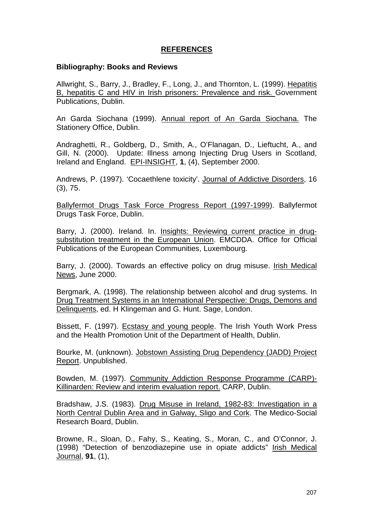## **REFERENCES**

#### **Bibliography: Books and Reviews**

Allwright, S., Barry, J., Bradley, F., Long, J., and Thornton, L. (1999). Hepatitis B, hepatitis C and HIV in Irish prisoners: Prevalence and risk. Government Publications, Dublin.

An Garda Siochana (1999). Annual report of An Garda Siochana. The Stationery Office, Dublin.

Andraghetti, R., Goldberg, D., Smith, A., O'Flanagan, D., Lieftucht, A., and Gill, N. (2000). Update: Illness among Injecting Drug Users in Scotland, Ireland and England. EPI-INSIGHT, **1**, (4), September 2000.

Andrews, P. (1997). 'Cocaethlene toxicity'. Journal of Addictive Disorders, 16 (3), 75.

Ballyfermot Drugs Task Force Progress Report (1997-1999). Ballyfermot Drugs Task Force, Dublin.

Barry, J. (2000). Ireland. In. Insights: Reviewing current practice in drugsubstitution treatment in the European Union. EMCDDA. Office for Official Publications of the European Communities, Luxembourg.

Barry, J. (2000). Towards an effective policy on drug misuse. Irish Medical News, June 2000.

Bergmark, A. (1998). The relationship between alcohol and drug systems. In Drug Treatment Systems in an International Perspective: Drugs, Demons and Delinquents, ed. H Klingeman and G. Hunt. Sage, London.

Bissett, F. (1997). Ecstasy and young people. The Irish Youth Work Press and the Health Promotion Unit of the Department of Health, Dublin.

Bourke, M. (unknown). Jobstown Assisting Drug Dependency (JADD) Project Report. Unpublished.

Bowden, M. (1997). Community Addiction Response Programme (CARP)- Killinarden: Review and interim evaluation report. CARP, Dublin.

Bradshaw, J.S. (1983). Drug Misuse in Ireland, 1982-83: Investigation in a North Central Dublin Area and in Galway, Sligo and Cork. The Medico-Social Research Board, Dublin.

Browne, R., Sloan, D., Fahy, S., Keating, S., Moran, C., and O'Connor, J. (1998) "Detection of benzodiazepine use in opiate addicts" Irish Medical Journal, **91**, (1),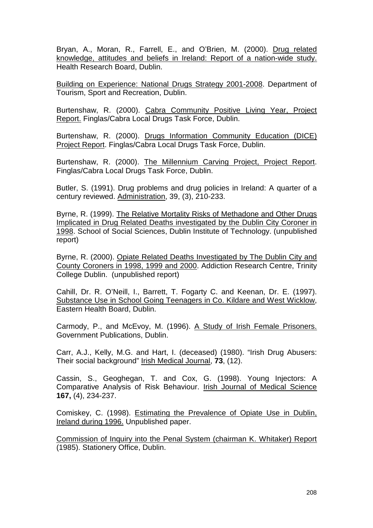Bryan, A., Moran, R., Farrell, E., and O'Brien, M. (2000). Drug related knowledge, attitudes and beliefs in Ireland: Report of a nation-wide study. Health Research Board, Dublin.

Building on Experience: National Drugs Strategy 2001-2008. Department of Tourism, Sport and Recreation, Dublin.

Burtenshaw, R. (2000). Cabra Community Positive Living Year, Project Report. Finglas/Cabra Local Drugs Task Force, Dublin.

Burtenshaw, R. (2000). Drugs Information Community Education (DICE) Project Report. Finglas/Cabra Local Drugs Task Force, Dublin.

Burtenshaw, R. (2000). The Millennium Carving Project, Project Report. Finglas/Cabra Local Drugs Task Force, Dublin.

Butler, S. (1991). Drug problems and drug policies in Ireland: A quarter of a century reviewed. Administration, 39, (3), 210-233.

Byrne, R. (1999). The Relative Mortality Risks of Methadone and Other Drugs Implicated in Drug Related Deaths investigated by the Dublin City Coroner in 1998. School of Social Sciences, Dublin Institute of Technology. (unpublished report)

Byrne, R. (2000). Opiate Related Deaths Investigated by The Dublin City and County Coroners in 1998, 1999 and 2000. Addiction Research Centre, Trinity College Dublin. (unpublished report)

Cahill, Dr. R. O'Neill, I., Barrett, T. Fogarty C. and Keenan, Dr. E. (1997). Substance Use in School Going Teenagers in Co. Kildare and West Wicklow, Eastern Health Board, Dublin.

Carmody, P., and McEvoy, M. (1996). A Study of Irish Female Prisoners. Government Publications, Dublin.

Carr, A.J., Kelly, M.G. and Hart, I. (deceased) (1980). "Irish Drug Abusers: Their social background" Irish Medical Journal, **73**, (12).

Cassin, S., Geoghegan, T. and Cox, G. (1998). Young Injectors: A Comparative Analysis of Risk Behaviour. Irish Journal of Medical Science **167,** (4), 234-237.

Comiskey, C. (1998). Estimating the Prevalence of Opiate Use in Dublin, Ireland during 1996. Unpublished paper.

Commission of Inquiry into the Penal System (chairman K. Whitaker) Report (1985). Stationery Office, Dublin.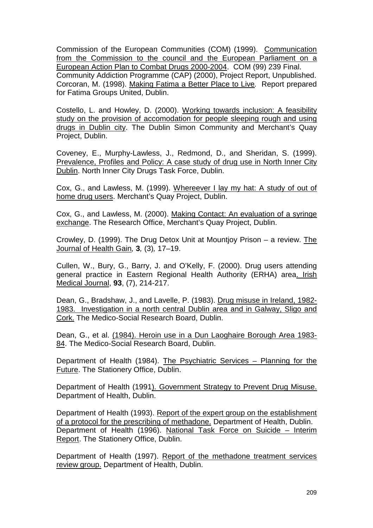Commission of the European Communities (COM) (1999). Communication from the Commission to the council and the European Parliament on a European Action Plan to Combat Drugs 2000-2004. COM (99) 239 Final. Community Addiction Programme (CAP) (2000), Project Report, Unpublished. Corcoran, M. (1998). Making Fatima a Better Place to Live*.* Report prepared for Fatima Groups United, Dublin.

Costello, L. and Howley, D. (2000). Working towards inclusion: A feasibility study on the provision of accomodation for people sleeping rough and using drugs in Dublin city. The Dublin Simon Community and Merchant's Quay Project, Dublin.

Coveney, E., Murphy-Lawless, J., Redmond, D., and Sheridan, S. (1999). Prevalence, Profiles and Policy: A case study of drug use in North Inner City Dublin. North Inner City Drugs Task Force, Dublin.

Cox, G., and Lawless, M. (1999). Whereever I lay my hat: A study of out of home drug users. Merchant's Quay Project, Dublin.

Cox, G., and Lawless, M. (2000). Making Contact: An evaluation of a syringe exchange. The Research Office, Merchant's Quay Project, Dublin.

Crowley, D. (1999). The Drug Detox Unit at Mountjoy Prison – a review. The Journal of Health Gain*,* **3***,* (3)*,* 17–19.

Cullen, W., Bury, G., Barry, J. and O'Kelly, F. (2000). Drug users attending general practice in Eastern Regional Health Authority (ERHA) area. Irish Medical Journal, **93**, (7), 214-217.

Dean, G., Bradshaw, J., and Lavelle, P. (1983). Drug misuse in Ireland, 1982- 1983. Investigation in a north central Dublin area and in Galway, Sligo and Cork. The Medico-Social Research Board, Dublin.

Dean, G., et al. (1984). Heroin use in a Dun Laoghaire Borough Area 1983- 84. The Medico-Social Research Board, Dublin.

Department of Health (1984). The Psychiatric Services – Planning for the Future. The Stationery Office, Dublin.

Department of Health (1991). Government Strategy to Prevent Drug Misuse. Department of Health, Dublin.

Department of Health (1993). Report of the expert group on the establishment of a protocol for the prescribing of methadone. Department of Health, Dublin. Department of Health (1996). National Task Force on Suicide – Interim Report. The Stationery Office, Dublin.

Department of Health (1997). Report of the methadone treatment services review group. Department of Health, Dublin.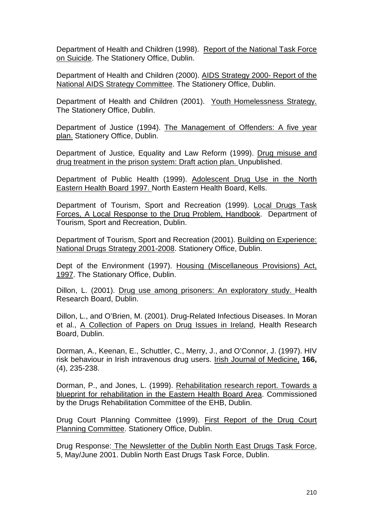Department of Health and Children (1998). Report of the National Task Force on Suicide. The Stationery Office, Dublin.

Department of Health and Children (2000). AIDS Strategy 2000- Report of the National AIDS Strategy Committee. The Stationery Office, Dublin.

Department of Health and Children (2001). Youth Homelessness Strategy. The Stationery Office, Dublin.

Department of Justice (1994). The Management of Offenders: A five year plan. Stationery Office, Dublin.

Department of Justice, Equality and Law Reform (1999). Drug misuse and drug treatment in the prison system: Draft action plan. Unpublished.

Department of Public Health (1999). Adolescent Drug Use in the North Eastern Health Board 1997. North Eastern Health Board, Kells.

Department of Tourism, Sport and Recreation (1999). Local Drugs Task Forces, A Local Response to the Drug Problem, Handbook. Department of Tourism, Sport and Recreation, Dublin.

Department of Tourism, Sport and Recreation (2001). Building on Experience: National Drugs Strategy 2001-2008. Stationery Office, Dublin.

Dept of the Environment (1997). Housing (Miscellaneous Provisions) Act, 1997. The Stationary Office, Dublin.

Dillon, L. (2001). Drug use among prisoners: An exploratory study. Health Research Board, Dublin.

Dillon, L., and O'Brien, M. (2001). Drug-Related Infectious Diseases. In Moran et al., A Collection of Papers on Drug Issues in Ireland, Health Research Board, Dublin.

Dorman, A., Keenan, E., Schuttler, C., Merry, J., and O'Connor, J. (1997). HIV risk behaviour in Irish intravenous drug users. Irish Journal of Medicine, **166,** (4), 235-238.

Dorman, P., and Jones, L. (1999). Rehabilitation research report. Towards a blueprint for rehabilitation in the Eastern Health Board Area. Commissioned by the Drugs Rehabilitation Committee of the EHB, Dublin.

Drug Court Planning Committee (1999). First Report of the Drug Court Planning Committee. Stationery Office, Dublin.

Drug Response: The Newsletter of the Dublin North East Drugs Task Force, 5, May/June 2001. Dublin North East Drugs Task Force, Dublin.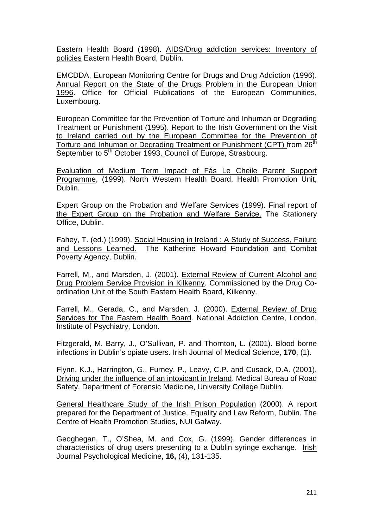Eastern Health Board (1998). AIDS/Drug addiction services: Inventory of policies Eastern Health Board, Dublin.

EMCDDA, European Monitoring Centre for Drugs and Drug Addiction (1996). Annual Report on the State of the Drugs Problem in the European Union 1996. Office for Official Publications of the European Communities, Luxembourg.

European Committee for the Prevention of Torture and Inhuman or Degrading Treatment or Punishment (1995). Report to the Irish Government on the Visit to Ireland carried out by the European Committee for the Prevention of Torture and Inhuman or Degrading Treatment or Punishment (CPT) from 26<sup>th</sup> September to 5<sup>th</sup> October 1993. Council of Europe, Strasbourg.

Evaluation of Medium Term Impact of Fás Le Cheile Parent Support Programme, (1999). North Western Health Board, Health Promotion Unit, Dublin.

Expert Group on the Probation and Welfare Services (1999). Final report of the Expert Group on the Probation and Welfare Service. The Stationery Office, Dublin.

Fahey, T. (ed.) (1999). Social Housing in Ireland : A Study of Success, Failure and Lessons Learned. The Katherine Howard Foundation and Combat The Katherine Howard Foundation and Combat Poverty Agency, Dublin.

Farrell, M., and Marsden, J. (2001). External Review of Current Alcohol and Drug Problem Service Provision in Kilkenny. Commissioned by the Drug Coordination Unit of the South Eastern Health Board, Kilkenny.

Farrell, M., Gerada, C., and Marsden, J. (2000). External Review of Drug Services for The Eastern Health Board. National Addiction Centre, London, Institute of Psychiatry, London.

Fitzgerald, M. Barry, J., O'Sullivan, P. and Thornton, L. (2001). Blood borne infections in Dublin's opiate users. Irish Journal of Medical Science, **170**, (1).

Flynn, K.J., Harrington, G., Furney, P., Leavy, C.P. and Cusack, D.A. (2001). Driving under the influence of an intoxicant in Ireland. Medical Bureau of Road Safety, Department of Forensic Medicine, University College Dublin.

General Healthcare Study of the Irish Prison Population (2000). A report prepared for the Department of Justice, Equality and Law Reform, Dublin. The Centre of Health Promotion Studies, NUI Galway.

Geoghegan, T., O'Shea, M. and Cox, G. (1999). Gender differences in characteristics of drug users presenting to a Dublin syringe exchange. Irish Journal Psychological Medicine, **16,** (4), 131-135.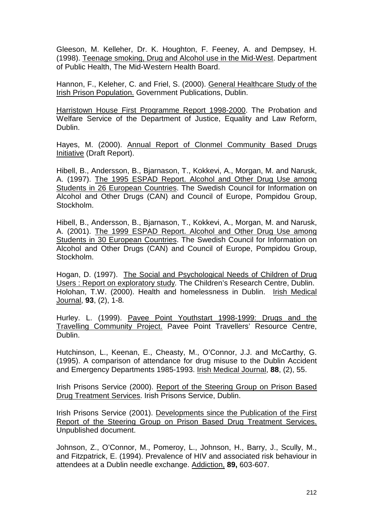Gleeson, M. Kelleher, Dr. K. Houghton, F. Feeney, A. and Dempsey, H. (1998). Teenage smoking, Drug and Alcohol use in the Mid-West. Department of Public Health, The Mid-Western Health Board.

Hannon, F., Keleher, C. and Friel, S. (2000). General Healthcare Study of the Irish Prison Population. Government Publications, Dublin.

Harristown House First Programme Report 1998-2000. The Probation and Welfare Service of the Department of Justice, Equality and Law Reform, Dublin.

Hayes, M. (2000). Annual Report of Clonmel Community Based Drugs Initiative (Draft Report).

Hibell, B., Andersson, B., Bjarnason, T., Kokkevi, A., Morgan, M. and Narusk, A. (1997). The 1995 ESPAD Report. Alcohol and Other Drug Use among Students in 26 European Countries. The Swedish Council for Information on Alcohol and Other Drugs (CAN) and Council of Europe, Pompidou Group, Stockholm.

Hibell, B., Andersson, B., Bjarnason, T., Kokkevi, A., Morgan, M. and Narusk, A. (2001). The 1999 ESPAD Report. Alcohol and Other Drug Use among Students in 30 European Countries. The Swedish Council for Information on Alcohol and Other Drugs (CAN) and Council of Europe, Pompidou Group, Stockholm.

Hogan, D. (1997). The Social and Psychological Needs of Children of Drug Users : Report on exploratory study*.* The Children's Research Centre, Dublin. Holohan, T.W. (2000). Health and homelessness in Dublin. Irish Medical Journal, **93**, (2), 1-8*.* 

Hurley. L. (1999). Pavee Point Youthstart 1998-1999: Drugs and the Travelling Community Project. Pavee Point Travellers' Resource Centre, Dublin.

Hutchinson, L., Keenan, E., Cheasty, M., O'Connor, J.J. and McCarthy, G. (1995). A comparison of attendance for drug misuse to the Dublin Accident and Emergency Departments 1985-1993. Irish Medical Journal, **88**, (2), 55.

Irish Prisons Service (2000). Report of the Steering Group on Prison Based Drug Treatment Services. Irish Prisons Service, Dublin.

Irish Prisons Service (2001). Developments since the Publication of the First Report of the Steering Group on Prison Based Drug Treatment Services. Unpublished document.

Johnson, Z., O'Connor, M., Pomeroy, L., Johnson, H., Barry, J., Scully, M., and Fitzpatrick, E. (1994). Prevalence of HIV and associated risk behaviour in attendees at a Dublin needle exchange. Addiction, **89,** 603-607.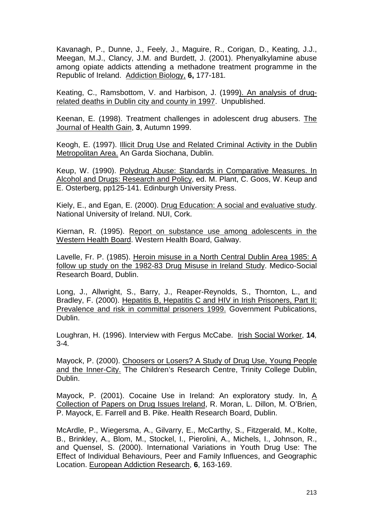Kavanagh, P., Dunne, J., Feely, J., Maguire, R., Corigan, D., Keating, J.J., Meegan, M.J., Clancy, J.M. and Burdett, J. (2001). Phenyalkylamine abuse among opiate addicts attending a methadone treatment programme in the Republic of Ireland. Addiction Biology, **6,** 177-181*.* 

Keating, C., Ramsbottom, V. and Harbison, J. (1999). An analysis of drugrelated deaths in Dublin city and county in 1997. Unpublished.

Keenan, E. (1998). Treatment challenges in adolescent drug abusers. The Journal of Health Gain, **3**, Autumn 1999.

Keogh, E. (1997). Illicit Drug Use and Related Criminal Activity in the Dublin Metropolitan Area. An Garda Siochana, Dublin.

Keup, W. (1990). Polydrug Abuse: Standards in Comparative Measures. In Alcohol and Drugs: Research and Policy, ed. M. Plant, C. Goos, W. Keup and E. Osterberg, pp125-141. Edinburgh University Press.

Kiely, E., and Egan, E. (2000). Drug Education: A social and evaluative study. National University of Ireland. NUI, Cork.

Kiernan, R. (1995). Report on substance use among adolescents in the Western Health Board. Western Health Board, Galway.

Lavelle, Fr. P. (1985). Heroin misuse in a North Central Dublin Area 1985: A follow up study on the 1982-83 Drug Misuse in Ireland Study. Medico-Social Research Board, Dublin.

Long, J., Allwright, S., Barry, J., Reaper-Reynolds, S., Thornton, L., and Bradley, F. (2000). Hepatitis B, Hepatitis C and HIV in Irish Prisoners, Part II: Prevalence and risk in committal prisoners 1999. Government Publications, Dublin.

Loughran, H. (1996). Interview with Fergus McCabe. Irish Social Worker, **14***,*  3-4*.* 

Mayock, P. (2000). Choosers or Losers? A Study of Drug Use, Young People and the Inner-City. The Children's Research Centre, Trinity College Dublin, Dublin.

Mayock, P. (2001). Cocaine Use in Ireland: An exploratory study. In, A Collection of Papers on Drug Issues Ireland, R. Moran, L. Dillon, M. O'Brien, P. Mayock, E. Farrell and B. Pike. Health Research Board, Dublin.

McArdle, P., Wiegersma, A., Gilvarry, E., McCarthy, S., Fitzgerald, M., Kolte, B., Brinkley, A., Blom, M., Stockel, I., Pierolini, A., Michels, I., Johnson, R., and Quensel, S. (2000). International Variations in Youth Drug Use: The Effect of Individual Behaviours, Peer and Family Influences, and Geographic Location. European Addiction Research, **6**, 163-169.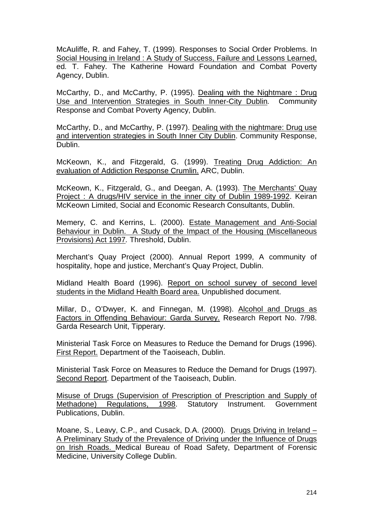McAuliffe, R. and Fahey, T. (1999). Responses to Social Order Problems. In Social Housing in Ireland : A Study of Success, Failure and Lessons Learned, ed*.* T. Fahey. The Katherine Howard Foundation and Combat Poverty Agency, Dublin.

McCarthy, D., and McCarthy, P. (1995). Dealing with the Nightmare : Drug Use and Intervention Strategies in South Inner-City Dublin*.* Community Response and Combat Poverty Agency, Dublin.

McCarthy, D., and McCarthy, P. (1997). Dealing with the nightmare: Drug use and intervention strategies in South Inner City Dublin. Community Response, Dublin.

McKeown, K., and Fitzgerald, G. (1999). Treating Drug Addiction: An evaluation of Addiction Response Crumlin. ARC, Dublin.

McKeown, K., Fitzgerald, G., and Deegan, A. (1993). The Merchants' Quay Project : A drugs/HIV service in the inner city of Dublin 1989-1992. Keiran McKeown Limited, Social and Economic Research Consultants, Dublin.

Memery, C. and Kerrins, L. (2000). Estate Management and Anti-Social Behaviour in Dublin. A Study of the Impact of the Housing (Miscellaneous Provisions) Act 1997*.* Threshold, Dublin.

Merchant's Quay Project (2000). Annual Report 1999, A community of hospitality, hope and justice, Merchant's Quay Project, Dublin.

Midland Health Board (1996). Report on school survey of second level students in the Midland Health Board area. Unpublished document.

Millar, D., O'Dwyer, K. and Finnegan, M. (1998). Alcohol and Drugs as Factors in Offending Behaviour: Garda Survey. Research Report No. 7/98. Garda Research Unit, Tipperary.

Ministerial Task Force on Measures to Reduce the Demand for Drugs (1996). First Report. Department of the Taoiseach, Dublin.

Ministerial Task Force on Measures to Reduce the Demand for Drugs (1997). Second Report. Department of the Taoiseach, Dublin.

Misuse of Drugs (Supervision of Prescription of Prescription and Supply of Methadone) Regulations, 1998. Statutory Instrument. Government Publications, Dublin.

Moane, S., Leavy, C.P., and Cusack, D.A. (2000). Drugs Driving in Ireland – A Preliminary Study of the Prevalence of Driving under the Influence of Drugs on Irish Roads. Medical Bureau of Road Safety, Department of Forensic Medicine, University College Dublin.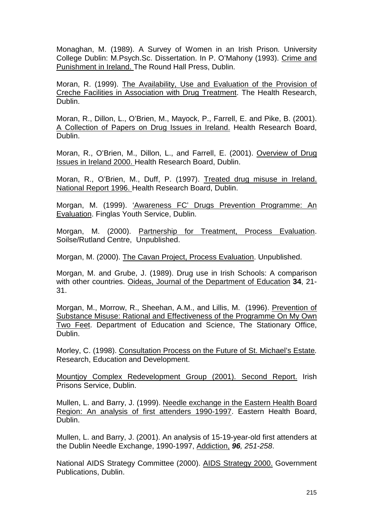Monaghan, M. (1989). A Survey of Women in an Irish Prison*.* University College Dublin: M.Psych.Sc. Dissertation. In P. O'Mahony (1993). Crime and Punishment in Ireland. The Round Hall Press, Dublin.

Moran, R. (1999). The Availability, Use and Evaluation of the Provision of Creche Facilities in Association with Drug Treatment. The Health Research, Dublin.

Moran, R., Dillon, L., O'Brien, M., Mayock, P., Farrell, E. and Pike, B. (2001). A Collection of Papers on Drug Issues in Ireland. Health Research Board, Dublin.

Moran, R., O'Brien, M., Dillon, L., and Farrell, E. (2001). Overview of Drug Issues in Ireland 2000. Health Research Board, Dublin.

Moran, R., O'Brien, M., Duff, P. (1997). Treated drug misuse in Ireland. National Report 1996. Health Research Board, Dublin.

Morgan, M. (1999). 'Awareness FC' Drugs Prevention Programme: An Evaluation. Finglas Youth Service, Dublin.

Morgan, M. (2000). Partnership for Treatment, Process Evaluation. Soilse/Rutland Centre, Unpublished.

Morgan, M. (2000). The Cavan Project, Process Evaluation. Unpublished.

Morgan, M. and Grube, J. (1989). Drug use in Irish Schools: A comparison with other countries. Oideas, Journal of the Department of Education **34**, 21- 31.

Morgan, M., Morrow, R., Sheehan, A.M., and Lillis, M. (1996). Prevention of Substance Misuse: Rational and Effectiveness of the Programme On My Own Two Feet. Department of Education and Science, The Stationary Office, Dublin.

Morley, C. (1998). Consultation Process on the Future of St. Michael's Estate*.*  Research, Education and Development.

Mountjoy Complex Redevelopment Group (2001). Second Report. Irish Prisons Service, Dublin.

Mullen, L. and Barry, J. (1999). Needle exchange in the Eastern Health Board Region: An analysis of first attenders 1990-1997. Eastern Health Board, Dublin.

Mullen, L. and Barry, J. (2001). An analysis of 15-19-year-old first attenders at the Dublin Needle Exchange, 1990-1997, Addiction, *96, 251-258*.

National AIDS Strategy Committee (2000). AIDS Strategy 2000. Government Publications, Dublin.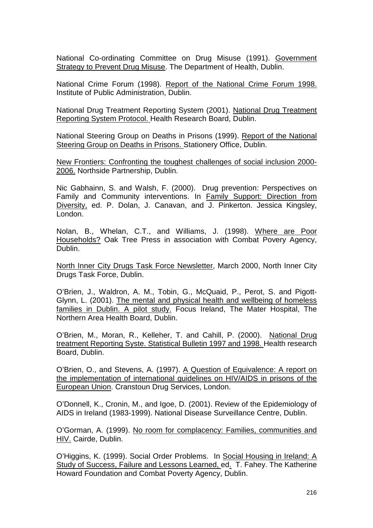National Co-ordinating Committee on Drug Misuse (1991). Government Strategy to Prevent Drug Misuse. The Department of Health, Dublin.

National Crime Forum (1998). Report of the National Crime Forum 1998. Institute of Public Administration, Dublin.

National Drug Treatment Reporting System (2001). National Drug Treatment Reporting System Protocol. Health Research Board, Dublin.

National Steering Group on Deaths in Prisons (1999). Report of the National Steering Group on Deaths in Prisons. Stationery Office, Dublin.

New Frontiers: Confronting the toughest challenges of social inclusion 2000- 2006. Northside Partnership, Dublin.

Nic Gabhainn, S. and Walsh, F. (2000). Drug prevention: Perspectives on Family and Community interventions. In Family Support: Direction from Diversity, ed. P. Dolan, J. Canavan, and J. Pinkerton. Jessica Kingsley, London.

Nolan, B., Whelan, C.T., and Williams, J. (1998). Where are Poor Households? Oak Tree Press in association with Combat Povery Agency, Dublin.

North Inner City Drugs Task Force Newsletter, March 2000, North Inner City Drugs Task Force, Dublin.

O'Brien, J., Waldron, A. M., Tobin, G., McQuaid, P., Perot, S. and Pigott-Glynn, L. (2001). The mental and physical health and wellbeing of homeless families in Dublin. A pilot study. Focus Ireland, The Mater Hospital, The Northern Area Health Board, Dublin.

O'Brien, M., Moran, R., Kelleher, T. and Cahill, P. (2000). National Drug treatment Reporting Syste. Statistical Bulletin 1997 and 1998. Health research Board, Dublin.

O'Brien, O., and Stevens, A. (1997). A Question of Equivalence: A report on the implementation of international guidelines on HIV/AIDS in prisons of the European Union. Cranstoun Drug Services, London.

O'Donnell, K., Cronin, M., and Igoe, D. (2001). Review of the Epidemiology of AIDS in Ireland (1983-1999). National Disease Surveillance Centre, Dublin.

O'Gorman, A. (1999). No room for complacency: Families, communities and HIV. Cairde, Dublin.

O'Higgins, K. (1999). Social Order Problems. In Social Housing in Ireland: A Study of Success, Failure and Lessons Learned, ed.T. Fahey. The Katherine Howard Foundation and Combat Poverty Agency, Dublin.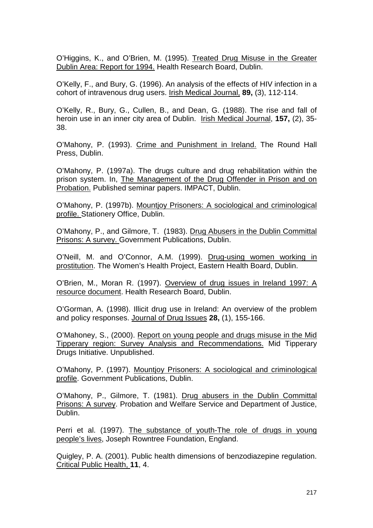O'Higgins, K., and O'Brien, M. (1995). Treated Drug Misuse in the Greater Dublin Area: Report for 1994. Health Research Board, Dublin.

O'Kelly, F., and Bury, G. (1996). An analysis of the effects of HIV infection in a cohort of intravenous drug users. Irish Medical Journal, **89,** (3), 112-114.

O'Kelly, R., Bury, G., Cullen, B., and Dean, G. (1988). The rise and fall of heroin use in an inner city area of Dublin. Irish Medical Journal, **157,** (2), 35- 38.

O'Mahony, P. (1993). Crime and Punishment in Ireland. The Round Hall Press, Dublin.

O'Mahony, P. (1997a). The drugs culture and drug rehabilitation within the prison system. In, The Management of the Drug Offender in Prison and on Probation. Published seminar papers. IMPACT, Dublin.

O'Mahony, P. (1997b). Mountjoy Prisoners: A sociological and criminological profile. Stationery Office, Dublin.

O'Mahony, P., and Gilmore, T. (1983). Drug Abusers in the Dublin Committal Prisons: A survey. Government Publications, Dublin.

O'Neill, M. and O'Connor, A.M. (1999). Drug-using women working in prostitution. The Women's Health Project, Eastern Health Board, Dublin.

O'Brien, M., Moran R. (1997). Overview of drug issues in Ireland 1997: A resource document. Health Research Board, Dublin.

O'Gorman, A. (1998). Illicit drug use in Ireland: An overview of the problem and policy responses. Journal of Drug Issues **28,** (1), 155-166.

O'Mahoney, S., (2000). Report on young people and drugs misuse in the Mid Tipperary region: Survey Analysis and Recommendations. Mid Tipperary Drugs Initiative. Unpublished.

O'Mahony, P. (1997). Mountjoy Prisoners: A sociological and criminological profile. Government Publications, Dublin.

O'Mahony, P., Gilmore, T. (1981). Drug abusers in the Dublin Committal Prisons: A survey. Probation and Welfare Service and Department of Justice, Dublin.

Perri et al. (1997). The substance of youth-The role of drugs in young people's lives, Joseph Rowntree Foundation, England.

Quigley, P. A. (2001). Public health dimensions of benzodiazepine regulation. Critical Public Health, **11**, 4.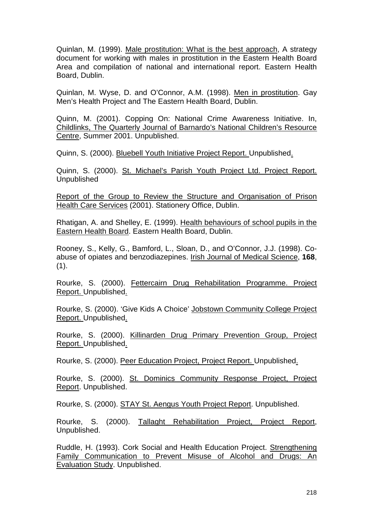Quinlan, M. (1999). Male prostitution: What is the best approach, A strategy document for working with males in prostitution in the Eastern Health Board Area and compilation of national and international report. Eastern Health Board, Dublin.

Quinlan, M. Wyse, D. and O'Connor, A.M. (1998). Men in prostitution. Gay Men's Health Project and The Eastern Health Board, Dublin.

Quinn, M. (2001). Copping On: National Crime Awareness Initiative. In, Childlinks, The Quarterly Journal of Barnardo's National Children's Resource Centre, Summer 2001. Unpublished.

Quinn, S. (2000). Bluebell Youth Initiative Project Report. Unpublished.

Quinn, S. (2000). St. Michael's Parish Youth Project Ltd. Project Report. Unpublished

Report of the Group to Review the Structure and Organisation of Prison Health Care Services (2001). Stationery Office, Dublin.

Rhatigan, A. and Shelley, E. (1999). Health behaviours of school pupils in the Eastern Health Board. Eastern Health Board, Dublin.

Rooney, S., Kelly, G., Bamford, L., Sloan, D., and O'Connor, J.J. (1998). Coabuse of opiates and benzodiazepines. Irish Journal of Medical Science, **168**,  $(1).$ 

Rourke, S. (2000). Fettercairn Drug Rehabilitation Programme. Project Report. Unpublished.

Rourke, S. (2000). 'Give Kids A Choice' Jobstown Community College Project Report. Unpublished.

Rourke, S. (2000). Killinarden Drug Primary Prevention Group, Project Report. Unpublished.

Rourke, S. (2000). Peer Education Project, Project Report. Unpublished.

Rourke, S. (2000). St. Dominics Community Response Project, Project Report. Unpublished.

Rourke, S. (2000). STAY St. Aengus Youth Project Report. Unpublished.

Rourke, S. (2000). Tallaght Rehabilitation Project, Project Report, Unpublished.

Ruddle, H. (1993). Cork Social and Health Education Project. Strengthening Family Communication to Prevent Misuse of Alcohol and Drugs: An Evaluation Study. Unpublished.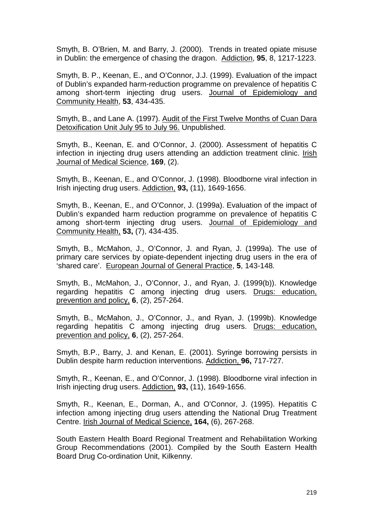Smyth, B. O'Brien, M. and Barry, J. (2000). Trends in treated opiate misuse in Dublin: the emergence of chasing the dragon. Addiction, **95**, 8, 1217-1223.

Smyth, B. P., Keenan, E., and O'Connor, J.J. (1999). Evaluation of the impact of Dublin's expanded harm-reduction programme on prevalence of hepatitis C among short-term injecting drug users. Journal of Epidemiology and Community Health, **53**, 434-435.

Smyth, B., and Lane A. (1997). Audit of the First Twelve Months of Cuan Dara Detoxification Unit July 95 to July 96. Unpublished.

Smyth, B., Keenan, E. and O'Connor, J. (2000). Assessment of hepatitis C infection in injecting drug users attending an addiction treatment clinic. Irish Journal of Medical Science, **169**, (2).

Smyth, B., Keenan, E., and O'Connor, J. (1998). Bloodborne viral infection in Irish injecting drug users. Addiction, **93,** (11), 1649-1656.

Smyth, B., Keenan, E., and O'Connor, J. (1999a). Evaluation of the impact of Dublin's expanded harm reduction programme on prevalence of hepatitis C among short-term injecting drug users. Journal of Epidemiology and Community Health, **53,** (7), 434-435.

Smyth, B., McMahon, J., O'Connor, J. and Ryan, J. (1999a). The use of primary care services by opiate-dependent injecting drug users in the era of 'shared care'. European Journal of General Practice, **5**, 143-148*.* 

Smyth, B., McMahon, J., O'Connor, J., and Ryan, J. (1999(b)). Knowledge regarding hepatitis C among injecting drug users. Drugs: education, prevention and policy, **6**, (2), 257-264.

Smyth, B., McMahon, J., O'Connor, J., and Ryan, J. (1999b). Knowledge regarding hepatitis C among injecting drug users. Drugs: education, prevention and policy, **6**, (2), 257-264.

Smyth, B.P., Barry, J. and Kenan, E. (2001). Syringe borrowing persists in Dublin despite harm reduction interventions. Addiction, **96,** 717-727.

Smyth, R., Keenan, E., and O'Connor, J. (1998). Bloodborne viral infection in Irish injecting drug users. Addiction, **93,** (11), 1649-1656.

Smyth, R., Keenan, E., Dorman, A., and O'Connor, J. (1995). Hepatitis C infection among injecting drug users attending the National Drug Treatment Centre. Irish Journal of Medical Science, **164,** (6), 267-268.

South Eastern Health Board Regional Treatment and Rehabilitation Working Group Recommendations (2001). Compiled by the South Eastern Health Board Drug Co-ordination Unit, Kilkenny.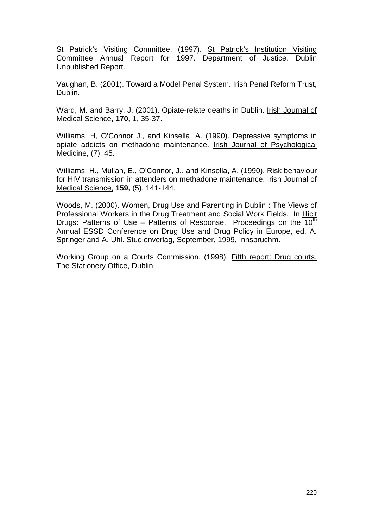St Patrick's Visiting Committee. (1997). St Patrick's Institution Visiting Committee Annual Report for 1997. Department of Justice, Dublin Unpublished Report.

Vaughan, B. (2001). Toward a Model Penal System. Irish Penal Reform Trust, Dublin.

Ward, M. and Barry, J. (2001). Opiate-relate deaths in Dublin. Irish Journal of Medical Science, **170,** 1, 35-37.

Williams, H, O'Connor J., and Kinsella, A. (1990). Depressive symptoms in opiate addicts on methadone maintenance. Irish Journal of Psychological Medicine, (7), 45.

Williams, H., Mullan, E., O'Connor, J., and Kinsella, A. (1990). Risk behaviour for HIV transmission in attenders on methadone maintenance. Irish Journal of Medical Science, **159,** (5), 141-144.

Woods, M. (2000). Women, Drug Use and Parenting in Dublin : The Views of Professional Workers in the Drug Treatment and Social Work Fields. In Illicit Drugs: Patterns of Use – Patterns of Response. Proceedings on the 10<sup>th</sup> Annual ESSD Conference on Drug Use and Drug Policy in Europe, ed. A. Springer and A. Uhl. Studienverlag, September, 1999, Innsbruchm.

Working Group on a Courts Commission, (1998). Fifth report: Drug courts. The Stationery Office, Dublin.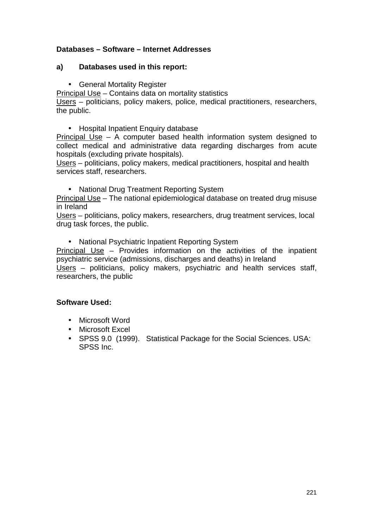### **Databases – Software – Internet Addresses**

#### **a) Databases used in this report:**

• General Mortality Register

Principal Use – Contains data on mortality statistics Users – politicians, policy makers, police, medical practitioners, researchers, the public.

• Hospital Inpatient Enquiry database

Principal Use – A computer based health information system designed to collect medical and administrative data regarding discharges from acute hospitals (excluding private hospitals).

Users – politicians, policy makers, medical practitioners, hospital and health services staff, researchers.

• National Drug Treatment Reporting System

Principal Use – The national epidemiological database on treated drug misuse in Ireland

Users – politicians, policy makers, researchers, drug treatment services, local drug task forces, the public.

• National Psychiatric Inpatient Reporting System

Principal Use – Provides information on the activities of the inpatient psychiatric service (admissions, discharges and deaths) in Ireland Users – politicians, policy makers, psychiatric and health services staff, researchers, the public

#### **Software Used:**

- Microsoft Word
- Microsoft Excel
- SPSS 9.0 (1999). Statistical Package for the Social Sciences. USA: SPSS Inc.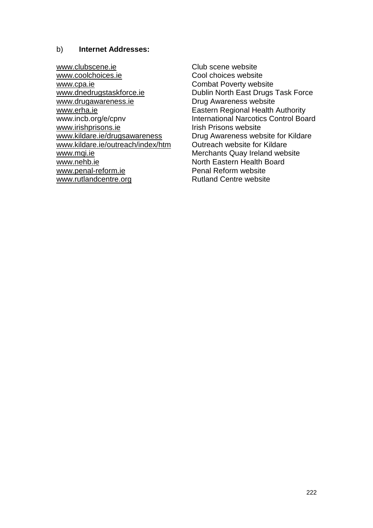#### b) **Internet Addresses:**

[www.clubscene.ie](http://www.clubscene.ie/) Club scene website [www.coolchoices.ie](http://www.coolchoices.ie/) Cool choices website [www.cpa.ie](http://www.cpa.ie/) **Combat Poverty website** [www.drugawareness.ie](http://www.drugawareness.ie/) Drug Awareness website [www.erha.ie](http://www.erha.ie/) **Eastern Regional Health Authority** [www.irishprisons.ie](http://www.irishprisons.ie/) Irish Prisons website [www.kildare.ie/outreach/index/htm](http://www.kildare.ie/outreach/index/htm) Outreach website for Kildare [www.mqi.ie](http://www.mqi.ie/) **Merchants Quay Ireland website** Merchants Quay Ireland website www.nehb.ie<br>www.nenal-reform.ie Penal Reform website www.penal-reform.ie [www.rutlandcentre.org](http://www.rutlandcentre.org/) Rutland Centre website

[www.dnedrugstaskforce.ie](http://www.dnedrugstaskforce.ie/) Dublin North East Drugs Task Force www.incb.org/e/cpnv International Narcotics Control Board [www.kildare.ie/drugsawareness](http://www.kildare.ie/drugsawareness) Drug Awareness website for Kildare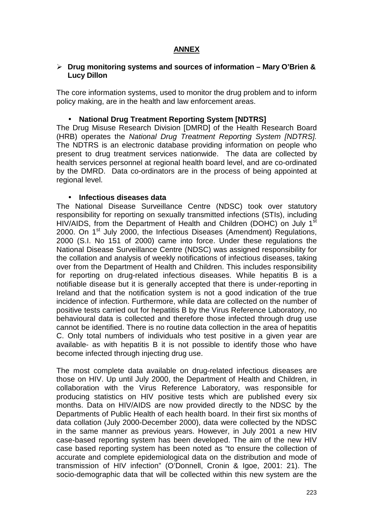# **ANNEX**

#### -**Drug monitoring systems and sources of information – Mary O'Brien & Lucy Dillon**

The core information systems, used to monitor the drug problem and to inform policy making, are in the health and law enforcement areas.

#### • **National Drug Treatment Reporting System [NDTRS]**

The Drug Misuse Research Division [DMRD] of the Health Research Board (HRB) operates the *National Drug Treatment Reporting System [NDTRS].*  The NDTRS is an electronic database providing information on people who present to drug treatment services nationwide. The data are collected by health services personnel at regional health board level, and are co-ordinated by the DMRD. Data co-ordinators are in the process of being appointed at regional level.

#### • **Infectious diseases data**

The National Disease Surveillance Centre (NDSC) took over statutory responsibility for reporting on sexually transmitted infections (STIs), including HIV/AIDS, from the Department of Health and Children (DOHC) on July 1<sup>st</sup> 2000. On 1<sup>st</sup> July 2000, the Infectious Diseases (Amendment) Regulations, 2000 (S.I. No 151 of 2000) came into force. Under these regulations the National Disease Surveillance Centre (NDSC) was assigned responsibility for the collation and analysis of weekly notifications of infectious diseases, taking over from the Department of Health and Children. This includes responsibility for reporting on drug-related infectious diseases. While hepatitis B is a notifiable disease but it is generally accepted that there is under-reporting in Ireland and that the notification system is not a good indication of the true incidence of infection. Furthermore, while data are collected on the number of positive tests carried out for hepatitis B by the Virus Reference Laboratory, no behavioural data is collected and therefore those infected through drug use cannot be identified. There is no routine data collection in the area of hepatitis C. Only total numbers of individuals who test positive in a given year are available- as with hepatitis B it is not possible to identify those who have become infected through injecting drug use.

The most complete data available on drug-related infectious diseases are those on HIV. Up until July 2000, the Department of Health and Children, in collaboration with the Virus Reference Laboratory, was responsible for producing statistics on HIV positive tests which are published every six months. Data on HIV/AIDS are now provided directly to the NDSC by the Departments of Public Health of each health board. In their first six months of data collation (July 2000-December 2000), data were collected by the NDSC in the same manner as previous years. However, in July 2001 a new HIV case-based reporting system has been developed. The aim of the new HIV case based reporting system has been noted as "to ensure the collection of accurate and complete epidemiological data on the distribution and mode of transmission of HIV infection" (O'Donnell, Cronin & Igoe, 2001: 21). The socio-demographic data that will be collected within this new system are the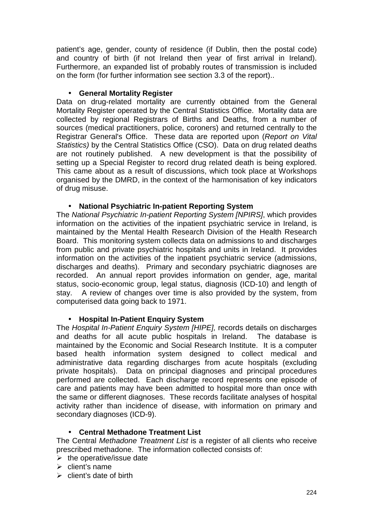patient's age, gender, county of residence (if Dublin, then the postal code) and country of birth (if not Ireland then year of first arrival in Ireland). Furthermore, an expanded list of probably routes of transmission is included on the form (for further information see section 3.3 of the report)..

### • **General Mortality Register**

Data on drug-related mortality are currently obtained from the General Mortality Register operated by the Central Statistics Office. Mortality data are collected by regional Registrars of Births and Deaths, from a number of sources (medical practitioners, police, coroners) and returned centrally to the Registrar General's Office. These data are reported upon (*Report on Vital Statistics)* by the Central Statistics Office (CSO). Data on drug related deaths are not routinely published. A new development is that the possibility of setting up a Special Register to record drug related death is being explored. This came about as a result of discussions, which took place at Workshops organised by the DMRD, in the context of the harmonisation of key indicators of drug misuse.

### • **National Psychiatric In-patient Reporting System**

The *National Psychiatric In-patient Reporting System [NPIRS]*, which provides information on the activities of the inpatient psychiatric service in Ireland, is maintained by the Mental Health Research Division of the Health Research Board. This monitoring system collects data on admissions to and discharges from public and private psychiatric hospitals and units in Ireland. It provides information on the activities of the inpatient psychiatric service (admissions, discharges and deaths). Primary and secondary psychiatric diagnoses are recorded. An annual report provides information on gender, age, marital status, socio-economic group, legal status, diagnosis (ICD-10) and length of stay. A review of changes over time is also provided by the system, from computerised data going back to 1971.

#### • **Hospital In-Patient Enquiry System**

The *Hospital In-Patient Enquiry System [HIPE],* records details on discharges and deaths for all acute public hospitals in Ireland. The database is maintained by the Economic and Social Research Institute. It is a computer based health information system designed to collect medical and administrative data regarding discharges from acute hospitals (excluding private hospitals). Data on principal diagnoses and principal procedures performed are collected. Each discharge record represents one episode of care and patients may have been admitted to hospital more than once with the same or different diagnoses. These records facilitate analyses of hospital activity rather than incidence of disease, with information on primary and secondary diagnoses (ICD-9).

## • **Central Methadone Treatment List**

The Central *Methadone Treatment List* is a register of all clients who receive prescribed methadone. The information collected consists of:

- $\triangleright$  the operative/issue date
- $\triangleright$  client's name
- $\triangleright$  client's date of birth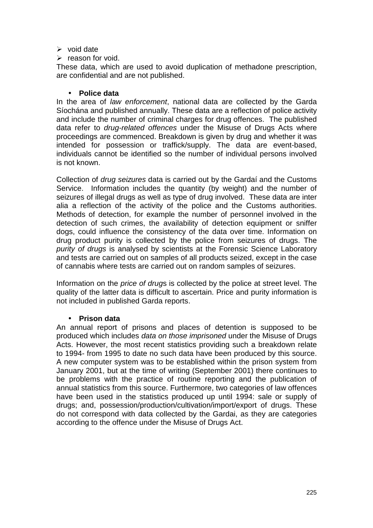#### $\triangleright$  void date

 $\triangleright$  reason for void.

These data, which are used to avoid duplication of methadone prescription, are confidential and are not published.

#### • **Police data**

In the area of *law enforcement*, national data are collected by the Garda Síochána and published annually. These data are a reflection of police activity and include the number of criminal charges for drug offences. The published data refer to *drug-related offences* under the Misuse of Drugs Acts where proceedings are commenced. Breakdown is given by drug and whether it was intended for possession or traffick/supply. The data are event-based, individuals cannot be identified so the number of individual persons involved is not known.

Collection of *drug seizures* data is carried out by the Gardaí and the Customs Service. Information includes the quantity (by weight) and the number of seizures of illegal drugs as well as type of drug involved. These data are inter alia a reflection of the activity of the police and the Customs authorities. Methods of detection, for example the number of personnel involved in the detection of such crimes, the availability of detection equipment or sniffer dogs, could influence the consistency of the data over time. Information on drug product purity is collected by the police from seizures of drugs. The *purity of drugs* is analysed by scientists at the Forensic Science Laboratory and tests are carried out on samples of all products seized, except in the case of cannabis where tests are carried out on random samples of seizures.

Information on the *price of drug*s is collected by the police at street level. The quality of the latter data is difficult to ascertain. Price and purity information is not included in published Garda reports.

#### • **Prison data**

An annual report of prisons and places of detention is supposed to be produced which includes *data on those imprisoned* under the Misuse of Drugs Acts. However, the most recent statistics providing such a breakdown relate to 1994- from 1995 to date no such data have been produced by this source. A new computer system was to be established within the prison system from January 2001, but at the time of writing (September 2001) there continues to be problems with the practice of routine reporting and the publication of annual statistics from this source. Furthermore, two categories of law offences have been used in the statistics produced up until 1994: sale or supply of drugs; and, possession/production/cultivation/import/export of drugs. These do not correspond with data collected by the Gardai, as they are categories according to the offence under the Misuse of Drugs Act.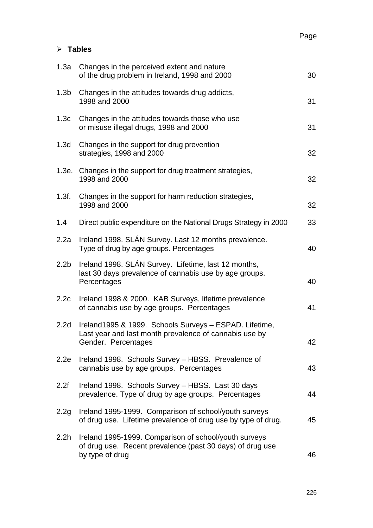# -**Tables**

| 1.3a             | Changes in the perceived extent and nature<br>of the drug problem in Ireland, 1998 and 2000                                             | 30 |
|------------------|-----------------------------------------------------------------------------------------------------------------------------------------|----|
| 1.3 <sub>b</sub> | Changes in the attitudes towards drug addicts,<br>1998 and 2000                                                                         | 31 |
| 1.3c             | Changes in the attitudes towards those who use<br>or misuse illegal drugs, 1998 and 2000                                                | 31 |
| 1.3d             | Changes in the support for drug prevention<br>strategies, 1998 and 2000                                                                 | 32 |
|                  | 1.3e. Changes in the support for drug treatment strategies,<br>1998 and 2000                                                            | 32 |
| 1.3f.            | Changes in the support for harm reduction strategies,<br>1998 and 2000                                                                  | 32 |
| 1.4              | Direct public expenditure on the National Drugs Strategy in 2000                                                                        | 33 |
| 2.2a             | Ireland 1998. SLÁN Survey. Last 12 months prevalence.<br>Type of drug by age groups. Percentages                                        | 40 |
| 2.2 <sub>b</sub> | Ireland 1998. SLAN Survey. Lifetime, last 12 months,<br>last 30 days prevalence of cannabis use by age groups.<br>Percentages           | 40 |
| 2.2c             | Ireland 1998 & 2000. KAB Surveys, lifetime prevalence<br>of cannabis use by age groups. Percentages                                     | 41 |
| 2.2 <sub>d</sub> | Ireland1995 & 1999. Schools Surveys - ESPAD. Lifetime,<br>Last year and last month prevalence of cannabis use by<br>Gender. Percentages | 42 |
| 2.2e             | Ireland 1998. Schools Survey - HBSS. Prevalence of<br>cannabis use by age groups. Percentages                                           | 43 |
| 2.2f             | Ireland 1998. Schools Survey - HBSS. Last 30 days<br>prevalence. Type of drug by age groups. Percentages                                | 44 |
| 2.2g             | Ireland 1995-1999. Comparison of school/youth surveys<br>of drug use. Lifetime prevalence of drug use by type of drug.                  | 45 |
| 2.2 <sub>h</sub> | Ireland 1995-1999. Comparison of school/youth surveys<br>of drug use. Recent prevalence (past 30 days) of drug use<br>by type of drug   | 46 |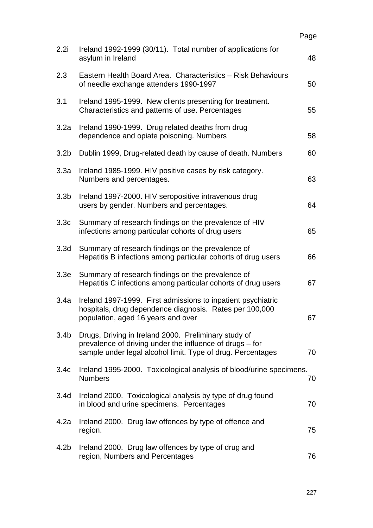|                  |                                                                                                                                                                                 | Page |
|------------------|---------------------------------------------------------------------------------------------------------------------------------------------------------------------------------|------|
| 2.2i             | Ireland 1992-1999 (30/11). Total number of applications for<br>asylum in Ireland                                                                                                | 48   |
| 2.3              | Eastern Health Board Area. Characteristics - Risk Behaviours<br>of needle exchange attenders 1990-1997                                                                          | 50   |
| 3.1              | Ireland 1995-1999. New clients presenting for treatment.<br>Characteristics and patterns of use. Percentages                                                                    | 55   |
| 3.2a             | Ireland 1990-1999. Drug related deaths from drug<br>dependence and opiate poisoning. Numbers                                                                                    | 58   |
| 3.2 <sub>b</sub> | Dublin 1999, Drug-related death by cause of death. Numbers                                                                                                                      | 60   |
| 3.3a             | Ireland 1985-1999. HIV positive cases by risk category.<br>Numbers and percentages.                                                                                             | 63   |
| 3.3 <sub>b</sub> | Ireland 1997-2000. HIV seropositive intravenous drug<br>users by gender. Numbers and percentages.                                                                               | 64   |
| 3.3c             | Summary of research findings on the prevalence of HIV<br>infections among particular cohorts of drug users                                                                      | 65   |
| 3.3 <sub>d</sub> | Summary of research findings on the prevalence of<br>Hepatitis B infections among particular cohorts of drug users                                                              | 66   |
| 3.3e             | Summary of research findings on the prevalence of<br>Hepatitis C infections among particular cohorts of drug users                                                              | 67   |
| 3.4a             | Ireland 1997-1999. First admissions to inpatient psychiatric<br>hospitals, drug dependence diagnosis. Rates per 100,000<br>population, aged 16 years and over                   | 67   |
| 3.4 <sub>b</sub> | Drugs, Driving in Ireland 2000. Preliminary study of<br>prevalence of driving under the influence of drugs - for<br>sample under legal alcohol limit. Type of drug. Percentages | 70   |
| 3.4 <sub>c</sub> | Ireland 1995-2000. Toxicological analysis of blood/urine specimens.<br><b>Numbers</b>                                                                                           | 70   |
| 3.4 <sub>d</sub> | Ireland 2000. Toxicological analysis by type of drug found<br>in blood and urine specimens. Percentages                                                                         | 70   |
| 4.2a             | Ireland 2000. Drug law offences by type of offence and<br>region.                                                                                                               | 75   |
| 4.2 <sub>b</sub> | Ireland 2000. Drug law offences by type of drug and<br>region, Numbers and Percentages                                                                                          | 76   |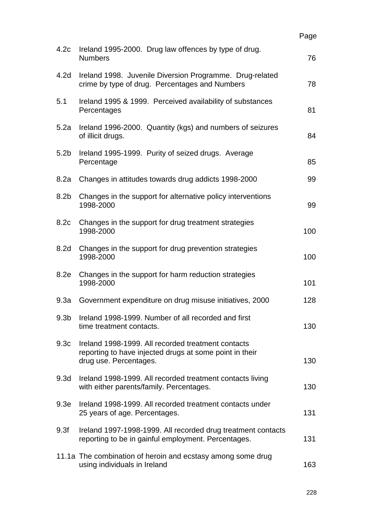|                  |                                                                                                                                         | Page |
|------------------|-----------------------------------------------------------------------------------------------------------------------------------------|------|
| 4.2c             | Ireland 1995-2000. Drug law offences by type of drug.<br><b>Numbers</b>                                                                 | 76   |
| 4.2 <sub>d</sub> | Ireland 1998. Juvenile Diversion Programme. Drug-related<br>crime by type of drug. Percentages and Numbers                              | 78   |
| 5.1              | Ireland 1995 & 1999. Perceived availability of substances<br>Percentages                                                                | 81   |
| 5.2a             | Ireland 1996-2000. Quantity (kgs) and numbers of seizures<br>of illicit drugs.                                                          | 84   |
| 5.2 <sub>b</sub> | Ireland 1995-1999. Purity of seized drugs. Average<br>Percentage                                                                        | 85   |
| 8.2a             | Changes in attitudes towards drug addicts 1998-2000                                                                                     | 99   |
| 8.2 <sub>b</sub> | Changes in the support for alternative policy interventions<br>1998-2000                                                                | 99   |
| 8.2c             | Changes in the support for drug treatment strategies<br>1998-2000                                                                       | 100  |
| 8.2 <sub>d</sub> | Changes in the support for drug prevention strategies<br>1998-2000                                                                      | 100  |
| 8.2e             | Changes in the support for harm reduction strategies<br>1998-2000                                                                       | 101  |
| 9.3a             | Government expenditure on drug misuse initiatives, 2000                                                                                 | 128  |
| 9.3 <sub>b</sub> | Ireland 1998-1999. Number of all recorded and first<br>time treatment contacts.                                                         | 130  |
| 9.3 <sub>c</sub> | Ireland 1998-1999. All recorded treatment contacts<br>reporting to have injected drugs at some point in their<br>drug use. Percentages. | 130  |
| 9.3 <sub>d</sub> | Ireland 1998-1999. All recorded treatment contacts living<br>with either parents/family. Percentages.                                   | 130  |
| 9.3 <sub>e</sub> | Ireland 1998-1999. All recorded treatment contacts under<br>25 years of age. Percentages.                                               | 131  |
| 9.3f             | Ireland 1997-1998-1999. All recorded drug treatment contacts<br>reporting to be in gainful employment. Percentages.                     | 131  |
|                  | 11.1a The combination of heroin and ecstasy among some drug<br>using individuals in Ireland                                             | 163  |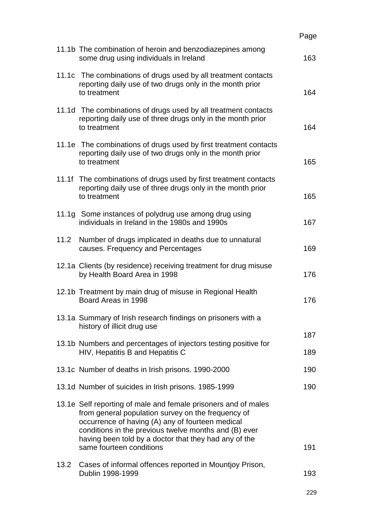|      |                                                                                                                                                                                                                                                                                                                        | Page |
|------|------------------------------------------------------------------------------------------------------------------------------------------------------------------------------------------------------------------------------------------------------------------------------------------------------------------------|------|
|      | 11.1b The combination of heroin and benzodiazepines among<br>some drug using individuals in Ireland                                                                                                                                                                                                                    | 163  |
|      | 11.1c The combinations of drugs used by all treatment contacts<br>reporting daily use of two drugs only in the month prior<br>to treatment                                                                                                                                                                             | 164  |
|      | 11.1d The combinations of drugs used by all treatment contacts<br>reporting daily use of three drugs only in the month prior<br>to treatment                                                                                                                                                                           | 164  |
|      | 11.1e The combinations of drugs used by first treatment contacts<br>reporting daily use of two drugs only in the month prior<br>to treatment                                                                                                                                                                           | 165  |
|      | 11.1f The combinations of drugs used by first treatment contacts<br>reporting daily use of three drugs only in the month prior<br>to treatment                                                                                                                                                                         | 165  |
|      | 11.1g Some instances of polydrug use among drug using<br>individuals in Ireland in the 1980s and 1990s                                                                                                                                                                                                                 | 167  |
| 11.2 | Number of drugs implicated in deaths due to unnatural<br>causes. Frequency and Percentages                                                                                                                                                                                                                             | 169  |
|      | 12.1a Clients (by residence) receiving treatment for drug misuse<br>by Health Board Area in 1998                                                                                                                                                                                                                       | 176  |
|      | 12.1b Treatment by main drug of misuse in Regional Health<br>Board Areas in 1998                                                                                                                                                                                                                                       | 176  |
|      | 13.1a Summary of Irish research findings on prisoners with a<br>history of illicit drug use                                                                                                                                                                                                                            | 187  |
|      | 13.1b Numbers and percentages of injectors testing positive for<br>HIV, Hepatitis B and Hepatitis C                                                                                                                                                                                                                    | 189  |
|      | 13.1c Number of deaths in Irish prisons. 1990-2000                                                                                                                                                                                                                                                                     | 190  |
|      | 13.1d Number of suicides in Irish prisons. 1985-1999                                                                                                                                                                                                                                                                   | 190  |
|      | 13.1e Self reporting of male and female prisoners and of males<br>from general population survey on the frequency of<br>occurrence of having (A) any of fourteen medical<br>conditions in the previous twelve months and (B) ever<br>having been told by a doctor that they had any of the<br>same fourteen conditions | 191  |
| 13.2 | Cases of informal offences reported in Mountjoy Prison,<br>Dublin 1998-1999                                                                                                                                                                                                                                            | 193  |

229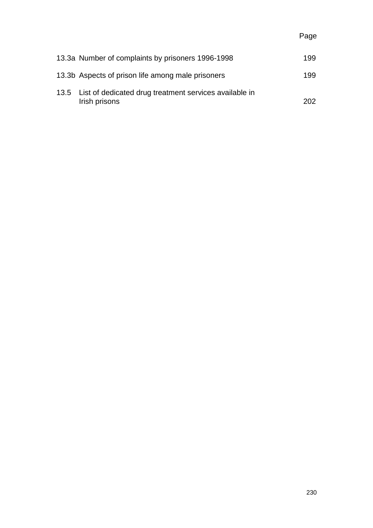| 13.3a Number of complaints by prisoners 1996-1998                            | 199  |
|------------------------------------------------------------------------------|------|
| 13.3b Aspects of prison life among male prisoners                            | 199  |
| 13.5 List of dedicated drug treatment services available in<br>Irish prisons | 202. |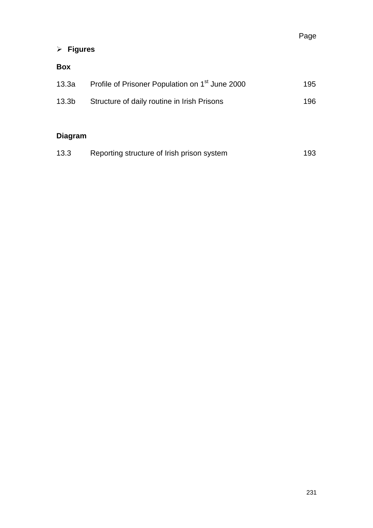# -**Figures**

## **Box**

| 13.3a             | Profile of Prisoner Population on 1 <sup>st</sup> June 2000 | 195. |
|-------------------|-------------------------------------------------------------|------|
| 13.3 <sub>b</sub> | Structure of daily routine in Irish Prisons                 | 196. |
|                   |                                                             |      |

# **Diagram**

| 13.3 | Reporting structure of Irish prison system | 193 |
|------|--------------------------------------------|-----|
|------|--------------------------------------------|-----|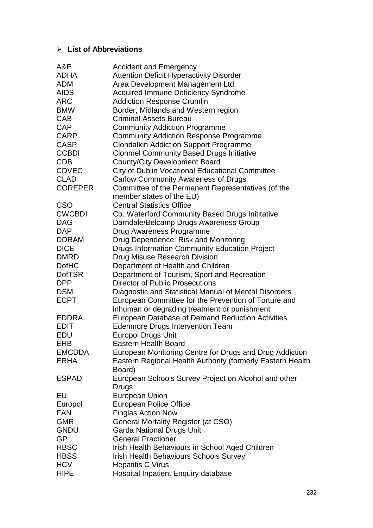## -**List of Abbreviations**

| A&E            | <b>Accident and Emergency</b>                              |
|----------------|------------------------------------------------------------|
| <b>ADHA</b>    | <b>Attention Deficit Hyperactivity Disorder</b>            |
| <b>ADM</b>     | Area Development Management Ltd                            |
| <b>AIDS</b>    | <b>Acquired Immune Deficiency Syndrome</b>                 |
| <b>ARC</b>     | <b>Addiction Response Crumlin</b>                          |
| <b>BMW</b>     | Border, Midlands and Western region                        |
| <b>CAB</b>     | <b>Criminal Assets Bureau</b>                              |
| <b>CAP</b>     | <b>Community Addiction Programme</b>                       |
| <b>CARP</b>    | <b>Community Addiction Response Programme</b>              |
| <b>CASP</b>    | <b>Clondalkin Addiction Support Programme</b>              |
| <b>CCBDI</b>   | <b>Clonmel Community Based Drugs Initiative</b>            |
| <b>CDB</b>     | <b>County/City Development Board</b>                       |
| <b>CDVEC</b>   | <b>City of Dublin Vocational Educational Committee</b>     |
| <b>CLAD</b>    | <b>Carlow Community Awareness of Drugs</b>                 |
| <b>COREPER</b> | Committee of the Permanent Representatives (of the         |
|                | member states of the EU)                                   |
| <b>CSO</b>     | <b>Central Statistics Office</b>                           |
| <b>CWCBDI</b>  |                                                            |
|                | Co. Waterford Community Based Drugs Inititative            |
| <b>DAG</b>     | Darndale/Belcamp Drugs Awareness Group                     |
| <b>DAP</b>     | Drug Awareness Programme                                   |
| <b>DDRAM</b>   | Drug Dependence: Risk and Monitoring                       |
| <b>DICE</b>    | <b>Drugs Information Community Education Project</b>       |
| <b>DMRD</b>    | Drug Misuse Research Division                              |
| <b>DofHC</b>   | Department of Health and Children                          |
| <b>DofTSR</b>  | Department of Tourism, Sport and Recreation                |
| <b>DPP</b>     | <b>Director of Public Prosecutions</b>                     |
| <b>DSM</b>     | Diagnostic and Statistical Manual of Mental Disorders      |
| <b>ECPT</b>    | European Committee for the Prevention of Torture and       |
|                | inhuman or degrading treatment or punishment               |
| <b>EDDRA</b>   | European Database of Demand Reduction Activities           |
| <b>EDIT</b>    | <b>Edenmore Drugs Intervention Team</b>                    |
| <b>EDU</b>     | <b>Europol Drugs Unit</b>                                  |
| EHB            | <b>Eastern Health Board</b>                                |
| <b>EMCDDA</b>  | European Monitoring Centre for Drugs and Drug Addiction    |
| <b>ERHA</b>    | Eastern Regional Health Authority (formerly Eastern Health |
|                | Board)                                                     |
| <b>ESPAD</b>   | European Schools Survey Project on Alcohol and other       |
|                | Drugs                                                      |
| EU             | <b>European Union</b>                                      |
| Europol        | <b>European Police Office</b>                              |
| <b>FAN</b>     | <b>Finglas Action Now</b>                                  |
| <b>GMR</b>     | General Mortality Register (at CSO)                        |
| <b>GNDU</b>    | Garda National Drugs Unit                                  |
| GP             | <b>General Practioner</b>                                  |
| <b>HBSC</b>    | Irish Health Behaviours in School Aged Children            |
| <b>HBSS</b>    | <b>Irish Health Behaviours Schools Survey</b>              |
| <b>HCV</b>     | <b>Hepatitis C Virus</b>                                   |
| <b>HIPE</b>    | <b>Hospital Inpatient Enquiry database</b>                 |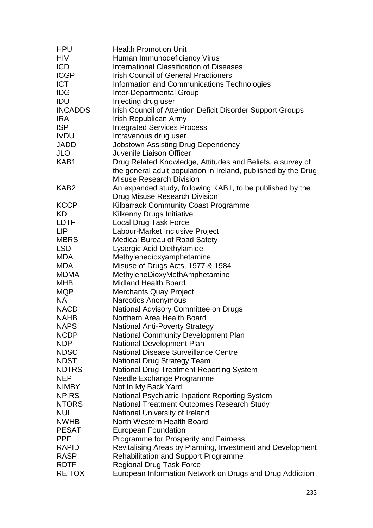| <b>HPU</b>       | <b>Health Promotion Unit</b>                                                   |
|------------------|--------------------------------------------------------------------------------|
| <b>HIV</b>       | Human Immunodeficiency Virus                                                   |
| <b>ICD</b>       | <b>International Classification of Diseases</b>                                |
| <b>ICGP</b>      | <b>Irish Council of General Practioners</b>                                    |
| <b>ICT</b>       | Information and Communications Technologies                                    |
| <b>IDG</b>       | <b>Inter-Departmental Group</b>                                                |
| IDU              | Injecting drug user                                                            |
| <b>INCADDS</b>   | Irish Council of Attention Deficit Disorder Support Groups                     |
| <b>IRA</b>       | Irish Republican Army                                                          |
| <b>ISP</b>       | <b>Integrated Services Process</b>                                             |
| <b>IVDU</b>      | Intravenous drug user                                                          |
| JADD             | <b>Jobstown Assisting Drug Dependency</b>                                      |
| <b>JLO</b>       | Juvenile Liaison Officer                                                       |
| KAB1             | Drug Related Knowledge, Attitudes and Beliefs, a survey of                     |
|                  | the general adult population in Ireland, published by the Drug                 |
|                  | <b>Misuse Research Division</b>                                                |
| KAB <sub>2</sub> | An expanded study, following KAB1, to be published by the                      |
|                  | Drug Misuse Research Division                                                  |
| <b>KCCP</b>      | <b>Kilbarrack Community Coast Programme</b>                                    |
| KDI              | Kilkenny Drugs Initiative                                                      |
| <b>LDTF</b>      | <b>Local Drug Task Force</b>                                                   |
| <b>LIP</b>       | Labour-Market Inclusive Project                                                |
| <b>MBRS</b>      | <b>Medical Bureau of Road Safety</b>                                           |
| <b>LSD</b>       | Lysergic Acid Diethylamide                                                     |
| <b>MDA</b>       | Methylenedioxyamphetamine                                                      |
| <b>MDA</b>       | Misuse of Drugs Acts, 1977 & 1984                                              |
| <b>MDMA</b>      | MethyleneDioxyMethAmphetamine                                                  |
| <b>MHB</b>       | <b>Midland Health Board</b>                                                    |
| <b>MQP</b>       | <b>Merchants Quay Project</b>                                                  |
| <b>NA</b>        | <b>Narcotics Anonymous</b>                                                     |
| <b>NACD</b>      | National Advisory Committee on Drugs                                           |
| <b>NAHB</b>      | Northern Area Health Board                                                     |
| <b>NAPS</b>      | <b>National Anti-Poverty Strategy</b>                                          |
| <b>NCDP</b>      | <b>National Community Development Plan</b>                                     |
| <b>NDP</b>       | National Development Plan                                                      |
| <b>NDSC</b>      | <b>National Disease Surveillance Centre</b>                                    |
| <b>NDST</b>      | <b>National Drug Strategy Team</b>                                             |
| <b>NDTRS</b>     | <b>National Drug Treatment Reporting System</b>                                |
| <b>NEP</b>       | Needle Exchange Programme                                                      |
| <b>NIMBY</b>     | Not In My Back Yard                                                            |
| <b>NPIRS</b>     | National Psychiatric Inpatient Reporting System                                |
| <b>NTORS</b>     | National Treatment Outcomes Research Study                                     |
| <b>NUI</b>       | National University of Ireland                                                 |
| <b>NWHB</b>      | North Western Health Board                                                     |
| <b>PESAT</b>     |                                                                                |
| <b>PPF</b>       | <b>European Foundation</b><br>Programme for Prosperity and Fairness            |
| <b>RAPID</b>     |                                                                                |
| <b>RASP</b>      | Revitalising Areas by Planning, Investment and Development                     |
| <b>RDTF</b>      | <b>Rehabilitation and Support Programme</b><br><b>Regional Drug Task Force</b> |
| <b>REITOX</b>    |                                                                                |
|                  | European Information Network on Drugs and Drug Addiction                       |